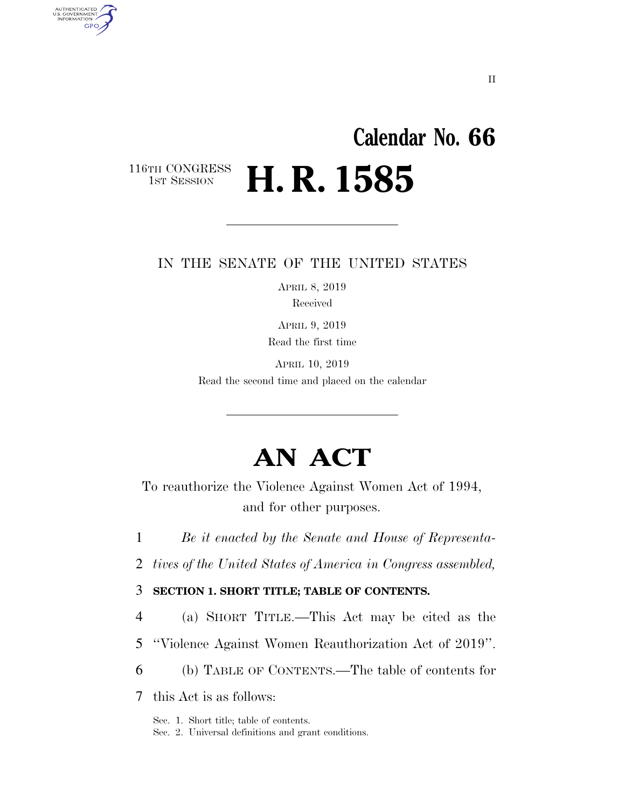# **Calendar No. 66**  116TH CONGRESS<br>1st Session **H. R. 1585**

AUTHENTICATED<br>U.S. GOVERNMENT<br>INFORMATION GPO

## IN THE SENATE OF THE UNITED STATES

APRIL 8, 2019 Received

APRIL 9, 2019 Read the first time

APRIL 10, 2019 Read the second time and placed on the calendar

# **AN ACT**

To reauthorize the Violence Against Women Act of 1994, and for other purposes.

1 *Be it enacted by the Senate and House of Representa-*

2 *tives of the United States of America in Congress assembled,* 

## 3 **SECTION 1. SHORT TITLE; TABLE OF CONTENTS.**

- 4 (a) SHORT TITLE.—This Act may be cited as the
- 5 ''Violence Against Women Reauthorization Act of 2019''.
- 6 (b) TABLE OF CONTENTS.—The table of contents for

7 this Act is as follows:

Sec. 1. Short title; table of contents. Sec. 2. Universal definitions and grant conditions.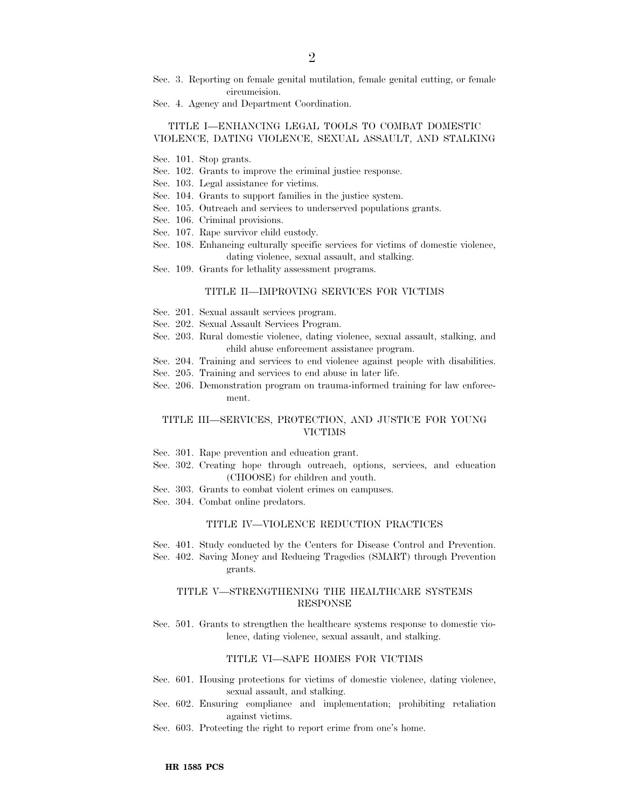- Sec. 3. Reporting on female genital mutilation, female genital cutting, or female circumcision.
- Sec. 4. Agency and Department Coordination.

#### TITLE I—ENHANCING LEGAL TOOLS TO COMBAT DOMESTIC VIOLENCE, DATING VIOLENCE, SEXUAL ASSAULT, AND STALKING

- Sec. 101. Stop grants.
- Sec. 102. Grants to improve the criminal justice response.
- Sec. 103. Legal assistance for victims.
- Sec. 104. Grants to support families in the justice system.
- Sec. 105. Outreach and services to underserved populations grants.
- Sec. 106. Criminal provisions.
- Sec. 107. Rape survivor child custody.
- Sec. 108. Enhancing culturally specific services for victims of domestic violence, dating violence, sexual assault, and stalking.
- Sec. 109. Grants for lethality assessment programs.

#### TITLE II—IMPROVING SERVICES FOR VICTIMS

- Sec. 201. Sexual assault services program.
- Sec. 202. Sexual Assault Services Program.
- Sec. 203. Rural domestic violence, dating violence, sexual assault, stalking, and child abuse enforcement assistance program.
- Sec. 204. Training and services to end violence against people with disabilities.
- Sec. 205. Training and services to end abuse in later life.
- Sec. 206. Demonstration program on trauma-informed training for law enforcement.

#### TITLE III—SERVICES, PROTECTION, AND JUSTICE FOR YOUNG VICTIMS

- Sec. 301. Rape prevention and education grant.
- Sec. 302. Creating hope through outreach, options, services, and education (CHOOSE) for children and youth.
- Sec. 303. Grants to combat violent crimes on campuses.
- Sec. 304. Combat online predators.

#### TITLE IV—VIOLENCE REDUCTION PRACTICES

- Sec. 401. Study conducted by the Centers for Disease Control and Prevention.
- Sec. 402. Saving Money and Reducing Tragedies (SMART) through Prevention grants.

#### TITLE V—STRENGTHENING THE HEALTHCARE SYSTEMS RESPONSE

Sec. 501. Grants to strengthen the healthcare systems response to domestic violence, dating violence, sexual assault, and stalking.

#### TITLE VI—SAFE HOMES FOR VICTIMS

- Sec. 601. Housing protections for victims of domestic violence, dating violence, sexual assault, and stalking.
- Sec. 602. Ensuring compliance and implementation; prohibiting retaliation against victims.
- Sec. 603. Protecting the right to report crime from one's home.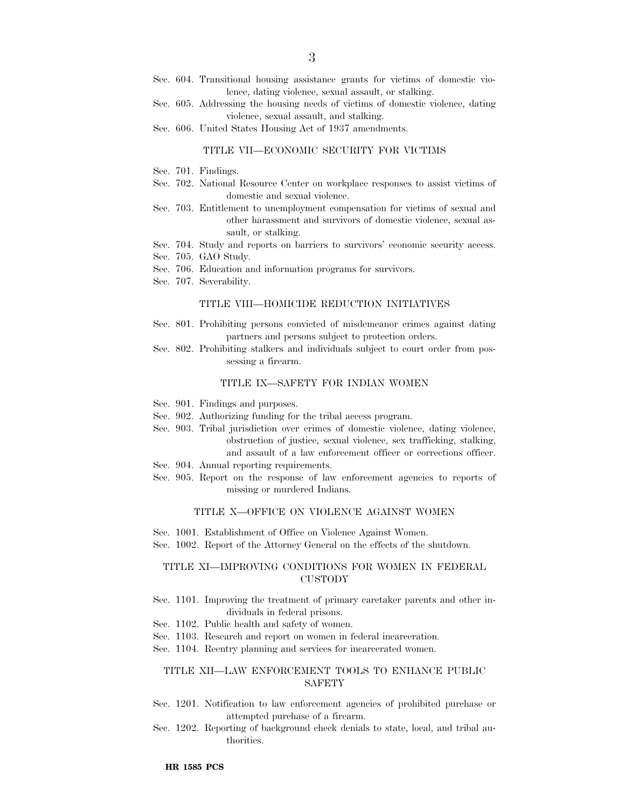- Sec. 604. Transitional housing assistance grants for victims of domestic violence, dating violence, sexual assault, or stalking.
- Sec. 605. Addressing the housing needs of victims of domestic violence, dating violence, sexual assault, and stalking.
- Sec. 606. United States Housing Act of 1937 amendments.

#### TITLE VII—ECONOMIC SECURITY FOR VICTIMS

- Sec. 701. Findings.
- Sec. 702. National Resource Center on workplace responses to assist victims of domestic and sexual violence.
- Sec. 703. Entitlement to unemployment compensation for victims of sexual and other harassment and survivors of domestic violence, sexual assault, or stalking.
- Sec. 704. Study and reports on barriers to survivors' economic security access.
- Sec. 705. GAO Study.
- Sec. 706. Education and information programs for survivors.
- Sec. 707. Severability.

#### TITLE VIII—HOMICIDE REDUCTION INITIATIVES

- Sec. 801. Prohibiting persons convicted of misdemeanor crimes against dating partners and persons subject to protection orders.
- Sec. 802. Prohibiting stalkers and individuals subject to court order from possessing a firearm.

#### TITLE IX—SAFETY FOR INDIAN WOMEN

- Sec. 901. Findings and purposes.
- Sec. 902. Authorizing funding for the tribal access program.
- Sec. 903. Tribal jurisdiction over crimes of domestic violence, dating violence, obstruction of justice, sexual violence, sex trafficking, stalking, and assault of a law enforcement officer or corrections officer.
- Sec. 904. Annual reporting requirements.
- Sec. 905. Report on the response of law enforcement agencies to reports of missing or murdered Indians.

#### TITLE X—OFFICE ON VIOLENCE AGAINST WOMEN

- Sec. 1001. Establishment of Office on Violence Against Women.
- Sec. 1002. Report of the Attorney General on the effects of the shutdown.

#### TITLE XI—IMPROVING CONDITIONS FOR WOMEN IN FEDERAL **CUSTODY**

- Sec. 1101. Improving the treatment of primary caretaker parents and other individuals in federal prisons.
- Sec. 1102. Public health and safety of women.
- Sec. 1103. Research and report on women in federal incarceration.
- Sec. 1104. Reentry planning and services for incarcerated women.

#### TITLE XII—LAW ENFORCEMENT TOOLS TO ENHANCE PUBLIC **SAFETY**

- Sec. 1201. Notification to law enforcement agencies of prohibited purchase or attempted purchase of a firearm.
- Sec. 1202. Reporting of background check denials to state, local, and tribal authorities.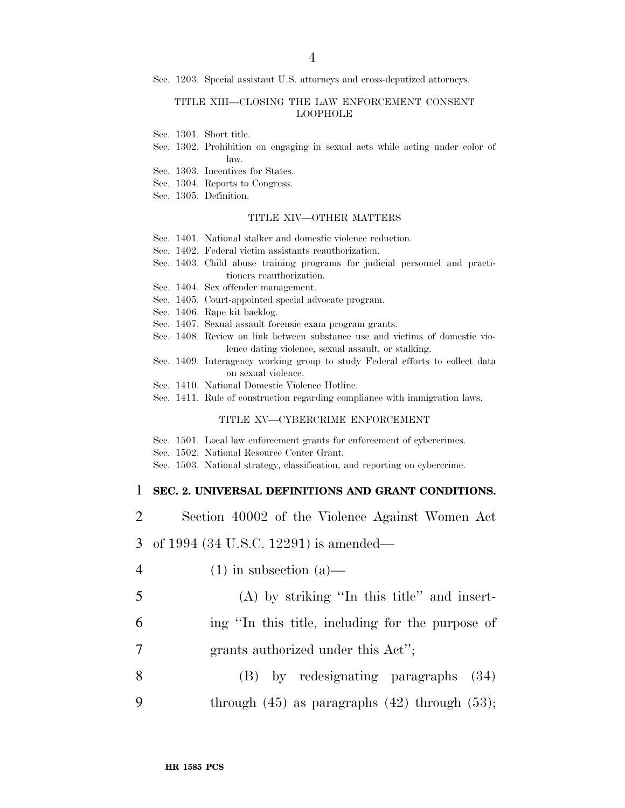Sec. 1203. Special assistant U.S. attorneys and cross-deputized attorneys.

#### TITLE XIII—CLOSING THE LAW ENFORCEMENT CONSENT LOOPHOLE

- Sec. 1301. Short title.
- Sec. 1302. Prohibition on engaging in sexual acts while acting under color of law.
- Sec. 1303. Incentives for States.
- Sec. 1304. Reports to Congress.
- Sec. 1305. Definition.

#### TITLE XIV—OTHER MATTERS

- Sec. 1401. National stalker and domestic violence reduction.
- Sec. 1402. Federal victim assistants reauthorization.
- Sec. 1403. Child abuse training programs for judicial personnel and practitioners reauthorization.
- Sec. 1404. Sex offender management.
- Sec. 1405. Court-appointed special advocate program.
- Sec. 1406. Rape kit backlog.
- Sec. 1407. Sexual assault forensic exam program grants.
- Sec. 1408. Review on link between substance use and victims of domestic violence dating violence, sexual assault, or stalking.
- Sec. 1409. Interagency working group to study Federal efforts to collect data on sexual violence.
- Sec. 1410. National Domestic Violence Hotline.
- Sec. 1411. Rule of construction regarding compliance with immigration laws.

#### TITLE XV—CYBERCRIME ENFORCEMENT

- Sec. 1501. Local law enforcement grants for enforcement of cybercrimes.
- Sec. 1502. National Resource Center Grant.
- Sec. 1503. National strategy, classification, and reporting on cybercrime.

### 1 **SEC. 2. UNIVERSAL DEFINITIONS AND GRANT CONDITIONS.**

2 Section 40002 of the Violence Against Women Act

### 3 of 1994 (34 U.S.C. 12291) is amended—

- 4 (1) in subsection (a)— 5 (A) by striking ''In this title'' and insert-6 ing ''In this title, including for the purpose of 7 grants authorized under this Act''; 8 (B) by redesignating paragraphs (34)
- 9 through (45) as paragraphs (42) through (53);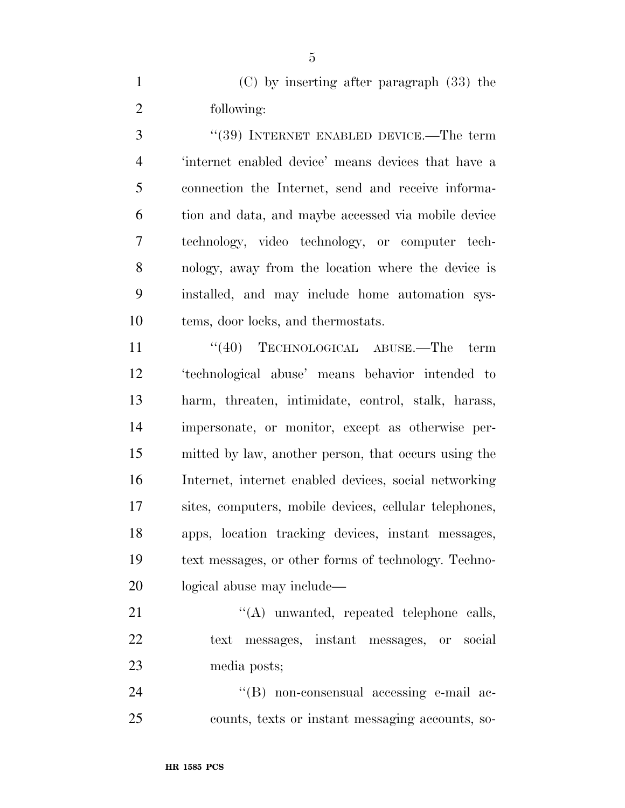(C) by inserting after paragraph (33) the following:

 ''(39) INTERNET ENABLED DEVICE.—The term 'internet enabled device' means devices that have a connection the Internet, send and receive informa- tion and data, and maybe accessed via mobile device technology, video technology, or computer tech- nology, away from the location where the device is installed, and may include home automation sys-tems, door locks, and thermostats.

11 ''(40) TECHNOLOGICAL ABUSE.—The term 'technological abuse' means behavior intended to harm, threaten, intimidate, control, stalk, harass, impersonate, or monitor, except as otherwise per- mitted by law, another person, that occurs using the Internet, internet enabled devices, social networking sites, computers, mobile devices, cellular telephones, apps, location tracking devices, instant messages, text messages, or other forms of technology. Techno-logical abuse may include—

21  $\langle (A)$  unwanted, repeated telephone calls, text messages, instant messages, or social media posts;

24  $\text{``(B)}$  non-consensual accessing e-mail ac-counts, texts or instant messaging accounts, so-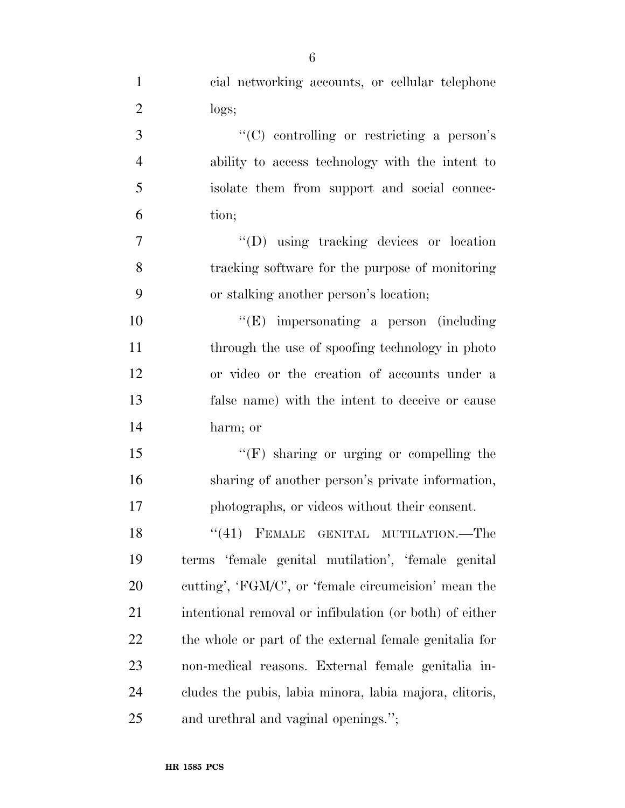| $\mathbf{1}$   | cial networking accounts, or cellular telephone         |
|----------------|---------------------------------------------------------|
| $\overline{2}$ | logs;                                                   |
| 3              | " $(C)$ controlling or restricting a person's           |
| $\overline{4}$ | ability to access technology with the intent to         |
| 5              | isolate them from support and social connec-            |
| 6              | tion;                                                   |
| $\overline{7}$ | "(D) using tracking devices or location                 |
| 8              | tracking software for the purpose of monitoring         |
| 9              | or stalking another person's location;                  |
| 10             | $\lq\lq(E)$ impersonating a person (including           |
| 11             | through the use of spoofing technology in photo         |
| 12             | or video or the creation of accounts under a            |
| 13             | false name) with the intent to deceive or cause         |
| 14             | harm; or                                                |
| 15             | "(F) sharing or urging or compelling the                |
| 16             | sharing of another person's private information,        |
| 17             | photographs, or videos without their consent.           |
| 18             | $``(41)$ FEMALE<br>GENITAL MUTILATION.—The              |
| 19             | terms 'female genital mutilation', 'female genital      |
| 20             | cutting', 'FGM/C', or 'female circumcision' mean the    |
| 21             | intentional removal or infibulation (or both) of either |
| 22             | the whole or part of the external female genitalia for  |
| 23             | non-medical reasons. External female genitalia in-      |
| 24             | cludes the pubis, labia minora, labia majora, clitoris, |
| 25             | and urethral and vaginal openings.";                    |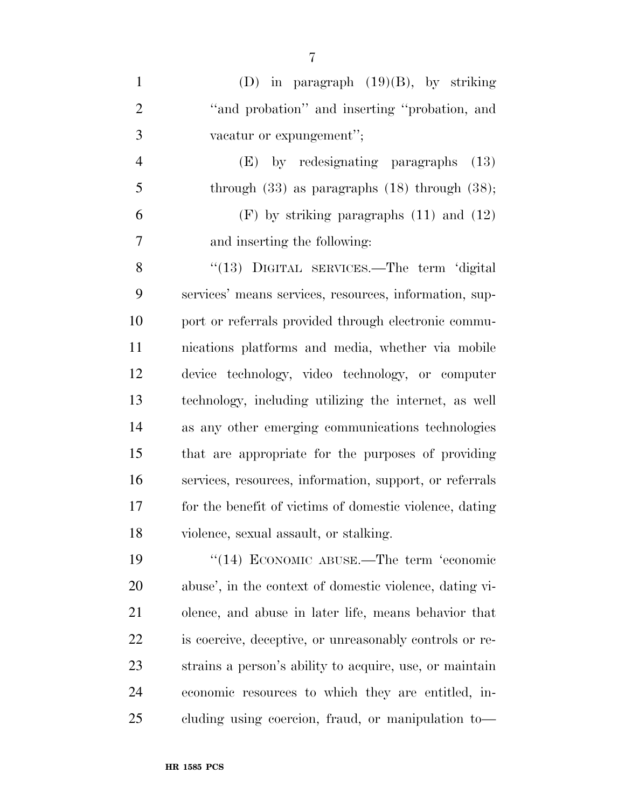| $\mathbf{1}$   | (D) in paragraph $(19)(B)$ , by striking                |
|----------------|---------------------------------------------------------|
| $\overline{2}$ | "and probation" and inserting "probation, and           |
| 3              | vacatur or expungement";                                |
| $\overline{4}$ | $(E)$ by redesignating paragraphs $(13)$                |
| 5              | through $(33)$ as paragraphs $(18)$ through $(38)$ ;    |
| 6              | $(F)$ by striking paragraphs $(11)$ and $(12)$          |
| 7              | and inserting the following:                            |
| 8              | "(13) DIGITAL SERVICES.—The term 'digital               |
| 9              | services' means services, resources, information, sup-  |
| 10             | port or referrals provided through electronic commu-    |
| 11             | nications platforms and media, whether via mobile       |
| 12             | device technology, video technology, or computer        |
| 13             | technology, including utilizing the internet, as well   |
| 14             | as any other emerging communications technologies       |
| 15             | that are appropriate for the purposes of providing      |
| 16             | services, resources, information, support, or referrals |
| 17             | for the benefit of victims of domestic violence, dating |
| 18             | violence, sexual assault, or stalking.                  |
| 19             | "(14) ECONOMIC ABUSE.—The term 'economic                |
| 20             | abuse', in the context of domestic violence, dating vi- |
| 21             | olange and abuse in later life means behavior that      |

 olence, and abuse in later life, means behavior that is coercive, deceptive, or unreasonably controls or re- strains a person's ability to acquire, use, or maintain economic resources to which they are entitled, in-cluding using coercion, fraud, or manipulation to—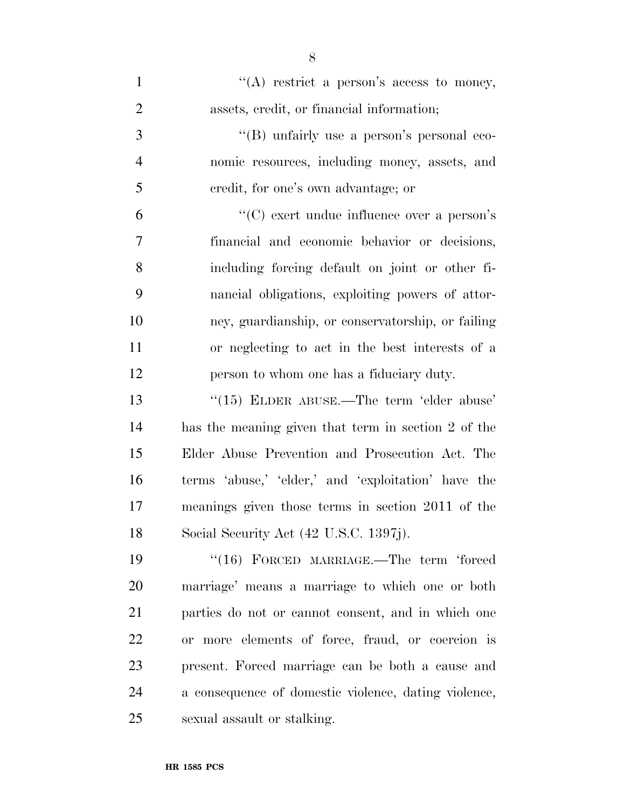| $\mathbf{1}$   | "(A) restrict a person's access to money,            |
|----------------|------------------------------------------------------|
| $\overline{2}$ | assets, credit, or financial information;            |
| 3              | "(B) unfairly use a person's personal eco-           |
| $\overline{4}$ | nomic resources, including money, assets, and        |
| 5              | eredit, for one's own advantage; or                  |
| 6              | "(C) exert undue influence over a person's           |
| 7              | financial and economic behavior or decisions,        |
| 8              | including forcing default on joint or other fi-      |
| 9              | nancial obligations, exploiting powers of attor-     |
| 10             | ney, guardianship, or conservatorship, or failing    |
| 11             | or neglecting to act in the best interests of a      |
| 12             | person to whom one has a fiduciary duty.             |
| 13             | " $(15)$ ELDER ABUSE.—The term 'elder abuse'         |
| 14             | has the meaning given that term in section 2 of the  |
| 15             | Elder Abuse Prevention and Prosecution Act. The      |
| 16             | terms 'abuse,' 'elder,' and 'exploitation' have the  |
| 17             | meanings given those terms in section 2011 of the    |
| 18             | Social Security Act (42 U.S.C. 1397j).               |
| 19             | "(16) FORCED MARRIAGE.—The term 'forced              |
| 20             | marriage' means a marriage to which one or both      |
| 21             | parties do not or cannot consent, and in which one   |
| 22             | or more elements of force, fraud, or coercion is     |
| 23             | present. Forced marriage can be both a cause and     |
| 24             | a consequence of domestic violence, dating violence, |
| 25             | sexual assault or stalking.                          |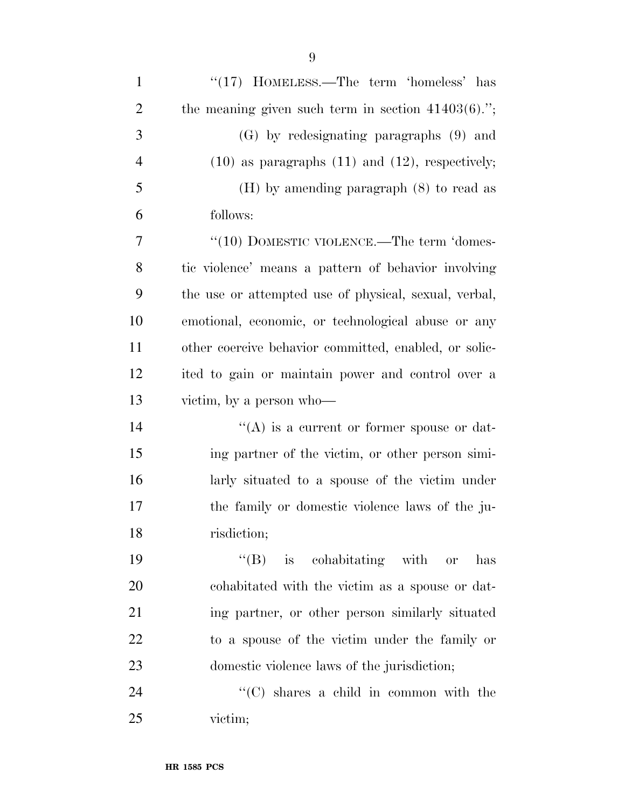| $\mathbf{1}$   | $\cdot$ (17) HOMELESS.—The term 'homeless' has         |
|----------------|--------------------------------------------------------|
| $\overline{2}$ | the meaning given such term in section $41403(6)$ .";  |
| 3              | (G) by redesignating paragraphs (9) and                |
| $\overline{4}$ | $(10)$ as paragraphs $(11)$ and $(12)$ , respectively; |
| 5              | $(H)$ by amending paragraph $(8)$ to read as           |
| 6              | follows:                                               |
| 7              | "(10) DOMESTIC VIOLENCE.—The term 'domes-              |
| 8              | tic violence' means a pattern of behavior involving    |
| 9              | the use or attempted use of physical, sexual, verbal,  |
| 10             | emotional, economic, or technological abuse or any     |
| 11             | other coercive behavior committed, enabled, or solic-  |
| 12             | ited to gain or maintain power and control over a      |
| 13             | victim, by a person who-                               |
| 14             | $\lq\lq$ is a current or former spouse or dat-         |
| 15             | ing partner of the victim, or other person simi-       |
| 16             | larly situated to a spouse of the victim under         |
| 17             | the family or domestic violence laws of the ju-        |
| 18             | risdiction;                                            |
| 19             | $\lq\lq (B)$ is cohabitating with or<br>has            |
| 20             | cohabitated with the victim as a spouse or dat-        |
| 21             | ing partner, or other person similarly situated        |
| 22             | to a spouse of the victim under the family or          |
| 23             | domestic violence laws of the jurisdiction;            |
| 24             | "(C) shares a child in common with the                 |
| 25             | victim;                                                |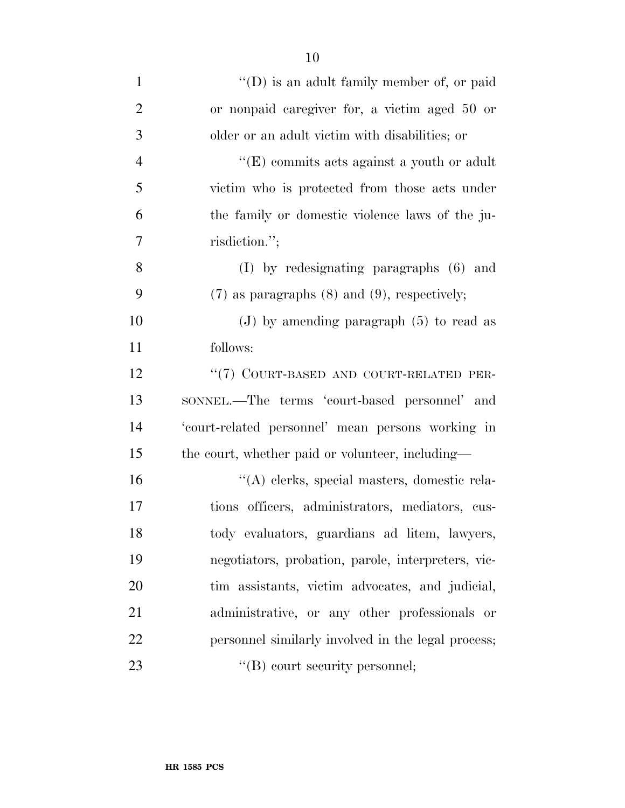| $\mathbf{1}$   | $\lq\lq$ (D) is an adult family member of, or paid  |
|----------------|-----------------------------------------------------|
| $\overline{2}$ | or nonpaid caregiver for, a victim aged 50 or       |
| 3              | older or an adult victim with disabilities; or      |
| $\overline{4}$ | " $(E)$ commits acts against a youth or adult       |
| 5              | victim who is protected from those acts under       |
| 6              | the family or domestic violence laws of the ju-     |
| $\overline{7}$ | risdiction.";                                       |
| 8              | $(I)$ by redesignating paragraphs $(6)$ and         |
| 9              | $(7)$ as paragraphs $(8)$ and $(9)$ , respectively; |
| 10             | $(J)$ by amending paragraph $(5)$ to read as        |
| 11             | follows:                                            |
| 12             | "(7) COURT-BASED AND COURT-RELATED PER-             |
| 13             | SONNEL.—The terms 'court-based personnel' and       |
| 14             | 'court-related personnel' mean persons working in   |
| 15             | the court, whether paid or volunteer, including—    |
| 16             | "(A) clerks, special masters, domestic rela-        |
| 17             | tions officers, administrators, mediators, cus-     |
| 18             | tody evaluators, guardians ad litem, lawyers,       |
| 19             | negotiators, probation, parole, interpreters, vic-  |
| 20             | tim assistants, victim advocates, and judicial,     |
| 21             | administrative, or any other professionals or       |
| 22             | personnel similarly involved in the legal process;  |
| 23             | $\lq\lq$ court security personnel;                  |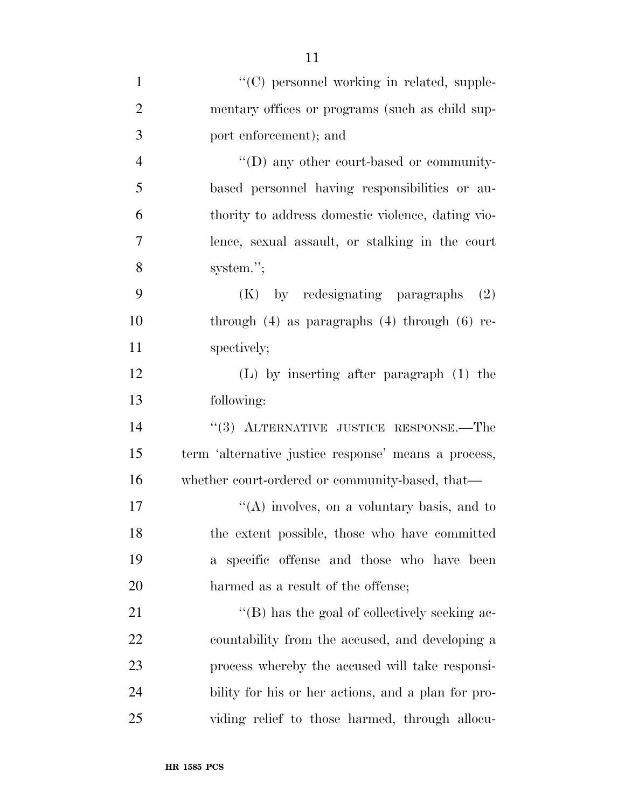| $\mathbf{1}$   | "(C) personnel working in related, supple-                      |
|----------------|-----------------------------------------------------------------|
| $\overline{2}$ | mentary offices or programs (such as child sup-                 |
| 3              | port enforcement); and                                          |
| $\overline{4}$ | $\lq\lq$ (D) any other court-based or community-                |
| 5              | based personnel having responsibilities or au-                  |
| 6              | thority to address domestic violence, dating vio-               |
| $\overline{7}$ | lence, sexual assault, or stalking in the court                 |
| 8              | system.";                                                       |
| 9              | (K) by redesignating paragraphs<br>(2)                          |
| 10             | through $(4)$ as paragraphs $(4)$ through $(6)$ re-             |
| 11             | spectively;                                                     |
| 12             | $(L)$ by inserting after paragraph $(1)$ the                    |
| 13             | following:                                                      |
| 14             | "(3) ALTERNATIVE JUSTICE RESPONSE.—The                          |
| 15             | term 'alternative justice response' means a process,            |
| 16             | whether court-ordered or community-based, that—                 |
| 17             | "(A) involves, on a voluntary basis, and to                     |
| 18             | the extent possible, those who have committed                   |
| 19             | a specific offense and those who have been                      |
| 20             | harmed as a result of the offense;                              |
| 21             | $\lq$ <sup>"</sup> (B) has the goal of collectively seeking ac- |
| 22             | countability from the accused, and developing a                 |
| 23             | process whereby the accused will take responsi-                 |
| 24             | bility for his or her actions, and a plan for pro-              |
| 25             | viding relief to those harmed, through allocu-                  |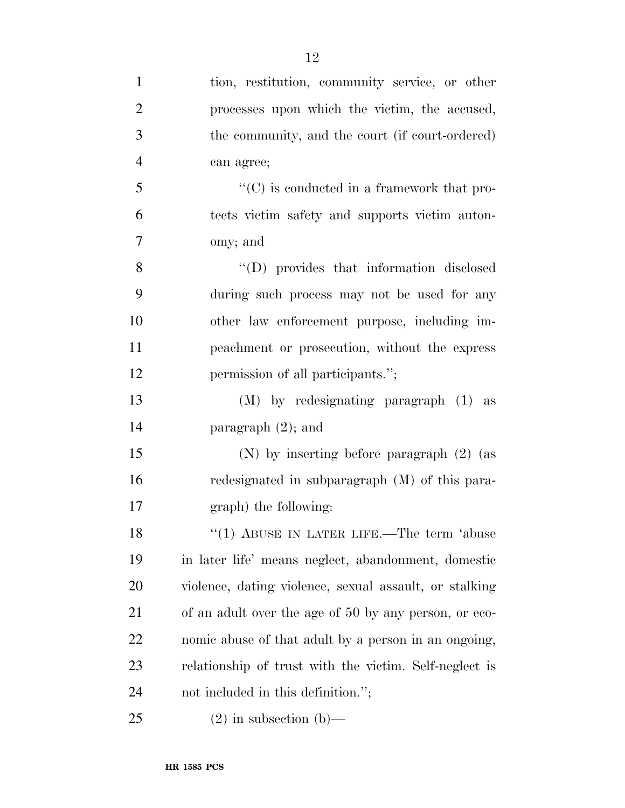| $\mathbf{1}$   | tion, restitution, community service, or other         |
|----------------|--------------------------------------------------------|
| $\overline{2}$ | processes upon which the victim, the accused,          |
| 3              | the community, and the court (if court-ordered)        |
| $\overline{4}$ | can agree;                                             |
| 5              | $\lq\lq$ (C) is conducted in a framework that pro-     |
| 6              | tects victim safety and supports victim auton-         |
| 7              | omy; and                                               |
| 8              | "(D) provides that information disclosed               |
| 9              | during such process may not be used for any            |
| 10             | other law enforcement purpose, including im-           |
| 11             | peachment or prosecution, without the express          |
| 12             | permission of all participants.";                      |
| 13             | $(M)$ by redesignating paragraph $(1)$ as              |
| 14             | paragraph $(2)$ ; and                                  |
| 15             | $(N)$ by inserting before paragraph $(2)$ (as          |
| 16             | redesignated in subparagraph (M) of this para-         |
| 17             | graph) the following:                                  |
| 18             | "(1) ABUSE IN LATER LIFE.—The term 'abuse              |
| 19             | in later life' means neglect, abandonment, domestic    |
| 20             | violence, dating violence, sexual assault, or stalking |
| 21             | of an adult over the age of 50 by any person, or eco-  |
| 22             | nomic abuse of that adult by a person in an ongoing,   |
| 23             | relationship of trust with the victim. Self-neglect is |
| 24             | not included in this definition.";                     |
| 25             | $(2)$ in subsection $(b)$ —                            |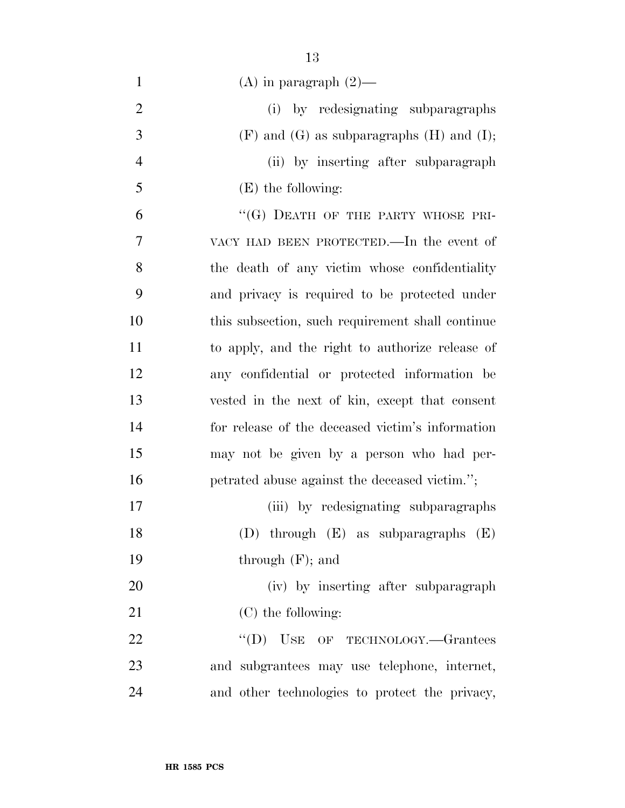| $\mathbf{1}$   | (A) in paragraph $(2)$ —                           |
|----------------|----------------------------------------------------|
| $\overline{2}$ | (i) by redesignating subparagraphs                 |
| 3              | $(F)$ and $(G)$ as subparagraphs $(H)$ and $(I)$ ; |
| $\overline{4}$ | (ii) by inserting after subparagraph               |
| 5              | $(E)$ the following:                               |
| 6              | "(G) DEATH OF THE PARTY WHOSE PRI-                 |
| 7              | VACY HAD BEEN PROTECTED.—In the event of           |
| 8              | the death of any victim whose confidentiality      |
| 9              | and privacy is required to be protected under      |
| 10             | this subsection, such requirement shall continue   |
| 11             | to apply, and the right to authorize release of    |
| 12             | any confidential or protected information be       |
| 13             | vested in the next of kin, except that consent     |
| 14             | for release of the deceased victim's information   |
| 15             | may not be given by a person who had per-          |
| 16             | petrated abuse against the deceased victim.";      |
| 17             | (iii) by redesignating subparagraphs               |
| 18             | (D) through $(E)$ as subparagraphs $(E)$           |
| 19             | through $(F)$ ; and                                |
| 20             | (iv) by inserting after subparagraph               |
| 21             | $(C)$ the following:                               |
| 22             | "(D) USE OF TECHNOLOGY.—Grantees                   |
| 23             | and subgrantees may use telephone, internet,       |
| 24             | and other technologies to protect the privacy,     |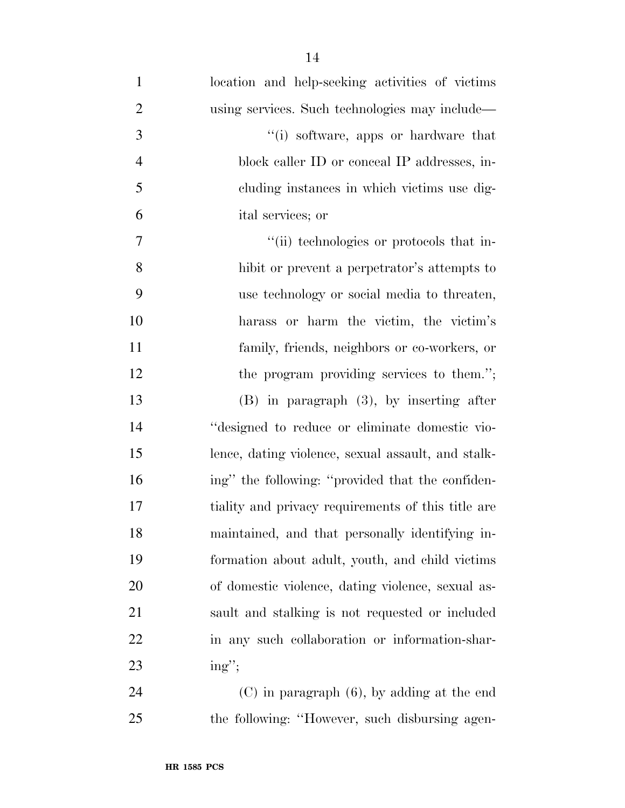location and help-seeking activities of victims using services. Such technologies may include— ''(i) software, apps or hardware that block caller ID or conceal IP addresses, in- cluding instances in which victims use dig- ital services; or  $\frac{1}{10}$  technologies or protocols that in- hibit or prevent a perpetrator's attempts to use technology or social media to threaten, harass or harm the victim, the victim's family, friends, neighbors or co-workers, or 12 the program providing services to them."; (B) in paragraph (3), by inserting after ''designed to reduce or eliminate domestic vio- lence, dating violence, sexual assault, and stalk- ing'' the following: ''provided that the confiden- tiality and privacy requirements of this title are maintained, and that personally identifying in- formation about adult, youth, and child victims of domestic violence, dating violence, sexual as- sault and stalking is not requested or included in any such collaboration or information-shar-ing'';

 (C) in paragraph (6), by adding at the end the following: ''However, such disbursing agen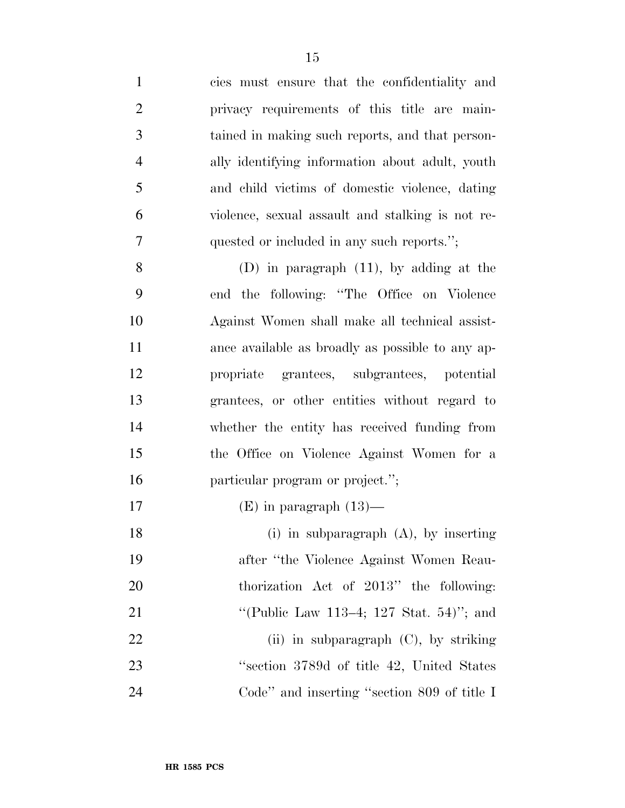| $\mathbf{1}$   | cies must ensure that the confidentiality and    |
|----------------|--------------------------------------------------|
| $\mathfrak{2}$ | privacy requirements of this title are main-     |
| 3              | tained in making such reports, and that person-  |
| $\overline{4}$ | ally identifying information about adult, youth  |
| 5              | and child victims of domestic violence, dating   |
| 6              | violence, sexual assault and stalking is not re- |
| 7              | quested or included in any such reports.";       |
| 8              | (D) in paragraph $(11)$ , by adding at the       |
| 9              | end the following: "The Office on Violence       |
| 10             | Against Women shall make all technical assist-   |
| 11             | ance available as broadly as possible to any ap- |
| 12             | propriate grantees, subgrantees, potential       |
| 13             | grantees, or other entities without regard to    |
| 14             | whether the entity has received funding from     |
| 15             | the Office on Violence Against Women for a       |
| 16             | particular program or project.";                 |
| 17             | $(E)$ in paragraph $(13)$ —                      |
| 18             | (i) in subparagraph $(A)$ , by inserting         |
| 19             | after "the Violence Against Women Reau-          |

 after ''the Violence Against Women Reau- thorization Act of 2013'' the following: 21 "'(Public Law 113–4; 127 Stat. 54)"; and 22 (ii) in subparagraph (C), by striking ''section 3789d of title 42, United States Code'' and inserting ''section 809 of title I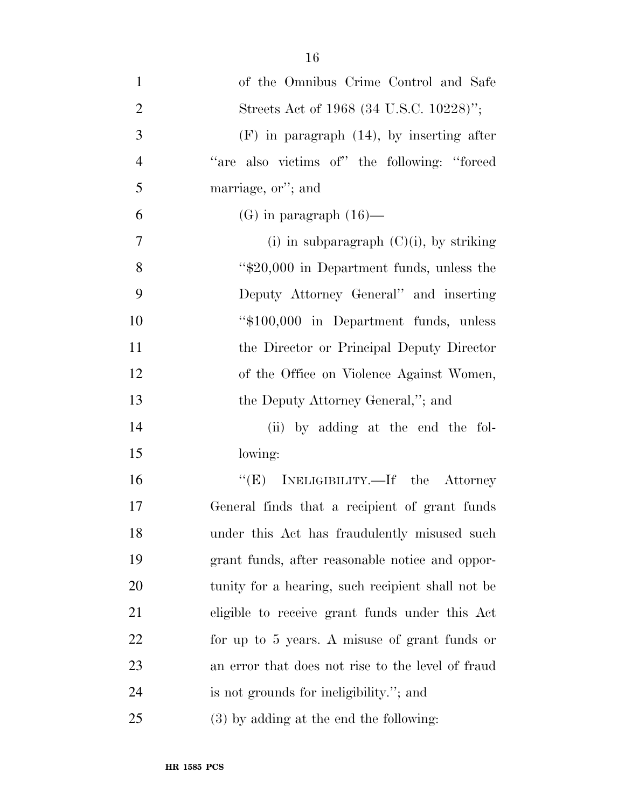| $\mathbf{1}$   | of the Omnibus Crime Control and Safe             |
|----------------|---------------------------------------------------|
| $\overline{2}$ | Streets Act of 1968 (34 U.S.C. 10228)";           |
| 3              | $(F)$ in paragraph $(14)$ , by inserting after    |
| $\overline{4}$ | "are also victims of" the following: "forced"     |
| 5              | marriage, or"; and                                |
| 6              | $(G)$ in paragraph $(16)$ —                       |
| $\overline{7}$ | (i) in subparagraph $(C)(i)$ , by striking        |
| 8              | "\$20,000 in Department funds, unless the         |
| 9              | Deputy Attorney General" and inserting            |
| 10             | "\$100,000 in Department funds, unless            |
| 11             | the Director or Principal Deputy Director         |
| 12             | of the Office on Violence Against Women,          |
| 13             | the Deputy Attorney General,"; and                |
| 14             | (ii) by adding at the end the fol-                |
| 15             | lowing:                                           |
| 16             | "(E) INELIGIBILITY.—If the Attorney               |
| 17             | General finds that a recipient of grant funds     |
| 18             | under this Act has fraudulently misused such      |
| 19             | grant funds, after reasonable notice and oppor-   |
| <b>20</b>      | tunity for a hearing, such recipient shall not be |
| 21             | eligible to receive grant funds under this Act    |
| <u>22</u>      | for up to 5 years. A misuse of grant funds or     |
| 23             | an error that does not rise to the level of fraud |
| 24             | is not grounds for ineligibility."; and           |
| 25             | (3) by adding at the end the following:           |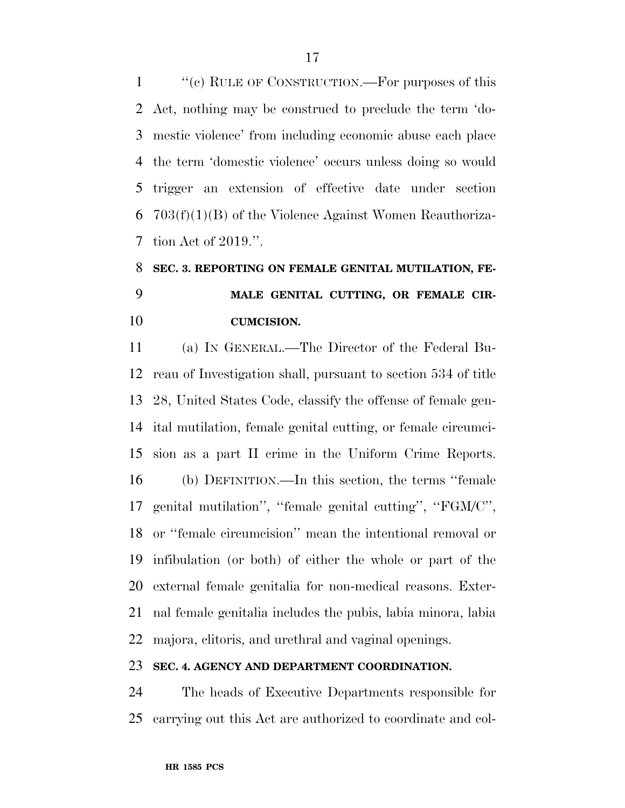1 "(c) RULE OF CONSTRUCTION.—For purposes of this Act, nothing may be construed to preclude the term 'do- mestic violence' from including economic abuse each place the term 'domestic violence' occurs unless doing so would trigger an extension of effective date under section 703(f)(1)(B) of the Violence Against Women Reauthoriza-tion Act of 2019.''.

# **SEC. 3. REPORTING ON FEMALE GENITAL MUTILATION, FE- MALE GENITAL CUTTING, OR FEMALE CIR-CUMCISION.**

 (a) IN GENERAL.—The Director of the Federal Bu- reau of Investigation shall, pursuant to section 534 of title 28, United States Code, classify the offense of female gen- ital mutilation, female genital cutting, or female circumci- sion as a part II crime in the Uniform Crime Reports. (b) DEFINITION.—In this section, the terms ''female genital mutilation'', ''female genital cutting'', ''FGM/C'', or ''female circumcision'' mean the intentional removal or infibulation (or both) of either the whole or part of the external female genitalia for non-medical reasons. Exter- nal female genitalia includes the pubis, labia minora, labia majora, clitoris, and urethral and vaginal openings.

### **SEC. 4. AGENCY AND DEPARTMENT COORDINATION.**

 The heads of Executive Departments responsible for carrying out this Act are authorized to coordinate and col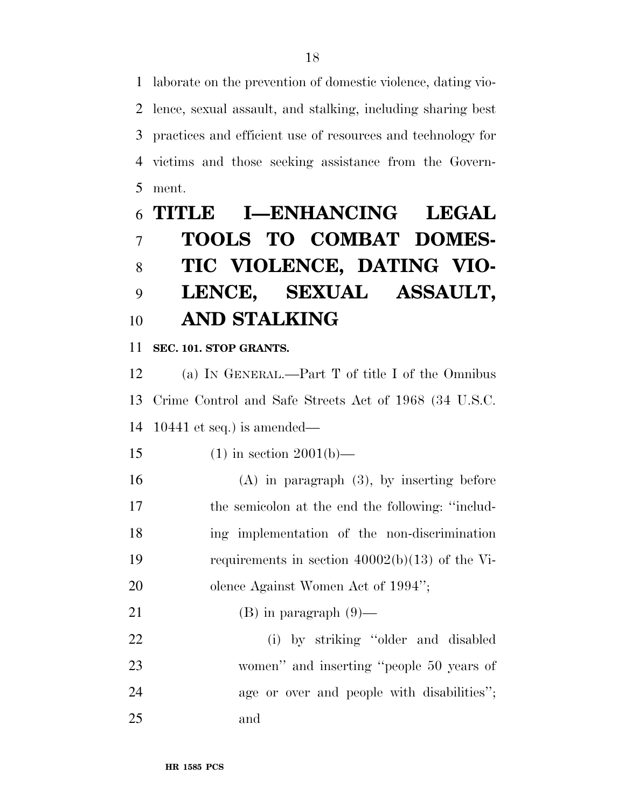laborate on the prevention of domestic violence, dating vio- lence, sexual assault, and stalking, including sharing best practices and efficient use of resources and technology for victims and those seeking assistance from the Govern-ment.

# **TITLE I—ENHANCING LEGAL TOOLS TO COMBAT DOMES- TIC VIOLENCE, DATING VIO- LENCE, SEXUAL ASSAULT, AND STALKING**

**SEC. 101. STOP GRANTS.** 

 (a) IN GENERAL.—Part T of title I of the Omnibus Crime Control and Safe Streets Act of 1968 (34 U.S.C. 10441 et seq.) is amended—

15 (1) in section  $2001(b)$ —

 (A) in paragraph (3), by inserting before the semicolon at the end the following: ''includ- ing implementation of the non-discrimination requirements in section 40002(b)(13) of the Vi-20 olence Against Women Act of 1994";

21 (B) in paragraph  $(9)$ —

 (i) by striking ''older and disabled women'' and inserting ''people 50 years of age or over and people with disabilities''; and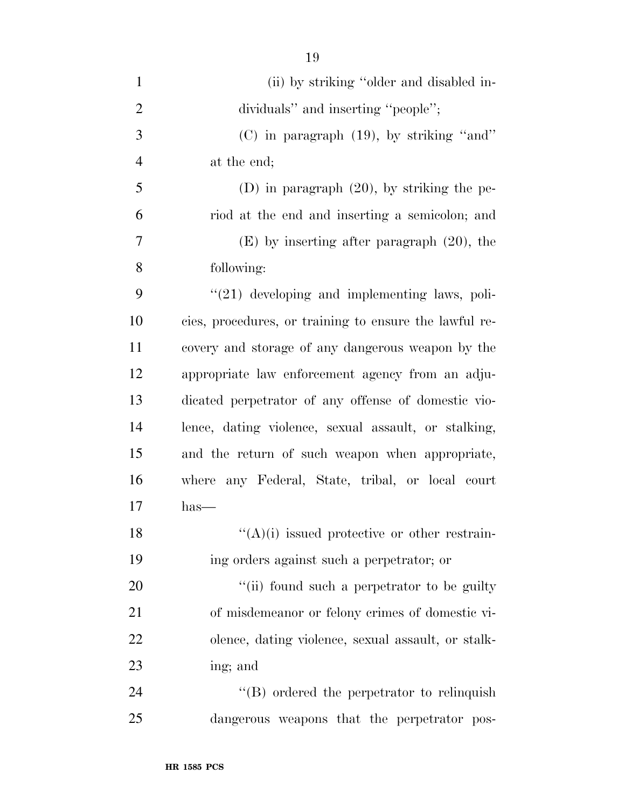| $\mathbf{1}$   | (ii) by striking "older and disabled in-               |
|----------------|--------------------------------------------------------|
| $\overline{2}$ | dividuals" and inserting "people";                     |
| 3              | $(C)$ in paragraph $(19)$ , by striking "and"          |
| $\overline{4}$ | at the end;                                            |
| 5              | (D) in paragraph $(20)$ , by striking the pe-          |
| 6              | riod at the end and inserting a semicolon; and         |
| 7              | $(E)$ by inserting after paragraph $(20)$ , the        |
| 8              | following:                                             |
| 9              | $\lq(21)$ developing and implementing laws, poli-      |
| 10             | cies, procedures, or training to ensure the lawful re- |
| 11             | covery and storage of any dangerous weapon by the      |
| 12             | appropriate law enforcement agency from an adju-       |
| 13             | dicated perpetrator of any offense of domestic vio-    |
| 14             | lence, dating violence, sexual assault, or stalking,   |
| 15             | and the return of such weapon when appropriate,        |
| 16             | where any Federal, State, tribal, or local court       |
| 17             | $has-$                                                 |
| 18             | $\lq\lq$ (A)(i) issued protective or other restrain-   |
| 19             | ing orders against such a perpetrator; or              |
| 20             | "(ii) found such a perpetrator to be guilty            |
| 21             | of misdemeanor or felony crimes of domestic vi-        |
| 22             | olence, dating violence, sexual assault, or stalk-     |
| 23             | ing; and                                               |
| 24             | $\lq\lq (B)$ ordered the perpetrator to relinquish     |
| 25             | dangerous weapons that the perpetrator pos-            |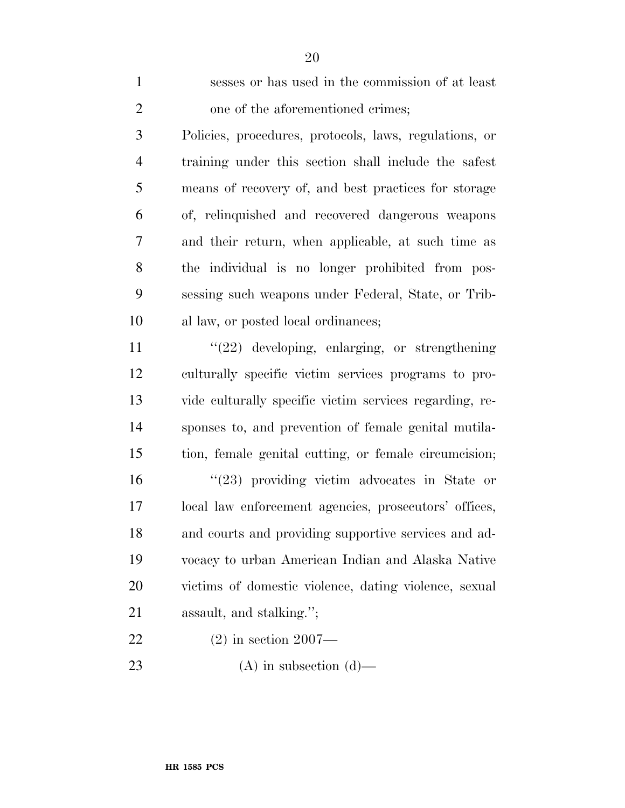| $\mathbf{1}$   | sesses or has used in the commission of at least        |
|----------------|---------------------------------------------------------|
| $\overline{2}$ | one of the aforementioned crimes;                       |
| 3              | Policies, procedures, protocols, laws, regulations, or  |
| $\overline{4}$ | training under this section shall include the safest    |
| 5              | means of recovery of, and best practices for storage    |
| 6              | of, relinquished and recovered dangerous weapons        |
| 7              | and their return, when applicable, at such time as      |
| 8              | the individual is no longer prohibited from pos-        |
| 9              | sessing such weapons under Federal, State, or Trib-     |
| 10             | al law, or posted local ordinances;                     |
| 11             | "(22) developing, enlarging, or strengthening           |
| 12             | culturally specific victim services programs to pro-    |
| 13             | vide culturally specific victim services regarding, re- |
| 14             | sponses to, and prevention of female genital mutila-    |
| 15             | tion, female genital cutting, or female circumcision;   |
| 16             | $"(23)$ providing victim advocates in State or          |
| 17             | local law enforcement agencies, prosecutors' offices,   |
| 18             | and courts and providing supportive services and ad-    |
| 19             | vocacy to urban American Indian and Alaska Native       |
| 20             | victims of domestic violence, dating violence, sexual   |
| 21             | assault, and stalking.";                                |
| 22             | $(2)$ in section 2007—                                  |
| 23             | $(A)$ in subsection $(d)$ —                             |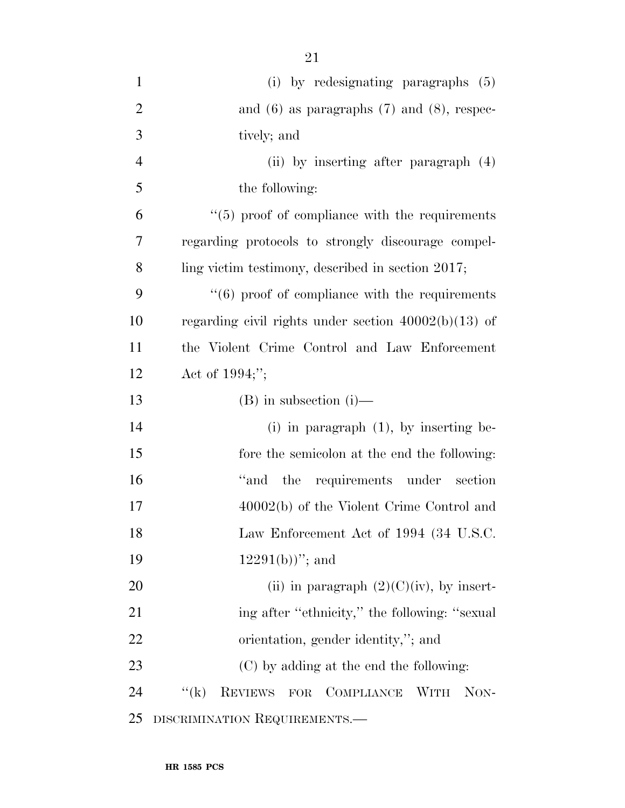| $\mathbf{1}$   | $(i)$ by redesignating paragraphs $(5)$                              |
|----------------|----------------------------------------------------------------------|
| $\overline{2}$ | and $(6)$ as paragraphs $(7)$ and $(8)$ , respec-                    |
| 3              | tively; and                                                          |
| $\overline{4}$ | (ii) by inserting after paragraph (4)                                |
| 5              | the following:                                                       |
| 6              | $\lq(5)$ proof of compliance with the requirements                   |
| 7              | regarding protocols to strongly discourage compel-                   |
| 8              | ling victim testimony, described in section 2017;                    |
| 9              | $\cdot\cdot\cdot(6)$ proof of compliance with the requirements       |
| 10             | regarding civil rights under section $40002(b)(13)$ of               |
| 11             | the Violent Crime Control and Law Enforcement                        |
| 12             | Act of $1994;$ ";                                                    |
| 13             | $(B)$ in subsection $(i)$ —                                          |
| 14             | $(i)$ in paragraph $(1)$ , by inserting be-                          |
| 15             | fore the semicolon at the end the following:                         |
| 16             | "and the requirements under<br>section                               |
| 17             | $40002(b)$ of the Violent Crime Control and                          |
| 18             | Law Enforcement Act of 1994 (34 U.S.C.                               |
| 19             | $12291(b)$ "; and                                                    |
| 20             | (ii) in paragraph $(2)(C)(iv)$ , by insert-                          |
| 21             | ing after "ethnicity," the following: "sexual                        |
| 22             | orientation, gender identity,"; and                                  |
| 23             | (C) by adding at the end the following:                              |
| 24             | ``(k)<br><b>REVIEWS</b><br>COMPLIANCE<br>${\rm FOR}$<br>WITH<br>NON- |
| 25             | DISCRIMINATION REQUIREMENTS.-                                        |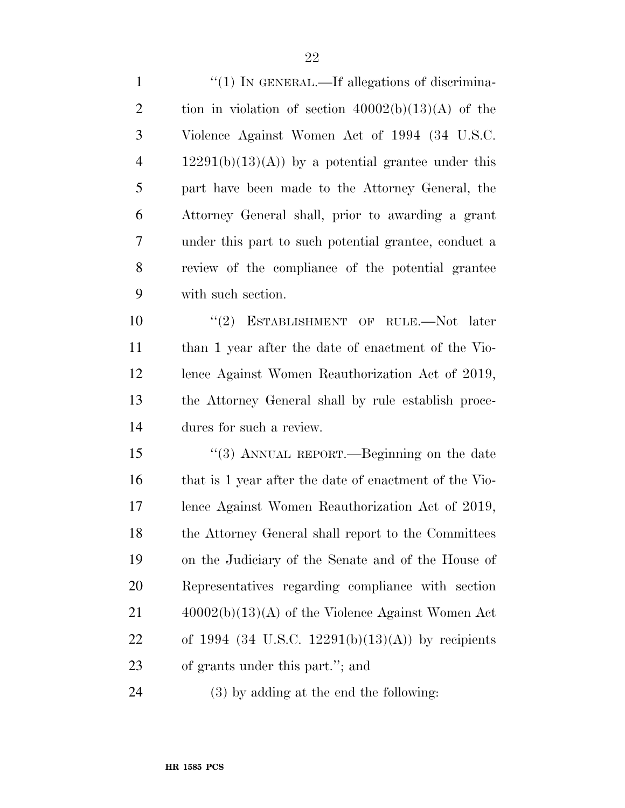$\frac{1}{1}$  In GENERAL.—If allegations of discrimina-2 tion in violation of section  $40002(b)(13)(A)$  of the Violence Against Women Act of 1994 (34 U.S.C.  $4 \qquad 12291(b)(13)(A)$  by a potential grantee under this part have been made to the Attorney General, the Attorney General shall, prior to awarding a grant under this part to such potential grantee, conduct a review of the compliance of the potential grantee with such section.

 ''(2) ESTABLISHMENT OF RULE.—Not later than 1 year after the date of enactment of the Vio- lence Against Women Reauthorization Act of 2019, the Attorney General shall by rule establish proce-dures for such a review.

 ''(3) ANNUAL REPORT.—Beginning on the date 16 that is 1 year after the date of enactment of the Vio- lence Against Women Reauthorization Act of 2019, 18 the Attorney General shall report to the Committees on the Judiciary of the Senate and of the House of Representatives regarding compliance with section 40002(b)(13)(A) of the Violence Against Women Act of 1994 (34 U.S.C. 12291(b)(13)(A)) by recipients of grants under this part.''; and

(3) by adding at the end the following: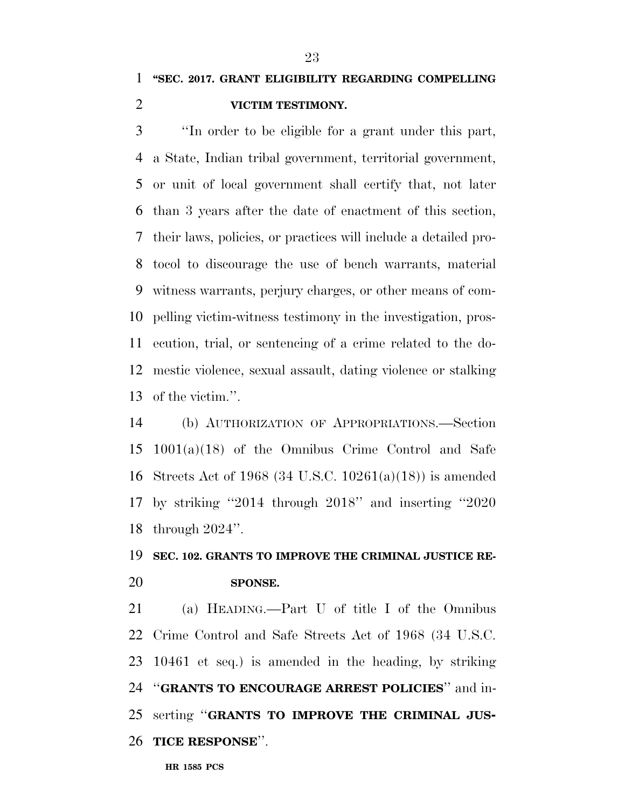# **''SEC. 2017. GRANT ELIGIBILITY REGARDING COMPELLING VICTIM TESTIMONY.**

 ''In order to be eligible for a grant under this part, a State, Indian tribal government, territorial government, or unit of local government shall certify that, not later than 3 years after the date of enactment of this section, their laws, policies, or practices will include a detailed pro- tocol to discourage the use of bench warrants, material witness warrants, perjury charges, or other means of com- pelling victim-witness testimony in the investigation, pros- ecution, trial, or sentencing of a crime related to the do- mestic violence, sexual assault, dating violence or stalking of the victim.''.

 (b) AUTHORIZATION OF APPROPRIATIONS.—Section 1001(a)(18) of the Omnibus Crime Control and Safe Streets Act of 1968 (34 U.S.C. 10261(a)(18)) is amended by striking ''2014 through 2018'' and inserting ''2020 through 2024''.

# **SEC. 102. GRANTS TO IMPROVE THE CRIMINAL JUSTICE RE-SPONSE.**

 (a) HEADING.—Part U of title I of the Omnibus Crime Control and Safe Streets Act of 1968 (34 U.S.C. 10461 et seq.) is amended in the heading, by striking ''**GRANTS TO ENCOURAGE ARREST POLICIES**'' and in- serting ''**GRANTS TO IMPROVE THE CRIMINAL JUS-TICE RESPONSE**''.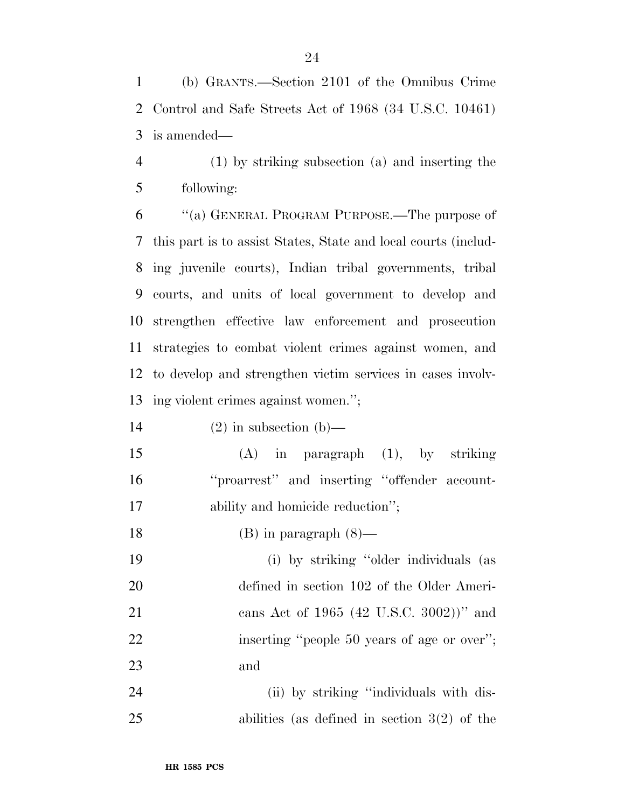(b) GRANTS.—Section 2101 of the Omnibus Crime Control and Safe Streets Act of 1968 (34 U.S.C. 10461) is amended—

 (1) by striking subsection (a) and inserting the following:

 ''(a) GENERAL PROGRAM PURPOSE.—The purpose of this part is to assist States, State and local courts (includ- ing juvenile courts), Indian tribal governments, tribal courts, and units of local government to develop and strengthen effective law enforcement and prosecution strategies to combat violent crimes against women, and to develop and strengthen victim services in cases involv-ing violent crimes against women.'';

14  $(2)$  in subsection (b)—

 (A) in paragraph (1), by striking ''proarrest'' and inserting ''offender account-17 ability and homicide reduction";

18 (B) in paragraph  $(8)$ —

 (i) by striking ''older individuals (as defined in section 102 of the Older Ameri- cans Act of 1965 (42 U.S.C. 3002))'' and 22 inserting "people 50 years of age or over"; and

 (ii) by striking ''individuals with dis-abilities (as defined in section 3(2) of the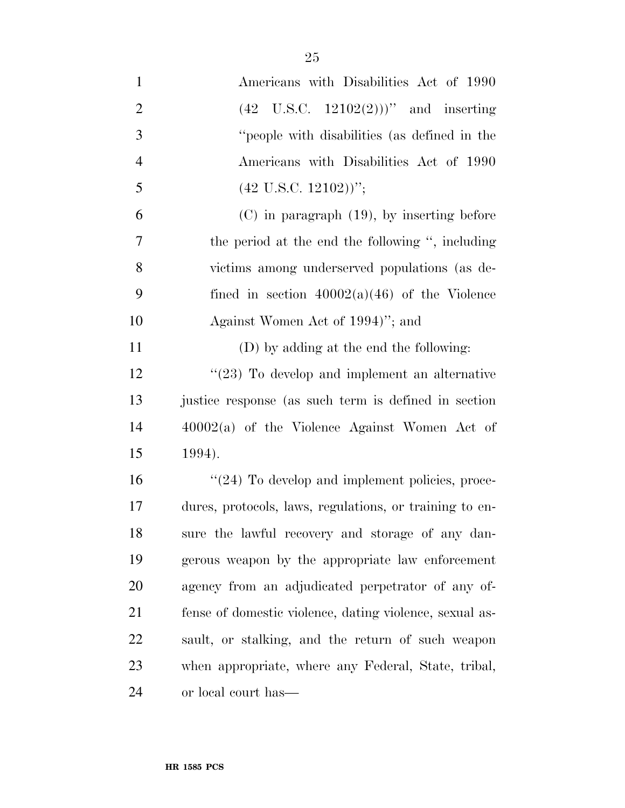| $\mathbf{1}$   | Americans with Disabilities Act of 1990                  |
|----------------|----------------------------------------------------------|
| $\overline{2}$ | $(42 \text{ U.S.C. } 12102(2)))$ " and inserting         |
| 3              | "people with disabilities (as defined in the             |
| $\overline{4}$ | Americans with Disabilities Act of 1990                  |
| 5              | $(42 \text{ U.S.C. } 12102))$ ";                         |
| 6              | $(C)$ in paragraph $(19)$ , by inserting before          |
| 7              | the period at the end the following ", including         |
| 8              | victims among underserved populations (as de-            |
| 9              | fined in section $40002(a)(46)$ of the Violence          |
| 10             | Against Women Act of 1994)"; and                         |
| 11             | (D) by adding at the end the following:                  |
| 12             | $\cdot\cdot(23)$ To develop and implement an alternative |
| 13             | justice response (as such term is defined in section     |
| 14             | $40002(a)$ of the Violence Against Women Act of          |
| 15             | 1994).                                                   |
| 16             | "(24) To develop and implement policies, proce-          |
| 17             | dures, protocols, laws, regulations, or training to en-  |
| 18             | sure the lawful recovery and storage of any dan-         |
| 19             | gerous weapon by the appropriate law enforcement         |
| 20             | agency from an adjudicated perpetrator of any of-        |
| 21             | fense of domestic violence, dating violence, sexual as-  |
| 22             | sault, or stalking, and the return of such weapon        |
| 23             | when appropriate, where any Federal, State, tribal,      |
| 24             | or local court has—                                      |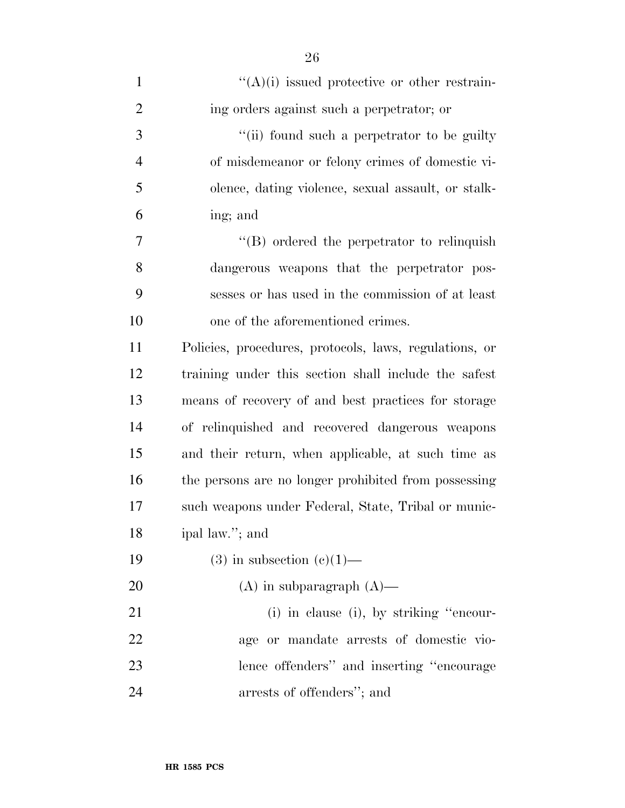| $\mathbf{1}$   | $\lq\lq(A)(i)$ issued protective or other restrain-    |
|----------------|--------------------------------------------------------|
| $\overline{2}$ | ing orders against such a perpetrator; or              |
| 3              | "(ii) found such a perpetrator to be guilty            |
| $\overline{4}$ | of misdemeanor or felony crimes of domestic vi-        |
| 5              | olence, dating violence, sexual assault, or stalk-     |
| 6              | ing; and                                               |
| 7              | $\lq\lq (B)$ ordered the perpetrator to relinquish     |
| 8              | dangerous weapons that the perpetrator pos-            |
| 9              | sesses or has used in the commission of at least       |
| 10             | one of the aforementioned crimes.                      |
| 11             | Policies, procedures, protocols, laws, regulations, or |
| 12             | training under this section shall include the safest   |
| 13             | means of recovery of and best practices for storage    |
| 14             | of relinquished and recovered dangerous weapons        |
| 15             | and their return, when applicable, at such time as     |
| 16             | the persons are no longer prohibited from possessing   |
| 17             | such weapons under Federal, State, Tribal or munic-    |
| 18             | ipal law."; and                                        |
| 19             | $(3)$ in subsection $(e)(1)$ —                         |
| 20             | $(A)$ in subparagraph $(A)$ —                          |
| 21             | (i) in clause (i), by striking "encour-                |
| 22             | age or mandate arrests of domestic vio-                |
| 23             | lence offenders" and inserting "encourage              |
| 24             | arrests of offenders"; and                             |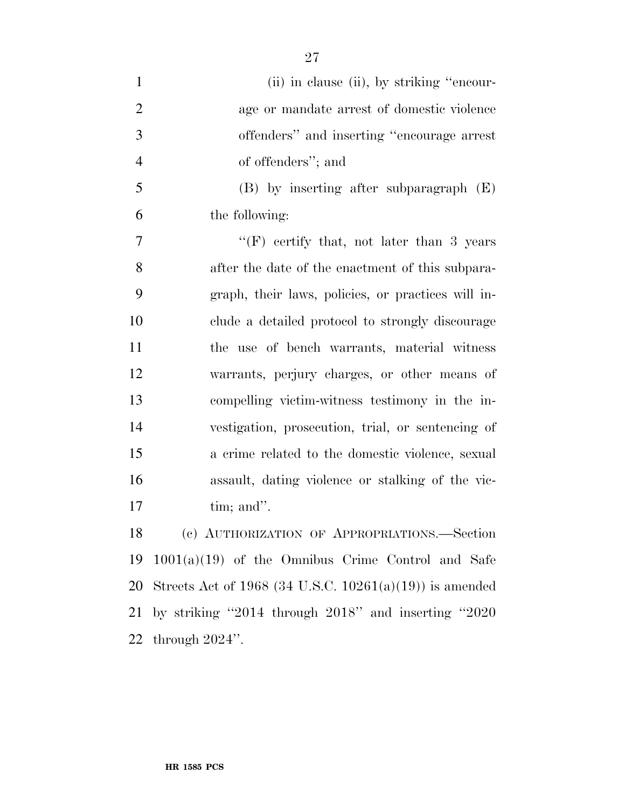1 (ii) in clause (ii), by striking "encour- age or mandate arrest of domestic violence offenders'' and inserting ''encourage arrest of offenders''; and (B) by inserting after subparagraph (E) the following: 7 ''(F) certify that, not later than 3 years after the date of the enactment of this subpara- graph, their laws, policies, or practices will in- clude a detailed protocol to strongly discourage the use of bench warrants, material witness warrants, perjury charges, or other means of compelling victim-witness testimony in the in- vestigation, prosecution, trial, or sentencing of a crime related to the domestic violence, sexual assault, dating violence or stalking of the vic- tim; and''. (c) AUTHORIZATION OF APPROPRIATIONS.—Section

 1001(a)(19) of the Omnibus Crime Control and Safe Streets Act of 1968 (34 U.S.C. 10261(a)(19)) is amended by striking ''2014 through 2018'' and inserting ''2020 through 2024''.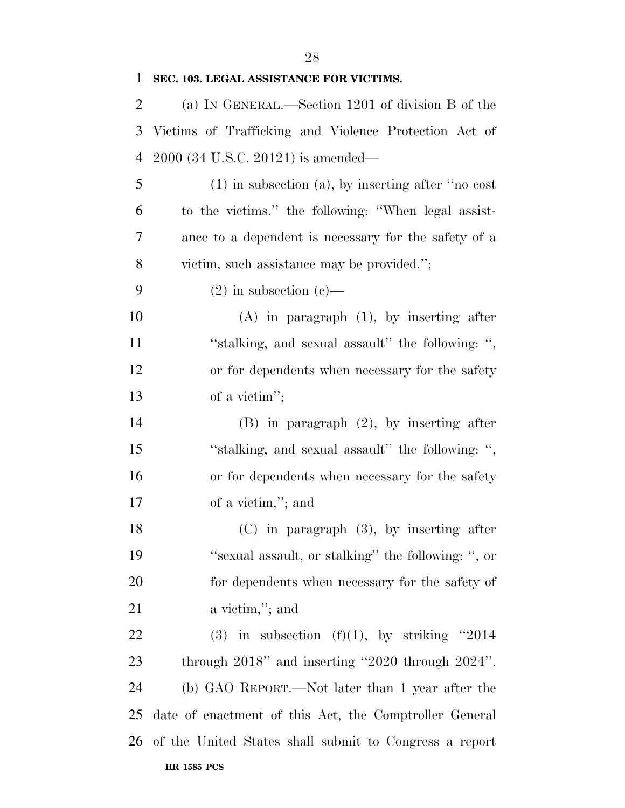| 1              | SEC. 103. LEGAL ASSISTANCE FOR VICTIMS.                  |
|----------------|----------------------------------------------------------|
| $\overline{2}$ | (a) IN GENERAL.—Section 1201 of division B of the        |
| 3              | Victims of Trafficking and Violence Protection Act of    |
| 4              | 2000 (34 U.S.C. 20121) is amended—                       |
| 5              | $(1)$ in subsection $(a)$ , by inserting after "no cost" |
| 6              | to the victims." the following: "When legal assist-      |
| 7              | ance to a dependent is necessary for the safety of a     |
| 8              | victim, such assistance may be provided.";               |
| 9              | $(2)$ in subsection $(e)$ —                              |
| 10             | $(A)$ in paragraph $(1)$ , by inserting after            |
| 11             | "stalking, and sexual assault" the following: ",         |
| 12             | or for dependents when necessary for the safety          |
| 13             | of a victim";                                            |
| 14             | $(B)$ in paragraph $(2)$ , by inserting after            |
| 15             | "stalking, and sexual assault" the following: ",         |
| 16             | or for dependents when necessary for the safety          |
| 17             | of a victim,"; and                                       |
| 18             | $(C)$ in paragraph $(3)$ , by inserting after            |
| 19             | "sexual assault, or stalking" the following: ", or       |
| 20             | for dependents when necessary for the safety of          |
| 21             | a victim,"; and                                          |
| 22             | (3) in subsection (f)(1), by striking "2014              |
| 23             | through $2018$ " and inserting "2020 through $2024$ ".   |
| 24             | (b) GAO REPORT.—Not later than 1 year after the          |
| 25             | date of enactment of this Act, the Comptroller General   |
| 26             | of the United States shall submit to Congress a report   |
|                | <b>HR 1585 PCS</b>                                       |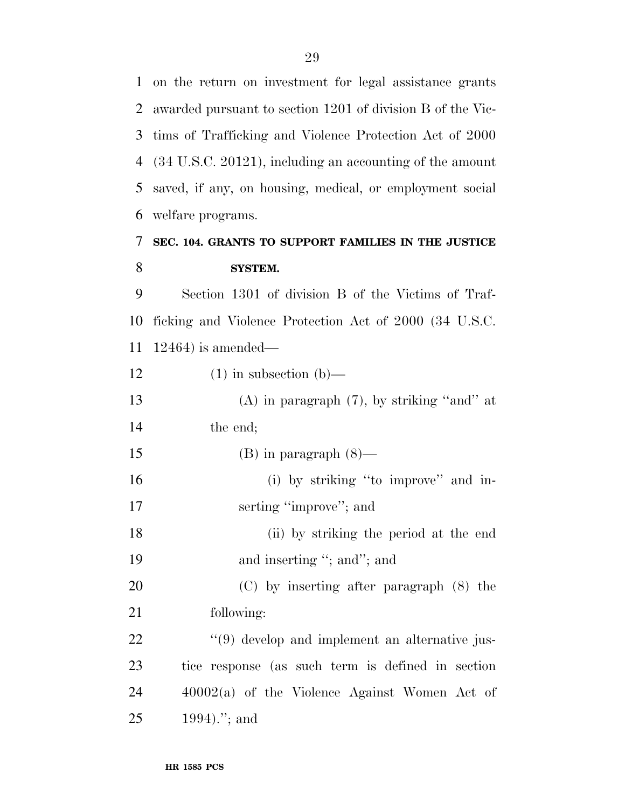on the return on investment for legal assistance grants awarded pursuant to section 1201 of division B of the Vic- tims of Trafficking and Violence Protection Act of 2000 (34 U.S.C. 20121), including an accounting of the amount saved, if any, on housing, medical, or employment social welfare programs.

## **SEC. 104. GRANTS TO SUPPORT FAMILIES IN THE JUSTICE SYSTEM.**

 Section 1301 of division B of the Victims of Traf- ficking and Violence Protection Act of 2000 (34 U.S.C. 12464) is amended—

12 (1) in subsection (b)— (A) in paragraph (7), by striking ''and'' at the end; 15 (B) in paragraph  $(8)$ — 16 (i) by striking "to improve" and in-17 serting "improve"; and (ii) by striking the period at the end 19 and inserting "; and"; and (C) by inserting after paragraph (8) the

following:

22 ''(9) develop and implement an alternative jus- tice response (as such term is defined in section 40002(a) of the Violence Against Women Act of 1994).''; and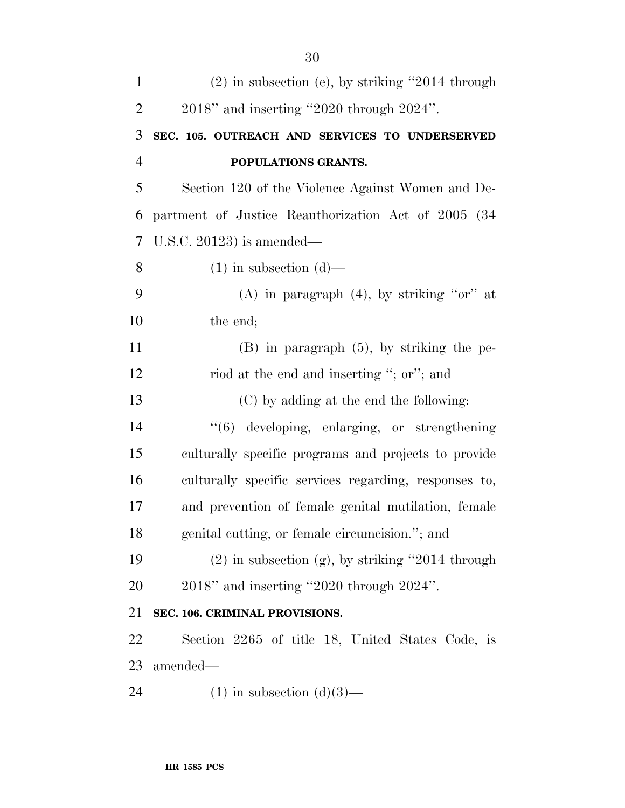| $\mathbf{1}$   | $(2)$ in subsection (e), by striking "2014 through    |
|----------------|-------------------------------------------------------|
| $\overline{2}$ | $2018"$ and inserting "2020 through $2024"$ .         |
| 3              | SEC. 105. OUTREACH AND SERVICES TO UNDERSERVED        |
| $\overline{4}$ | POPULATIONS GRANTS.                                   |
| 5              | Section 120 of the Violence Against Women and De-     |
| 6              | partment of Justice Reauthorization Act of 2005 (34   |
| 7              | U.S.C. 20123) is amended—                             |
| 8              | $(1)$ in subsection $(d)$ —                           |
| 9              | (A) in paragraph $(4)$ , by striking "or" at          |
| 10             | the end;                                              |
| 11             | $(B)$ in paragraph $(5)$ , by striking the pe-        |
| 12             | riod at the end and inserting "; or"; and             |
| 13             | (C) by adding at the end the following:               |
| 14             | "(6) developing, enlarging, or strengthening          |
| 15             | culturally specific programs and projects to provide  |
| 16             | culturally specific services regarding, responses to, |
| 17             | and prevention of female genital mutilation, female   |
| 18             | genital cutting, or female circumcision."; and        |
| 19             | $(2)$ in subsection $(g)$ , by striking "2014 through |
| 20             | $2018"$ and inserting "2020 through $2024"$ .         |
| 21             | SEC. 106. CRIMINAL PROVISIONS.                        |
| 22             | Section 2265 of title 18, United States Code, is      |
| 23             | amended—                                              |
| 24             | $(1)$ in subsection $(d)(3)$ —                        |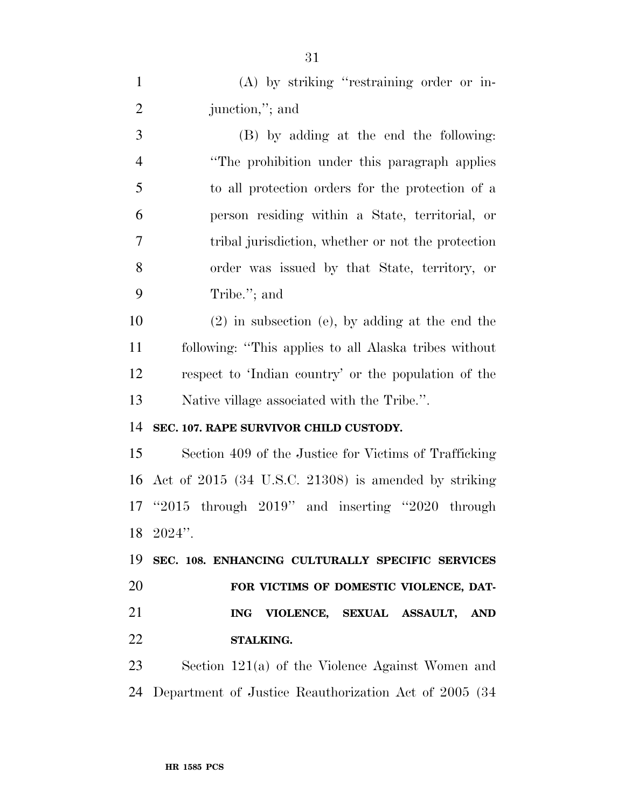| $\mathbf{1}$   | $(A)$ by striking "restraining order or in-            |
|----------------|--------------------------------------------------------|
| $\overline{2}$ | junction,"; and                                        |
| 3              | (B) by adding at the end the following:                |
| $\overline{4}$ | "The prohibition under this paragraph applies"         |
| 5              | to all protection orders for the protection of a       |
| 6              | person residing within a State, territorial, or        |
| 7              | tribal jurisdiction, whether or not the protection     |
| 8              | order was issued by that State, territory, or          |
| 9              | Tribe."; and                                           |
| 10             | $(2)$ in subsection (e), by adding at the end the      |
| 11             | following: "This applies to all Alaska tribes without  |
| 12             | respect to 'Indian country' or the population of the   |
| 13             | Native village associated with the Tribe.".            |
| 14             | SEC. 107. RAPE SURVIVOR CHILD CUSTODY.                 |
| 15             | Section 409 of the Justice for Victims of Trafficking  |
| 16             | Act of $2015$ (34 U.S.C. 21308) is amended by striking |
|                | 17 "2015 through 2019" and inserting "2020 through     |
|                | $18\ 2024"$ .                                          |
| 19             | SEC. 108. ENHANCING CULTURALLY SPECIFIC SERVICES       |
| 20             | FOR VICTIMS OF DOMESTIC VIOLENCE, DAT-                 |
| 21             | ING VIOLENCE, SEXUAL ASSAULT, AND                      |
| 22             | STALKING.                                              |
| 23             | Section $121(a)$ of the Violence Against Women and     |

Department of Justice Reauthorization Act of 2005 (34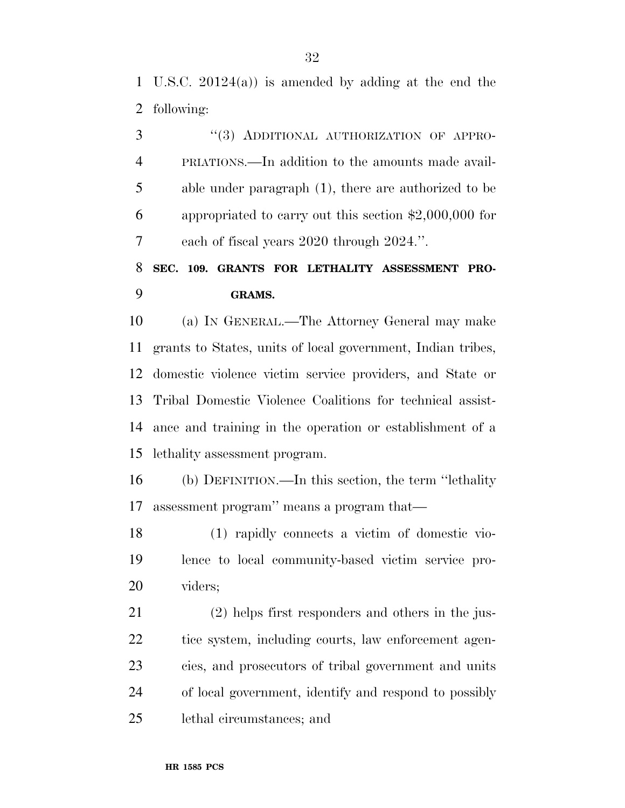U.S.C. 20124(a)) is amended by adding at the end the following:

3 "(3) ADDITIONAL AUTHORIZATION OF APPRO- PRIATIONS.—In addition to the amounts made avail- able under paragraph (1), there are authorized to be appropriated to carry out this section \$2,000,000 for each of fiscal years 2020 through 2024.''.

# **SEC. 109. GRANTS FOR LETHALITY ASSESSMENT PRO-GRAMS.**

 (a) IN GENERAL.—The Attorney General may make grants to States, units of local government, Indian tribes, domestic violence victim service providers, and State or Tribal Domestic Violence Coalitions for technical assist- ance and training in the operation or establishment of a lethality assessment program.

 (b) DEFINITION.—In this section, the term ''lethality assessment program'' means a program that—

 (1) rapidly connects a victim of domestic vio- lence to local community-based victim service pro-viders;

 (2) helps first responders and others in the jus-22 tice system, including courts, law enforcement agen- cies, and prosecutors of tribal government and units of local government, identify and respond to possibly lethal circumstances; and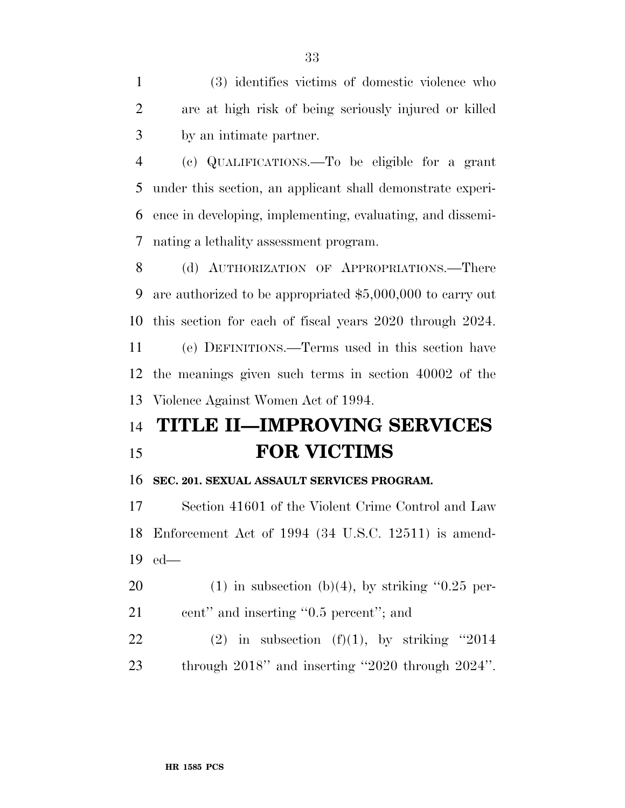(3) identifies victims of domestic violence who are at high risk of being seriously injured or killed by an intimate partner.

 (c) QUALIFICATIONS.—To be eligible for a grant under this section, an applicant shall demonstrate experi- ence in developing, implementing, evaluating, and dissemi-nating a lethality assessment program.

8 (d) AUTHORIZATION OF APPROPRIATIONS.—There are authorized to be appropriated \$5,000,000 to carry out this section for each of fiscal years 2020 through 2024.

 (e) DEFINITIONS.—Terms used in this section have the meanings given such terms in section 40002 of the Violence Against Women Act of 1994.

# **TITLE II—IMPROVING SERVICES FOR VICTIMS**

## **SEC. 201. SEXUAL ASSAULT SERVICES PROGRAM.**

 Section 41601 of the Violent Crime Control and Law Enforcement Act of 1994 (34 U.S.C. 12511) is amend-ed—

20 (1) in subsection (b)(4), by striking  $"0.25$  per-cent'' and inserting ''0.5 percent''; and

22 (2) in subsection  $(f)(1)$ , by striking "2014" through 2018'' and inserting ''2020 through 2024''.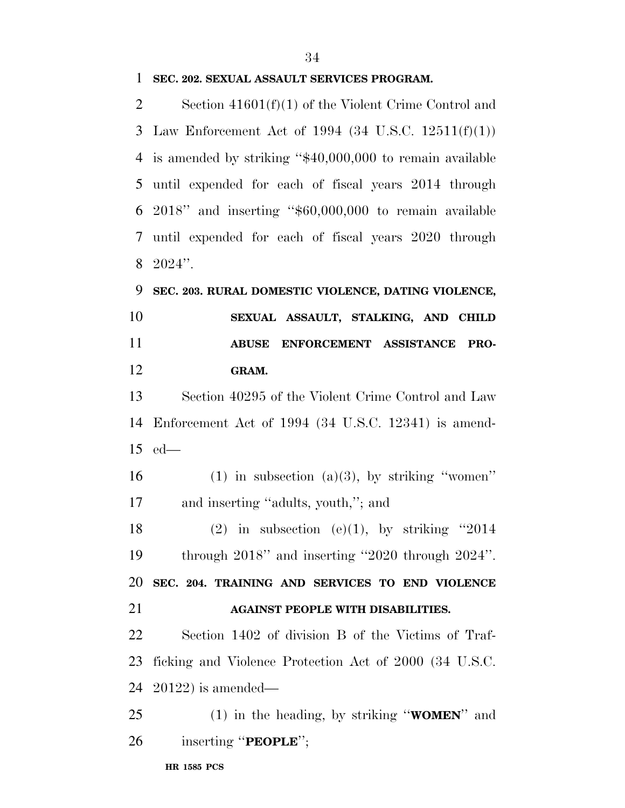### **SEC. 202. SEXUAL ASSAULT SERVICES PROGRAM.**

 Section 41601(f)(1) of the Violent Crime Control and Law Enforcement Act of 1994 (34 U.S.C. 12511(f)(1)) is amended by striking ''\$40,000,000 to remain available until expended for each of fiscal years 2014 through 2018'' and inserting ''\$60,000,000 to remain available until expended for each of fiscal years 2020 through 2024''.

**SEC. 203. RURAL DOMESTIC VIOLENCE, DATING VIOLENCE,** 

 **SEXUAL ASSAULT, STALKING, AND CHILD ABUSE ENFORCEMENT ASSISTANCE PRO-GRAM.** 

 Section 40295 of the Violent Crime Control and Law Enforcement Act of 1994 (34 U.S.C. 12341) is amend-ed—

16 (1) in subsection (a)(3), by striking "women" and inserting ''adults, youth,''; and

18 (2) in subsection (e)(1), by striking  $"2014$  through 2018'' and inserting ''2020 through 2024''. **SEC. 204. TRAINING AND SERVICES TO END VIOLENCE AGAINST PEOPLE WITH DISABILITIES.** 

 Section 1402 of division B of the Victims of Traf- ficking and Violence Protection Act of 2000 (34 U.S.C. 20122) is amended—

 (1) in the heading, by striking ''**WOMEN**'' and inserting ''**PEOPLE**'';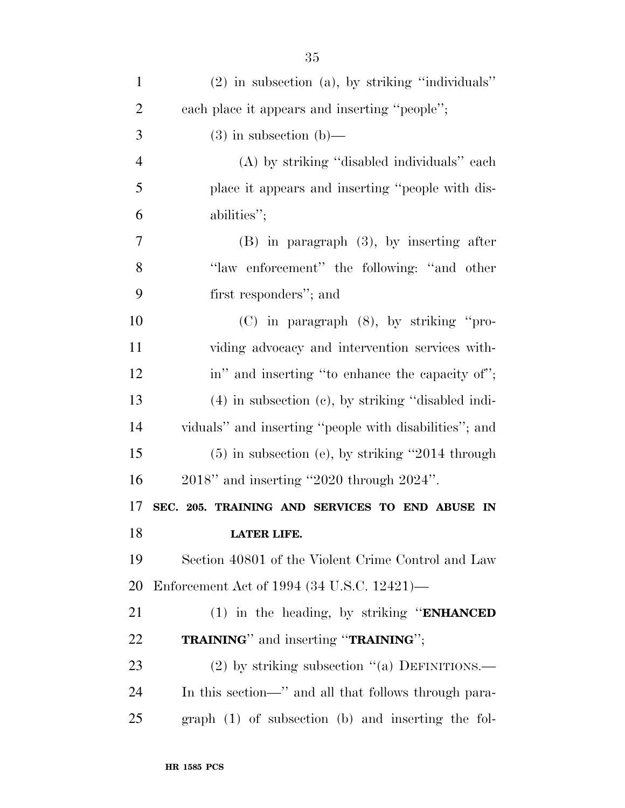| $\mathbf{1}$   | $(2)$ in subsection $(a)$ , by striking "individuals"   |
|----------------|---------------------------------------------------------|
| $\overline{2}$ | each place it appears and inserting "people";           |
| 3              | $(3)$ in subsection $(b)$ —                             |
| $\overline{4}$ | (A) by striking "disabled individuals" each             |
| 5              | place it appears and inserting "people with dis-        |
| 6              | abilities";                                             |
| 7              | $(B)$ in paragraph $(3)$ , by inserting after           |
| 8              | "law enforcement" the following: "and other             |
| 9              | first responders"; and                                  |
| 10             | $(C)$ in paragraph $(8)$ , by striking "pro-            |
| 11             | viding advocacy and intervention services with-         |
| 12             | in" and inserting "to enhance the capacity of";         |
| 13             | $(4)$ in subsection $(c)$ , by striking "disabled indi- |
| 14             | viduals" and inserting "people with disabilities"; and  |
| 15             | $(5)$ in subsection (e), by striking "2014 through      |
| 16             | $2018"$ and inserting "2020 through $2024"$ .           |
| 17             | SEC. 205. TRAINING AND SERVICES TO END ABUSE IN         |
| 18             | <b>LATER LIFE.</b>                                      |
| 19             | Section 40801 of the Violent Crime Control and Law      |
| 20             | Enforcement Act of 1994 (34 U.S.C. 12421)—              |
| 21             | $(1)$ in the heading, by striking "ENHANCED             |
| 22             | <b>TRAINING</b> " and inserting " <b>TRAINING</b> ";    |
| 23             | (2) by striking subsection "(a) DEFINITIONS.—           |
| 24             | In this section—" and all that follows through para-    |
| 25             | graph (1) of subsection (b) and inserting the fol-      |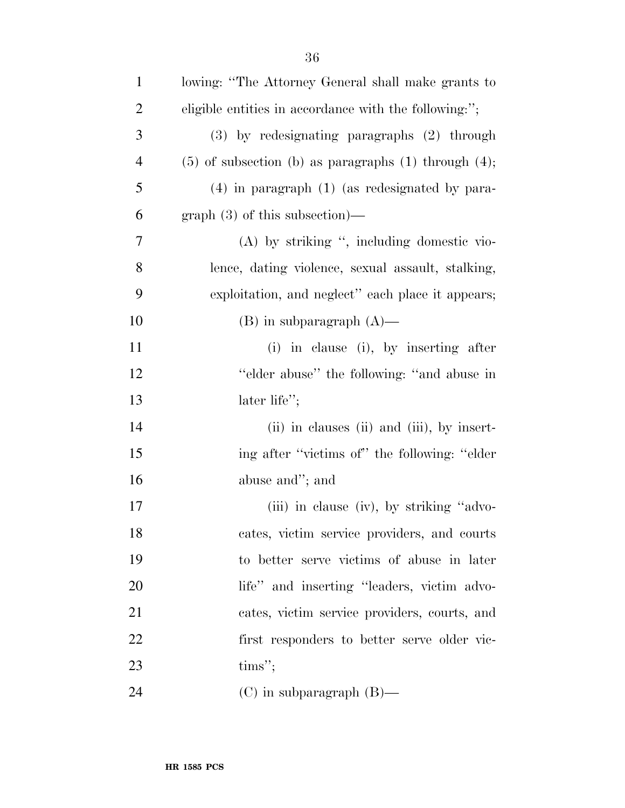| $\mathbf{1}$   | lowing: "The Attorney General shall make grants to          |
|----------------|-------------------------------------------------------------|
| $\overline{2}$ | eligible entities in accordance with the following:";       |
| 3              | $(3)$ by redesignating paragraphs $(2)$ through             |
| $\overline{4}$ | $(5)$ of subsection (b) as paragraphs $(1)$ through $(4)$ ; |
| 5              | $(4)$ in paragraph $(1)$ (as redesignated by para-          |
| 6              | $graph(3)$ of this subsection)—                             |
| 7              | $(A)$ by striking ", including domestic vio-                |
| 8              | lence, dating violence, sexual assault, stalking,           |
| 9              | exploitation, and neglect" each place it appears;           |
| 10             | $(B)$ in subparagraph $(A)$ —                               |
| 11             | (i) in clause (i), by inserting after                       |
| 12             | "elder abuse" the following: "and abuse in                  |
| 13             | later life";                                                |
| 14             | (ii) in clauses (ii) and (iii), by insert-                  |
| 15             | ing after "victims of" the following: "elder                |
| 16             | abuse and"; and                                             |
| 17             | (iii) in clause (iv), by striking "advo-                    |
| 18             | cates, victim service providers, and courts                 |
| 19             | to better serve victims of abuse in later                   |
| 20             | life" and inserting "leaders, victim advo-                  |
| 21             | cates, victim service providers, courts, and                |
| 22             | first responders to better serve older vic-                 |
| 23             | $\text{times}$ ";                                           |
| 24             | $(C)$ in subparagraph $(B)$ —                               |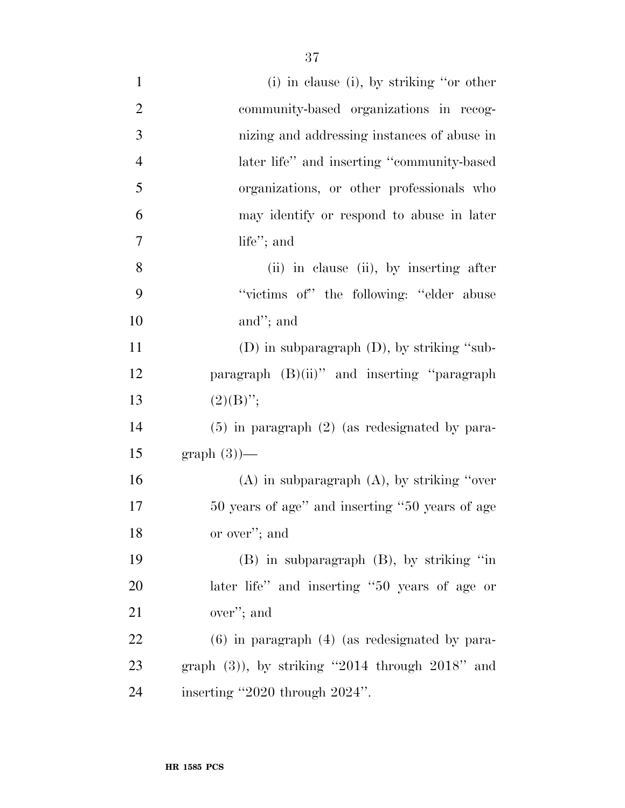| $\mathbf{1}$   | (i) in clause (i), by striking "or other           |
|----------------|----------------------------------------------------|
| $\overline{2}$ | community-based organizations in recog-            |
| 3              | nizing and addressing instances of abuse in        |
| $\overline{4}$ | later life" and inserting "community-based         |
| 5              | organizations, or other professionals who          |
| 6              | may identify or respond to abuse in later          |
| 7              | life"; and                                         |
| 8              | (ii) in clause (ii), by inserting after            |
| 9              | "victims of" the following: "elder abuse"          |
| 10             | and"; and                                          |
| 11             | (D) in subparagraph $(D)$ , by striking "sub-      |
| 12             | paragraph (B)(ii)" and inserting "paragraph        |
| 13             | $(2)(B)$ ";                                        |
| 14             | $(5)$ in paragraph $(2)$ (as redesignated by para- |
| 15             | $graph(3)$ —                                       |
| 16             | $(A)$ in subparagraph $(A)$ , by striking "over    |
| 17             | 50 years of age" and inserting "50 years of age    |
| 18             | or over"; and                                      |
| 19             | $(B)$ in subparagraph $(B)$ , by striking "in      |
| 20             | later life" and inserting "50 years of age or      |
| 21             | over"; and                                         |
| 22             | $(6)$ in paragraph $(4)$ (as redesignated by para- |
| 23             | graph $(3)$ ), by striking "2014 through 2018" and |
| 24             | inserting "2020 through 2024".                     |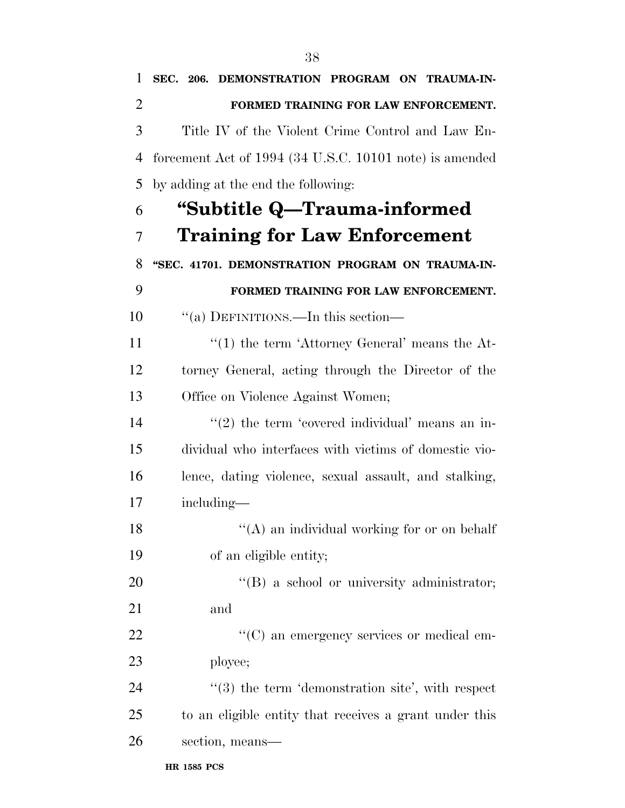| 1              | SEC. 206. DEMONSTRATION PROGRAM ON TRAUMA-IN-           |
|----------------|---------------------------------------------------------|
| $\overline{2}$ | FORMED TRAINING FOR LAW ENFORCEMENT.                    |
| 3              | Title IV of the Violent Crime Control and Law En-       |
| 4              | forcement Act of 1994 (34 U.S.C. 10101 note) is amended |
| 5              | by adding at the end the following:                     |
| 6              | "Subtitle Q—Trauma-informed                             |
| 7              | <b>Training for Law Enforcement</b>                     |
| 8              | "SEC. 41701. DEMONSTRATION PROGRAM ON TRAUMA-IN-        |
| 9              | FORMED TRAINING FOR LAW ENFORCEMENT.                    |
| 10             | "(a) DEFINITIONS.—In this section—                      |
| 11             | $\lq(1)$ the term 'Attorney General' means the At-      |
| 12             | torney General, acting through the Director of the      |
| 13             | Office on Violence Against Women;                       |
| 14             | $\lq(2)$ the term 'covered individual' means an in-     |
| 15             | dividual who interfaces with victims of domestic vio-   |
| 16             | lence, dating violence, sexual assault, and stalking,   |
| 17             | including—                                              |
| 18             | $\lq\lq$ (A) an individual working for or on behalf     |
| 19             | of an eligible entity;                                  |
| 20             | "(B) a school or university administrator;              |
| 21             | and                                                     |
| 22             | "(C) an emergency services or medical em-               |
| 23             | ployee;                                                 |
| 24             | $(3)$ the term 'demonstration site', with respect       |
| 25             | to an eligible entity that receives a grant under this  |
| 26             | section, means—                                         |
|                |                                                         |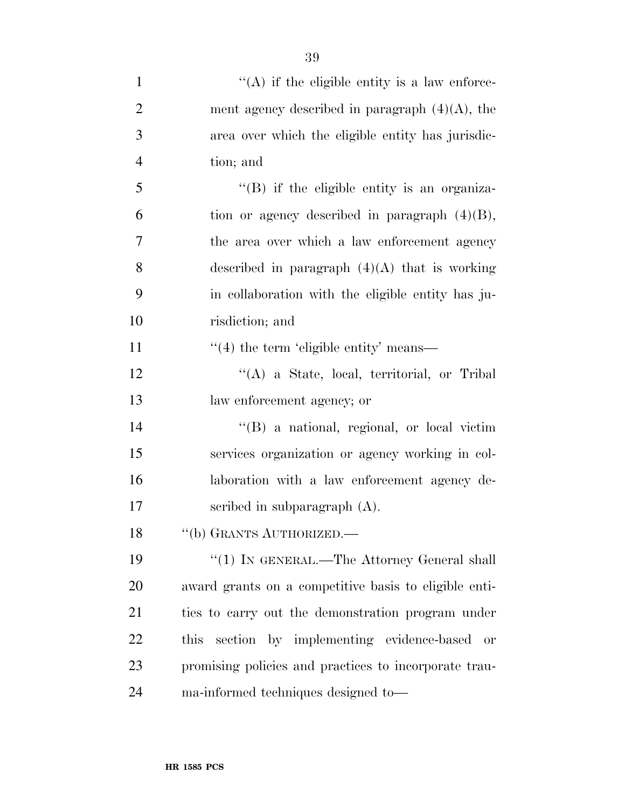| $\mathbf{1}$   | $\lq\lq$ if the eligible entity is a law enforce-     |
|----------------|-------------------------------------------------------|
| $\overline{2}$ | ment agency described in paragraph $(4)(A)$ , the     |
| 3              | area over which the eligible entity has jurisdic-     |
| $\overline{4}$ | tion; and                                             |
| 5              | $\lq\lq (B)$ if the eligible entity is an organiza-   |
| 6              | tion or agency described in paragraph $(4)(B)$ ,      |
| 7              | the area over which a law enforcement agency          |
| 8              | described in paragraph $(4)(A)$ that is working       |
| 9              | in collaboration with the eligible entity has ju-     |
| 10             | risdiction; and                                       |
| 11             | $\lq(4)$ the term 'eligible entity' means—            |
| 12             | "(A) a State, local, territorial, or Tribal           |
| 13             | law enforcement agency; or                            |
| 14             | "(B) a national, regional, or local victim            |
| 15             | services organization or agency working in col-       |
| 16             | laboration with a law enforcement agency de-          |
| 17             | scribed in subparagraph $(A)$ .                       |
| 18             | "(b) GRANTS AUTHORIZED.                               |
| 19             | "(1) IN GENERAL.—The Attorney General shall           |
| 20             | award grants on a competitive basis to eligible enti- |
| 21             | ties to carry out the demonstration program under     |
| 22             | section by implementing evidence-based<br>this<br>or  |
| 23             | promising policies and practices to incorporate trau- |
| 24             | ma-informed techniques designed to-                   |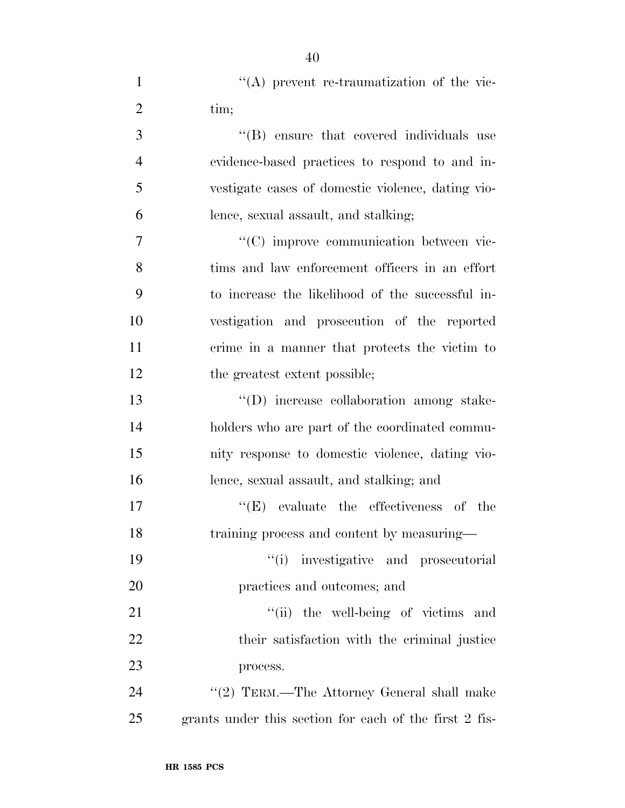| $\mathbf{1}$   | $\lq\lq$ prevent re-traumatization of the vic-         |
|----------------|--------------------------------------------------------|
| $\overline{2}$ | tim;                                                   |
| 3              | "(B) ensure that covered individuals use               |
| $\overline{4}$ | evidence-based practices to respond to and in-         |
| 5              | vestigate cases of domestic violence, dating vio-      |
| 6              | lence, sexual assault, and stalking;                   |
| 7              | "(C) improve communication between vic-                |
| 8              | tims and law enforcement officers in an effort         |
| 9              | to increase the likelihood of the successful in-       |
| 10             | vestigation and prosecution of the reported            |
| 11             | crime in a manner that protects the victim to          |
| 12             | the greatest extent possible;                          |
| 13             | "(D) increase collaboration among stake-               |
| 14             | holders who are part of the coordinated commu-         |
| 15             | nity response to domestic violence, dating vio-        |
| 16             | lence, sexual assault, and stalking; and               |
| 17             | $\lq\lq(E)$ evaluate the effectiveness of<br>the       |
| 18             | training process and content by measuring-             |
| 19             | "(i) investigative and prosecutorial                   |
| 20             | practices and outcomes; and                            |
| 21             | "(ii) the well-being of victims and                    |
| 22             | their satisfaction with the criminal justice           |
| 23             | process.                                               |
| 24             | "(2) TERM.—The Attorney General shall make             |
| 25             | grants under this section for each of the first 2 fis- |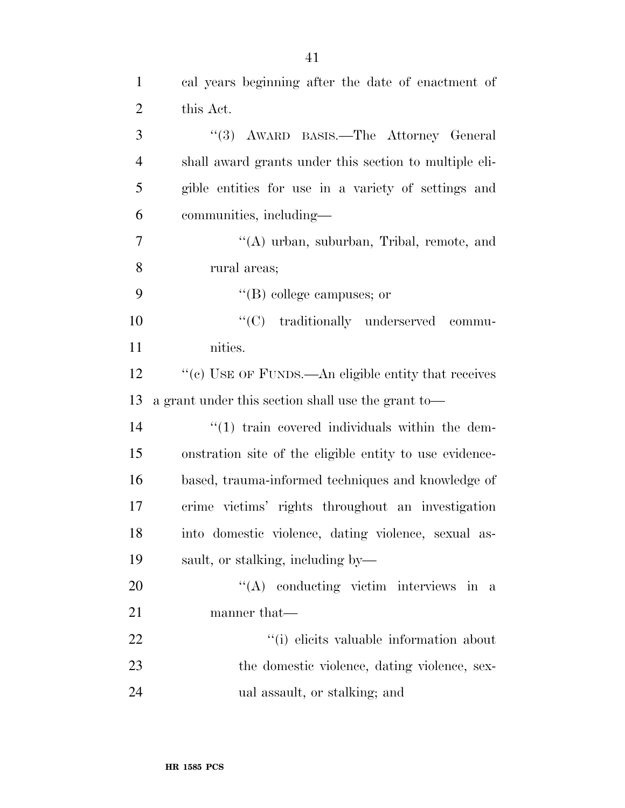| $\mathbf{1}$   | cal years beginning after the date of enactment of      |
|----------------|---------------------------------------------------------|
| $\overline{2}$ | this Act.                                               |
| 3              | "(3) AWARD BASIS.—The Attorney General                  |
| $\overline{4}$ | shall award grants under this section to multiple eli-  |
| 5              | gible entities for use in a variety of settings and     |
| 6              | communities, including—                                 |
| $\overline{7}$ | "(A) urban, suburban, Tribal, remote, and               |
| 8              | rural areas;                                            |
| 9              | $\lq\lq$ (B) college campuses; or                       |
| 10             | "(C) traditionally underserved commu-                   |
| 11             | nities.                                                 |
| 12             | "(c) USE OF FUNDS.—An eligible entity that receives     |
| 13             | a grant under this section shall use the grant to-      |
| 14             | $\lq(1)$ train covered individuals within the dem-      |
| 15             | onstration site of the eligible entity to use evidence- |
| 16             | based, trauma-informed techniques and knowledge of      |
| 17             | crime victims' rights throughout an investigation       |
| 18             | into domestic violence, dating violence, sexual as-     |
| 19             | sault, or stalking, including by—                       |
| 20             | "(A) conducting victim interviews in a                  |
| 21             | manner that—                                            |
| 22             | "(i) elicits valuable information about                 |
| 23             | the domestic violence, dating violence, sex-            |
| 24             | ual assault, or stalking; and                           |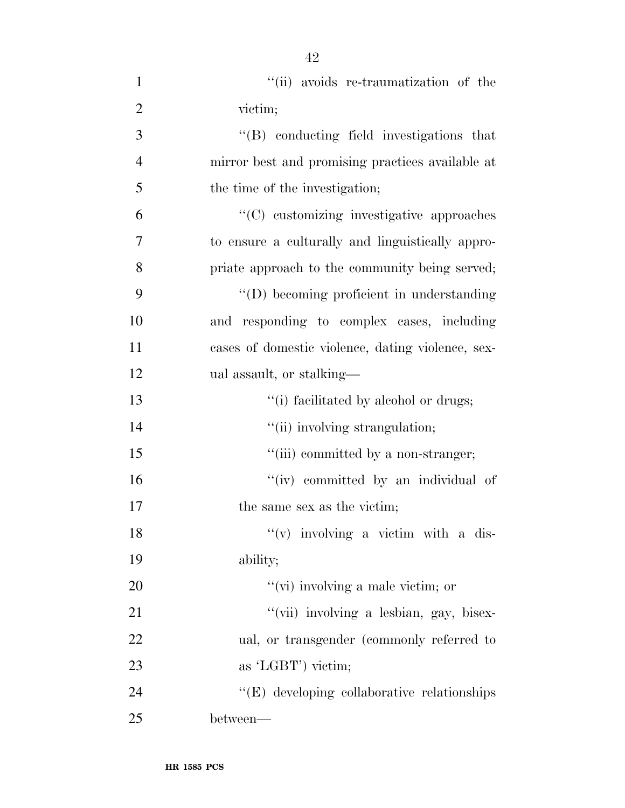| $\mathbf{1}$   | "(ii) avoids re-traumatization of the             |
|----------------|---------------------------------------------------|
| $\overline{2}$ | victim;                                           |
| 3              | $\lq\lq$ conducting field investigations that     |
| $\overline{4}$ | mirror best and promising practices available at  |
| 5              | the time of the investigation;                    |
| 6              | "(C) customizing investigative approaches         |
| 7              | to ensure a culturally and linguistically appro-  |
| 8              | priate approach to the community being served;    |
| 9              | $\lq\lq$ (D) becoming proficient in understanding |
| 10             | and responding to complex cases, including        |
| 11             | cases of domestic violence, dating violence, sex- |
| 12             | ual assault, or stalking—                         |
| 13             | "(i) facilitated by alcohol or drugs;             |
| 14             | "(ii) involving strangulation;                    |
| 15             | "(iii) committed by a non-stranger;               |
| 16             | "(iv) committed by an individual of               |
| 17             | the same sex as the victim;                       |
| 18             | $f'(v)$ involving a victim with a dis-            |
| 19             | ability;                                          |
| 20             | $\lq\lq$ (vi) involving a male victim; or         |
| 21             | "(vii) involving a lesbian, gay, bisex-           |
| 22             | ual, or transgender (commonly referred to         |
| 23             | as 'LGBT') victim;                                |
| 24             | "(E) developing collaborative relationships       |
| 25             | between—                                          |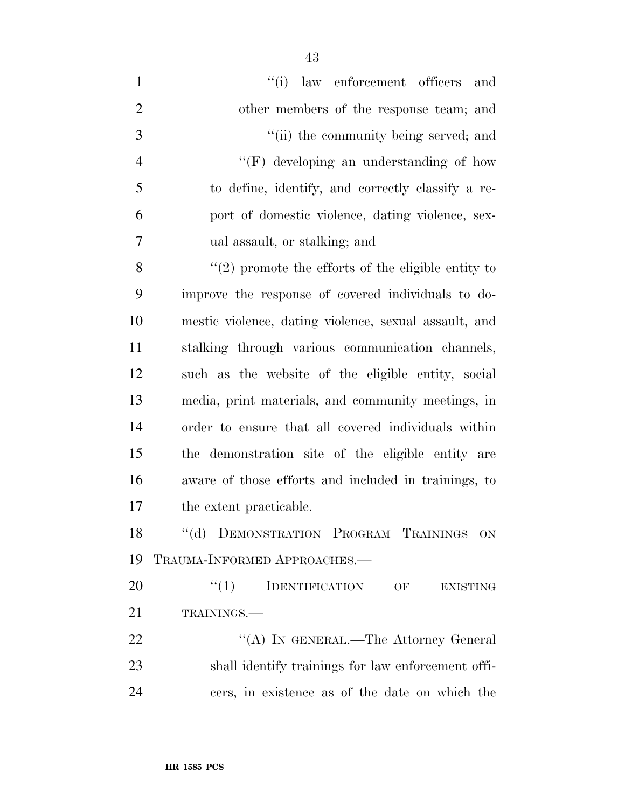| $\mathbf{1}$   | "(i) law enforcement officers and                      |
|----------------|--------------------------------------------------------|
| $\overline{2}$ | other members of the response team; and                |
| 3              | "(ii) the community being served; and                  |
| $\overline{4}$ | $\lq\lq(F)$ developing an understanding of how         |
| 5              | to define, identify, and correctly classify a re-      |
| 6              | port of domestic violence, dating violence, sex-       |
| 7              | ual assault, or stalking; and                          |
| 8              | $\lq(2)$ promote the efforts of the eligible entity to |
| 9              | improve the response of covered individuals to do-     |
| 10             | mestic violence, dating violence, sexual assault, and  |
| 11             | stalking through various communication channels,       |
| 12             | such as the website of the eligible entity, social     |
| 13             | media, print materials, and community meetings, in     |
| 14             | order to ensure that all covered individuals within    |
|                |                                                        |

 the demonstration site of the eligible entity are aware of those efforts and included in trainings, to the extent practicable.

 ''(d) DEMONSTRATION PROGRAM TRAININGS ON TRAUMA-INFORMED APPROACHES.—

20  $(1)$  IDENTIFICATION OF EXISTING TRAININGS.—

22 "(A) IN GENERAL.—The Attorney General shall identify trainings for law enforcement offi-cers, in existence as of the date on which the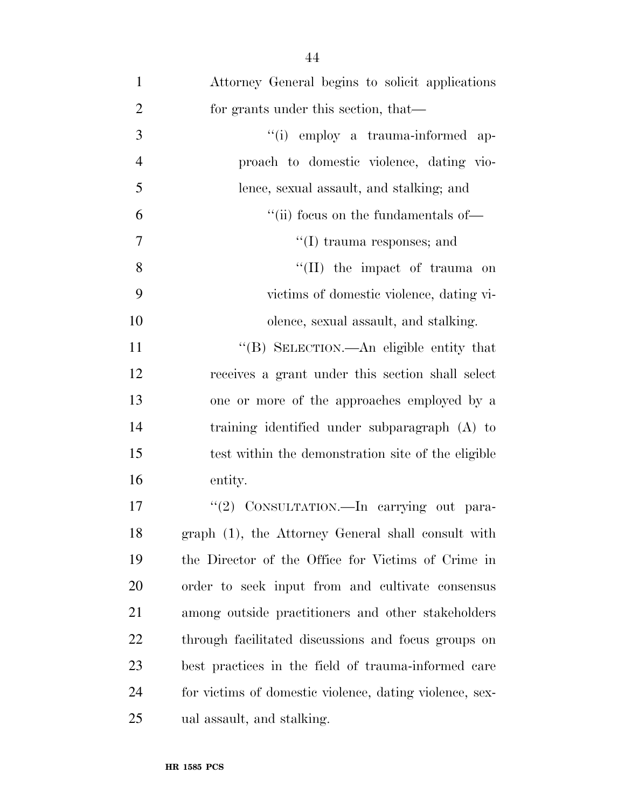| $\mathbf{1}$   | Attorney General begins to solicit applications         |
|----------------|---------------------------------------------------------|
| $\overline{2}$ | for grants under this section, that—                    |
| 3              | "(i) employ a trauma-informed ap-                       |
| $\overline{4}$ | proach to domestic violence, dating vio-                |
| 5              | lence, sexual assault, and stalking; and                |
| 6              | "(ii) focus on the fundamentals of—                     |
| $\overline{7}$ | $\lq\lq$ trauma responses; and                          |
| 8              | "(II) the impact of trauma on                           |
| 9              | victims of domestic violence, dating vi-                |
| 10             | olence, sexual assault, and stalking.                   |
| 11             | "(B) SELECTION.—An eligible entity that                 |
| 12             | receives a grant under this section shall select        |
| 13             | one or more of the approaches employed by a             |
| 14             | training identified under subparagraph (A) to           |
| 15             | test within the demonstration site of the eligible      |
| 16             | entity.                                                 |
| 17             | "(2) CONSULTATION.—In carrying out para-                |
| 18             | graph (1), the Attorney General shall consult with      |
| 19             | the Director of the Office for Victims of Crime in      |
| 20             | order to seek input from and cultivate consensus        |
| 21             | among outside practitioners and other stakeholders      |
| 22             | through facilitated discussions and focus groups on     |
| 23             | best practices in the field of trauma-informed care     |
| 24             | for victims of domestic violence, dating violence, sex- |
| 25             | ual assault, and stalking.                              |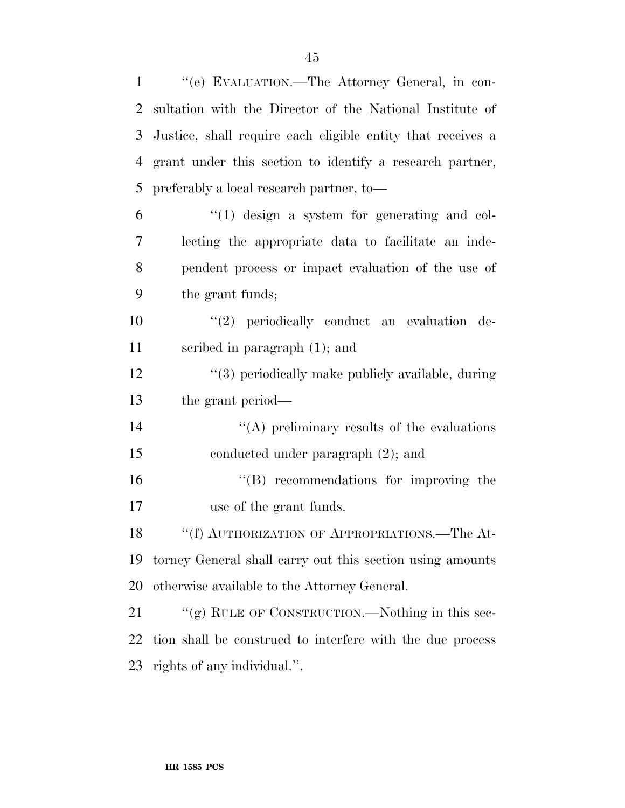| $\mathbf{1}$ | "(e) EVALUATION.—The Attorney General, in con-              |
|--------------|-------------------------------------------------------------|
| 2            | sultation with the Director of the National Institute of    |
| 3            | Justice, shall require each eligible entity that receives a |
| 4            | grant under this section to identify a research partner,    |
| 5            | preferably a local research partner, to-                    |
| 6            | $"(1)$ design a system for generating and col-              |
| 7            | lecting the appropriate data to facilitate an inde-         |
| 8            | pendent process or impact evaluation of the use of          |
| 9            | the grant funds;                                            |
| 10           | "(2) periodically conduct an evaluation de-                 |
| 11           | scribed in paragraph $(1)$ ; and                            |
| 12           | "(3) periodically make publicly available, during           |
| 13           | the grant period—                                           |
| 14           | "(A) preliminary results of the evaluations                 |
| 15           | conducted under paragraph $(2)$ ; and                       |
| 16           | $\lq\lq (B)$ recommendations for improving the              |
| 17           | use of the grant funds.                                     |
| 18           | "(f) AUTHORIZATION OF APPROPRIATIONS.—The At-               |
| 19           | torney General shall carry out this section using amounts   |
| 20           | otherwise available to the Attorney General.                |
| 21           | "(g) RULE OF CONSTRUCTION.—Nothing in this sec-             |
| 22           | tion shall be construed to interfere with the due process   |
| 23           | rights of any individual.".                                 |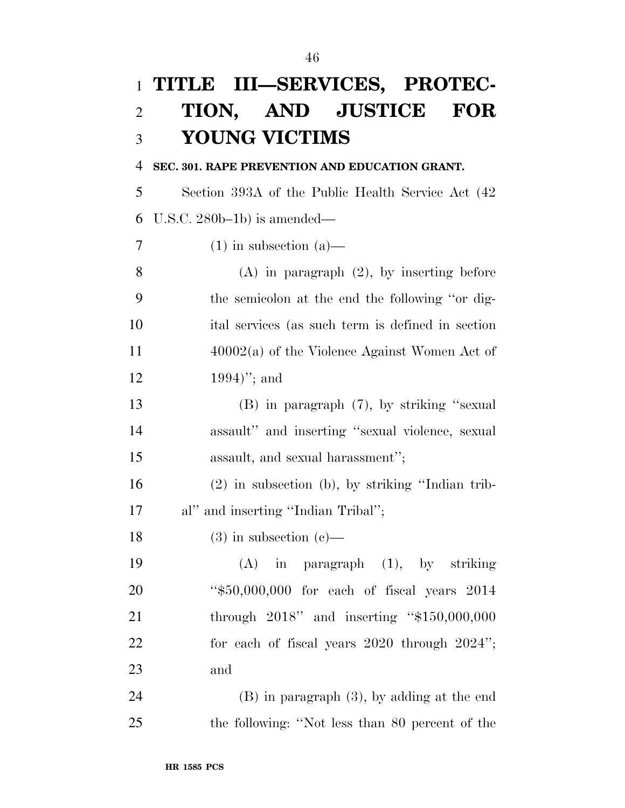# **TITLE III—SERVICES, PROTEC- TION, AND JUSTICE FOR YOUNG VICTIMS**

## **SEC. 301. RAPE PREVENTION AND EDUCATION GRANT.**

 Section 393A of the Public Health Service Act (42 U.S.C. 280b–1b) is amended—

7 (1) in subsection (a)

 (A) in paragraph (2), by inserting before the semicolon at the end the following ''or dig- ital services (as such term is defined in section 40002(a) of the Violence Against Women Act of 12 1994)''; and

 (B) in paragraph (7), by striking ''sexual assault'' and inserting ''sexual violence, sexual 15 assault, and sexual harassment'';

 (2) in subsection (b), by striking ''Indian trib-al'' and inserting ''Indian Tribal'';

18 (3) in subsection  $(c)$ —

 (A) in paragraph (1), by striking ''\$50,000,000 for each of fiscal years 2014 through 2018'' and inserting ''\$150,000,000 for each of fiscal years 2020 through 2024''; and

 (B) in paragraph (3), by adding at the end the following: ''Not less than 80 percent of the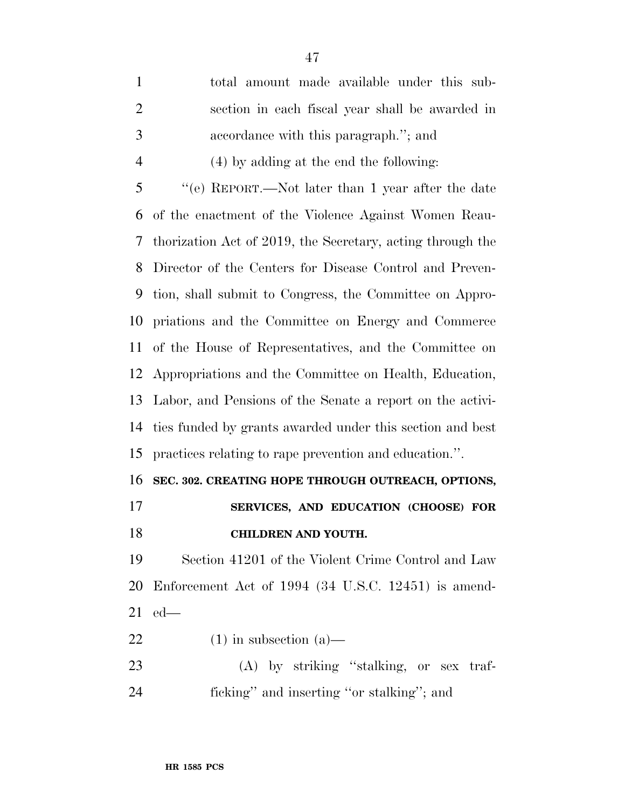| $\mathbf{1}$   | total amount made available under this sub-                |
|----------------|------------------------------------------------------------|
| $\overline{2}$ | section in each fiscal year shall be awarded in            |
| $\mathfrak{Z}$ | accordance with this paragraph."; and                      |
| $\overline{4}$ | (4) by adding at the end the following:                    |
| 5              | "(e) REPORT.—Not later than 1 year after the date          |
| 6              | of the enactment of the Violence Against Women Reau-       |
| 7              | thorization Act of 2019, the Secretary, acting through the |
| 8              | Director of the Centers for Disease Control and Preven-    |
| 9              | tion, shall submit to Congress, the Committee on Appro-    |
| 10             | priations and the Committee on Energy and Commerce         |
| 11             | of the House of Representatives, and the Committee on      |
| 12             | Appropriations and the Committee on Health, Education,     |
| 13             | Labor, and Pensions of the Senate a report on the activi-  |
| 14             | ties funded by grants awarded under this section and best  |
| 15             | practices relating to rape prevention and education.".     |
| 16             | SEC. 302. CREATING HOPE THROUGH OUTREACH, OPTIONS,         |
| 17             | SERVICES, AND EDUCATION (CHOOSE) FOR                       |
| 18             | <b>CHILDREN AND YOUTH.</b>                                 |
| 19             | Section 41201 of the Violent Crime Control and Law         |
| 20             | Enforcement Act of $1994$ (34 U.S.C. 12451) is amend-      |
| 21             | $ed$ —                                                     |
| 22             | $(1)$ in subsection $(a)$ —                                |
| 23             | (A) by striking "stalking, or sex traf-                    |
| 24             | ficking" and inserting "or stalking"; and                  |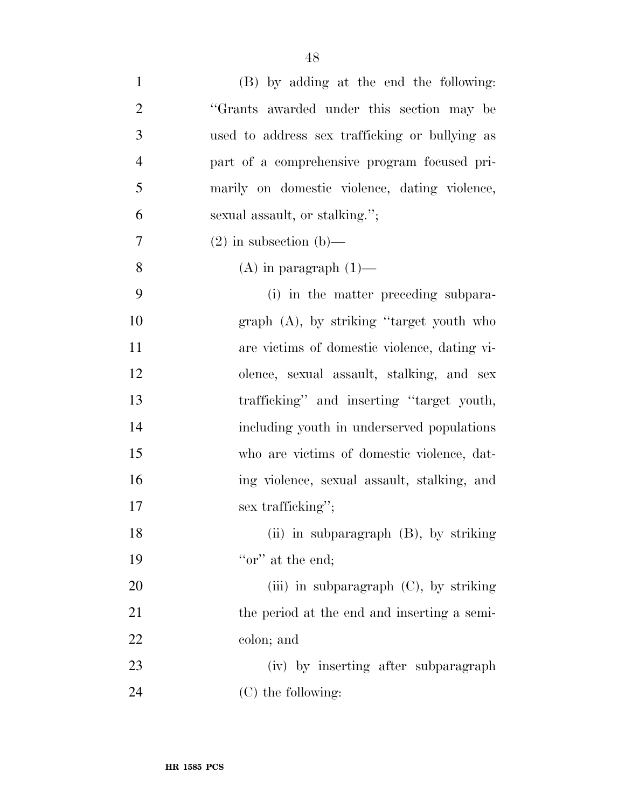| $\mathbf{1}$   | (B) by adding at the end the following:        |
|----------------|------------------------------------------------|
| $\overline{2}$ | "Grants awarded under this section may be      |
| 3              | used to address sex trafficking or bullying as |
| $\overline{4}$ | part of a comprehensive program focused pri-   |
| 5              | marily on domestic violence, dating violence,  |
| 6              | sexual assault, or stalking.";                 |
| 7              | $(2)$ in subsection $(b)$ —                    |
| 8              | $(A)$ in paragraph $(1)$ —                     |
| 9              | (i) in the matter preceding subpara-           |
| 10             | graph (A), by striking "target youth who       |
| 11             | are victims of domestic violence, dating vi-   |
| 12             | olence, sexual assault, stalking, and sex      |
| 13             | trafficking" and inserting "target youth,      |
| 14             | including youth in underserved populations     |
| 15             | who are victims of domestic violence, dat-     |
| 16             | ing violence, sexual assault, stalking, and    |
| 17             | sex trafficking";                              |
| 18             | (ii) in subparagraph (B), by striking          |
| 19             | "or" at the end;                               |
| 20             | (iii) in subparagraph $(C)$ , by striking      |
| 21             | the period at the end and inserting a semi-    |
| 22             | colon; and                                     |
| 23             | (iv) by inserting after subparagraph           |
| 24             | $(C)$ the following:                           |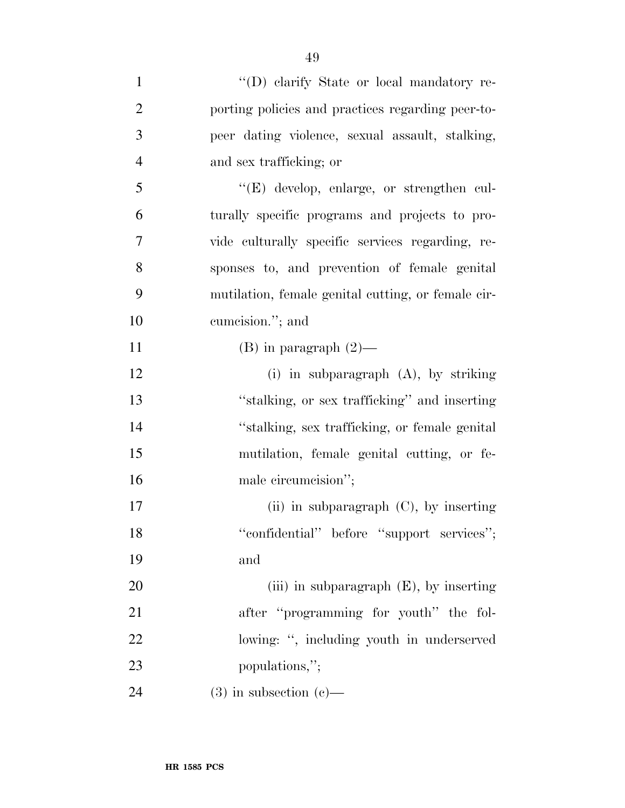| $\mathbf{1}$   | "(D) clarify State or local mandatory re-          |
|----------------|----------------------------------------------------|
| $\overline{2}$ | porting policies and practices regarding peer-to-  |
| $\mathfrak{Z}$ | peer dating violence, sexual assault, stalking,    |
| $\overline{4}$ | and sex trafficking; or                            |
| 5              | "(E) develop, enlarge, or strengthen cul-          |
| 6              | turally specific programs and projects to pro-     |
| 7              | vide culturally specific services regarding, re-   |
| 8              | sponses to, and prevention of female genital       |
| 9              | mutilation, female genital cutting, or female cir- |
| 10             | cumcision."; and                                   |
| 11             | $(B)$ in paragraph $(2)$ —                         |
| 12             | (i) in subparagraph $(A)$ , by striking            |
| 13             | "stalking, or sex trafficking" and inserting       |
| 14             | "stalking, sex trafficking, or female genital      |
| 15             | mutilation, female genital cutting, or fe-         |
| 16             | male circumcision";                                |
| 17             | (ii) in subparagraph $(C)$ , by inserting          |
| 18             | "confidential" before "support services";          |
| 19             | and                                                |
| 20             | (iii) in subparagraph $(E)$ , by inserting         |
| 21             | after "programming for youth" the fol-             |
| 22             | lowing: ", including youth in underserved          |
| 23             | populations,";                                     |
| 24             | $(3)$ in subsection $(e)$ —                        |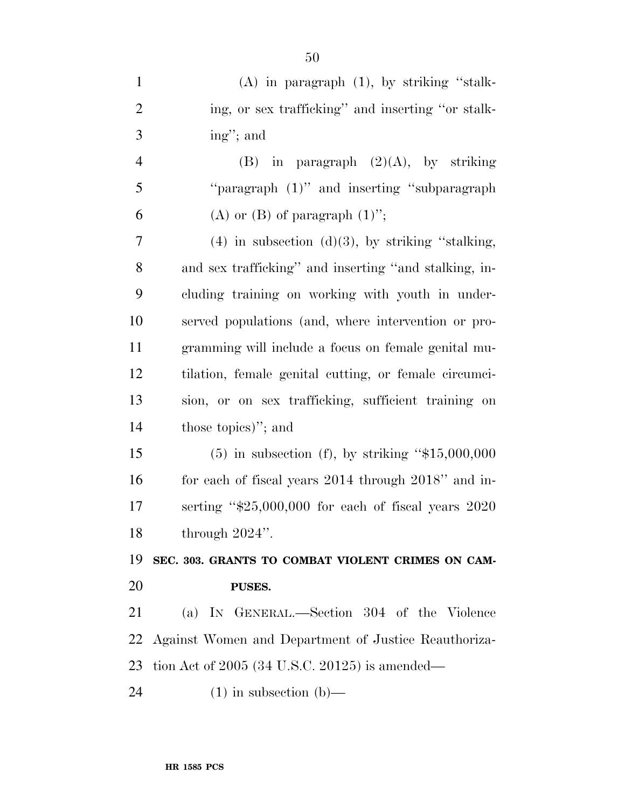| $\mathbf{1}$   | $(A)$ in paragraph $(1)$ , by striking "stalk-          |
|----------------|---------------------------------------------------------|
| $\overline{2}$ | ing, or sex trafficking" and inserting "or stalk-       |
| 3              | ing"; and                                               |
| $\overline{4}$ | (B) in paragraph $(2)(A)$ , by striking                 |
| 5              | "paragraph (1)" and inserting "subparagraph"            |
| 6              | (A) or (B) of paragraph $(1)$ ";                        |
| 7              | $(4)$ in subsection $(d)(3)$ , by striking "stalking,   |
| 8              | and sex trafficking" and inserting "and stalking, in-   |
| 9              | cluding training on working with youth in under-        |
| 10             | served populations (and, where intervention or pro-     |
| 11             | gramming will include a focus on female genital mu-     |
| 12             | tilation, female genital cutting, or female circumci-   |
| 13             | sion, or on sex trafficking, sufficient training on     |
| 14             | those topics)"; and                                     |
| 15             | $(5)$ in subsection (f), by striking "\$15,000,000      |
| 16             | for each of fiscal years 2014 through 2018" and in-     |
| 17             | serting " $$25,000,000$ for each of fiscal years $2020$ |
| 18             | through $2024$ ".                                       |
| 19             | SEC. 303. GRANTS TO COMBAT VIOLENT CRIMES ON CAM-       |
| 20             | PUSES.                                                  |
| 21             | (a) IN GENERAL.—Section 304 of the Violence             |
| 22             | Against Women and Department of Justice Reauthoriza-    |
| 23             | tion Act of $2005$ (34 U.S.C. 20125) is amended—        |
|                |                                                         |

24 (1) in subsection (b)—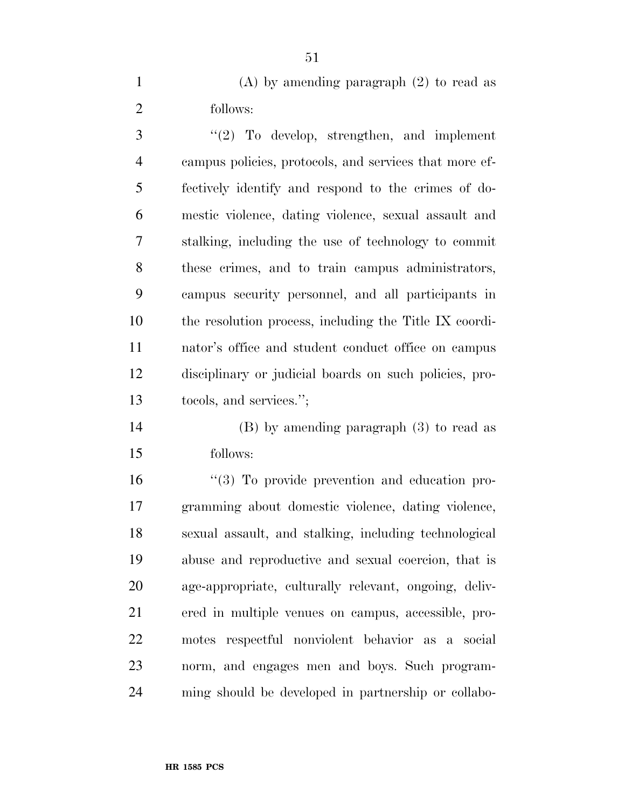(A) by amending paragraph (2) to read as follows:

 ''(2) To develop, strengthen, and implement campus policies, protocols, and services that more ef- fectively identify and respond to the crimes of do- mestic violence, dating violence, sexual assault and stalking, including the use of technology to commit these crimes, and to train campus administrators, campus security personnel, and all participants in the resolution process, including the Title IX coordi- nator's office and student conduct office on campus disciplinary or judicial boards on such policies, pro-tocols, and services.'';

 (B) by amending paragraph (3) to read as follows:

 ''(3) To provide prevention and education pro- gramming about domestic violence, dating violence, sexual assault, and stalking, including technological abuse and reproductive and sexual coercion, that is age-appropriate, culturally relevant, ongoing, deliv- ered in multiple venues on campus, accessible, pro- motes respectful nonviolent behavior as a social norm, and engages men and boys. Such program-ming should be developed in partnership or collabo-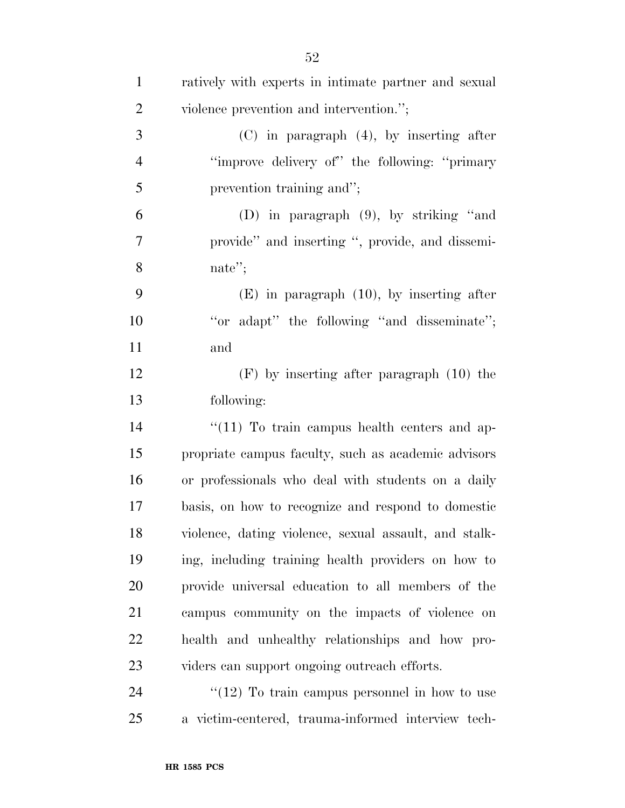| $\mathbf{1}$   | ratively with experts in intimate partner and sexual  |
|----------------|-------------------------------------------------------|
| $\overline{2}$ | violence prevention and intervention.";               |
| 3              | $(C)$ in paragraph $(4)$ , by inserting after         |
| $\overline{4}$ | "improve delivery of" the following: "primary"        |
| 5              | prevention training and";                             |
| 6              | (D) in paragraph $(9)$ , by striking "and             |
| 7              | provide" and inserting ", provide, and dissemi-       |
| 8              | $nate$ ";                                             |
| 9              | $(E)$ in paragraph $(10)$ , by inserting after        |
| 10             | "or adapt" the following "and disseminate";           |
| 11             | and                                                   |
| 12             | $(F)$ by inserting after paragraph $(10)$ the         |
| 13             | following:                                            |
| 14             | $\lq(11)$ To train campus health centers and ap-      |
| 15             | propriate campus faculty, such as academic advisors   |
| 16             | or professionals who deal with students on a daily    |
| 17             | basis, on how to recognize and respond to domestic    |
| 18             | violence, dating violence, sexual assault, and stalk- |
| 19             | ing, including training health providers on how to    |
| 20             | provide universal education to all members of the     |
| 21             | campus community on the impacts of violence on        |
| 22             | health and unhealthy relationships and how pro-       |
| 23             | viders can support ongoing outreach efforts.          |
| 24             | " $(12)$ To train campus personnel in how to use      |
| 25             | a victim-centered, trauma-informed interview tech-    |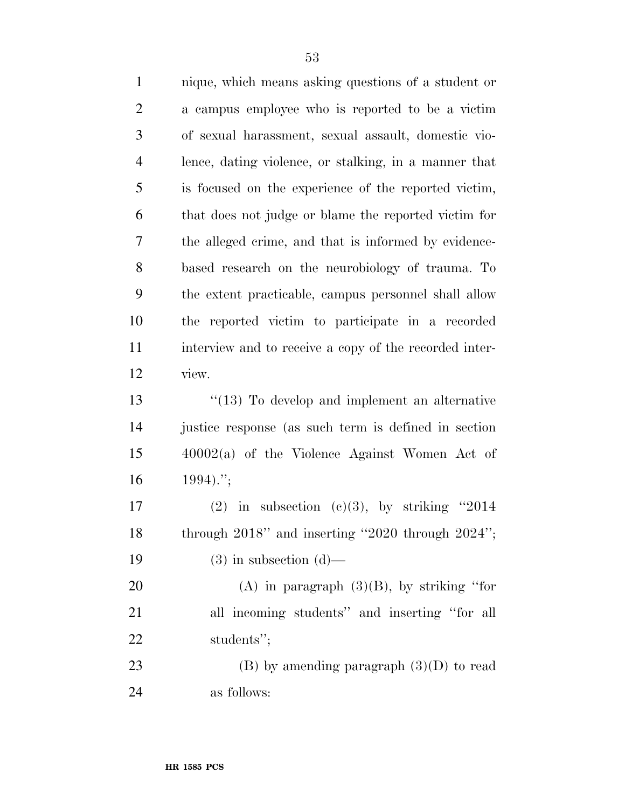| $\mathbf{1}$   | nique, which means asking questions of a student or    |
|----------------|--------------------------------------------------------|
| $\overline{2}$ | a campus employee who is reported to be a victim       |
| 3              | of sexual harassment, sexual assault, domestic vio-    |
| $\overline{4}$ | lence, dating violence, or stalking, in a manner that  |
| 5              | is focused on the experience of the reported victim,   |
| 6              | that does not judge or blame the reported victim for   |
| 7              | the alleged crime, and that is informed by evidence-   |
| 8              | based research on the neurobiology of trauma. To       |
| 9              | the extent practicable, campus personnel shall allow   |
| 10             | the reported victim to participate in a recorded       |
| 11             | interview and to receive a copy of the recorded inter- |
| 12             | view.                                                  |
| 13             | $\cdot$ (13) To develop and implement an alternative   |
| 14             | justice response (as such term is defined in section   |
| 15             | $40002(a)$ of the Violence Against Women Act of        |
| 16             | $1994)$ .";                                            |
| 17             | (2) in subsection (c)(3), by striking "2014            |
| 18             | through $2018$ " and inserting "2020 through $2024$ "; |
| 19             | $(3)$ in subsection $(d)$ —                            |
| 20             | (A) in paragraph $(3)(B)$ , by striking "for           |
| 21             | all incoming students" and inserting "for all          |
| 22             | students";                                             |
| 23             | $(B)$ by amending paragraph $(3)(D)$ to read           |
| 24             | as follows:                                            |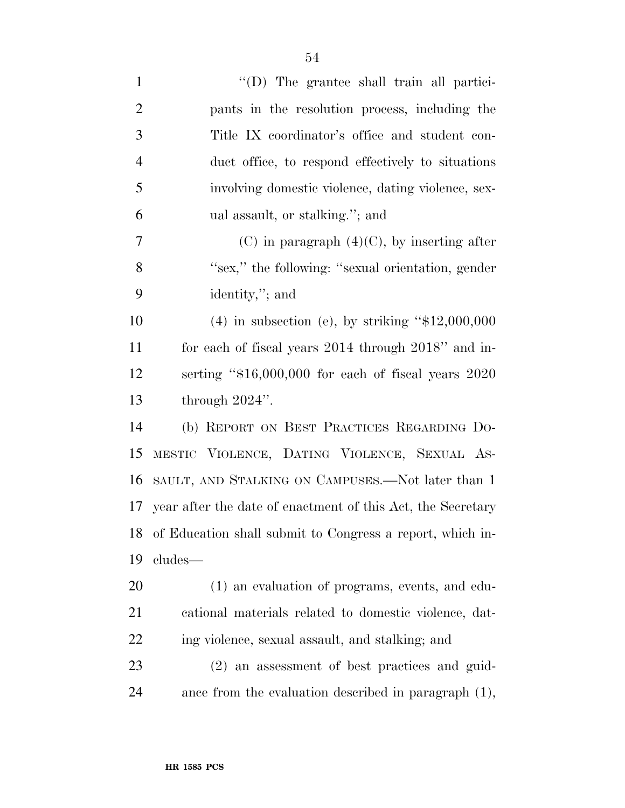| $\mathbf{1}$   | "(D) The grantee shall train all partici-                      |
|----------------|----------------------------------------------------------------|
| $\overline{2}$ | pants in the resolution process, including the                 |
| 3              | Title IX coordinator's office and student con-                 |
| $\overline{4}$ | duct office, to respond effectively to situations              |
| 5              | involving domestic violence, dating violence, sex-             |
| 6              | ual assault, or stalking."; and                                |
| $\overline{7}$ | $(C)$ in paragraph $(4)(C)$ , by inserting after               |
| 8              | "sex," the following: "sexual orientation, gender"             |
| 9              | identity,"; and                                                |
| 10             | $(4)$ in subsection (e), by striking "\$12,000,000             |
| 11             | for each of fiscal years 2014 through 2018" and in-            |
| 12             | serting "\$16,000,000 for each of fiscal years 2020            |
| 13             | through $2024$ ".                                              |
| 14             | (b) REPORT ON BEST PRACTICES REGARDING DO-                     |
| 15             | MESTIC VIOLENCE, DATING VIOLENCE, SEXUAL AS-                   |
| 16             | SAULT, AND STALKING ON CAMPUSES.—Not later than 1              |
|                | 17 year after the date of enactment of this Act, the Secretary |
|                | 18 of Education shall submit to Congress a report, which in-   |
| 19             | cludes-                                                        |
| 20             | (1) an evaluation of programs, events, and edu-                |
| 21             | cational materials related to domestic violence, dat-          |
| 22             | ing violence, sexual assault, and stalking; and                |
| 23             | (2) an assessment of best practices and guid-                  |
|                |                                                                |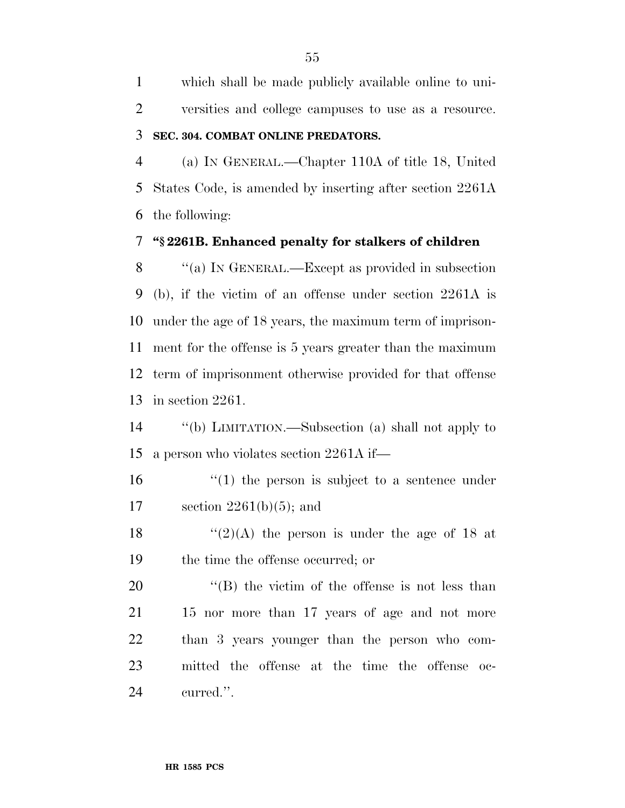which shall be made publicly available online to uni-versities and college campuses to use as a resource.

#### **SEC. 304. COMBAT ONLINE PREDATORS.**

 (a) IN GENERAL.—Chapter 110A of title 18, United States Code, is amended by inserting after section 2261A the following:

### **''§ 2261B. Enhanced penalty for stalkers of children**

 ''(a) IN GENERAL.—Except as provided in subsection (b), if the victim of an offense under section 2261A is under the age of 18 years, the maximum term of imprison- ment for the offense is 5 years greater than the maximum term of imprisonment otherwise provided for that offense in section 2261.

 ''(b) LIMITATION.—Subsection (a) shall not apply to a person who violates section 2261A if—

16  $\frac{1}{2}$  (1) the person is subject to a sentence under section 2261(b)(5); and

18  $\frac{1}{2}(2)$ (A) the person is under the age of 18 at the time the offense occurred; or

 $\langle$  (B) the victim of the offense is not less than 15 nor more than 17 years of age and not more than 3 years younger than the person who com- mitted the offense at the time the offense oc-curred.''.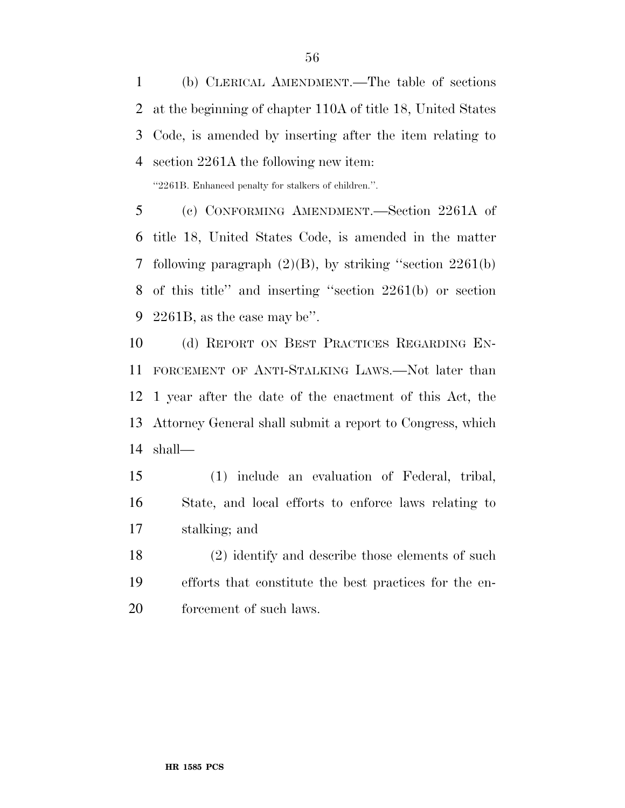(b) CLERICAL AMENDMENT.—The table of sections at the beginning of chapter 110A of title 18, United States Code, is amended by inserting after the item relating to section 2261A the following new item:

''2261B. Enhanced penalty for stalkers of children.''.

 (c) CONFORMING AMENDMENT.—Section 2261A of title 18, United States Code, is amended in the matter following paragraph (2)(B), by striking ''section 2261(b) of this title'' and inserting ''section 2261(b) or section 2261B, as the case may be''.

 (d) REPORT ON BEST PRACTICES REGARDING EN- FORCEMENT OF ANTI-STALKING LAWS.—Not later than 1 year after the date of the enactment of this Act, the Attorney General shall submit a report to Congress, which shall—

 (1) include an evaluation of Federal, tribal, State, and local efforts to enforce laws relating to stalking; and

 (2) identify and describe those elements of such efforts that constitute the best practices for the en-forcement of such laws.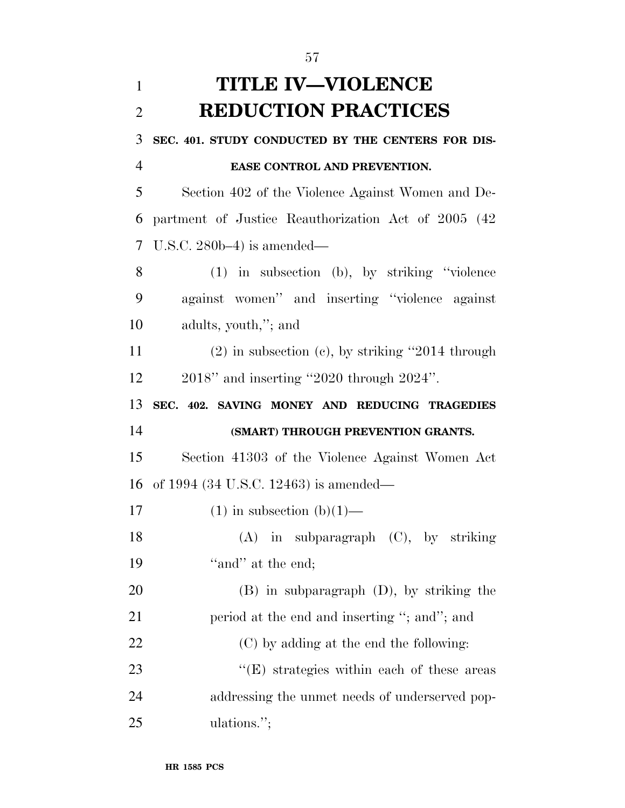| $\mathbf{1}$   | <b>TITLE IV-VIOLENCE</b>                             |
|----------------|------------------------------------------------------|
| $\overline{2}$ | <b>REDUCTION PRACTICES</b>                           |
| 3              | SEC. 401. STUDY CONDUCTED BY THE CENTERS FOR DIS-    |
| $\overline{4}$ | EASE CONTROL AND PREVENTION.                         |
| 5              | Section 402 of the Violence Against Women and De-    |
| 6              | partment of Justice Reauthorization Act of 2005 (42) |
| 7              | U.S.C. $280b-4$ ) is amended—                        |
| 8              | $(1)$ in subsection (b), by striking "violence       |
| 9              | against women" and inserting "violence against       |
| 10             | adults, youth,"; and                                 |
| 11             | $(2)$ in subsection (c), by striking "2014 through   |
| 12             | $2018"$ and inserting "2020 through $2024"$ .        |
| 13             | SEC. 402. SAVING MONEY AND REDUCING TRAGEDIES        |
| 14             | (SMART) THROUGH PREVENTION GRANTS.                   |
| 15             | Section 41303 of the Violence Against Women Act      |
| 16             | of 1994 $(34 \text{ U.S.C. } 12463)$ is amended—     |
| 17             | $(1)$ in subsection $(b)(1)$ —                       |
| 18             | $(A)$ in subparagraph $(C)$ , by striking            |
| 19             | "and" at the end;                                    |
| <b>20</b>      | $(B)$ in subparagraph $(D)$ , by striking the        |
| 21             | period at the end and inserting "; and"; and         |
| 22             | (C) by adding at the end the following:              |
| 23             | "(E) strategies within each of these areas           |
|                |                                                      |
| 24             | addressing the unmet needs of underserved pop-       |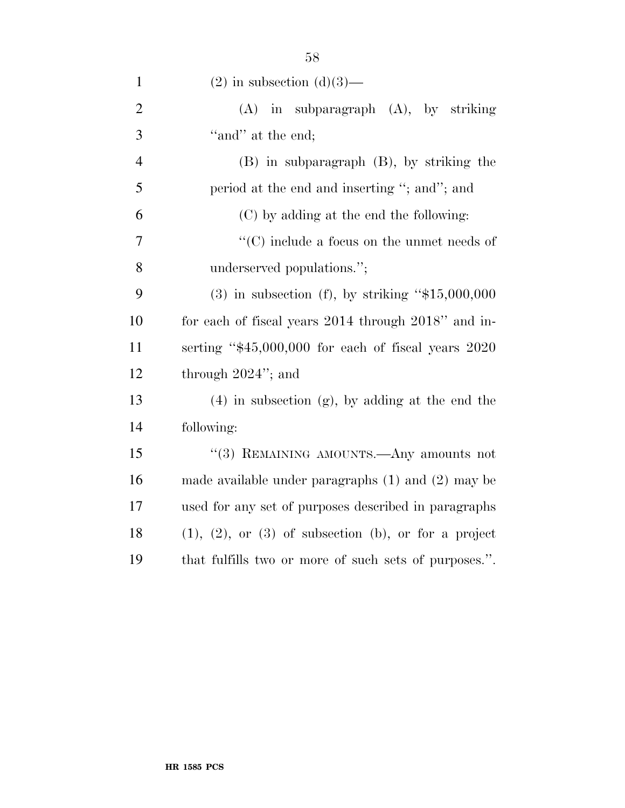| $\mathbf{1}$   | $(2)$ in subsection $(d)(3)$ —                              |
|----------------|-------------------------------------------------------------|
| $\overline{2}$ | $(A)$ in subparagraph $(A)$ , by striking                   |
| 3              | "and" at the end;                                           |
| $\overline{4}$ | $(B)$ in subparagraph $(B)$ , by striking the               |
| 5              | period at the end and inserting "; and"; and                |
| 6              | (C) by adding at the end the following:                     |
| $\tau$         | $\lq\lq$ (C) include a focus on the unmet needs of          |
| $\,8$          | underserved populations.";                                  |
| 9              | $(3)$ in subsection $(f)$ , by striking "\$15,000,000       |
| 10             | for each of fiscal years 2014 through 2018" and in-         |
| 11             | serting " $$45,000,000$ for each of fiscal years 2020       |
| 12             | through $2024$ "; and                                       |
| 13             | $(4)$ in subsection $(g)$ , by adding at the end the        |
| 14             | following:                                                  |
| 15             | "(3) REMAINING AMOUNTS.—Any amounts not                     |
| 16             | made available under paragraphs $(1)$ and $(2)$ may be      |
| 17             | used for any set of purposes described in paragraphs        |
| 18             | $(1), (2),$ or $(3)$ of subsection $(b)$ , or for a project |
| 19             | that fulfills two or more of such sets of purposes.".       |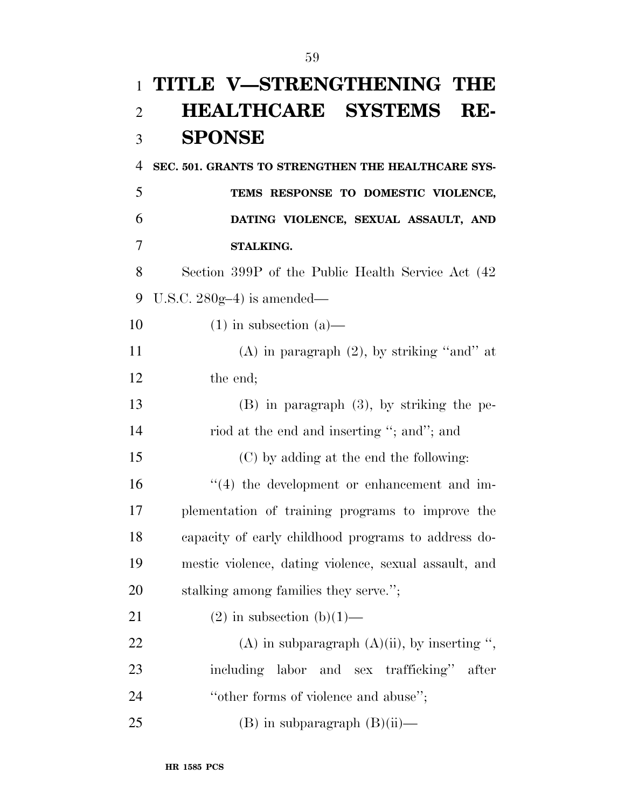| $\mathbf{1}$   | TITLE V-STRENGTHENING THE                             |
|----------------|-------------------------------------------------------|
| $\overline{2}$ | <b>HEALTHCARE SYSTEMS</b><br>RE-                      |
| 3              | <b>SPONSE</b>                                         |
| $\overline{4}$ | SEC. 501. GRANTS TO STRENGTHEN THE HEALTHCARE SYS-    |
| 5              | TEMS RESPONSE TO DOMESTIC VIOLENCE,                   |
| 6              | DATING VIOLENCE, SEXUAL ASSAULT, AND                  |
| 7              | <b>STALKING.</b>                                      |
| 8              | Section 399P of the Public Health Service Act (42)    |
| 9              | U.S.C. $280g-4$ ) is amended—                         |
| 10             | $(1)$ in subsection $(a)$ —                           |
| 11             | $(A)$ in paragraph $(2)$ , by striking "and" at       |
| 12             | the end;                                              |
| 13             | $(B)$ in paragraph $(3)$ , by striking the pe-        |
| 14             | riod at the end and inserting "; and"; and            |
| 15             | (C) by adding at the end the following:               |
| 16             | $(4)$ the development or enhancement and im-          |
| 17             | plementation of training programs to improve the      |
| 18             | capacity of early childhood programs to address do-   |
| 19             | mestic violence, dating violence, sexual assault, and |
| 20             | stalking among families they serve.";                 |
| 21             | $(2)$ in subsection $(b)(1)$ —                        |
| 22             | (A) in subparagraph $(A)(ii)$ , by inserting ",       |
| 23             | including labor and sex trafficking"<br>after         |
| 24             | "other forms of violence and abuse";                  |
| 25             | $(B)$ in subparagraph $(B)(ii)$ —                     |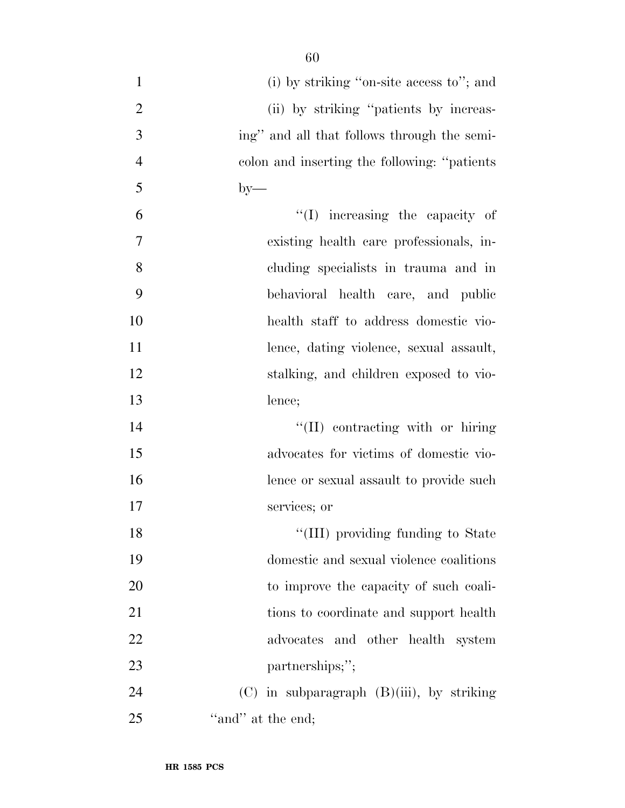| $\mathbf{1}$   | (i) by striking "on-site access to"; and       |
|----------------|------------------------------------------------|
| $\overline{2}$ | (ii) by striking "patients by increas-         |
| 3              | ing" and all that follows through the semi-    |
| $\overline{4}$ | colon and inserting the following: "patients"  |
| 5              | $by-$                                          |
| 6              | $\lq\lq$ increasing the capacity of            |
| $\tau$         | existing health care professionals, in-        |
| 8              | cluding specialists in trauma and in           |
| 9              | behavioral health care, and public             |
| 10             | health staff to address domestic vio-          |
| 11             | lence, dating violence, sexual assault,        |
| 12             | stalking, and children exposed to vio-         |
| 13             | lence;                                         |
| 14             | $\lq\lq$ (II) contracting with or hiring       |
| 15             | advocates for victims of domestic vio-         |
| 16             | lence or sexual assault to provide such        |
| 17             | services; or                                   |
| 18             | "(III) providing funding to State              |
| 19             | domestic and sexual violence coalitions        |
| 20             | to improve the capacity of such coali-         |
| 21             | tions to coordinate and support health         |
| 22             | advocates and other health system              |
| 23             | partnerships;";                                |
| 24             | $(C)$ in subparagraph $(B)(iii)$ , by striking |
| 25             | "and" at the end;                              |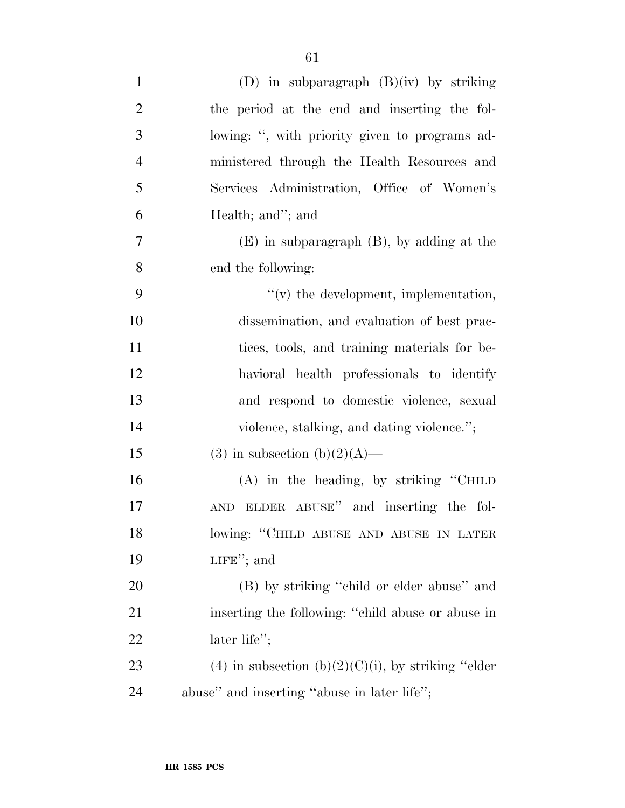| $\mathbf{1}$   | (D) in subparagraph $(B)(iv)$ by striking               |
|----------------|---------------------------------------------------------|
| $\overline{2}$ | the period at the end and inserting the fol-            |
| 3              | lowing: ", with priority given to programs ad-          |
| $\overline{4}$ | ministered through the Health Resources and             |
| 5              | Services Administration, Office of Women's              |
| 6              | Health; and"; and                                       |
| 7              | $(E)$ in subparagraph $(B)$ , by adding at the          |
| 8              | end the following:                                      |
| 9              | $f'(v)$ the development, implementation,                |
| 10             | dissemination, and evaluation of best prac-             |
| 11             | tices, tools, and training materials for be-            |
| 12             | havioral health professionals to identify               |
| 13             | and respond to domestic violence, sexual                |
| 14             | violence, stalking, and dating violence.";              |
| 15             | (3) in subsection (b)(2)(A)—                            |
| 16             | $(A)$ in the heading, by striking "CHILD"               |
| 17             | AND ELDER ABUSE" and inserting the fol-                 |
| 18             | lowing: "CHILD ABUSE AND ABUSE IN LATER                 |
| 19             | $LIFE''$ ; and                                          |
| 20             | (B) by striking "child or elder abuse" and              |
| 21             | inserting the following: "child abuse or abuse in       |
| 22             | later life";                                            |
| 23             | (4) in subsection (b) $(2)(C)(i)$ , by striking "elder" |
| 24             | abuse" and inserting "abuse in later life";             |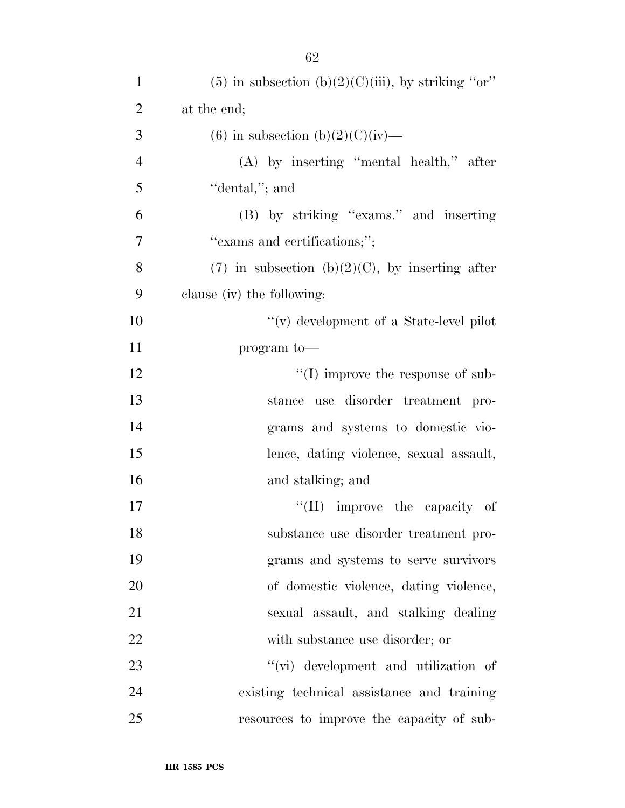| $\mathbf{1}$   | (5) in subsection (b)(2)(C)(iii), by striking "or"   |
|----------------|------------------------------------------------------|
| $\overline{2}$ | at the end;                                          |
| 3              | (6) in subsection (b)(2)(C)(iv)—                     |
| $\overline{4}$ | $(A)$ by inserting "mental health," after            |
| 5              | "dental,"; and                                       |
| 6              | (B) by striking "exams." and inserting               |
| $\overline{7}$ | "exams and certifications;";                         |
| 8              | $(7)$ in subsection $(b)(2)(C)$ , by inserting after |
| 9              | clause (iv) the following:                           |
| 10             | "(v) development of a State-level pilot              |
| 11             | program to-                                          |
| 12             | $\lq\lq$ (I) improve the response of sub-            |
| 13             | stance use disorder treatment pro-                   |
| 14             | grams and systems to domestic vio-                   |
| 15             | lence, dating violence, sexual assault,              |
| 16             | and stalking; and                                    |
| 17             | $\lq\lq$ (II) improve the capacity of                |
| 18             | substance use disorder treatment pro-                |
| 19             | grams and systems to serve survivors                 |
| 20             | of domestic violence, dating violence,               |
| 21             | sexual assault, and stalking dealing                 |
| 22             | with substance use disorder; or                      |
| 23             | "(vi) development and utilization of                 |
| 24             | existing technical assistance and training           |
| 25             | resources to improve the capacity of sub-            |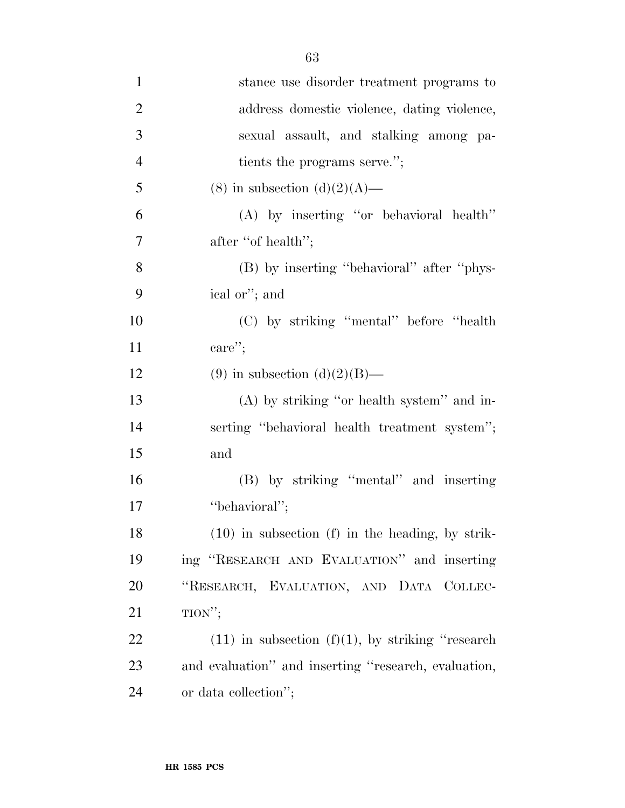| $\mathbf{1}$   | stance use disorder treatment programs to              |
|----------------|--------------------------------------------------------|
| $\overline{2}$ | address domestic violence, dating violence,            |
| 3              | sexual assault, and stalking among pa-                 |
| $\overline{4}$ | tients the programs serve.";                           |
| 5              | $(8)$ in subsection $(d)(2)(A)$ —                      |
| 6              | (A) by inserting "or behavioral health"                |
| $\overline{7}$ | after "of health";                                     |
| 8              | (B) by inserting "behavioral" after "phys-             |
| 9              | ical or"; and                                          |
| 10             | (C) by striking "mental" before "health"               |
| 11             | care''                                                 |
| 12             | $(9)$ in subsection $(d)(2)(B)$ —                      |
| 13             | $(A)$ by striking "or health system" and in-           |
| 14             | serting "behavioral health treatment system";          |
| 15             | and                                                    |
| 16             | (B) by striking "mental" and inserting                 |
| 17             | "behavioral";                                          |
| 18             | $(10)$ in subsection $(f)$ in the heading, by strik-   |
| 19             | ing "RESEARCH AND EVALUATION" and inserting            |
| 20             | "RESEARCH, EVALUATION, AND DATA COLLEC-                |
| 21             | $TION$ ";                                              |
| 22             | $(11)$ in subsection $(f)(1)$ , by striking "research" |
| 23             | and evaluation" and inserting "research, evaluation,   |
| 24             | or data collection";                                   |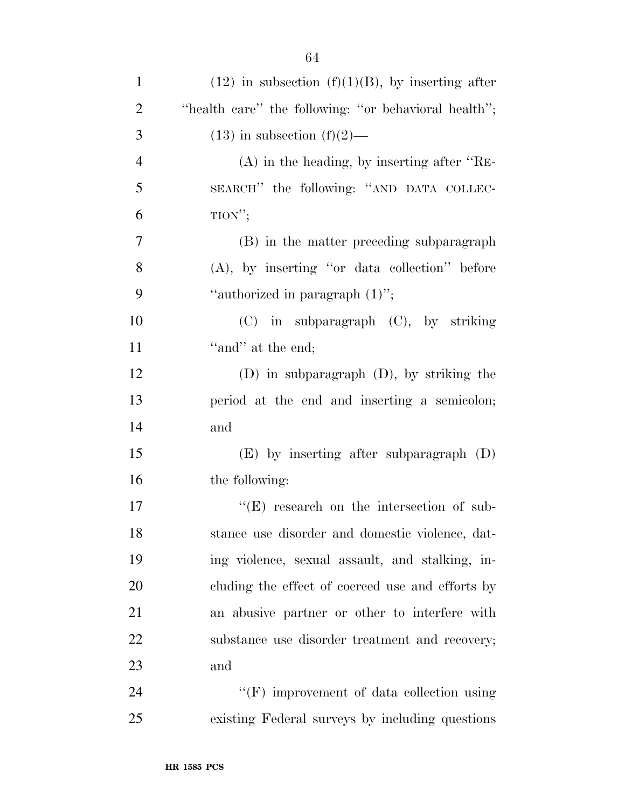| $\mathbf{1}$   | $(12)$ in subsection $(f)(1)(B)$ , by inserting after |
|----------------|-------------------------------------------------------|
| $\overline{2}$ | "health care" the following: "or behavioral health";  |
| 3              | $(13)$ in subsection $(f)(2)$ —                       |
| $\overline{4}$ | $(A)$ in the heading, by inserting after "RE-         |
| 5              | SEARCH" the following: "AND DATA COLLEC-              |
| 6              | $TION''$ ;                                            |
| 7              | (B) in the matter preceding subparagraph              |
| 8              | $(A)$ , by inserting "or data collection" before      |
| 9              | "authorized in paragraph $(1)$ ";                     |
| 10             | $(C)$ in subparagraph $(C)$ , by striking             |
| 11             | "and" at the end;                                     |
| 12             | $(D)$ in subparagraph $(D)$ , by striking the         |
| 13             | period at the end and inserting a semicolon;          |
| 14             | and                                                   |
| 15             | $(E)$ by inserting after subparagraph $(D)$           |
| 16             | the following:                                        |
| 17             | $\lq\lq(E)$ research on the intersection of sub-      |
| 18             | stance use disorder and domestic violence, dat-       |
| 19             | ing violence, sexual assault, and stalking, in-       |
| 20             | cluding the effect of coerced use and efforts by      |
| 21             | an abusive partner or other to interfere with         |
| 22             | substance use disorder treatment and recovery;        |
| 23             | and                                                   |
| 24             | $\lq\lq(F)$ improvement of data collection using      |
| 25             | existing Federal surveys by including questions       |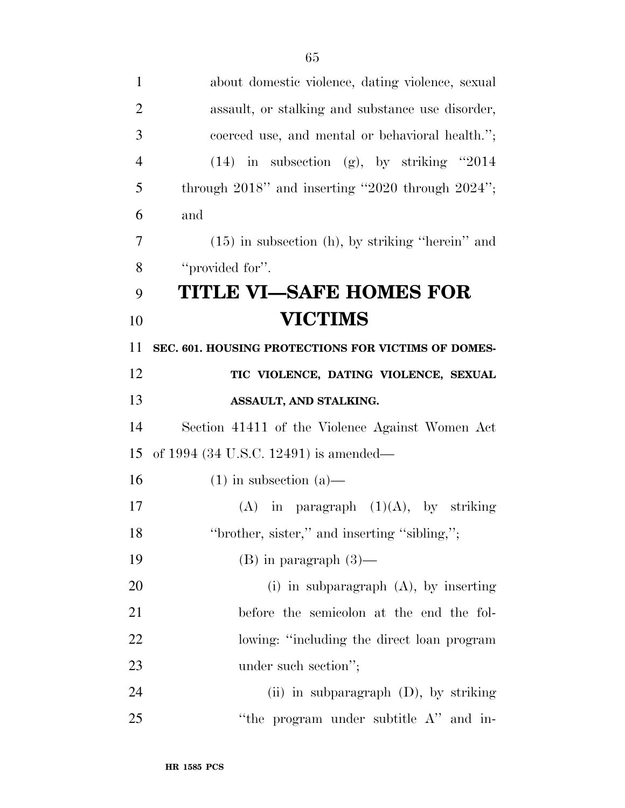| $\mathbf{1}$   | about domestic violence, dating violence, sexual       |
|----------------|--------------------------------------------------------|
| $\overline{2}$ | assault, or stalking and substance use disorder,       |
| 3              | coerced use, and mental or behavioral health.";        |
| 4              | $(14)$ in subsection (g), by striking "2014            |
| 5              | through $2018$ " and inserting "2020 through $2024$ "; |
| 6              | and                                                    |
| 7              | $(15)$ in subsection (h), by striking "herein" and     |
| 8              | "provided for".                                        |
| 9              | <b>TITLE VI-SAFE HOMES FOR</b>                         |
| 10             | <b>VICTIMS</b>                                         |
| 11             | SEC. 601. HOUSING PROTECTIONS FOR VICTIMS OF DOMES-    |
| 12             | TIC VIOLENCE, DATING VIOLENCE, SEXUAL                  |
| 13             | ASSAULT, AND STALKING.                                 |
| 14             | Section 41411 of the Violence Against Women Act        |
| 15             | of 1994 (34 U.S.C. 12491) is amended—                  |
| 16             | $(1)$ in subsection $(a)$ —                            |
| 17             | $(A)$ in paragraph $(1)(A)$ , by striking              |
| 18             | "brother, sister," and inserting "sibling,";           |
| 19             | $(B)$ in paragraph $(3)$ —                             |
| 20             | (i) in subparagraph $(A)$ , by inserting               |
| 21             | before the semicolon at the end the fol-               |
| 22             | lowing: "including the direct loan program             |
| 23             | under such section";                                   |
| 24             | (ii) in subparagraph (D), by striking                  |
| 25             | "the program under subtitle $A$ " and in-              |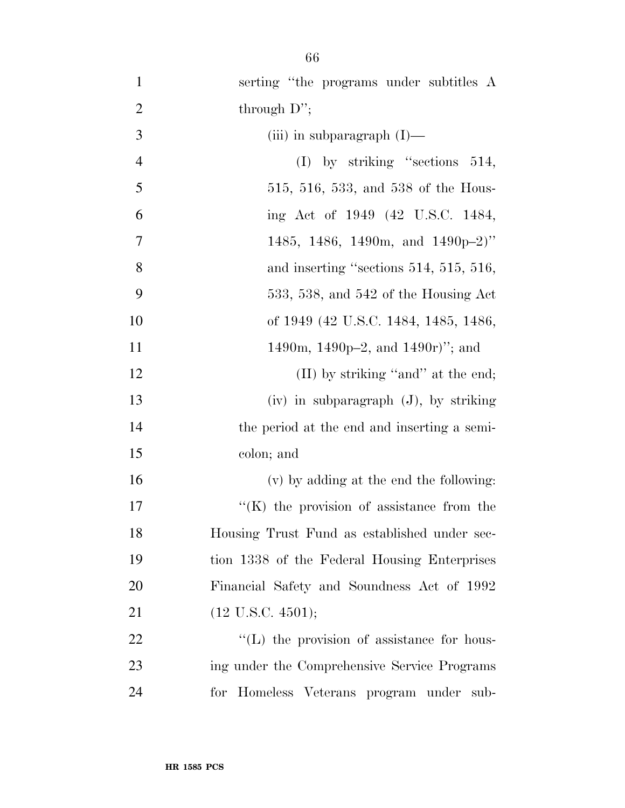| $\mathbf{1}$   | serting "the programs under subtitles A           |
|----------------|---------------------------------------------------|
| $\overline{2}$ | through $D''$ ;                                   |
| 3              | (iii) in subparagraph $(I)$ —                     |
| $\overline{4}$ | (I) by striking "sections $514$ ,                 |
| 5              | 515, 516, 533, and 538 of the Hous-               |
| 6              | ing Act of 1949 (42 U.S.C. 1484,                  |
| $\overline{7}$ | 1485, 1486, 1490m, and $1490p-2$ "                |
| 8              | and inserting "sections 514, 515, 516,            |
| 9              | $533, 538,$ and $542$ of the Housing Act          |
| 10             | of 1949 (42 U.S.C. 1484, 1485, 1486,              |
| 11             | 1490m, 1490p-2, and 1490r)"; and                  |
| 12             | $(II)$ by striking "and" at the end;              |
| 13             | $(iv)$ in subparagraph $(J)$ , by striking        |
| 14             | the period at the end and inserting a semi-       |
| 15             | colon; and                                        |
| 16             | (v) by adding at the end the following:           |
| 17             | $\lq\lq$ (K) the provision of assistance from the |
| 18             | Housing Trust Fund as established under sec-      |
| 19             | tion 1338 of the Federal Housing Enterprises      |
| 20             | Financial Safety and Soundness Act of 1992        |
| 21             | $(12$ U.S.C. $4501)$ ;                            |
| 22             | "(L) the provision of assistance for hous-        |
| 23             | ing under the Comprehensive Service Programs      |
| 24             | for Homeless Veterans program under sub-          |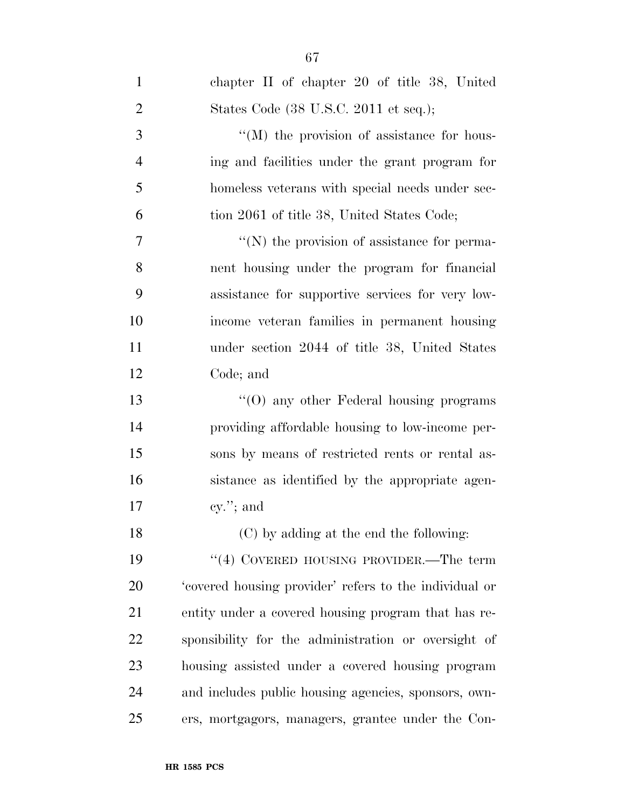| $\mathbf{1}$   | chapter II of chapter 20 of title 38, United           |
|----------------|--------------------------------------------------------|
| $\overline{2}$ | States Code (38 U.S.C. 2011 et seq.);                  |
| 3              | "(M) the provision of assistance for hous-             |
| $\overline{4}$ | ing and facilities under the grant program for         |
| 5              | homeless veterans with special needs under sec-        |
| 6              | tion 2061 of title 38, United States Code;             |
| 7              | $\lq\lq(N)$ the provision of assistance for perma-     |
| 8              | nent housing under the program for financial           |
| 9              | assistance for supportive services for very low-       |
| 10             | income veteran families in permanent housing           |
| 11             | under section 2044 of title 38, United States          |
| 12             | Code; and                                              |
| 13             | $"(0)$ any other Federal housing programs              |
| 14             | providing affordable housing to low-income per-        |
| 15             | sons by means of restricted rents or rental as-        |
| 16             | sistance as identified by the appropriate agen-        |
| 17             | $cy.'$ ; and                                           |
| 18             | (C) by adding at the end the following:                |
| 19             | "(4) COVERED HOUSING PROVIDER.—The term                |
| 20             | 'covered housing provider' refers to the individual or |
| 21             | entity under a covered housing program that has re-    |
| 22             | sponsibility for the administration or oversight of    |
| 23             | housing assisted under a covered housing program       |
| 24             | and includes public housing agencies, sponsors, own-   |
| 25             | ers, mortgagors, managers, grantee under the Con-      |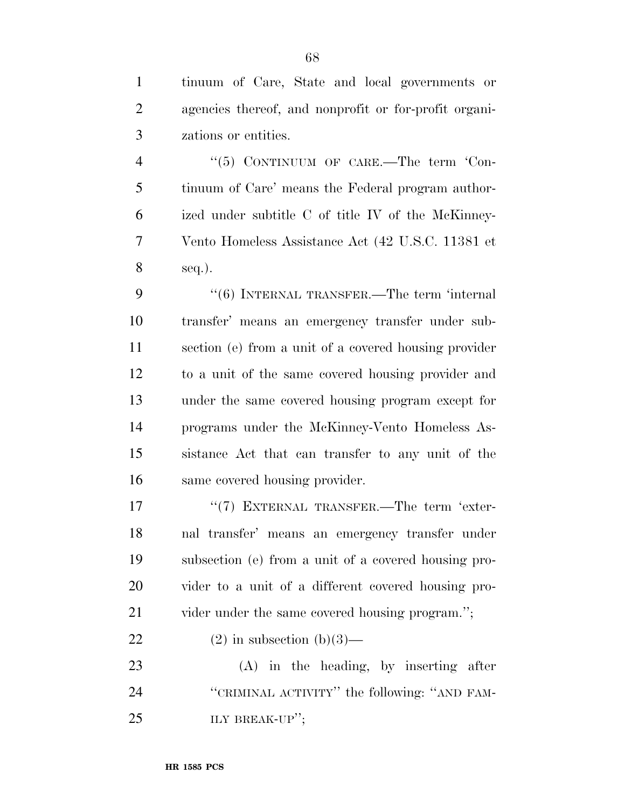|           | tinuum of Care, State and local governments or        |
|-----------|-------------------------------------------------------|
|           | agencies thereof, and nonprofit or for-profit organi- |
| $3 \quad$ | zations or entities.                                  |

4 "(5) CONTINUUM OF CARE.—The term 'Con- tinuum of Care' means the Federal program author- ized under subtitle C of title IV of the McKinney- Vento Homeless Assistance Act (42 U.S.C. 11381 et seq.).

9 "(6) INTERNAL TRANSFER.—The term 'internal transfer' means an emergency transfer under sub- section (e) from a unit of a covered housing provider to a unit of the same covered housing provider and under the same covered housing program except for programs under the McKinney-Vento Homeless As- sistance Act that can transfer to any unit of the same covered housing provider.

17 ''(7) EXTERNAL TRANSFER.—The term 'exter- nal transfer' means an emergency transfer under subsection (e) from a unit of a covered housing pro- vider to a unit of a different covered housing pro-21 vider under the same covered housing program.";

## 22 (2) in subsection  $(b)(3)$ —

 (A) in the heading, by inserting after ''CRIMINAL ACTIVITY'' the following: ''AND FAM-25 ILY BREAK-UP";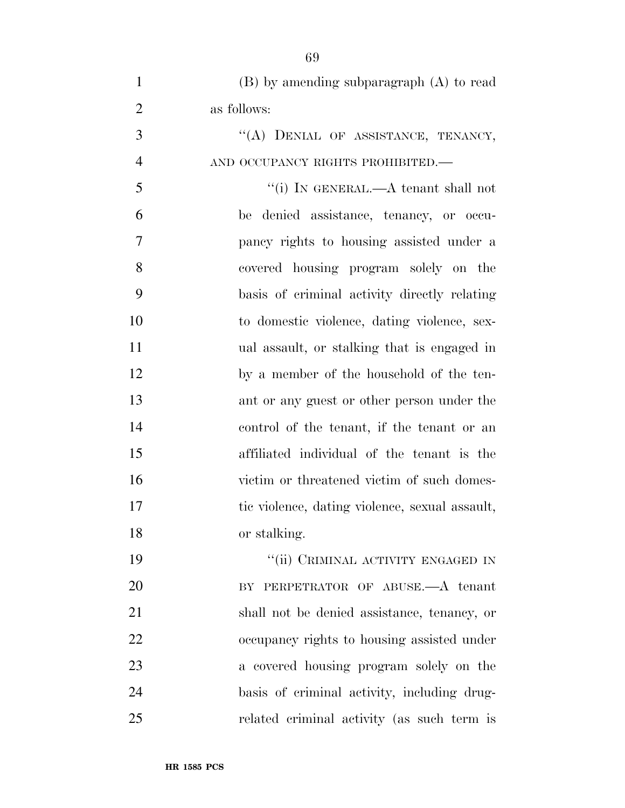| $\mathbf{1}$   | $(B)$ by amending subparagraph $(A)$ to read   |
|----------------|------------------------------------------------|
| $\overline{2}$ | as follows:                                    |
| 3              | "(A) DENIAL OF ASSISTANCE, TENANCY,            |
| $\overline{4}$ | AND OCCUPANCY RIGHTS PROHIBITED.               |
| 5              | "(i) IN GENERAL.—A tenant shall not            |
| 6              | be denied assistance, tenancy, or occu-        |
| 7              | pancy rights to housing assisted under a       |
| 8              | covered housing program solely on the          |
| 9              | basis of criminal activity directly relating   |
| 10             | to domestic violence, dating violence, sex-    |
| 11             | ual assault, or stalking that is engaged in    |
| 12             | by a member of the household of the ten-       |
| 13             | ant or any guest or other person under the     |
| 14             | control of the tenant, if the tenant or an     |
| 15             | affiliated individual of the tenant is the     |
| 16             | victim or threatened victim of such domes-     |
| 17             | tic violence, dating violence, sexual assault, |
| 18             | or stalking.                                   |
| 19             | "(ii) CRIMINAL ACTIVITY ENGAGED IN             |
| 20             | BY PERPETRATOR OF ABUSE.—A tenant              |
| 21             | shall not be denied assistance, tenancy, or    |
| 22             | occupancy rights to housing assisted under     |
| 23             | a covered housing program solely on the        |
| 24             | basis of criminal activity, including drug-    |
| 25             | related criminal activity (as such term is     |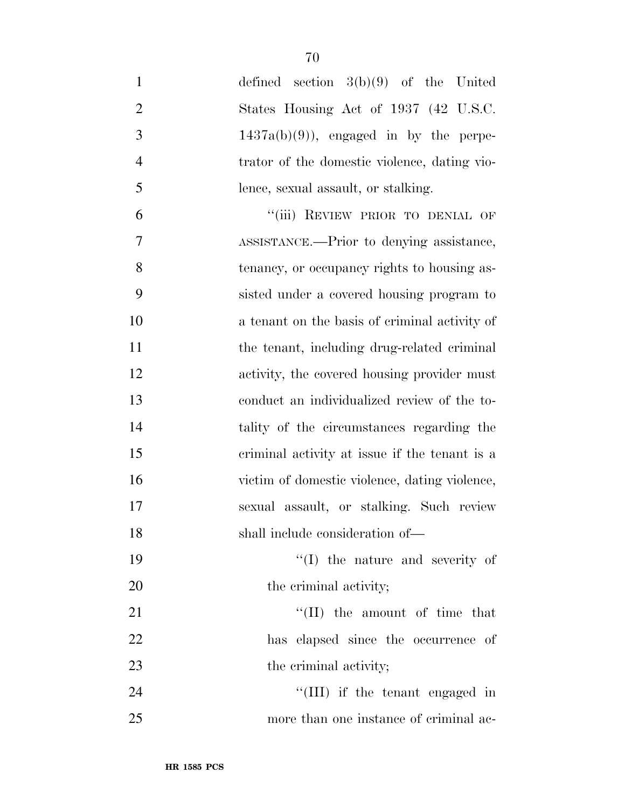| $\mathbf{1}$   | defined section $3(b)(9)$ of the United       |
|----------------|-----------------------------------------------|
| $\overline{2}$ | States Housing Act of 1937 (42 U.S.C.         |
| 3              | $1437a(b)(9)$ , engaged in by the perpe-      |
| $\overline{4}$ | trator of the domestic violence, dating vio-  |
| 5              | lence, sexual assault, or stalking.           |
| 6              | "(iii) REVIEW PRIOR TO DENIAL OF              |
| 7              | ASSISTANCE.—Prior to denying assistance,      |
| 8              | tenancy, or occupancy rights to housing as-   |
| 9              | sisted under a covered housing program to     |
| 10             | a tenant on the basis of criminal activity of |
| 11             | the tenant, including drug-related criminal   |
| 12             | activity, the covered housing provider must   |
| 13             | conduct an individualized review of the to-   |
| 14             | tality of the circumstances regarding the     |
| 15             | criminal activity at issue if the tenant is a |
| 16             | victim of domestic violence, dating violence, |
| 17             | sexual assault, or stalking. Such review      |
| 18             | shall include consideration of-               |
| 19             | "(I) the nature and severity of               |
| 20             | the criminal activity;                        |
| 21             | $\lq\lq$ (II) the amount of time that         |
| 22             | has elapsed since the occurrence of           |
| 23             | the criminal activity;                        |
| 24             | $\lq\lq$ (III) if the tenant engaged in       |
| 25             | more than one instance of criminal ac-        |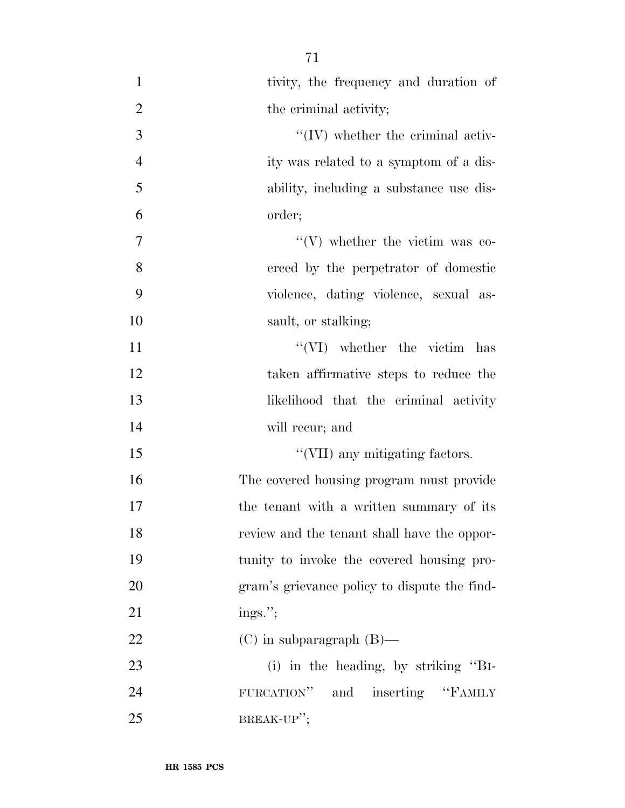| $\mathbf{1}$   | tivity, the frequency and duration of        |
|----------------|----------------------------------------------|
| $\overline{2}$ | the criminal activity;                       |
| 3              | $\lq\lq$ (IV) whether the criminal activ-    |
| $\overline{4}$ | ity was related to a symptom of a dis-       |
| 5              | ability, including a substance use dis-      |
| 6              | order;                                       |
| $\overline{7}$ | "(V) whether the victim was co-              |
| 8              | erced by the perpetrator of domestic         |
| 9              | violence, dating violence, sexual as-        |
| 10             | sault, or stalking;                          |
| 11             | $\lq\lq$ (VI) whether the victim has         |
| 12             | taken affirmative steps to reduce the        |
| 13             | likelihood that the criminal activity        |
| 14             | will recur; and                              |
| 15             | "(VII) any mitigating factors.               |
| 16             | The covered housing program must provide     |
| 17             | the tenant with a written summary of its     |
| 18             | review and the tenant shall have the oppor-  |
| 19             | tunity to invoke the covered housing pro-    |
| 20             | gram's grievance policy to dispute the find- |
| 21             | ings.";                                      |
| 22             | $(C)$ in subparagraph $(B)$ —                |
| 23             | (i) in the heading, by striking "BI-         |
| 24             | FURCATION" and inserting "FAMILY             |
| 25             | BREAK-UP";                                   |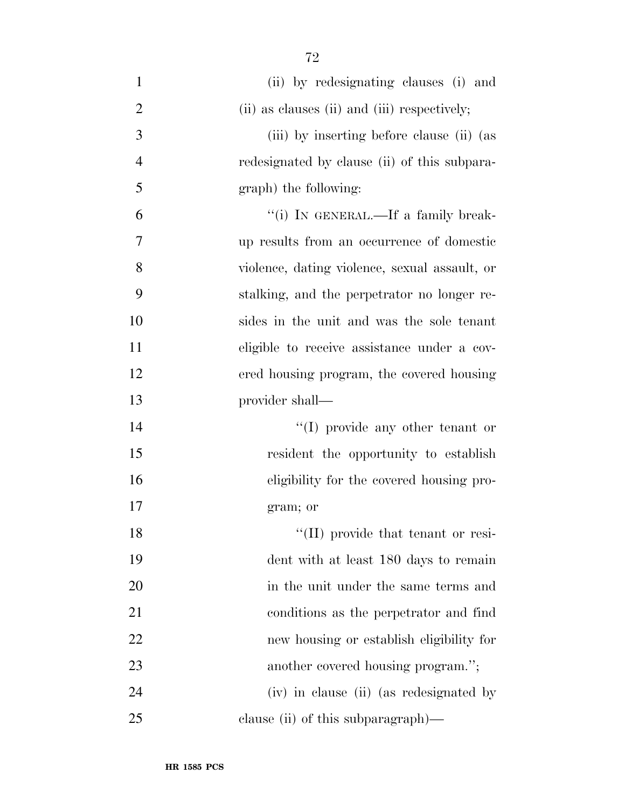(ii) by redesignating clauses (i) and 2 (ii) as clauses (ii) and (iii) respectively; (iii) by inserting before clause (ii) (as redesignated by clause (ii) of this subpara- graph) the following: 6 "(i) In GENERAL.—If a family break- up results from an occurrence of domestic violence, dating violence, sexual assault, or stalking, and the perpetrator no longer re- sides in the unit and was the sole tenant eligible to receive assistance under a cov- ered housing program, the covered housing provider shall—  $\text{``(I)}$  provide any other tenant or resident the opportunity to establish eligibility for the covered housing pro- gram; or 18 ''(II) provide that tenant or resi- dent with at least 180 days to remain 20 in the unit under the same terms and conditions as the perpetrator and find new housing or establish eligibility for 23 another covered housing program."; (iv) in clause (ii) (as redesignated by clause (ii) of this subparagraph)—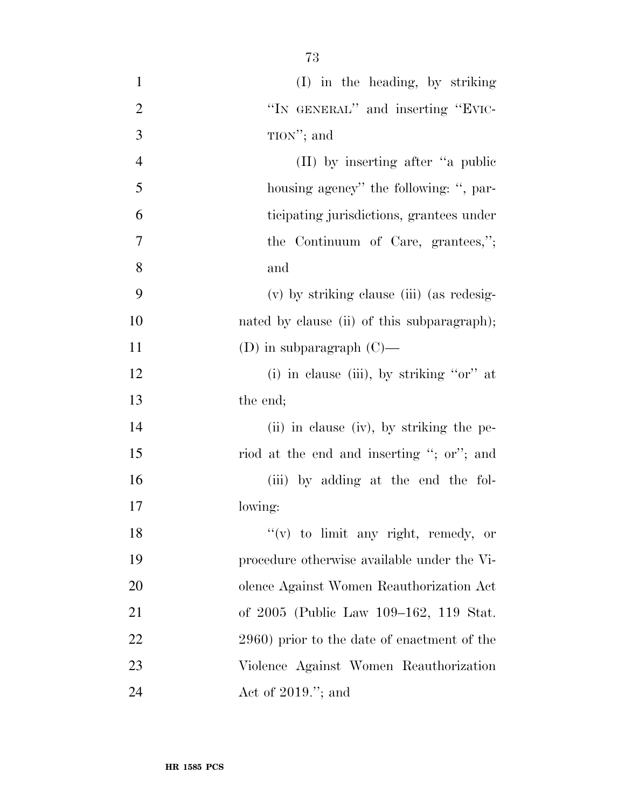| $\mathbf{1}$   | (I) in the heading, by striking              |
|----------------|----------------------------------------------|
| $\overline{2}$ | "IN GENERAL" and inserting "EVIC-            |
| 3              | $TION''$ ; and                               |
| $\overline{4}$ | (II) by inserting after "a public            |
| 5              | housing agency" the following: ", par-       |
| 6              | ticipating jurisdictions, grantees under     |
| 7              | the Continuum of Care, grantees,";           |
| 8              | and                                          |
| 9              | (v) by striking clause (iii) (as redesig-    |
| 10             | nated by clause (ii) of this subparagraph);  |
| 11             | (D) in subparagraph $(C)$ —                  |
| 12             | (i) in clause (iii), by striking " $or$ " at |
| 13             | the end;                                     |
| 14             | (ii) in clause (iv), by striking the pe-     |
| 15             | riod at the end and inserting "; or"; and    |
| 16             | (iii) by adding at the end the fol-          |
| 17             | lowing:                                      |
| 18             | $f'(v)$ to limit any right, remedy, or       |
| 19             | procedure otherwise available under the Vi-  |
| 20             | olence Against Women Reauthorization Act     |
| 21             | of 2005 (Public Law 109–162, 119 Stat.       |
| 22             | 2960) prior to the date of enactment of the  |
| 23             | Violence Against Women Reauthorization       |
| 24             | Act of $2019$ ."; and                        |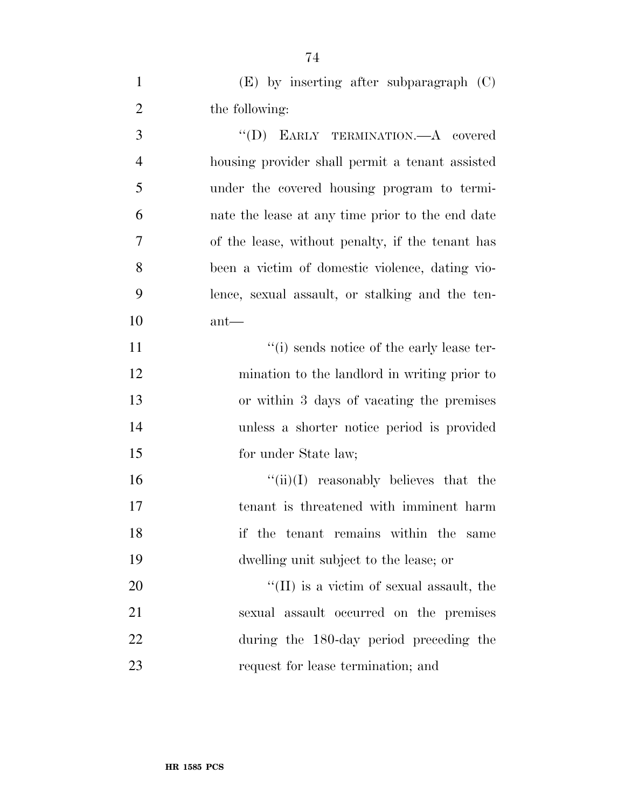| $\mathbf{1}$   | $(E)$ by inserting after subparagraph $(C)$      |
|----------------|--------------------------------------------------|
| $\overline{2}$ | the following:                                   |
| 3              | "(D) EARLY TERMINATION.—A covered                |
| $\overline{4}$ | housing provider shall permit a tenant assisted  |
| 5              | under the covered housing program to termi-      |
| 6              | nate the lease at any time prior to the end date |
| 7              | of the lease, without penalty, if the tenant has |
| 8              | been a victim of domestic violence, dating vio-  |
| 9              | lence, sexual assault, or stalking and the ten-  |
| 10             | $ant$ —                                          |
| 11             | "(i) sends notice of the early lease ter-        |
| 12             | mination to the landlord in writing prior to     |
| 13             | or within 3 days of vacating the premises        |
| 14             | unless a shorter notice period is provided       |
| 15             | for under State law;                             |
| 16             | $\lq\lq$ (ii)(I) reasonably believes that the    |
| 17             | tenant is threatened with imminent harm          |
| 18             | if the tenant remains within the<br>same         |
| 19             | dwelling unit subject to the lease; or           |
|                |                                                  |

 $\text{``(II)}$  is a victim of sexual assault, the sexual assault occurred on the premises during the 180-day period preceding the 23 request for lease termination; and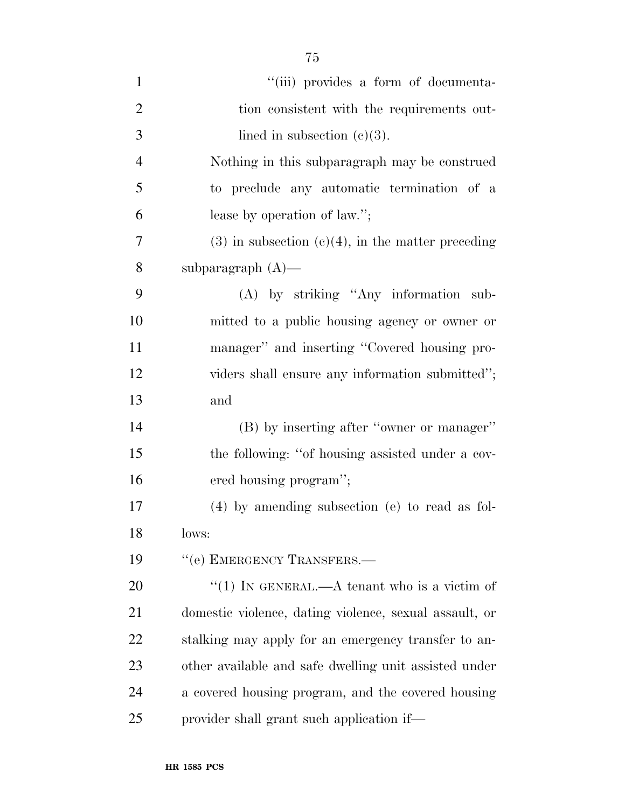| $\mathbf{1}$   | "(iii) provides a form of documenta-                   |
|----------------|--------------------------------------------------------|
| $\overline{2}$ | tion consistent with the requirements out-             |
| 3              | lined in subsection $(c)(3)$ .                         |
| $\overline{4}$ | Nothing in this subparagraph may be construed          |
| 5              | to preclude any automatic termination of a             |
| 6              | lease by operation of law.";                           |
| 7              | $(3)$ in subsection $(c)(4)$ , in the matter preceding |
| 8              | subparagraph $(A)$ —                                   |
| 9              | (A) by striking "Any information sub-                  |
| 10             | mitted to a public housing agency or owner or          |
| 11             | manager" and inserting "Covered housing pro-           |
| 12             | viders shall ensure any information submitted";        |
| 13             | and                                                    |
| 14             | (B) by inserting after "owner or manager"              |
| 15             | the following: "of housing assisted under a cov-       |
| 16             | ered housing program";                                 |
| 17             | $(4)$ by amending subsection (e) to read as fol-       |
| 18             | lows:                                                  |
| 19             | "(e) EMERGENCY TRANSFERS.-                             |
| 20             | "(1) IN GENERAL.— $A$ tenant who is a victim of        |
| 21             | domestic violence, dating violence, sexual assault, or |
| 22             | stalking may apply for an emergency transfer to an-    |
| 23             | other available and safe dwelling unit assisted under  |
| 24             | a covered housing program, and the covered housing     |
| 25             | provider shall grant such application if—              |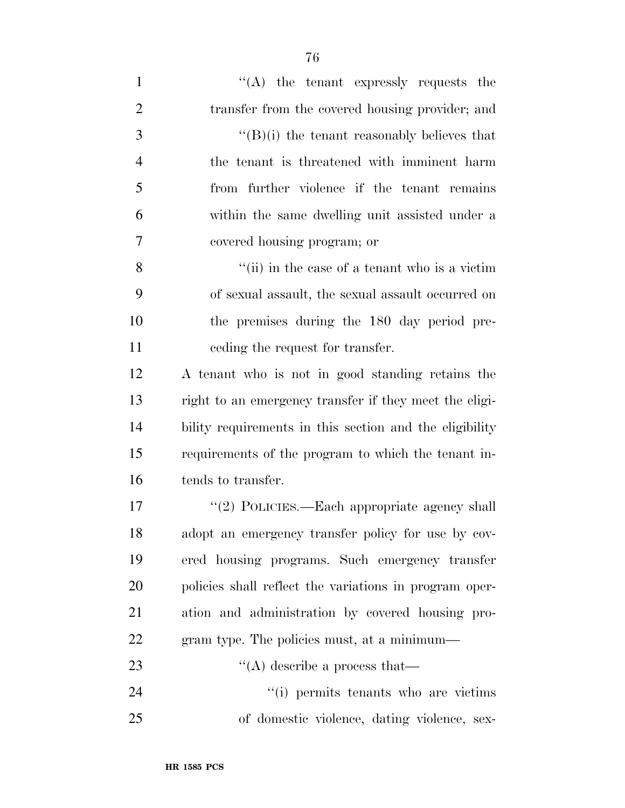| $\mathbf{1}$   | "(A) the tenant expressly requests the                  |
|----------------|---------------------------------------------------------|
| $\overline{2}$ | transfer from the covered housing provider; and         |
| 3              | $\lq\lq(B)(i)$ the tenant reasonably believes that      |
| $\overline{4}$ | the tenant is threatened with imminent harm             |
| 5              | from further violence if the tenant remains             |
| 6              | within the same dwelling unit assisted under a          |
| 7              | covered housing program; or                             |
| 8              | "(ii) in the case of a tenant who is a victim           |
| 9              | of sexual assault, the sexual assault occurred on       |
| 10             | the premises during the 180 day period pre-             |
| 11             | eeding the request for transfer.                        |
| 12             | A tenant who is not in good standing retains the        |
| 13             | right to an emergency transfer if they meet the eligi-  |
| 14             | bility requirements in this section and the eligibility |
| 15             | requirements of the program to which the tenant in-     |
| 16             | tends to transfer.                                      |
| 17             | "(2) POLICIES.—Each appropriate agency shall            |
| 18             | adopt an emergency transfer policy for use by cov-      |
| 19             | ered housing programs. Such emergency transfer          |
| 20             | policies shall reflect the variations in program oper-  |
| 21             | ation and administration by covered housing pro-        |
| 22             | gram type. The policies must, at a minimum—             |
| 23             | "(A) describe a process that—                           |
| 24             | "(i) permits tenants who are victims                    |
| 25             | of domestic violence, dating violence, sex-             |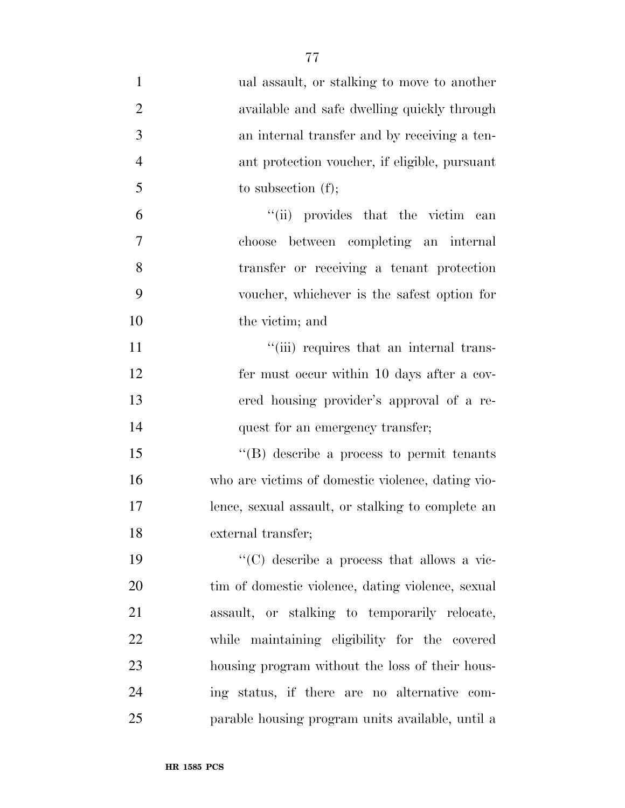| $\mathbf{1}$   | ual assault, or stalking to move to another       |
|----------------|---------------------------------------------------|
| $\overline{2}$ | available and safe dwelling quickly through       |
| 3              | an internal transfer and by receiving a ten-      |
| $\overline{4}$ | ant protection voucher, if eligible, pursuant     |
| 5              | to subsection $(f)$ ;                             |
| 6              | "(ii) provides that the victim can                |
| $\tau$         | choose between completing an internal             |
| 8              | transfer or receiving a tenant protection         |
| 9              | voucher, whichever is the safest option for       |
| 10             | the victim; and                                   |
| 11             | "(iii) requires that an internal trans-           |
| 12             | fer must occur within 10 days after a cov-        |
| 13             | ered housing provider's approval of a re-         |
| 14             | quest for an emergency transfer;                  |
| 15             | $\lq\lq (B)$ describe a process to permit tenants |
| 16             | who are victims of domestic violence, dating vio- |
| 17             | lence, sexual assault, or stalking to complete an |
| 18             | external transfer;                                |
| 19             | "(C) describe a process that allows a vic-        |
| 20             | tim of domestic violence, dating violence, sexual |
| 21             | assault, or stalking to temporarily relocate,     |
| 22             | while maintaining eligibility for the covered     |
| 23             | housing program without the loss of their hous-   |
| 24             | ing status, if there are no alternative com-      |
| 25             | parable housing program units available, until a  |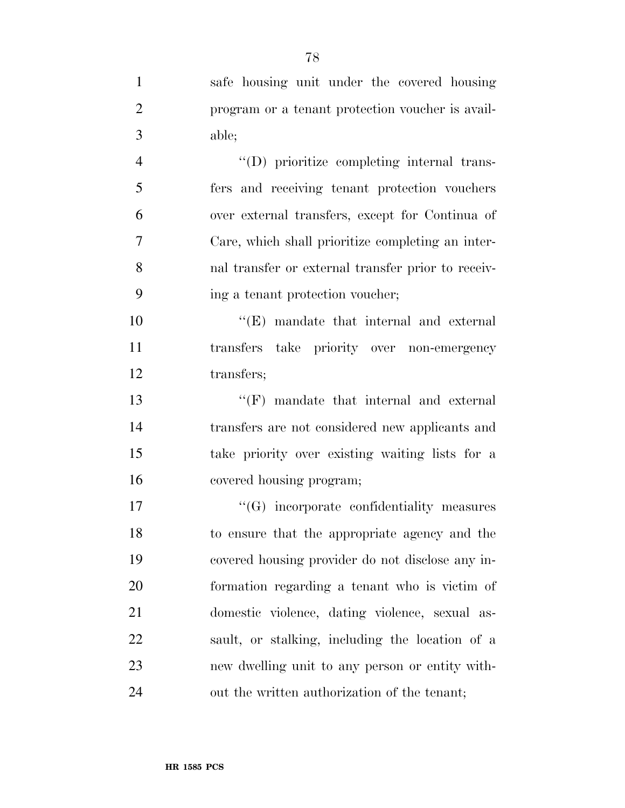| $\mathbf{1}$   | safe housing unit under the covered housing        |
|----------------|----------------------------------------------------|
| $\overline{2}$ | program or a tenant protection voucher is avail-   |
| 3              | able;                                              |
| $\overline{4}$ | "(D) prioritize completing internal trans-         |
| 5              | fers and receiving tenant protection vouchers      |
| 6              | over external transfers, except for Continua of    |
| $\overline{7}$ | Care, which shall prioritize completing an inter-  |
| 8              | nal transfer or external transfer prior to receiv- |
| 9              | ing a tenant protection voucher;                   |
| 10             | $\lq\lq(E)$ mandate that internal and external     |
| 11             | transfers take priority over non-emergency         |
| 12             | transfers;                                         |
| 13             | $\lq\lq(F)$ mandate that internal and external     |
| 14             | transfers are not considered new applicants and    |
| 15             | take priority over existing waiting lists for a    |
| 16             | covered housing program;                           |
| 17             | $\lq\lq(G)$ incorporate confidentiality measures   |
| 18             | to ensure that the appropriate agency and the      |
| 19             | covered housing provider do not disclose any in-   |
| 20             | formation regarding a tenant who is victim of      |
| 21             | domestic violence, dating violence, sexual as-     |
| 22             | sault, or stalking, including the location of a    |
| 23             | new dwelling unit to any person or entity with-    |
| 24             | out the written authorization of the tenant;       |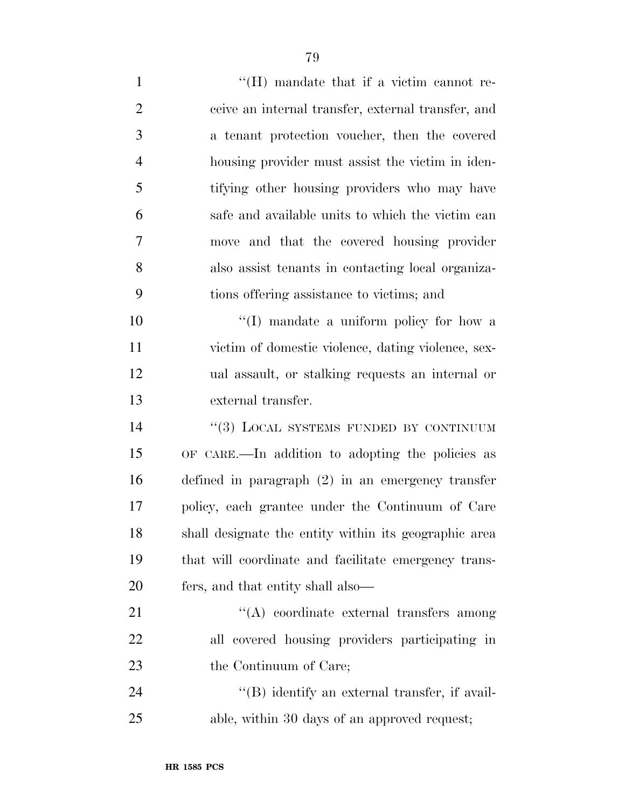| $\mathbf{1}$   | $H(H)$ mandate that if a victim cannot re-            |
|----------------|-------------------------------------------------------|
| $\overline{2}$ | ceive an internal transfer, external transfer, and    |
| 3              | a tenant protection voucher, then the covered         |
| $\overline{4}$ | housing provider must assist the victim in iden-      |
| 5              | tifying other housing providers who may have          |
| 6              | safe and available units to which the victim can      |
| 7              | move and that the covered housing provider            |
| 8              | also assist tenants in contacting local organiza-     |
| 9              | tions offering assistance to victims; and             |
| 10             | "(I) mandate a uniform policy for how a               |
| 11             | victim of domestic violence, dating violence, sex-    |
| 12             | ual assault, or stalking requests an internal or      |
| 13             | external transfer.                                    |
| 14             | "(3) LOCAL SYSTEMS FUNDED BY CONTINUUM                |
| 15             | OF CARE.—In addition to adopting the policies as      |
| 16             | defined in paragraph $(2)$ in an emergency transfer   |
| 17             | policy, each grantee under the Continuum of Care      |
| 18             | shall designate the entity within its geographic area |
| 19             | that will coordinate and facilitate emergency trans-  |
| 20             | fers, and that entity shall also—                     |
| 21             | "(A) coordinate external transfers among              |
| 22             | all covered housing providers participating in        |
| 23             | the Continuum of Care;                                |
| 24             | $\lq\lq (B)$ identify an external transfer, if avail- |
| 25             | able, within 30 days of an approved request;          |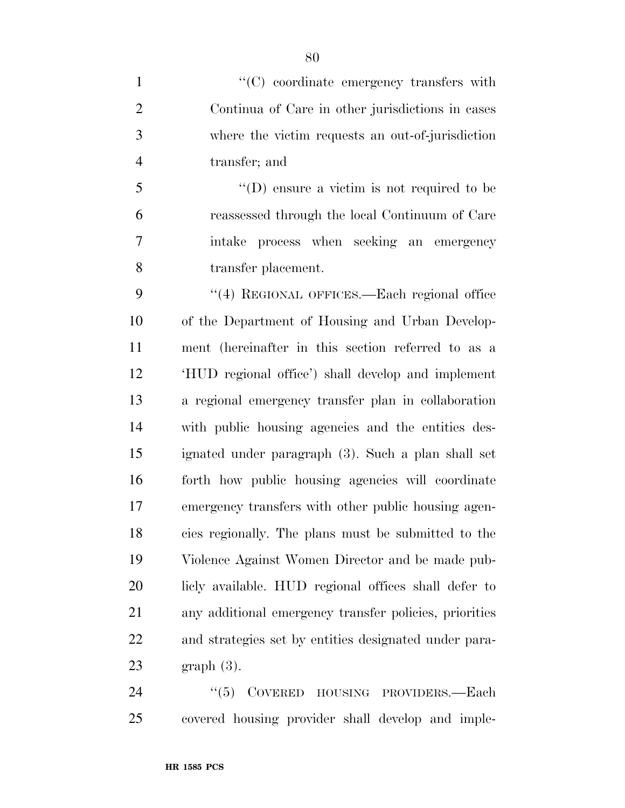$\lq(0)$  coordinate emergency transfers with Continua of Care in other jurisdictions in cases where the victim requests an out-of-jurisdiction transfer; and

 ''(D) ensure a victim is not required to be reassessed through the local Continuum of Care intake process when seeking an emergency transfer placement.

9 "(4) REGIONAL OFFICES.—Each regional office of the Department of Housing and Urban Develop- ment (hereinafter in this section referred to as a 'HUD regional office') shall develop and implement a regional emergency transfer plan in collaboration with public housing agencies and the entities des- ignated under paragraph (3). Such a plan shall set forth how public housing agencies will coordinate emergency transfers with other public housing agen- cies regionally. The plans must be submitted to the Violence Against Women Director and be made pub- licly available. HUD regional offices shall defer to any additional emergency transfer policies, priorities and strategies set by entities designated under para-graph (3).

24 "(5) COVERED HOUSING PROVIDERS.—Each covered housing provider shall develop and imple-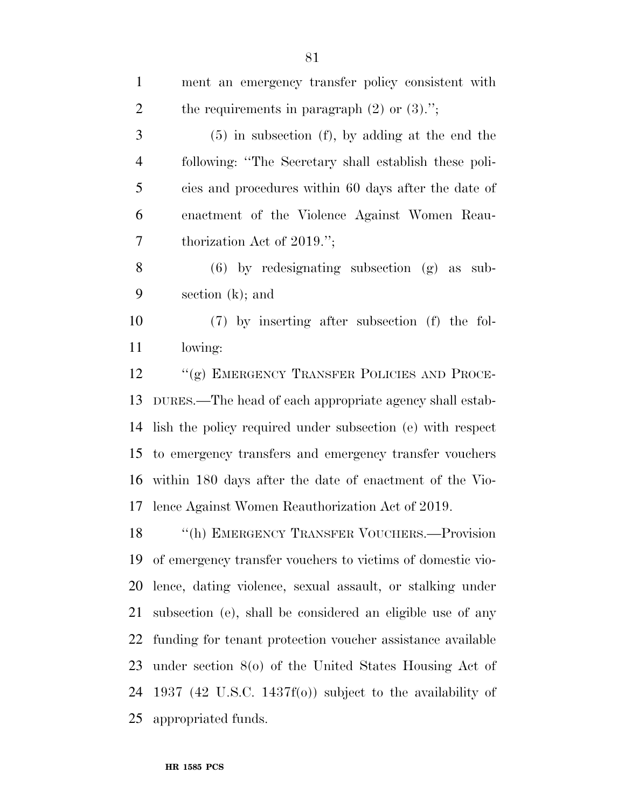| $\mathbf{1}$   | ment an emergency transfer policy consistent with               |
|----------------|-----------------------------------------------------------------|
| $\overline{2}$ | the requirements in paragraph $(2)$ or $(3)$ .";                |
| 3              | $(5)$ in subsection $(f)$ , by adding at the end the            |
| $\overline{4}$ | following: "The Secretary shall establish these poli-           |
| 5              | cies and procedures within 60 days after the date of            |
| 6              | enactment of the Violence Against Women Reau-                   |
| 7              | thorization Act of $2019$ .";                                   |
| 8              | $(6)$ by redesignating subsection $(g)$ as sub-                 |
| 9              | section $(k)$ ; and                                             |
| 10             | $(7)$ by inserting after subsection $(f)$ the fol-              |
| 11             | lowing:                                                         |
| 12             | "(g) EMERGENCY TRANSFER POLICIES AND PROCE-                     |
| 13             | DURES.—The head of each appropriate agency shall estab-         |
| 14             | lish the policy required under subsection (e) with respect      |
|                | 15 to emergency transfers and emergency transfer vouchers       |
|                | 16 within 180 days after the date of enactment of the Vio-      |
| 17             | lence Against Women Reauthorization Act of 2019.                |
|                | 18 "(h) EMERGENCY TRANSFER VOUCHERS.—Provision                  |
|                | 19 of emergency transfer vouchers to victims of domestic vio-   |
|                | 20 lence, dating violence, sexual assault, or stalking under    |
| 21             | subsection (e), shall be considered an eligible use of any      |
| 22             | funding for tenant protection voucher assistance available      |
| 23             | under section $8(0)$ of the United States Housing Act of        |
|                | 24 1937 (42 U.S.C. 1437 $f(0)$ ) subject to the availability of |
|                | 25 appropriated funds.                                          |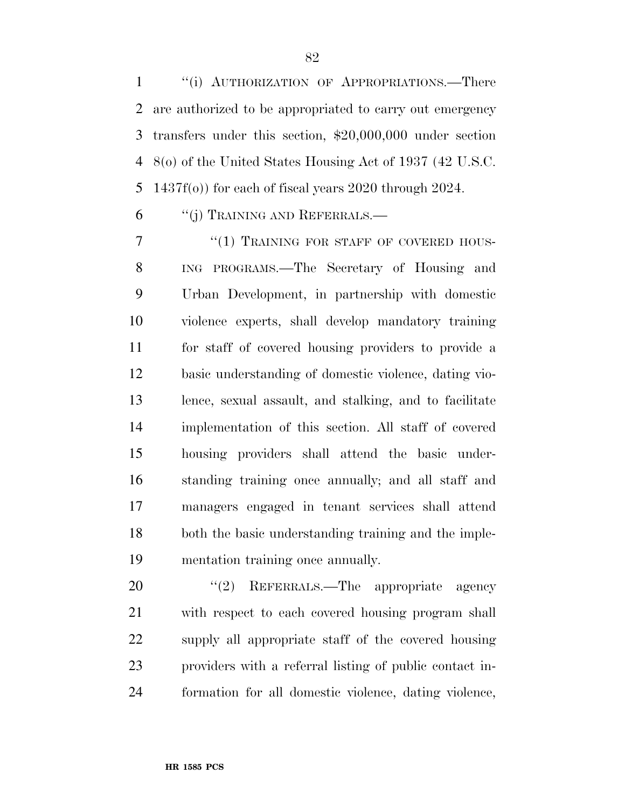''(i) AUTHORIZATION OF APPROPRIATIONS.—There are authorized to be appropriated to carry out emergency transfers under this section, \$20,000,000 under section 8(o) of the United States Housing Act of 1937 (42 U.S.C. 5 1437f(o)) for each of fiscal years 2020 through .

''(j) TRAINING AND REFERRALS.—

7 "(1) TRAINING FOR STAFF OF COVERED HOUS- ING PROGRAMS.—The Secretary of Housing and Urban Development, in partnership with domestic violence experts, shall develop mandatory training for staff of covered housing providers to provide a basic understanding of domestic violence, dating vio- lence, sexual assault, and stalking, and to facilitate implementation of this section. All staff of covered housing providers shall attend the basic under- standing training once annually; and all staff and managers engaged in tenant services shall attend both the basic understanding training and the imple-mentation training once annually.

20 "(2) REFERRALS.—The appropriate agency with respect to each covered housing program shall supply all appropriate staff of the covered housing providers with a referral listing of public contact in-formation for all domestic violence, dating violence,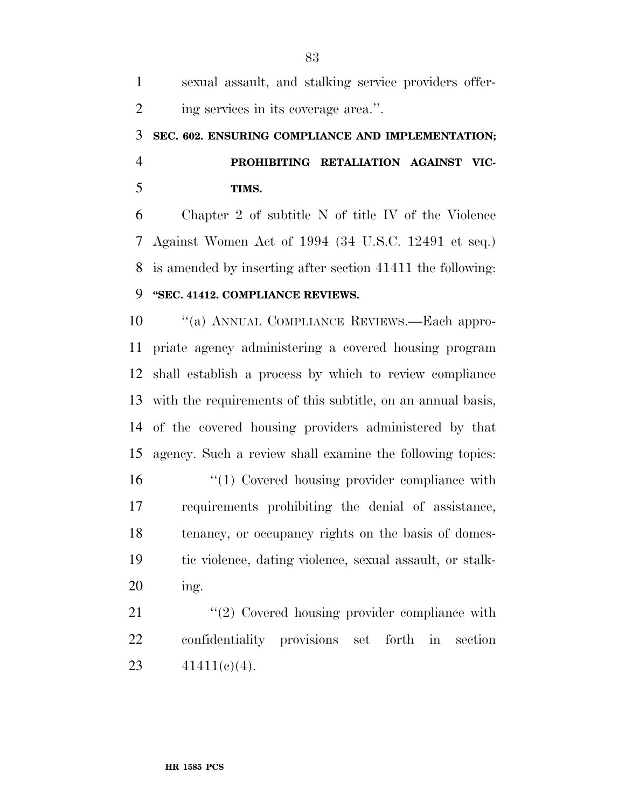| $\mathbf{1}$   | sexual assault, and stalking service providers offer-       |
|----------------|-------------------------------------------------------------|
| $\overline{2}$ | ing services in its coverage area.".                        |
| 3              | SEC. 602. ENSURING COMPLIANCE AND IMPLEMENTATION;           |
| $\overline{4}$ | PROHIBITING RETALIATION AGAINST VIC-                        |
| 5              | TIMS.                                                       |
| 6              | Chapter 2 of subtitle N of title IV of the Violence         |
| 7              | Against Women Act of 1994 (34 U.S.C. 12491 et seq.)         |
| 8              | is amended by inserting after section 41411 the following:  |
| 9              | "SEC. 41412. COMPLIANCE REVIEWS.                            |
| 10             | "(a) ANNUAL COMPLIANCE REVIEWS.—Each appro-                 |
| 11             | priate agency administering a covered housing program       |
| 12             | shall establish a process by which to review compliance     |
| 13             | with the requirements of this subtitle, on an annual basis, |
| 14             | of the covered housing providers administered by that       |
| 15             | agency. Such a review shall examine the following topics:   |
| 16             | "(1) Covered housing provider compliance with               |
| 17             | requirements prohibiting the denial of assistance,          |
| 18             | tenancy, or occupancy rights on the basis of domes-         |
| 19             | tic violence, dating violence, sexual assault, or stalk-    |
| 20             | ing.                                                        |
| 21             | $\lq(2)$ Covered housing provider compliance with           |

 confidentiality provisions set forth in section 41411(c)(4).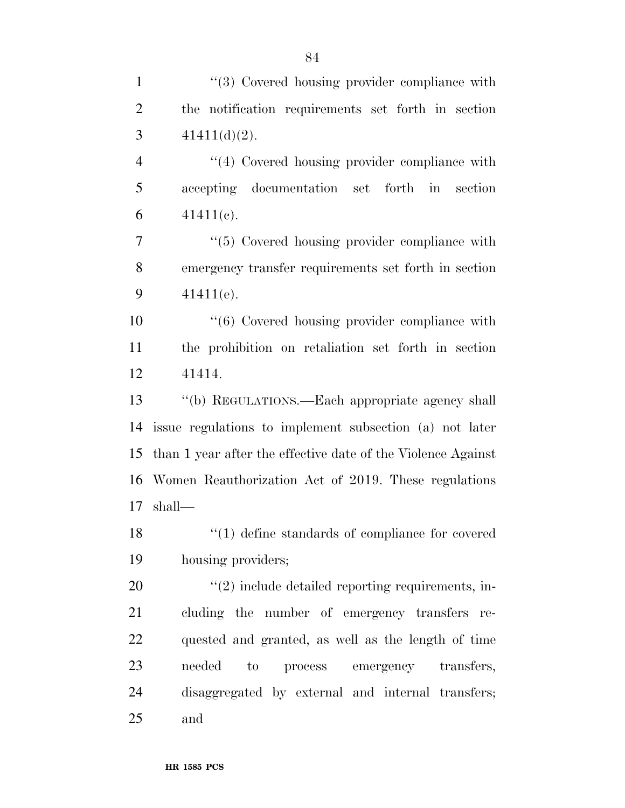| $\mathbf{1}$   | "(3) Covered housing provider compliance with                |
|----------------|--------------------------------------------------------------|
| $\overline{2}$ | the notification requirements set forth in section           |
| 3              | $41411(d)(2)$ .                                              |
| $\overline{4}$ | $\lq(4)$ Covered housing provider compliance with            |
| 5              | accepting documentation set forth in<br>section              |
| 6              | $41411(e)$ .                                                 |
| $\overline{7}$ | $\lq(5)$ Covered housing provider compliance with            |
| 8              | emergency transfer requirements set forth in section         |
| 9              | $41411(e)$ .                                                 |
| 10             | "(6) Covered housing provider compliance with                |
| 11             | the prohibition on retaliation set forth in section          |
| 12             | 41414.                                                       |
| 13             | "(b) REGULATIONS.—Each appropriate agency shall              |
| 14             | issue regulations to implement subsection (a) not later      |
| 15             | than 1 year after the effective date of the Violence Against |
|                | 16 Women Reauthorization Act of 2019. These regulations      |
| 17             | $shall$ —                                                    |
| 18             | $\cdot$ (1) define standards of compliance for covered       |
| 19             | housing providers;                                           |
| 20             | $\lq(2)$ include detailed reporting requirements, in-        |
| 21             | cluding the number of emergency transfers re-                |
| 22             | quested and granted, as well as the length of time           |
| 23             | needed<br>to<br>process<br>emergency<br>transfers,           |
| 24             | disaggregated by external and internal transfers;            |
| 25             | and                                                          |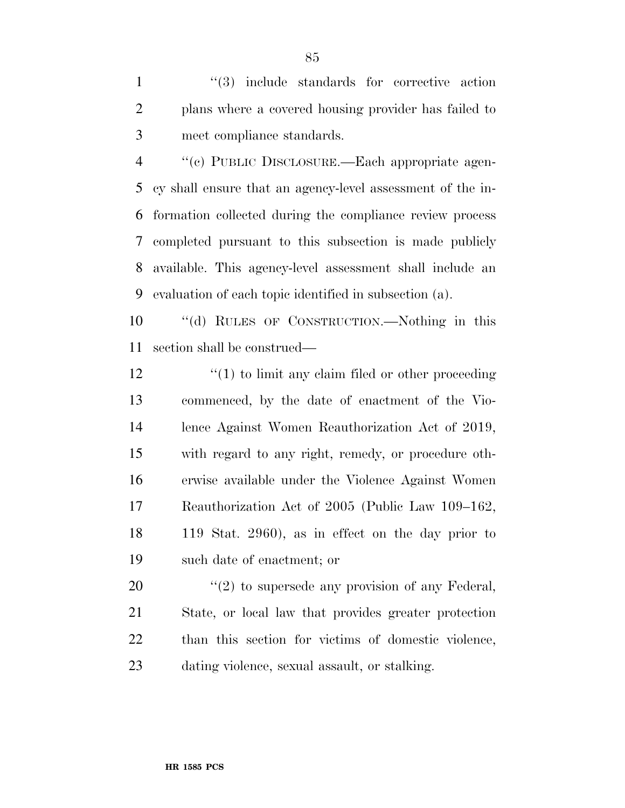1 ''(3) include standards for corrective action plans where a covered housing provider has failed to meet compliance standards.

 ''(c) PUBLIC DISCLOSURE.—Each appropriate agen- cy shall ensure that an agency-level assessment of the in- formation collected during the compliance review process completed pursuant to this subsection is made publicly available. This agency-level assessment shall include an evaluation of each topic identified in subsection (a).

 ''(d) RULES OF CONSTRUCTION.—Nothing in this section shall be construed—

 $\frac{12}{2}$  ''(1) to limit any claim filed or other proceeding commenced, by the date of enactment of the Vio- lence Against Women Reauthorization Act of 2019, with regard to any right, remedy, or procedure oth- erwise available under the Violence Against Women Reauthorization Act of 2005 (Public Law 109–162, 119 Stat. 2960), as in effect on the day prior to such date of enactment; or

 $\frac{1}{2}$  to supersede any provision of any Federal, State, or local law that provides greater protection than this section for victims of domestic violence, dating violence, sexual assault, or stalking.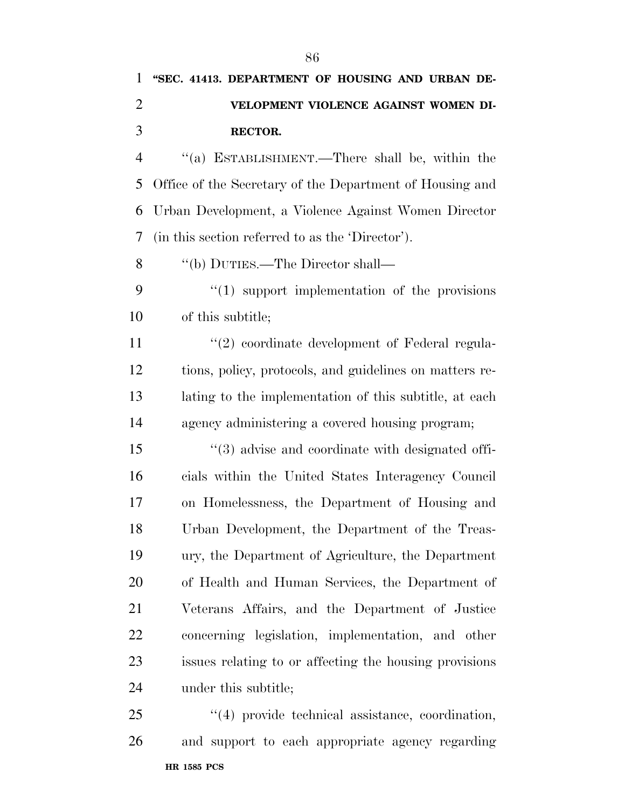## **''SEC. 41413. DEPARTMENT OF HOUSING AND URBAN DE- VELOPMENT VIOLENCE AGAINST WOMEN DI-RECTOR.**

 ''(a) ESTABLISHMENT.—There shall be, within the Office of the Secretary of the Department of Housing and Urban Development, a Violence Against Women Director (in this section referred to as the 'Director').

''(b) DUTIES.—The Director shall—

 ''(1) support implementation of the provisions of this subtitle;

 $\frac{1}{2}$  coordinate development of Federal regula- tions, policy, protocols, and guidelines on matters re- lating to the implementation of this subtitle, at each agency administering a covered housing program;

 ''(3) advise and coordinate with designated offi- cials within the United States Interagency Council on Homelessness, the Department of Housing and Urban Development, the Department of the Treas- ury, the Department of Agriculture, the Department of Health and Human Services, the Department of Veterans Affairs, and the Department of Justice concerning legislation, implementation, and other issues relating to or affecting the housing provisions under this subtitle;

**HR 1585 PCS** ''(4) provide technical assistance, coordination, and support to each appropriate agency regarding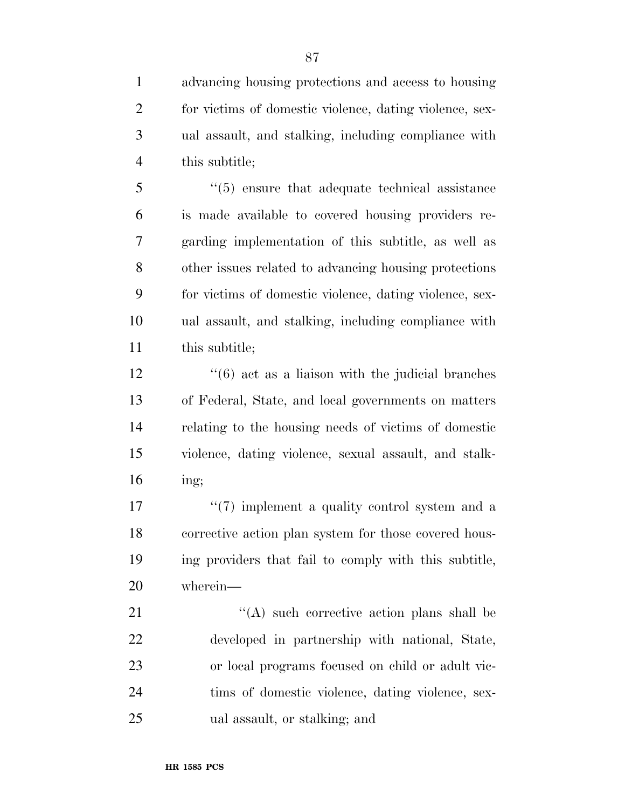advancing housing protections and access to housing for victims of domestic violence, dating violence, sex- ual assault, and stalking, including compliance with this subtitle;

 ''(5) ensure that adequate technical assistance is made available to covered housing providers re- garding implementation of this subtitle, as well as other issues related to advancing housing protections for victims of domestic violence, dating violence, sex- ual assault, and stalking, including compliance with 11 this subtitle;

12 ''(6) act as a liaison with the judicial branches of Federal, State, and local governments on matters relating to the housing needs of victims of domestic violence, dating violence, sexual assault, and stalk-ing;

 $\frac{17}{7}$  ''(7) implement a quality control system and a corrective action plan system for those covered hous- ing providers that fail to comply with this subtitle, wherein—

21 ''(A) such corrective action plans shall be developed in partnership with national, State, or local programs focused on child or adult vic- tims of domestic violence, dating violence, sex-ual assault, or stalking; and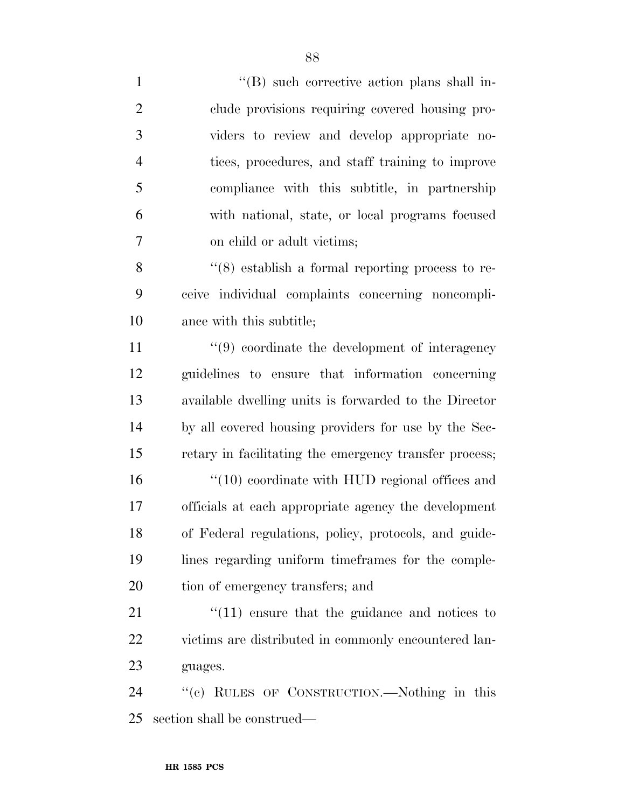1 ''(B) such corrective action plans shall in- clude provisions requiring covered housing pro- viders to review and develop appropriate no- tices, procedures, and staff training to improve compliance with this subtitle, in partnership with national, state, or local programs focused on child or adult victims; 8 ''(8) establish a formal reporting process to re- ceive individual complaints concerning noncompli- ance with this subtitle; 11 ''(9) coordinate the development of interagency guidelines to ensure that information concerning available dwelling units is forwarded to the Director by all covered housing providers for use by the Sec- retary in facilitating the emergency transfer process;  $\frac{1}{10}$  coordinate with HUD regional offices and officials at each appropriate agency the development of Federal regulations, policy, protocols, and guide- lines regarding uniform timeframes for the comple- tion of emergency transfers; and 21 ''(11) ensure that the guidance and notices to victims are distributed in commonly encountered lan-

guages.

 ''(c) RULES OF CONSTRUCTION.—Nothing in this section shall be construed—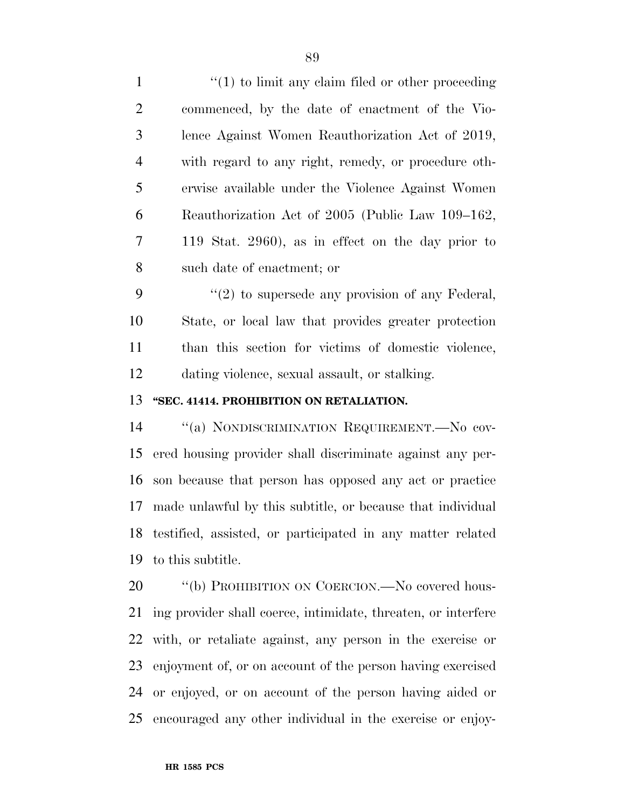| $\mathbf{1}$   | $\lq(1)$ to limit any claim filed or other proceeding         |
|----------------|---------------------------------------------------------------|
| $\overline{2}$ | commenced, by the date of enactment of the Vio-               |
| 3              | lence Against Women Reauthorization Act of 2019,              |
| $\overline{4}$ | with regard to any right, remedy, or procedure oth-           |
| 5              | erwise available under the Violence Against Women             |
| 6              | Reauthorization Act of 2005 (Public Law 109–162,              |
| 7              | 119 Stat. 2960), as in effect on the day prior to             |
| 8              | such date of enactment; or                                    |
| 9              | $\lq(2)$ to supersede any provision of any Federal,           |
| 10             | State, or local law that provides greater protection          |
| 11             | than this section for victims of domestic violence,           |
| 12             | dating violence, sexual assault, or stalking.                 |
| 13             | "SEC. 41414. PROHIBITION ON RETALIATION.                      |
| 14             | "(a) NONDISCRIMINATION REQUIREMENT.—No cov-                   |
| 15             | ered housing provider shall discriminate against any per-     |
| 16             | son because that person has opposed any act or practice       |
| 17             | made unlawful by this subtitle, or because that individual    |
|                | 18 testified, assisted, or participated in any matter related |
| 19             | to this subtitle.                                             |
| 20             | "(b) PROHIBITION ON COERCION.—No covered hous-                |
| 21             | ing provider shall coerce, intimidate, threaten, or interfere |
| 22             | with, or retaliate against, any person in the exercise or     |
| 23             | enjoyment of, or on account of the person having exercised    |
| 24             | or enjoyed, or on account of the person having aided or       |
| 25             | encouraged any other individual in the exercise or enjoy-     |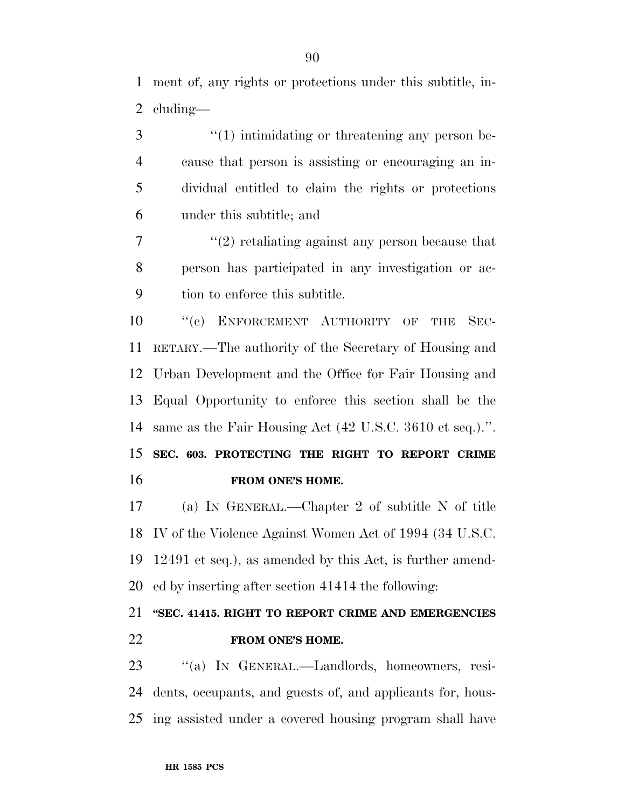ment of, any rights or protections under this subtitle, in-cluding—

 $\frac{1}{1}$  intimidating or threatening any person be- cause that person is assisting or encouraging an in- dividual entitled to claim the rights or protections under this subtitle; and

 $\frac{7}{2}$  ''(2) retaliating against any person because that person has participated in any investigation or ac-tion to enforce this subtitle.

10 "(c) ENFORCEMENT AUTHORITY OF THE SEC- RETARY.—The authority of the Secretary of Housing and Urban Development and the Office for Fair Housing and Equal Opportunity to enforce this section shall be the same as the Fair Housing Act (42 U.S.C. 3610 et seq.).''. **SEC. 603. PROTECTING THE RIGHT TO REPORT CRIME FROM ONE'S HOME.** 

 (a) IN GENERAL.—Chapter 2 of subtitle N of title IV of the Violence Against Women Act of 1994 (34 U.S.C. 12491 et seq.), as amended by this Act, is further amend-ed by inserting after section 41414 the following:

## **''SEC. 41415. RIGHT TO REPORT CRIME AND EMERGENCIES FROM ONE'S HOME.**

 ''(a) IN GENERAL.—Landlords, homeowners, resi- dents, occupants, and guests of, and applicants for, hous-ing assisted under a covered housing program shall have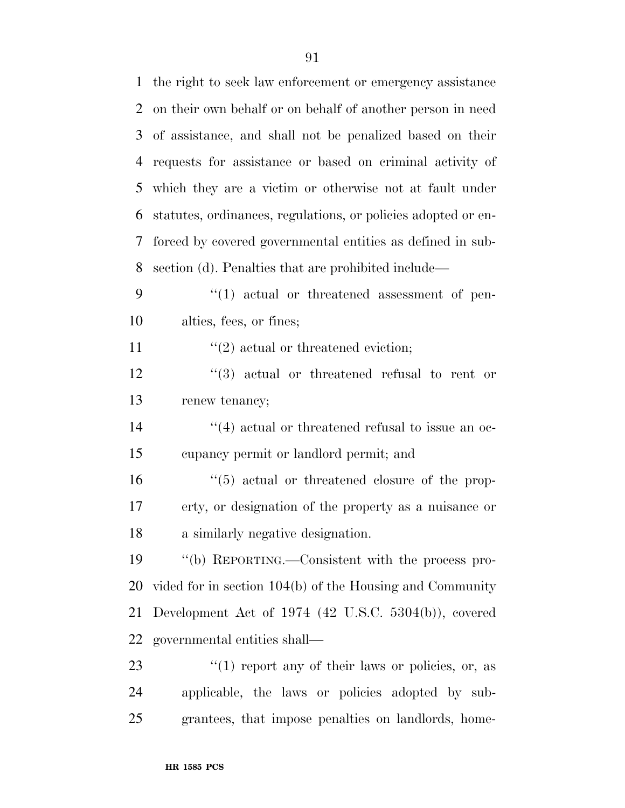| $\mathbf{1}$ | the right to seek law enforcement or emergency assistance     |
|--------------|---------------------------------------------------------------|
| 2            | on their own behalf or on behalf of another person in need    |
| 3            | of assistance, and shall not be penalized based on their      |
| 4            | requests for assistance or based on criminal activity of      |
| 5            | which they are a victim or otherwise not at fault under       |
| 6            | statutes, ordinances, regulations, or policies adopted or en- |
| 7            | forced by covered governmental entities as defined in sub-    |
| 8            | section (d). Penalties that are prohibited include—           |
| 9            | $\lq(1)$ actual or threatened assessment of pen-              |
| 10           | alties, fees, or fines;                                       |
| 11           | $\lq(2)$ actual or threatened eviction;                       |
| 12           | $(3)$ actual or threatened refusal to rent or                 |
| 13           | renew tenancy;                                                |
| 14           | $\cdot$ (4) actual or threatened refusal to issue an oc-      |
| 15           | eupancy permit or landlord permit; and                        |
| 16           | $\lq(5)$ actual or threatened closure of the prop-            |
| 17           | erty, or designation of the property as a nuisance or         |
| 18           | a similarly negative designation.                             |
| 19           | "(b) REPORTING.—Consistent with the process pro-              |
| 20           | vided for in section 104(b) of the Housing and Community      |
| 21           | Development Act of 1974 (42 U.S.C. 5304(b)), covered          |
| 22           | governmental entities shall—                                  |
| 23           | $f'(1)$ report any of their laws or policies, or, as          |
| 24           | applicable, the laws or policies adopted by sub-              |
| 25           | grantees, that impose penalties on landlords, home-           |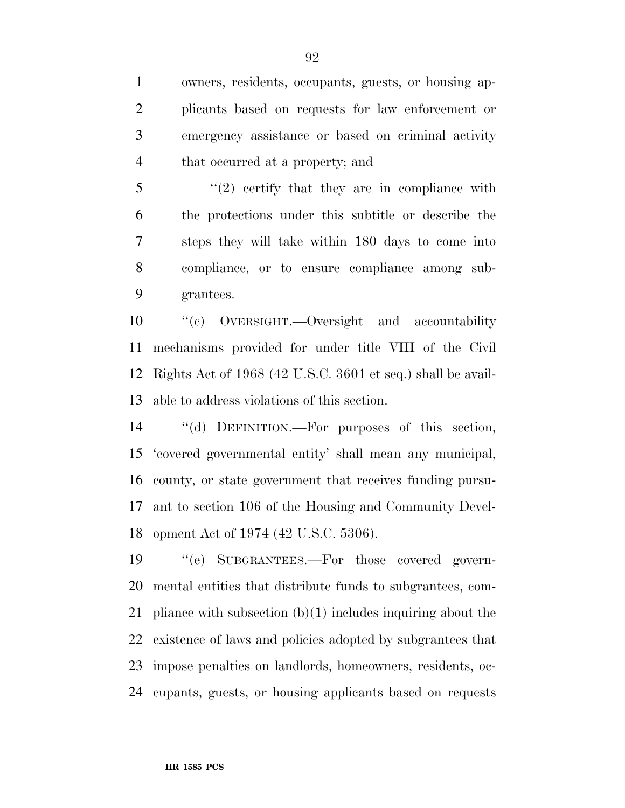owners, residents, occupants, guests, or housing ap- plicants based on requests for law enforcement or emergency assistance or based on criminal activity that occurred at a property; and

 ''(2) certify that they are in compliance with the protections under this subtitle or describe the steps they will take within 180 days to come into compliance, or to ensure compliance among sub-grantees.

 ''(c) OVERSIGHT.—Oversight and accountability mechanisms provided for under title VIII of the Civil Rights Act of 1968 (42 U.S.C. 3601 et seq.) shall be avail-able to address violations of this section.

 ''(d) DEFINITION.—For purposes of this section, 'covered governmental entity' shall mean any municipal, county, or state government that receives funding pursu- ant to section 106 of the Housing and Community Devel-opment Act of 1974 (42 U.S.C. 5306).

 ''(e) SUBGRANTEES.—For those covered govern- mental entities that distribute funds to subgrantees, com- pliance with subsection (b)(1) includes inquiring about the existence of laws and policies adopted by subgrantees that impose penalties on landlords, homeowners, residents, oc-cupants, guests, or housing applicants based on requests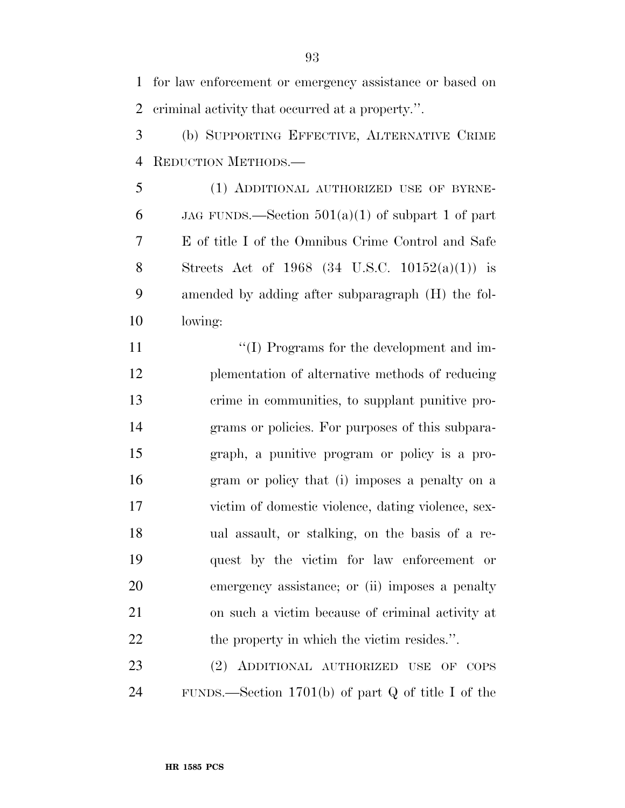for law enforcement or emergency assistance or based on criminal activity that occurred at a property.''.

 (b) SUPPORTING EFFECTIVE, ALTERNATIVE CRIME REDUCTION METHODS.—

 (1) ADDITIONAL AUTHORIZED USE OF BYRNE-6 JAG FUNDS.—Section  $501(a)(1)$  of subpart 1 of part E of title I of the Omnibus Crime Control and Safe 8 Streets Act of 1968  $(34 \text{ U.S.C. } 10152(a)(1))$  is amended by adding after subparagraph (H) the fol-lowing:

 $\langle (I)$  Programs for the development and im- plementation of alternative methods of reducing crime in communities, to supplant punitive pro- grams or policies. For purposes of this subpara- graph, a punitive program or policy is a pro- gram or policy that (i) imposes a penalty on a victim of domestic violence, dating violence, sex- ual assault, or stalking, on the basis of a re- quest by the victim for law enforcement or emergency assistance; or (ii) imposes a penalty on such a victim because of criminal activity at 22 the property in which the victim resides.".

 (2) ADDITIONAL AUTHORIZED USE OF COPS FUNDS.—Section 1701(b) of part Q of title I of the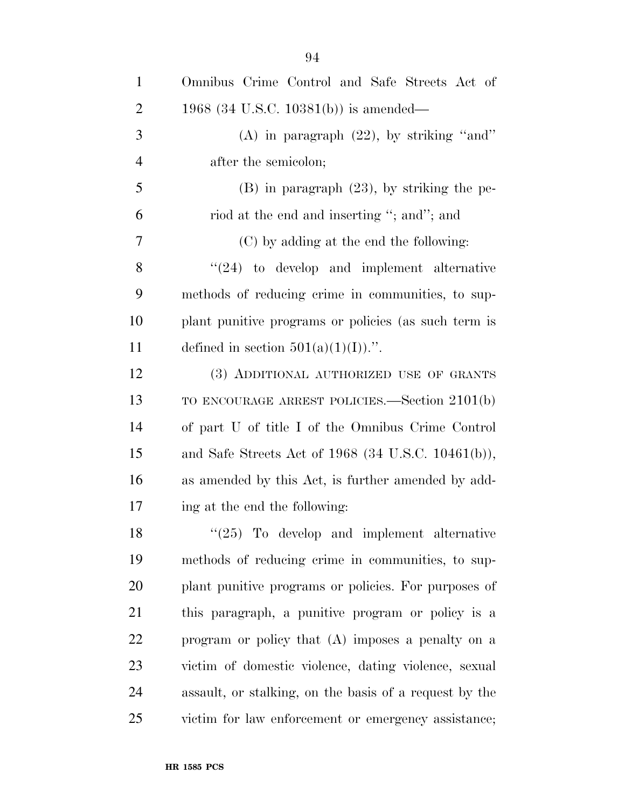| $\mathbf{1}$   | Omnibus Crime Control and Safe Streets Act of          |
|----------------|--------------------------------------------------------|
| $\overline{2}$ | 1968 (34 U.S.C. 10381(b)) is amended—                  |
| 3              | (A) in paragraph $(22)$ , by striking "and"            |
| $\overline{4}$ | after the semicolon;                                   |
| 5              | $(B)$ in paragraph $(23)$ , by striking the pe-        |
| 6              | riod at the end and inserting "; and"; and             |
| 7              | (C) by adding at the end the following:                |
| 8              | $\lq(24)$ to develop and implement alternative         |
| 9              | methods of reducing crime in communities, to sup-      |
| 10             | plant punitive programs or policies (as such term is   |
| 11             | defined in section $501(a)(1)(1)$ .".                  |
| 12             | (3) ADDITIONAL AUTHORIZED USE OF GRANTS                |
| 13             | TO ENCOURAGE ARREST POLICIES.—Section 2101(b)          |
| 14             | of part U of title I of the Omnibus Crime Control      |
| 15             | and Safe Streets Act of $1968$ (34 U.S.C. 10461(b)),   |
| 16             | as amended by this Act, is further amended by add-     |
| 17             | ing at the end the following:                          |
| 18             | $\lq(25)$ To develop and implement alternative         |
| 19             | methods of reducing crime in communities, to sup-      |
| 20             | plant punitive programs or policies. For purposes of   |
| 21             | this paragraph, a punitive program or policy is a      |
| 22             | program or policy that (A) imposes a penalty on a      |
| 23             | victim of domestic violence, dating violence, sexual   |
| 24             | assault, or stalking, on the basis of a request by the |
| 25             | victim for law enforcement or emergency assistance;    |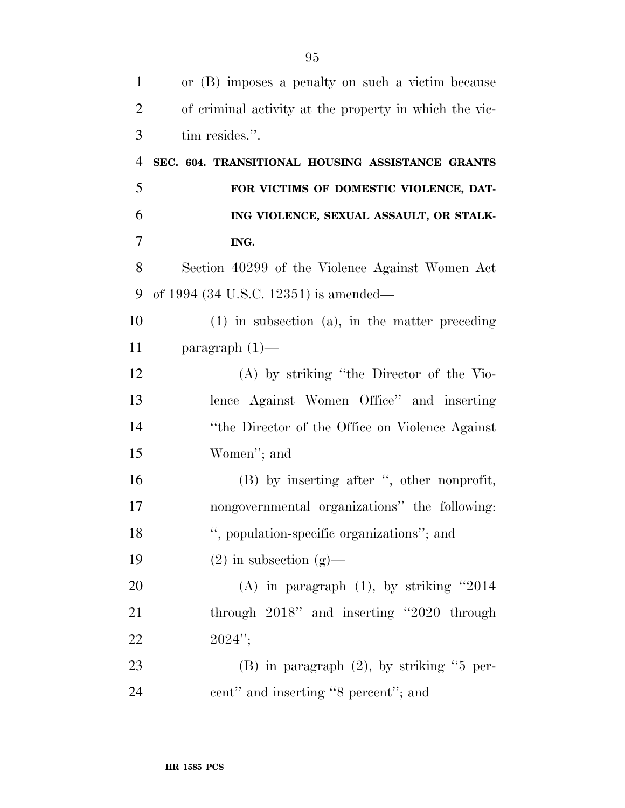| $\mathbf{1}$   | or (B) imposes a penalty on such a victim because      |
|----------------|--------------------------------------------------------|
| $\overline{2}$ | of criminal activity at the property in which the vic- |
| 3              | tim resides.".                                         |
| $\overline{4}$ | SEC. 604. TRANSITIONAL HOUSING ASSISTANCE GRANTS       |
| 5              | FOR VICTIMS OF DOMESTIC VIOLENCE, DAT-                 |
| 6              | ING VIOLENCE, SEXUAL ASSAULT, OR STALK-                |
| 7              | ING.                                                   |
| 8              | Section 40299 of the Violence Against Women Act        |
| 9              | of 1994 (34 U.S.C. 12351) is amended—                  |
| 10             | $(1)$ in subsection $(a)$ , in the matter preceding    |
| 11             | paragraph $(1)$ —                                      |
| 12             | (A) by striking "the Director of the Vio-              |
| 13             | lence Against Women Office" and inserting              |
| 14             | "the Director of the Office on Violence Against        |
| 15             | Women"; and                                            |
| 16             | (B) by inserting after ", other nonprofit,             |
| 17             | nongovernmental organizations" the following:          |
| 18             | ", population-specific organizations"; and             |
| 19             | $(2)$ in subsection $(g)$ —                            |
| 20             | (A) in paragraph $(1)$ , by striking "2014             |
| 21             | through 2018" and inserting "2020 through              |
| 22             | $2024$ ";                                              |
| 23             | (B) in paragraph $(2)$ , by striking "5 per-           |
| 24             | cent" and inserting "8 percent"; and                   |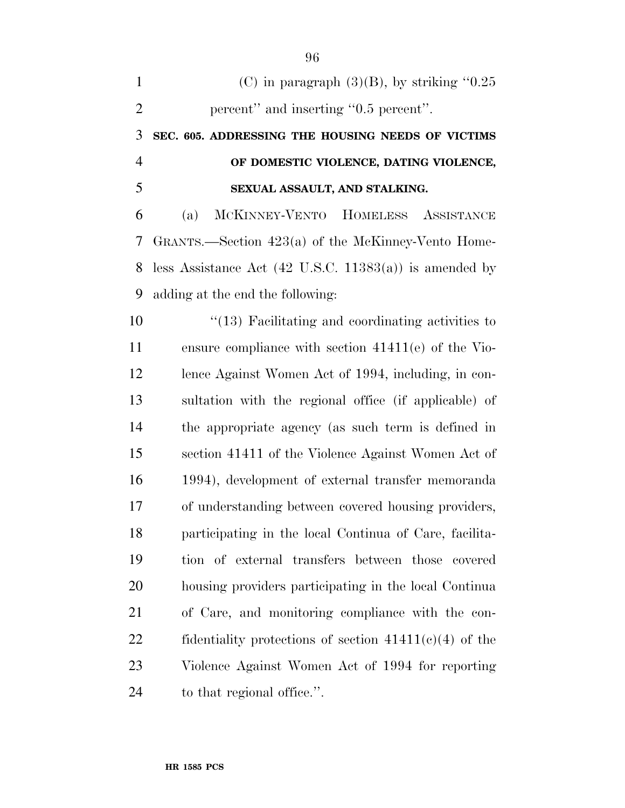| $\mathbf{1}$   | (C) in paragraph $(3)(B)$ , by striking "0.25                     |
|----------------|-------------------------------------------------------------------|
| $\mathfrak{2}$ | percent" and inserting "0.5 percent".                             |
| 3              | SEC. 605. ADDRESSING THE HOUSING NEEDS OF VICTIMS                 |
| $\overline{4}$ | OF DOMESTIC VIOLENCE, DATING VIOLENCE,                            |
| 5              | SEXUAL ASSAULT, AND STALKING.                                     |
| 6              | MCKINNEY-VENTO HOMELESS ASSISTANCE<br>(a)                         |
| 7              | GRANTS.—Section 423(a) of the McKinney-Vento Home-                |
| 8              | less Assistance Act $(42 \text{ U.S.C. } 11383(a))$ is amended by |
| 9              | adding at the end the following:                                  |
| 10             | $\cdot\cdot(13)$ Facilitating and coordinating activities to      |
| 11             | ensure compliance with section $41411(e)$ of the Vio-             |
| 12             | lence Against Women Act of 1994, including, in con-               |
| 13             | sultation with the regional office (if applicable) of             |
| 14             | the appropriate agency (as such term is defined in                |
| 15             | section 41411 of the Violence Against Women Act of                |
| 16             | 1994), development of external transfer memoranda                 |
| 17             | of understanding between covered housing providers,               |
| 18             | participating in the local Continua of Care, facilita-            |
| 19             | tion of external transfers between those covered                  |
| 20             | housing providers participating in the local Continua             |
| 21             | of Care, and monitoring compliance with the con-                  |
| 22             | fidentiality protections of section $41411(c)(4)$ of the          |
| 23             | Violence Against Women Act of 1994 for reporting                  |
| 24             | to that regional office.".                                        |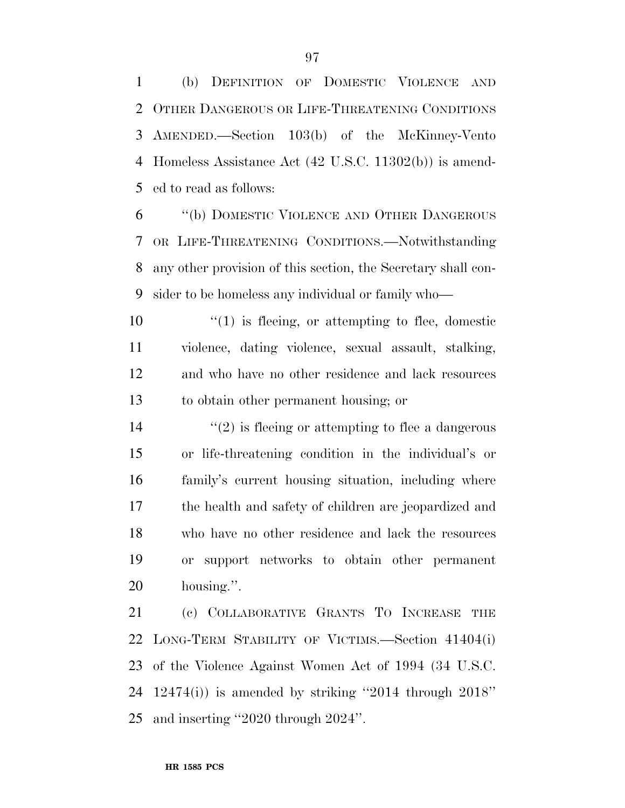(b) DEFINITION OF DOMESTIC VIOLENCE AND OTHER DANGEROUS OR LIFE-THREATENING CONDITIONS AMENDED.—Section 103(b) of the McKinney-Vento Homeless Assistance Act (42 U.S.C. 11302(b)) is amend-ed to read as follows:

 ''(b) DOMESTIC VIOLENCE AND OTHER DANGEROUS OR LIFE-THREATENING CONDITIONS.—Notwithstanding any other provision of this section, the Secretary shall con-sider to be homeless any individual or family who—

 $\mathcal{L}(1)$  is fleeing, or attempting to flee, domestic violence, dating violence, sexual assault, stalking, and who have no other residence and lack resources to obtain other permanent housing; or

 $(2)$  is fleeing or attempting to flee a dangerous or life-threatening condition in the individual's or family's current housing situation, including where the health and safety of children are jeopardized and who have no other residence and lack the resources or support networks to obtain other permanent housing.''.

 (c) COLLABORATIVE GRANTS TO INCREASE THE LONG-TERM STABILITY OF VICTIMS.—Section 41404(i) of the Violence Against Women Act of 1994 (34 U.S.C. 12474(i)) is amended by striking ''2014 through 2018'' and inserting ''2020 through 2024''.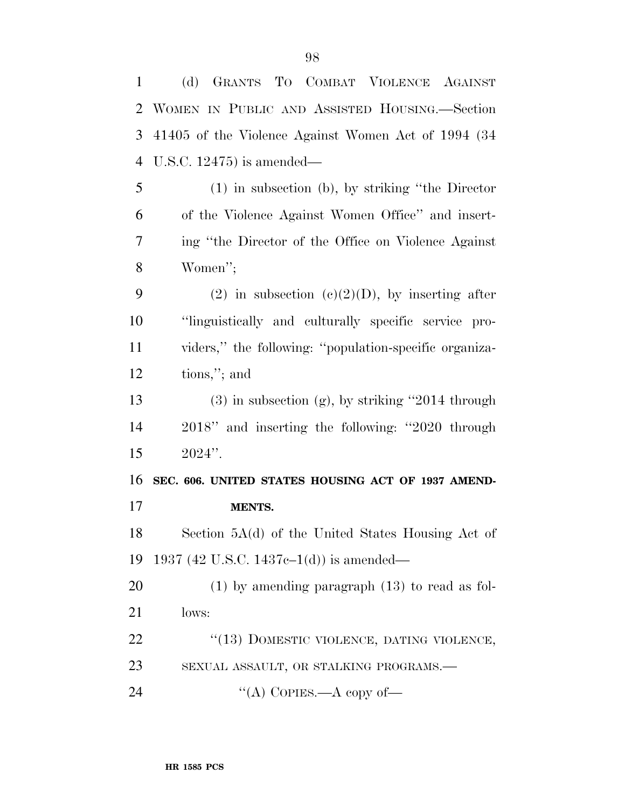| 1              | GRANTS TO COMBAT VIOLENCE AGAINST<br>(d)               |
|----------------|--------------------------------------------------------|
| $\overline{2}$ | WOMEN IN PUBLIC AND ASSISTED HOUSING.—Section          |
| 3              | 41405 of the Violence Against Women Act of 1994 (34)   |
| 4              | U.S.C. 12475) is amended—                              |
| 5              | $(1)$ in subsection (b), by striking "the Director"    |
| 6              | of the Violence Against Women Office" and insert-      |
| 7              | ing "the Director of the Office on Violence Against    |
| 8              | Women";                                                |
| 9              | (2) in subsection (c)(2)(D), by inserting after        |
| 10             | "linguistically and culturally specific service pro-   |
| 11             | viders," the following: "population-specific organiza- |
| 12             | $tions,"$ and                                          |
| 13             | $(3)$ in subsection $(g)$ , by striking "2014 through  |
| 14             | 2018" and inserting the following: "2020 through       |
| 15             | $2024"$ .                                              |
| 16             | SEC. 606. UNITED STATES HOUSING ACT OF 1937 AMEND-     |
| 17             | MENTS.                                                 |
| 18             | Section 5A(d) of the United States Housing Act of      |
| 19             | 1937 (42 U.S.C. 1437c-1(d)) is amended—                |
| 20             | $(1)$ by amending paragraph $(13)$ to read as fol-     |
| 21             | lows:                                                  |
| 22             | "(13) DOMESTIC VIOLENCE, DATING VIOLENCE,              |
| 23             |                                                        |
|                | SEXUAL ASSAULT, OR STALKING PROGRAMS.-                 |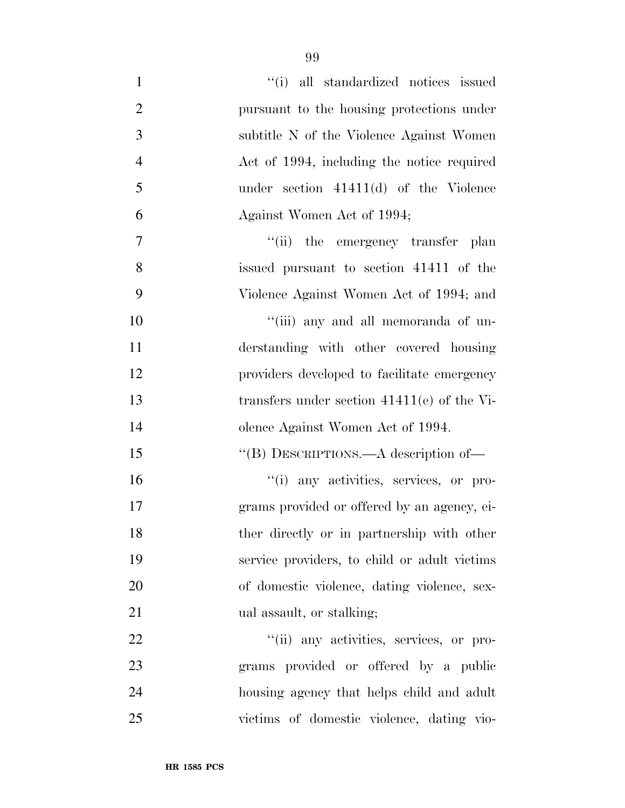| $\mathbf{1}$   | "(i) all standardized notices issued          |
|----------------|-----------------------------------------------|
| $\overline{2}$ | pursuant to the housing protections under     |
| $\mathfrak{Z}$ | subtitle N of the Violence Against Women      |
| $\overline{4}$ | Act of 1994, including the notice required    |
| 5              | under section $41411(d)$ of the Violence      |
| 6              | Against Women Act of 1994;                    |
| 7              | "(ii) the emergency transfer plan             |
| 8              | issued pursuant to section 41411 of the       |
| 9              | Violence Against Women Act of 1994; and       |
| 10             | "(iii) any and all memoranda of un-           |
| 11             | derstanding with other covered housing        |
| 12             | providers developed to facilitate emergency   |
| 13             | transfers under section $41411(e)$ of the Vi- |
| 14             | olence Against Women Act of 1994.             |
| 15             | "(B) DESCRIPTIONS.—A description of—          |
| 16             | "(i) any activities, services, or pro-        |
| 17             | grams provided or offered by an agency, ei-   |
| 18             | ther directly or in partnership with other    |
| 19             | service providers, to child or adult victims  |
| 20             | of domestic violence, dating violence, sex-   |
| 21             | ual assault, or stalking;                     |
| 22             | "(ii) any activities, services, or pro-       |
| 23             | grams provided or offered by a public         |
| 24             | housing agency that helps child and adult     |
| 25             | victims of domestic violence, dating vio-     |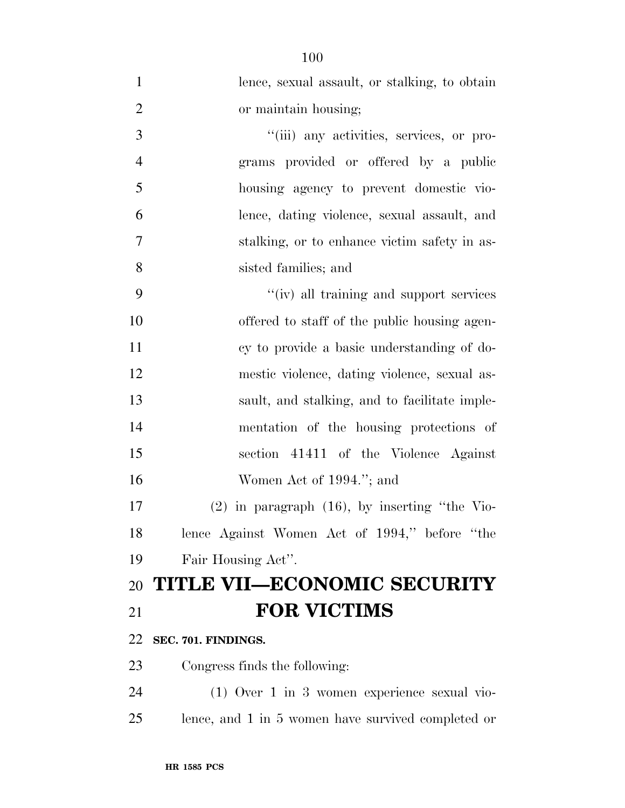lence, sexual assault, or stalking, to obtain or maintain housing;  $"(*iii*)$  any activities, services, or pro- grams provided or offered by a public housing agency to prevent domestic vio- lence, dating violence, sexual assault, and stalking, or to enhance victim safety in as- sisted families; and ''(iv) all training and support services offered to staff of the public housing agen- cy to provide a basic understanding of do- mestic violence, dating violence, sexual as- sault, and stalking, and to facilitate imple- mentation of the housing protections of section 41411 of the Violence Against Women Act of 1994.''; and (2) in paragraph (16), by inserting ''the Vio- lence Against Women Act of 1994,'' before ''the Fair Housing Act''. **TITLE VII—ECONOMIC SECURITY FOR VICTIMS SEC. 701. FINDINGS.**  Congress finds the following: (1) Over 1 in 3 women experience sexual vio-lence, and 1 in 5 women have survived completed or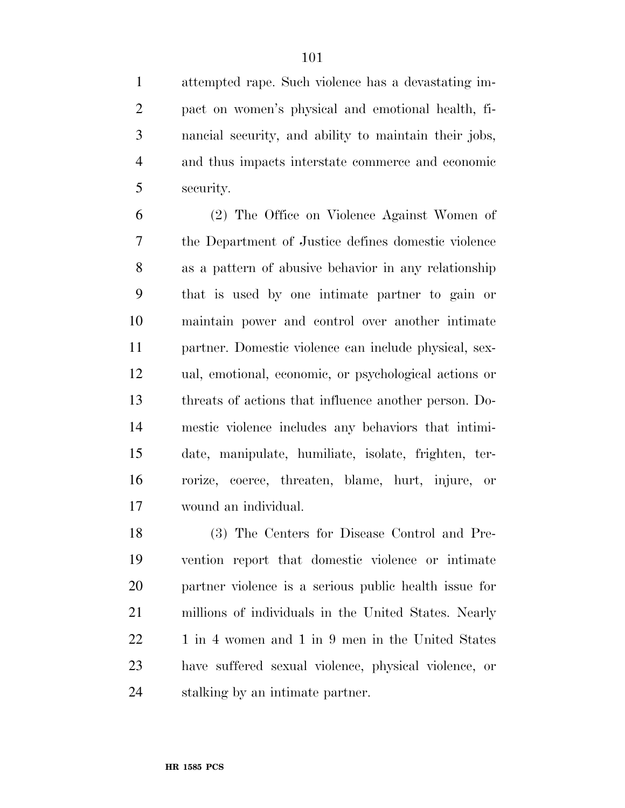attempted rape. Such violence has a devastating im- pact on women's physical and emotional health, fi- nancial security, and ability to maintain their jobs, and thus impacts interstate commerce and economic security.

 (2) The Office on Violence Against Women of the Department of Justice defines domestic violence as a pattern of abusive behavior in any relationship that is used by one intimate partner to gain or maintain power and control over another intimate partner. Domestic violence can include physical, sex- ual, emotional, economic, or psychological actions or threats of actions that influence another person. Do- mestic violence includes any behaviors that intimi- date, manipulate, humiliate, isolate, frighten, ter- rorize, coerce, threaten, blame, hurt, injure, or wound an individual.

 (3) The Centers for Disease Control and Pre- vention report that domestic violence or intimate partner violence is a serious public health issue for millions of individuals in the United States. Nearly 22 1 in 4 women and 1 in 9 men in the United States have suffered sexual violence, physical violence, or stalking by an intimate partner.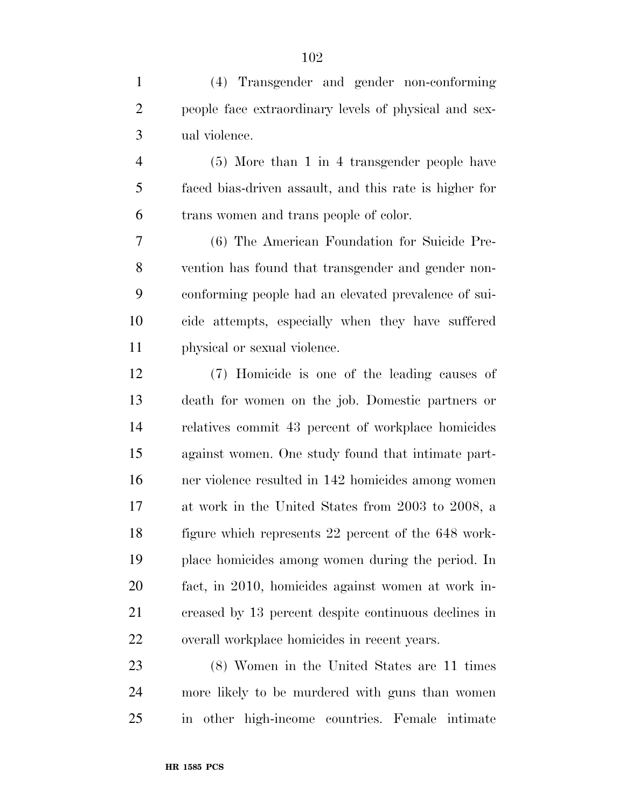(4) Transgender and gender non-conforming people face extraordinary levels of physical and sex-ual violence.

 (5) More than 1 in 4 transgender people have faced bias-driven assault, and this rate is higher for trans women and trans people of color.

 (6) The American Foundation for Suicide Pre- vention has found that transgender and gender non- conforming people had an elevated prevalence of sui- cide attempts, especially when they have suffered physical or sexual violence.

 (7) Homicide is one of the leading causes of death for women on the job. Domestic partners or relatives commit 43 percent of workplace homicides against women. One study found that intimate part- ner violence resulted in 142 homicides among women at work in the United States from 2003 to 2008, a figure which represents 22 percent of the 648 work- place homicides among women during the period. In fact, in 2010, homicides against women at work in- creased by 13 percent despite continuous declines in overall workplace homicides in recent years.

 (8) Women in the United States are 11 times more likely to be murdered with guns than women in other high-income countries. Female intimate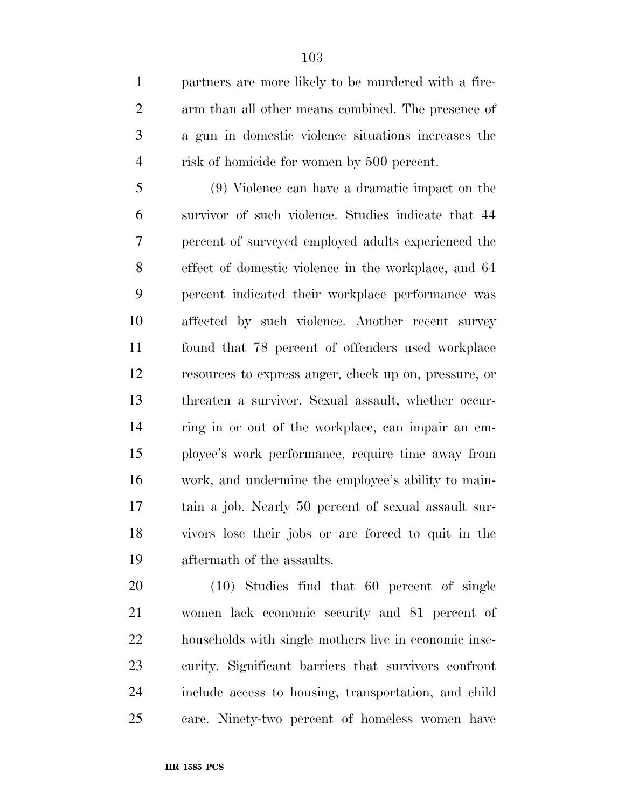partners are more likely to be murdered with a fire- arm than all other means combined. The presence of a gun in domestic violence situations increases the risk of homicide for women by 500 percent.

 (9) Violence can have a dramatic impact on the survivor of such violence. Studies indicate that 44 percent of surveyed employed adults experienced the effect of domestic violence in the workplace, and 64 percent indicated their workplace performance was affected by such violence. Another recent survey found that 78 percent of offenders used workplace resources to express anger, check up on, pressure, or threaten a survivor. Sexual assault, whether occur- ring in or out of the workplace, can impair an em- ployee's work performance, require time away from work, and undermine the employee's ability to main- tain a job. Nearly 50 percent of sexual assault sur- vivors lose their jobs or are forced to quit in the aftermath of the assaults.

 (10) Studies find that 60 percent of single women lack economic security and 81 percent of households with single mothers live in economic inse- curity. Significant barriers that survivors confront include access to housing, transportation, and child care. Ninety-two percent of homeless women have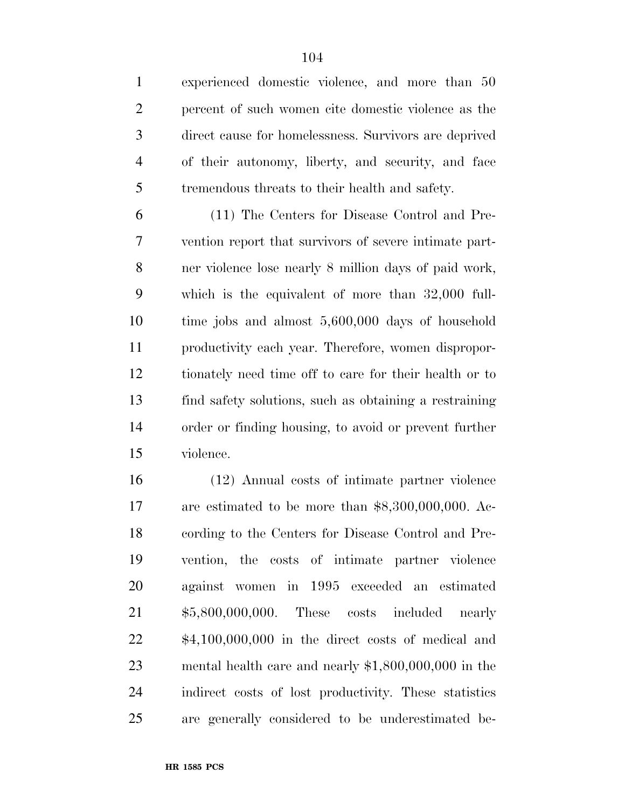experienced domestic violence, and more than 50 percent of such women cite domestic violence as the direct cause for homelessness. Survivors are deprived of their autonomy, liberty, and security, and face tremendous threats to their health and safety.

 (11) The Centers for Disease Control and Pre- vention report that survivors of severe intimate part- ner violence lose nearly 8 million days of paid work, which is the equivalent of more than 32,000 full- time jobs and almost 5,600,000 days of household productivity each year. Therefore, women dispropor- tionately need time off to care for their health or to find safety solutions, such as obtaining a restraining order or finding housing, to avoid or prevent further violence.

 (12) Annual costs of intimate partner violence are estimated to be more than \$8,300,000,000. Ac- cording to the Centers for Disease Control and Pre- vention, the costs of intimate partner violence against women in 1995 exceeded an estimated \$5,800,000,000. These costs included nearly \$4,100,000,000 in the direct costs of medical and mental health care and nearly \$1,800,000,000 in the indirect costs of lost productivity. These statistics are generally considered to be underestimated be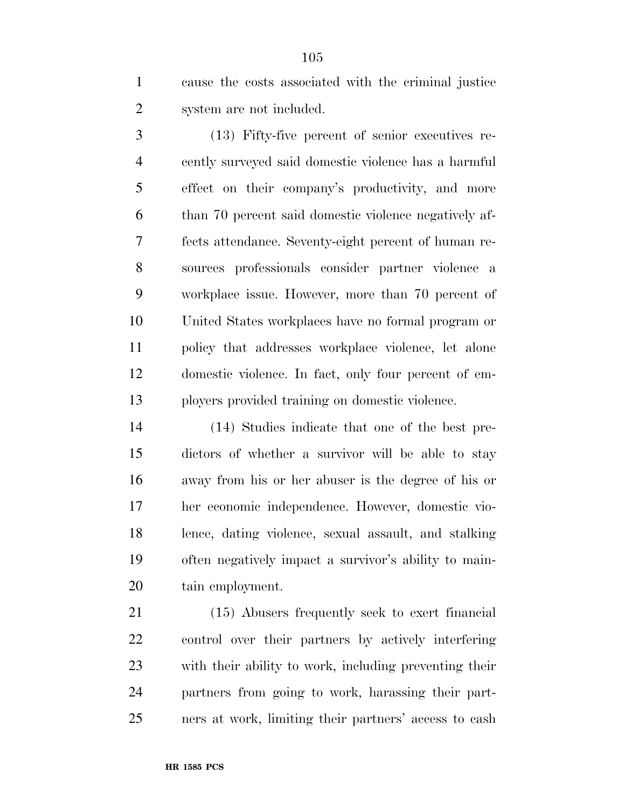cause the costs associated with the criminal justice system are not included.

 (13) Fifty-five percent of senior executives re- cently surveyed said domestic violence has a harmful effect on their company's productivity, and more than 70 percent said domestic violence negatively af- fects attendance. Seventy-eight percent of human re- sources professionals consider partner violence a workplace issue. However, more than 70 percent of United States workplaces have no formal program or policy that addresses workplace violence, let alone domestic violence. In fact, only four percent of em-ployers provided training on domestic violence.

 (14) Studies indicate that one of the best pre- dictors of whether a survivor will be able to stay away from his or her abuser is the degree of his or her economic independence. However, domestic vio- lence, dating violence, sexual assault, and stalking often negatively impact a survivor's ability to main-tain employment.

 (15) Abusers frequently seek to exert financial control over their partners by actively interfering with their ability to work, including preventing their partners from going to work, harassing their part-ners at work, limiting their partners' access to cash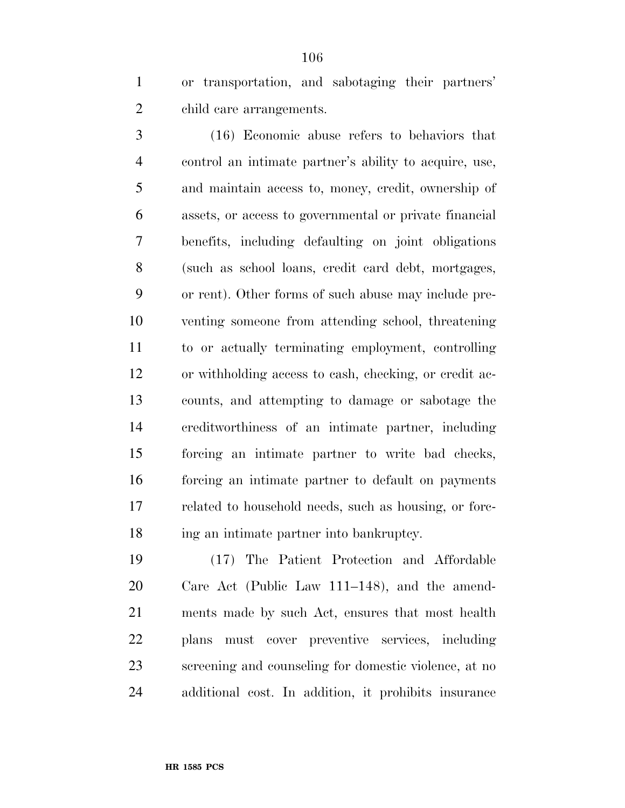or transportation, and sabotaging their partners' child care arrangements.

 (16) Economic abuse refers to behaviors that control an intimate partner's ability to acquire, use, and maintain access to, money, credit, ownership of assets, or access to governmental or private financial benefits, including defaulting on joint obligations (such as school loans, credit card debt, mortgages, or rent). Other forms of such abuse may include pre- venting someone from attending school, threatening to or actually terminating employment, controlling or withholding access to cash, checking, or credit ac- counts, and attempting to damage or sabotage the creditworthiness of an intimate partner, including forcing an intimate partner to write bad checks, forcing an intimate partner to default on payments related to household needs, such as housing, or forc-ing an intimate partner into bankruptcy.

 (17) The Patient Protection and Affordable Care Act (Public Law 111–148), and the amend- ments made by such Act, ensures that most health plans must cover preventive services, including screening and counseling for domestic violence, at no additional cost. In addition, it prohibits insurance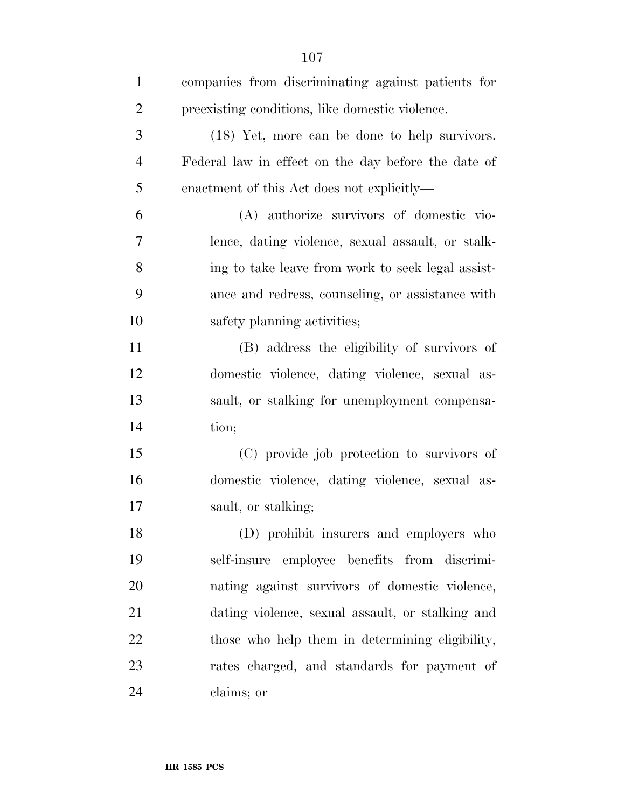| $\mathbf{1}$   | companies from discriminating against patients for  |
|----------------|-----------------------------------------------------|
| $\overline{2}$ | preexisting conditions, like domestic violence.     |
| 3              | (18) Yet, more can be done to help survivors.       |
| $\overline{4}$ | Federal law in effect on the day before the date of |
| 5              | enactment of this Act does not explicitly—          |
| 6              | (A) authorize survivors of domestic vio-            |
| 7              | lence, dating violence, sexual assault, or stalk-   |
| 8              | ing to take leave from work to seek legal assist-   |
| 9              | ance and redress, counseling, or assistance with    |
| 10             | safety planning activities;                         |
| 11             | (B) address the eligibility of survivors of         |
| 12             | domestic violence, dating violence, sexual as-      |
| 13             | sault, or stalking for unemployment compensa-       |
| 14             | tion;                                               |
| 15             | (C) provide job protection to survivors of          |
| 16             | domestic violence, dating violence, sexual as-      |
| 17             | sault, or stalking;                                 |
| 18             | (D) prohibit insurers and employers who             |
| 19             | self-insure employee benefits from discrimi-        |
| 20             | nating against survivors of domestic violence,      |
| 21             | dating violence, sexual assault, or stalking and    |
| 22             | those who help them in determining eligibility,     |
| 23             | rates charged, and standards for payment of         |
| 24             | claims; or                                          |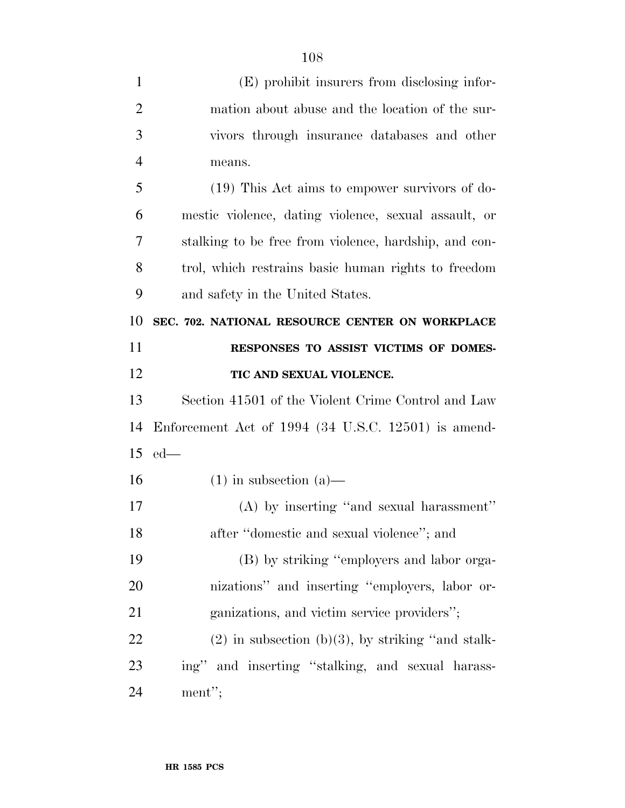| $\mathbf{1}$   | (E) prohibit insurers from disclosing infor-          |
|----------------|-------------------------------------------------------|
| $\overline{2}$ | mation about abuse and the location of the sur-       |
| 3              | vivors through insurance databases and other          |
| $\overline{4}$ | means.                                                |
| 5              | $(19)$ This Act aims to empower survivors of do-      |
| 6              | mestic violence, dating violence, sexual assault, or  |
| 7              | stalking to be free from violence, hardship, and con- |
| 8              | trol, which restrains basic human rights to freedom   |
| 9              | and safety in the United States.                      |
| 10             | SEC. 702. NATIONAL RESOURCE CENTER ON WORKPLACE       |
| 11             | RESPONSES TO ASSIST VICTIMS OF DOMES-                 |
| 12             | TIC AND SEXUAL VIOLENCE.                              |
| 13             | Section 41501 of the Violent Crime Control and Law    |
| 14             | Enforcement Act of $1994$ (34 U.S.C. 12501) is amend- |
| 15             | $ed$ —                                                |
| 16             | $(1)$ in subsection $(a)$ —                           |
| 17             | (A) by inserting "and sexual harassment"              |
| 18             | after "domestic and sexual violence"; and             |
| 19             | (B) by striking "employers and labor orga-            |
| 20             | nizations" and inserting "employers, labor or-        |
| 21             | ganizations, and victim service providers";           |
| 22             | $(2)$ in subsection (b)(3), by striking "and stalk-   |
| 23             | ing" and inserting "stalking, and sexual harass-      |
| 24             | ment";                                                |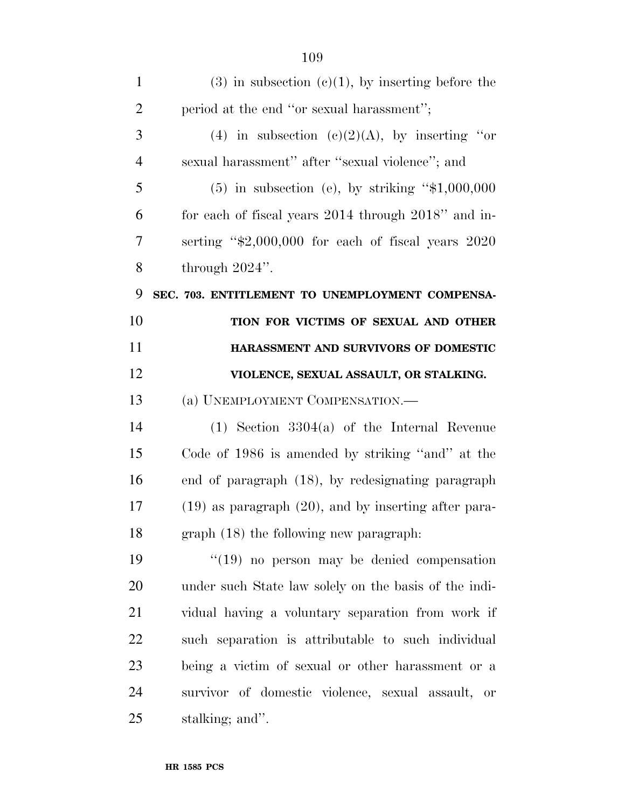| $\mathbf{1}$   | $(3)$ in subsection $(e)(1)$ , by inserting before the    |
|----------------|-----------------------------------------------------------|
| $\overline{2}$ | period at the end "or sexual harassment";                 |
| 3              | (4) in subsection (c)(2)(A), by inserting "or             |
| $\overline{4}$ | sexual harassment" after "sexual violence"; and           |
| 5              | $(5)$ in subsection (e), by striking "\$1,000,000         |
| 6              | for each of fiscal years 2014 through 2018" and in-       |
| 7              | serting "\$2,000,000 for each of fiscal years 2020        |
| 8              | through $2024$ ".                                         |
| 9              | SEC. 703. ENTITLEMENT TO UNEMPLOYMENT COMPENSA-           |
| 10             | TION FOR VICTIMS OF SEXUAL AND OTHER                      |
| 11             | HARASSMENT AND SURVIVORS OF DOMESTIC                      |
| 12             | VIOLENCE, SEXUAL ASSAULT, OR STALKING.                    |
| 13             | (a) UNEMPLOYMENT COMPENSATION.—                           |
| 14             | $(1)$ Section 3304 $(a)$ of the Internal Revenue          |
| 15             | Code of 1986 is amended by striking "and" at the          |
| 16             | end of paragraph (18), by redesignating paragraph         |
| 17             | $(19)$ as paragraph $(20)$ , and by inserting after para- |
| 18             | $graph (18)$ the following new paragraph:                 |
| 19             | $\lq(19)$ no person may be denied compensation            |
| 20             | under such State law solely on the basis of the indi-     |
| 21             | vidual having a voluntary separation from work if         |
| 22             | such separation is attributable to such individual        |
| 23             | being a victim of sexual or other harassment or a         |
| 24             | survivor of domestic violence, sexual assault, or         |
| 25             | stalking; and".                                           |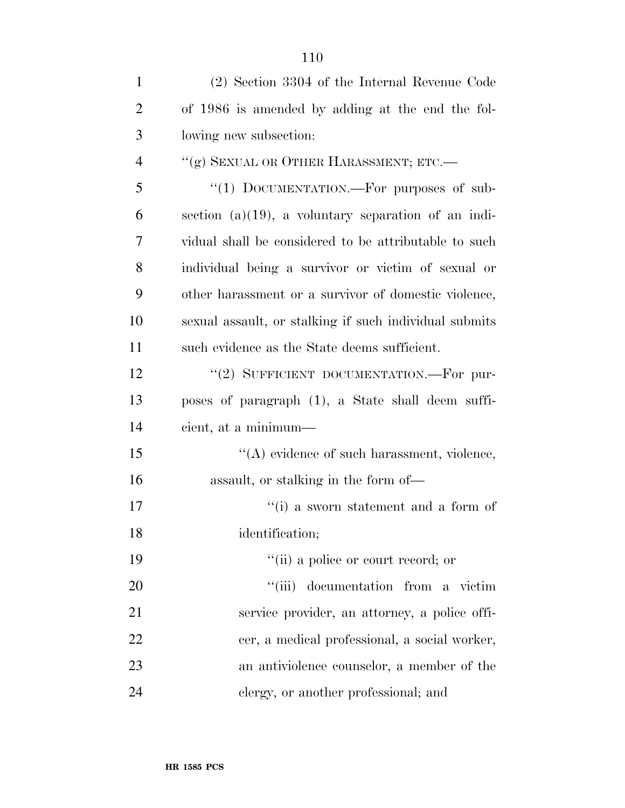| $\mathbf{1}$   | (2) Section 3304 of the Internal Revenue Code          |
|----------------|--------------------------------------------------------|
| $\overline{2}$ | of 1986 is amended by adding at the end the fol-       |
| 3              | lowing new subsection:                                 |
| $\overline{4}$ | "(g) SEXUAL OR OTHER HARASSMENT; ETC.—                 |
| 5              | "(1) DOCUMENTATION.—For purposes of sub-               |
| 6              | section $(a)(19)$ , a voluntary separation of an indi- |
| 7              | vidual shall be considered to be attributable to such  |
| 8              | individual being a survivor or victim of sexual or     |
| 9              | other harassment or a survivor of domestic violence,   |
| 10             | sexual assault, or stalking if such individual submits |
| 11             | such evidence as the State deems sufficient.           |
| 12             | "(2) SUFFICIENT DOCUMENTATION.—For pur-                |
| 13             | poses of paragraph (1), a State shall deem suffi-      |
| 14             | cient, at a minimum—                                   |
| 15             | "(A) evidence of such harassment, violence,            |
| 16             | assault, or stalking in the form of—                   |
| 17             | $f'(i)$ a sworn statement and a form of                |
| 18             | identification;                                        |
| 19             | "(ii) a police or court record; or                     |
| 20             | "(iii) documentation from a victim                     |
| 21             | service provider, an attorney, a police offi-          |
| 22             | cer, a medical professional, a social worker,          |
| 23             | an antiviolence counselor, a member of the             |
| 24             | clergy, or another professional; and                   |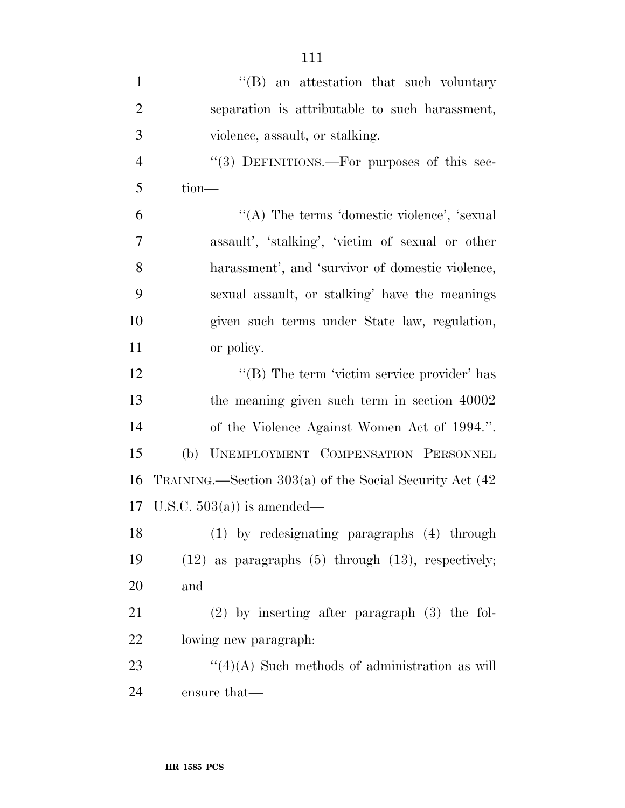| $\mathbf{1}$   | $\lq\lq$ an attestation that such voluntary               |
|----------------|-----------------------------------------------------------|
| $\overline{2}$ | separation is attributable to such harassment,            |
| 3              | violence, assault, or stalking.                           |
| $\overline{4}$ | "(3) DEFINITIONS.—For purposes of this sec-               |
| 5              | tion-                                                     |
| 6              | "(A) The terms 'domestic violence', 'sexual               |
| 7              | assault', 'stalking', 'victim of sexual or other          |
| 8              | harassment', and 'survivor of domestic violence,          |
| 9              | sexual assault, or stalking' have the meanings            |
| 10             | given such terms under State law, regulation,             |
| 11             | or policy.                                                |
| 12             | "(B) The term 'victim service provider' has               |
| 13             | the meaning given such term in section 40002              |
| 14             | of the Violence Against Women Act of 1994.".              |
| 15             | (b) UNEMPLOYMENT COMPENSATION PERSONNEL                   |
| 16             | TRAINING.—Section 303(a) of the Social Security Act (42   |
|                | 17 U.S.C. $503(a)$ is amended—                            |
| 18             | (1) by redesignating paragraphs (4) through               |
| 19             | $(12)$ as paragraphs $(5)$ through $(13)$ , respectively; |
| 20             | and                                                       |
| 21             | $(2)$ by inserting after paragraph $(3)$ the fol-         |
| 22             | lowing new paragraph:                                     |
| 23             | $``(4)(A)$ Such methods of administration as will         |
| 24             | ensure that—                                              |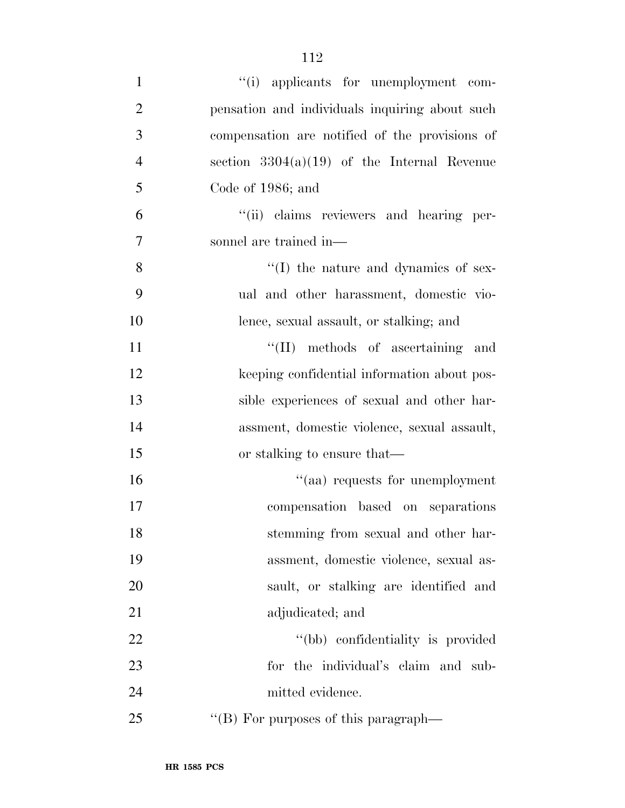| $\mathbf{1}$   | "(i) applicants for unemployment com-          |
|----------------|------------------------------------------------|
| $\overline{2}$ | pensation and individuals inquiring about such |
| 3              | compensation are notified of the provisions of |
| $\overline{4}$ | section $3304(a)(19)$ of the Internal Revenue  |
| 5              | Code of 1986; and                              |
| 6              | "(ii) claims reviewers and hearing per-        |
| $\tau$         | sonnel are trained in—                         |
| 8              | $\lq\lq$ (I) the nature and dynamics of sex-   |
| 9              | ual and other harassment, domestic vio-        |
| 10             | lence, sexual assault, or stalking; and        |
| 11             | "(II) methods of ascertaining and              |
| 12             | keeping confidential information about pos-    |
| 13             | sible experiences of sexual and other har-     |
| 14             | assment, domestic violence, sexual assault,    |
| 15             | or stalking to ensure that—                    |
| 16             | "(aa) requests for unemployment                |
| 17             | compensation based on separations              |
| 18             | stemming from sexual and other har-            |
| 19             | assment, domestic violence, sexual as-         |
| 20             | sault, or stalking are identified and          |
| 21             | adjudicated; and                               |
| 22             | "(bb) confidentiality is provided              |
| 23             | for the individual's claim and sub-            |
| 24             | mitted evidence.                               |
| 25             | "(B) For purposes of this paragraph—           |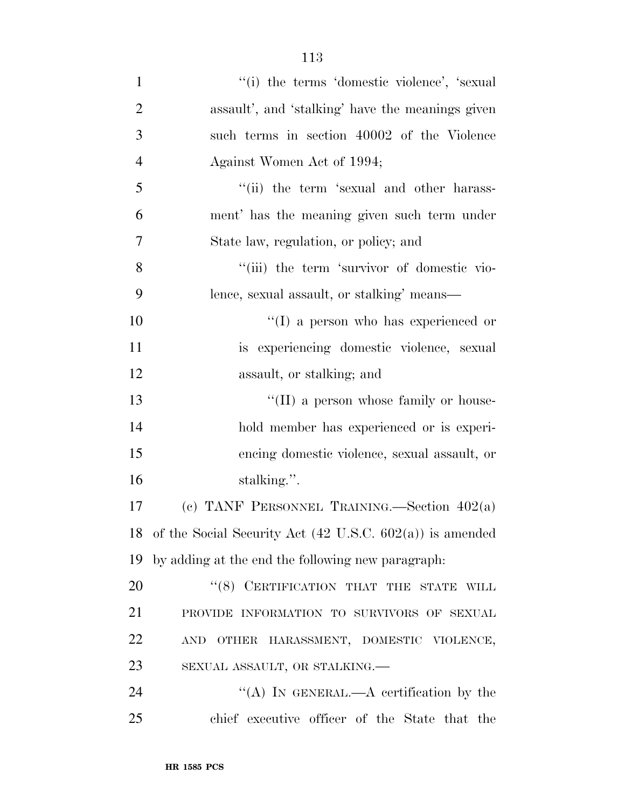| $\mathbf{1}$   | "(i) the terms 'domestic violence', 'sexual                            |
|----------------|------------------------------------------------------------------------|
| $\overline{2}$ | assault', and 'stalking' have the meanings given                       |
| 3              | such terms in section 40002 of the Violence                            |
| $\overline{4}$ | Against Women Act of 1994;                                             |
| 5              | "(ii) the term 'sexual and other harass-                               |
| 6              | ment' has the meaning given such term under                            |
| 7              | State law, regulation, or policy; and                                  |
| 8              | "(iii) the term 'survivor of domestic vio-                             |
| 9              | lence, sexual assault, or stalking' means—                             |
| 10             | "(I) a person who has experienced or                                   |
| 11             | is experiencing domestic violence, sexual                              |
| 12             | assault, or stalking; and                                              |
| 13             | "(II) a person whose family or house-                                  |
| 14             | hold member has experienced or is experi-                              |
| 15             | encing domestic violence, sexual assault, or                           |
| 16             | stalking.".                                                            |
| 17             | (c) TANF PERSONNEL TRAINING.—Section $402(a)$                          |
|                | 18 of the Social Security Act $(42 \text{ U.S.C. } 602(a))$ is amended |
| 19             | by adding at the end the following new paragraph:                      |
| 20             | "(8) CERTIFICATION THAT THE STATE WILL                                 |
| 21             | PROVIDE INFORMATION TO SURVIVORS OF SEXUAL                             |
| 22             | AND OTHER HARASSMENT, DOMESTIC VIOLENCE,                               |
| 23             | SEXUAL ASSAULT, OR STALKING.                                           |
| 24             | "(A) IN GENERAL.—A certification by the                                |
| 25             | chief executive officer of the State that the                          |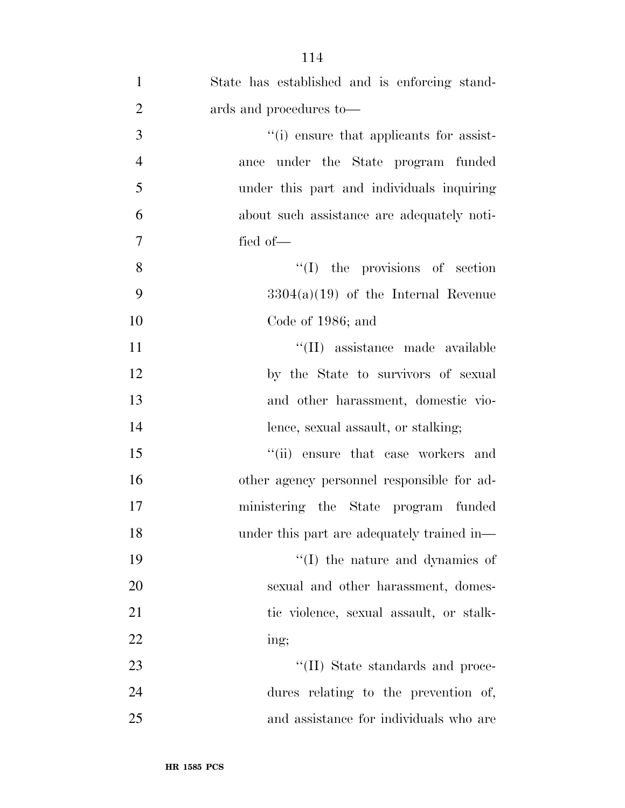| $\mathbf{1}$   | State has established and is enforcing stand- |
|----------------|-----------------------------------------------|
| $\overline{2}$ | ards and procedures to-                       |
| 3              | "(i) ensure that applicants for assist-       |
| $\overline{4}$ | ance under the State program funded           |
| 5              | under this part and individuals inquiring     |
| 6              | about such assistance are adequately noti-    |
| $\overline{7}$ | fied of-                                      |
| 8              | $\lq\lq$ (I) the provisions of section        |
| 9              | $3304(a)(19)$ of the Internal Revenue         |
| 10             | Code of 1986; and                             |
| 11             | "(II) assistance made available               |
| 12             | by the State to survivors of sexual           |
| 13             | and other harassment, domestic vio-           |
| 14             | lence, sexual assault, or stalking;           |
| 15             | "(ii) ensure that case workers and            |
| 16             | other agency personnel responsible for ad-    |
| 17             | ministering the State program funded          |
| 18             | under this part are adequately trained in—    |
| 19             | "(I) the nature and dynamics of               |
| 20             | sexual and other harassment, domes-           |
| 21             | tic violence, sexual assault, or stalk-       |
| 22             | ing;                                          |
| 23             | "(II) State standards and proce-              |
| 24             | dures relating to the prevention of,          |
| 25             | and assistance for individuals who are        |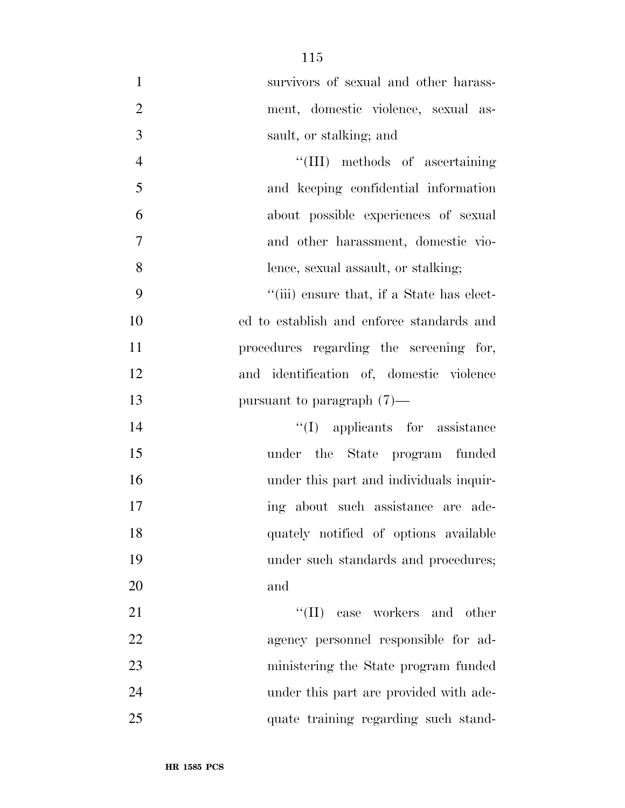| $\mathbf{1}$   | survivors of sexual and other harass-     |
|----------------|-------------------------------------------|
| $\mathbf{2}$   | ment, domestic violence, sexual as-       |
| 3              | sault, or stalking; and                   |
| $\overline{4}$ | "(III) methods of ascertaining            |
| 5              | and keeping confidential information      |
| 6              | about possible experiences of sexual      |
| $\tau$         | and other harassment, domestic vio-       |
| 8              | lence, sexual assault, or stalking;       |
| 9              | "(iii) ensure that, if a State has elect- |
| 10             | ed to establish and enforce standards and |
| 11             | procedures regarding the screening for,   |
| 12             | and identification of, domestic violence  |
| 13             | pursuant to paragraph $(7)$ —             |
| 14             | $\lq\lq$ (I) applicants for assistance    |
| 15             | under the State program funded            |
| 16             | under this part and individuals inquir-   |
| 17             | ing about such assistance are ade-        |
| 18             | quately notified of options available     |
| 19             | under such standards and procedures;      |
| 20             | and                                       |
| 21             | $\lq\lq$ (II) case workers and other      |
| 22             | agency personnel responsible for ad-      |
| 23             | ministering the State program funded      |
| 24             | under this part are provided with a de-   |
| 25             | quate training regarding such stand-      |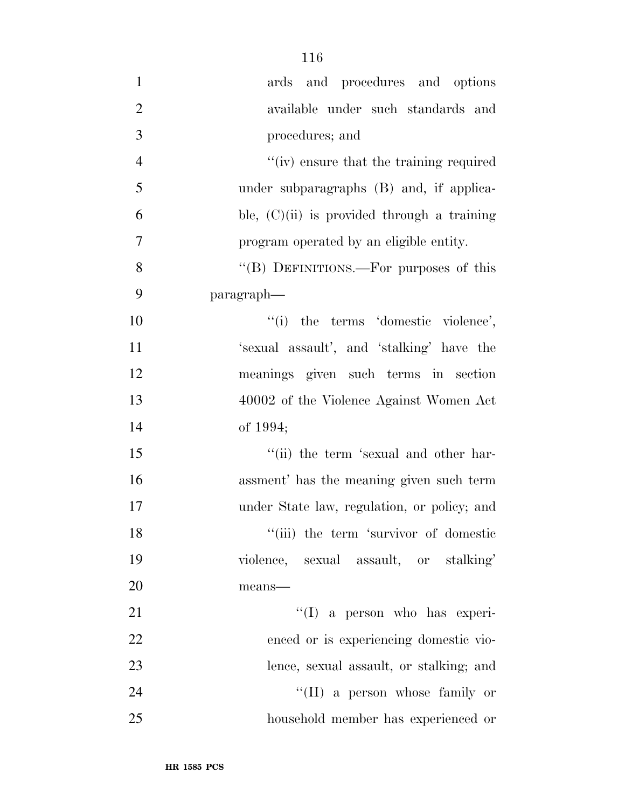| $\mathbf{1}$   | ards and procedures and options               |
|----------------|-----------------------------------------------|
| $\mathfrak{2}$ | available under such standards and            |
| 3              | procedures; and                               |
| $\overline{4}$ | "(iv) ensure that the training required       |
| 5              | under subparagraphs (B) and, if applica-      |
| 6              | ble, $(C)(ii)$ is provided through a training |
| 7              | program operated by an eligible entity.       |
| 8              | "(B) DEFINITIONS.—For purposes of this        |
| 9              | paragraph—                                    |
| 10             | "(i) the terms 'domestic violence',           |
| 11             | 's exual assault', and 'stalking' have the    |
| 12             | meanings given such terms in section          |
| 13             | 40002 of the Violence Against Women Act       |
| 14             | of 1994;                                      |
| 15             | "(ii) the term 'sexual and other har-         |
| 16             | assment' has the meaning given such term      |
| 17             | under State law, regulation, or policy; and   |
| 18             | "(iii) the term 'survivor of domestic         |
| 19             | violence, sexual assault, or stalking'        |
| 20             | means-                                        |
| 21             | "(I) a person who has experi-                 |
| 22             | enced or is experiencing domestic vio-        |
| 23             | lence, sexual assault, or stalking; and       |
| 24             | "(II) a person whose family or                |
| 25             | household member has experienced or           |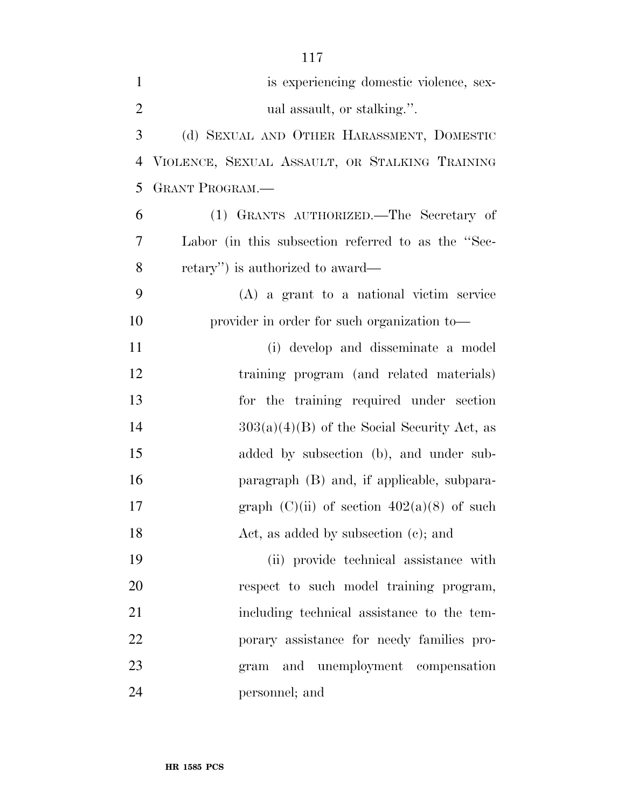| $\mathbf{1}$   | is experiencing domestic violence, sex-            |
|----------------|----------------------------------------------------|
| $\overline{2}$ | ual assault, or stalking.".                        |
| 3              | (d) SEXUAL AND OTHER HARASSMENT, DOMESTIC          |
| 4              | VIOLENCE, SEXUAL ASSAULT, OR STALKING TRAINING     |
| 5              | <b>GRANT PROGRAM.—</b>                             |
| 6              | (1) GRANTS AUTHORIZED.—The Secretary of            |
| 7              | Labor (in this subsection referred to as the "Sec- |
| 8              | retary") is authorized to award—                   |
| 9              | (A) a grant to a national victim service           |
| 10             | provider in order for such organization to-        |
| 11             | (i) develop and disseminate a model                |
| 12             | training program (and related materials)           |
| 13             | for the training required under section            |
| 14             | $303(a)(4)(B)$ of the Social Security Act, as      |
| 15             | added by subsection (b), and under sub-            |
| 16             | paragraph (B) and, if applicable, subpara-         |
| 17             | graph (C)(ii) of section $402(a)(8)$ of such       |
| 18             | Act, as added by subsection $(c)$ ; and            |
| 19             | (ii) provide technical assistance with             |
| 20             | respect to such model training program,            |
| 21             | including technical assistance to the tem-         |
| 22             | porary assistance for needy families pro-          |
| 23             | and unemployment compensation<br>gram              |
| 24             | personnel; and                                     |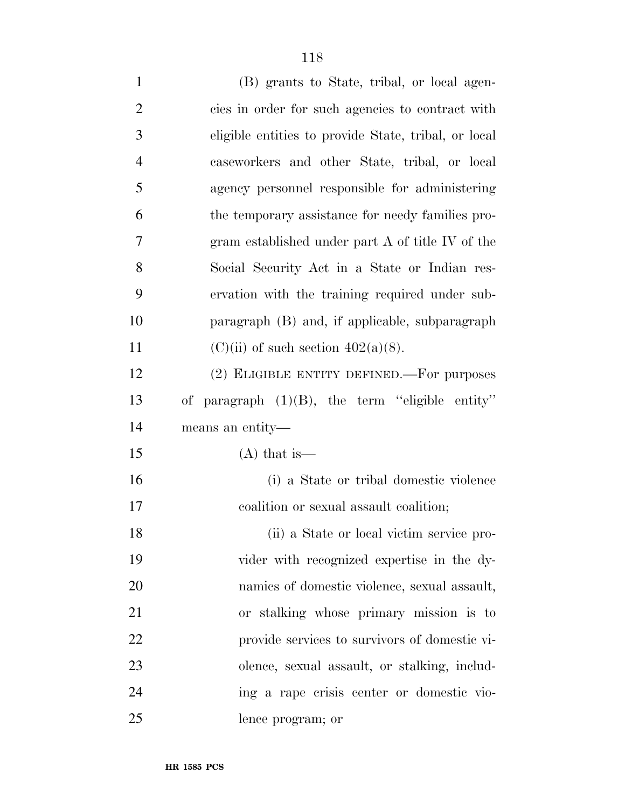| $\mathbf{1}$   | (B) grants to State, tribal, or local agen-          |
|----------------|------------------------------------------------------|
| $\overline{c}$ | cies in order for such agencies to contract with     |
| 3              | eligible entities to provide State, tribal, or local |
| $\overline{4}$ | caseworkers and other State, tribal, or local        |
| 5              | agency personnel responsible for administering       |
| 6              | the temporary assistance for needy families pro-     |
| 7              | gram established under part A of title IV of the     |
| 8              | Social Security Act in a State or Indian res-        |
| 9              | ervation with the training required under sub-       |
| 10             | paragraph (B) and, if applicable, subparagraph       |
| 11             | $(C)(ii)$ of such section $402(a)(8)$ .              |
| 12             | (2) ELIGIBLE ENTITY DEFINED.—For purposes            |
| 13             | of paragraph $(1)(B)$ , the term "eligible entity"   |
| 14             | means an entity—                                     |
| 15             | $(A)$ that is —                                      |
| 16             | (i) a State or tribal domestic violence              |
| 17             | coalition or sexual assault coalition;               |
| 18             | (ii) a State or local victim service pro-            |
| 19             | vider with recognized expertise in the dy-           |
| 20             | namics of domestic violence, sexual assault,         |
| 21             | or stalking whose primary mission is to              |
| 22             | provide services to survivors of domestic vi-        |
| 23             | olence, sexual assault, or stalking, includ-         |
| 24             | ing a rape crisis center or domestic vio-            |
| 25             | lence program; or                                    |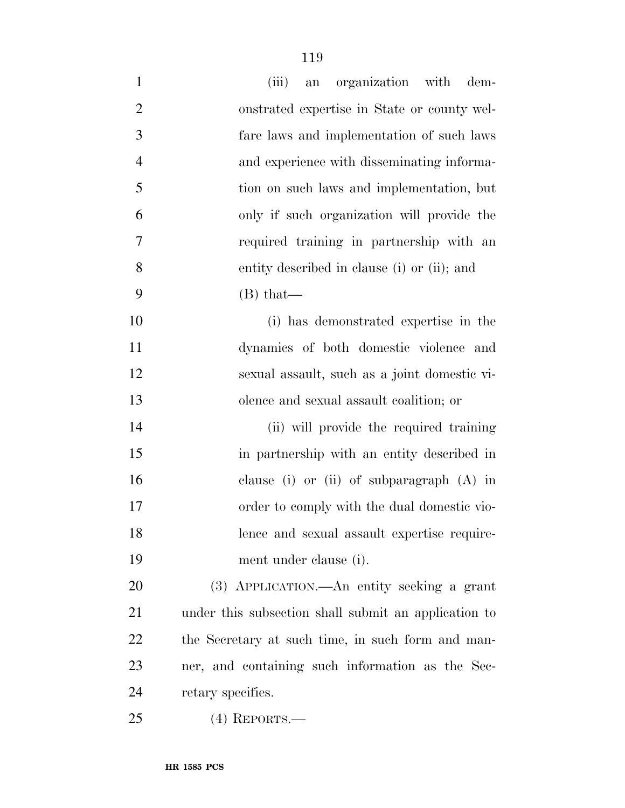| $\mathbf{1}$   | an organization with dem-<br>(iii)                   |
|----------------|------------------------------------------------------|
| $\overline{2}$ | onstrated expertise in State or county wel-          |
| 3              | fare laws and implementation of such laws            |
| $\overline{4}$ | and experience with disseminating informa-           |
| 5              | tion on such laws and implementation, but            |
| 6              | only if such organization will provide the           |
| 7              | required training in partnership with an             |
| 8              | entity described in clause (i) or (ii); and          |
| 9              | $(B)$ that—                                          |
| 10             | (i) has demonstrated expertise in the                |
| 11             | dynamics of both domestic violence and               |
| 12             | sexual assault, such as a joint domestic vi-         |
| 13             | olence and sexual assault coalition; or              |
| 14             | (ii) will provide the required training              |
| 15             | in partnership with an entity described in           |
| 16             | clause (i) or (ii) of subparagraph (A) in            |
| 17             | order to comply with the dual domestic vio-          |
| 18             | lence and sexual assault expertise require-          |
| 19             | ment under clause (i).                               |
| 20             | (3) APPLICATION.—An entity seeking a grant           |
| 21             | under this subsection shall submit an application to |
| 22             | the Secretary at such time, in such form and man-    |
| 23             | ner, and containing such information as the Sec-     |
| 24             | retary specifies.                                    |
| 25             | $(4)$ REPORTS.—                                      |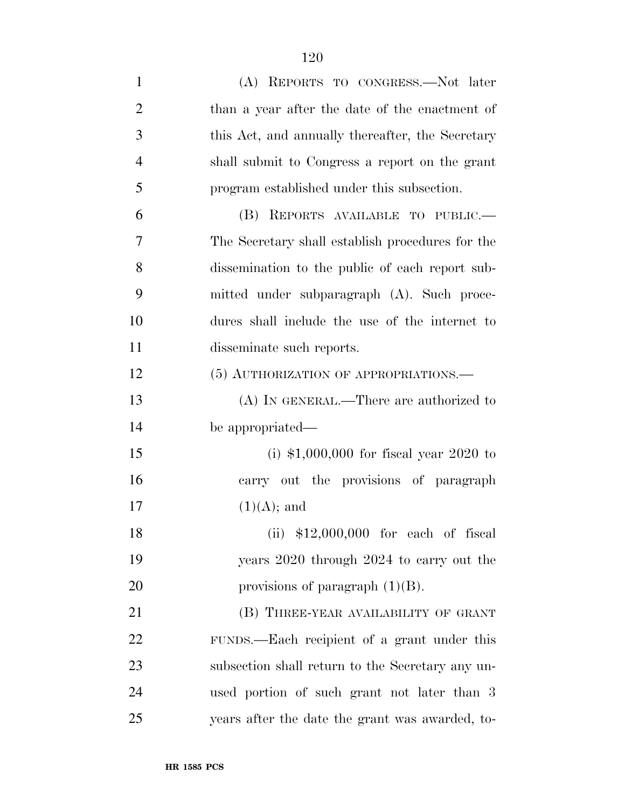| $\mathbf{1}$   | (A) REPORTS TO CONGRESS.—Not later               |
|----------------|--------------------------------------------------|
| $\overline{2}$ | than a year after the date of the enactment of   |
| 3              | this Act, and annually thereafter, the Secretary |
| $\overline{4}$ | shall submit to Congress a report on the grant   |
| 5              | program established under this subsection.       |
| 6              | (B) REPORTS AVAILABLE TO PUBLIC.                 |
| 7              | The Secretary shall establish procedures for the |
| 8              | dissemination to the public of each report sub-  |
| 9              | mitted under subparagraph (A). Such proce-       |
| 10             | dures shall include the use of the internet to   |
| 11             | disseminate such reports.                        |
| 12             | (5) AUTHORIZATION OF APPROPRIATIONS.—            |
| 13             | $(A)$ In GENERAL.—There are authorized to        |
| 14             | be appropriated—                                 |
| 15             | (i) $$1,000,000$ for fiscal year 2020 to         |
| 16             | carry out the provisions of paragraph            |
| 17             | $(1)(A);$ and                                    |
| 18             | $(ii)$ \$12,000,000 for each of fiscal           |
| 19             | years 2020 through 2024 to carry out the         |
| 20             | provisions of paragraph $(1)(B)$ .               |
| 21             | (B) THREE-YEAR AVAILABILITY OF GRANT             |
| 22             | FUNDS.—Each recipient of a grant under this      |
| 23             | subsection shall return to the Secretary any un- |
| 24             | used portion of such grant not later than 3      |

years after the date the grant was awarded, to-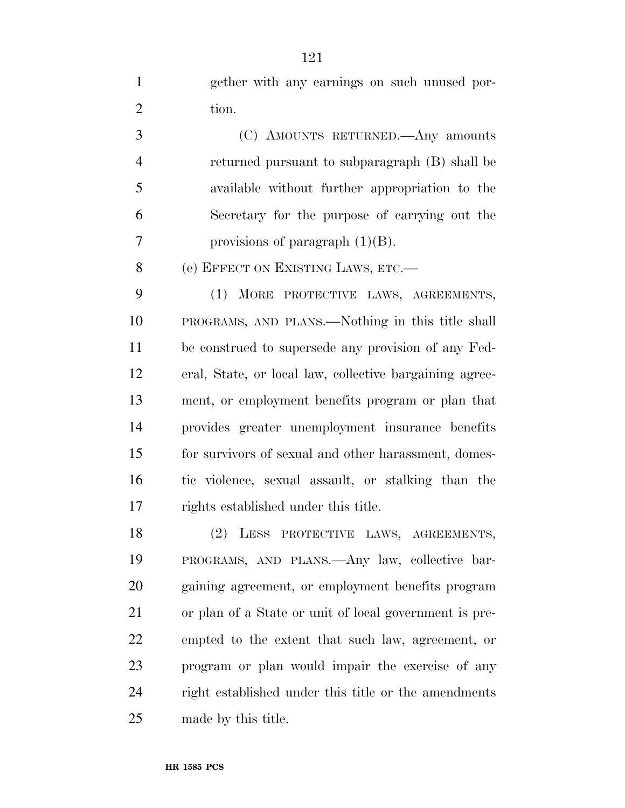gether with any earnings on such unused por-2 tion. (C) AMOUNTS RETURNED.—Any amounts returned pursuant to subparagraph (B) shall be available without further appropriation to the Secretary for the purpose of carrying out the 7 provisions of paragraph  $(1)(B)$ . (e) EFFECT ON EXISTING LAWS, ETC.— (1) MORE PROTECTIVE LAWS, AGREEMENTS, PROGRAMS, AND PLANS.—Nothing in this title shall be construed to supersede any provision of any Fed- eral, State, or local law, collective bargaining agree- ment, or employment benefits program or plan that provides greater unemployment insurance benefits for survivors of sexual and other harassment, domes- tic violence, sexual assault, or stalking than the rights established under this title. (2) LESS PROTECTIVE LAWS, AGREEMENTS, PROGRAMS, AND PLANS.—Any law, collective bar- gaining agreement, or employment benefits program or plan of a State or unit of local government is pre-

 empted to the extent that such law, agreement, or program or plan would impair the exercise of any right established under this title or the amendments made by this title.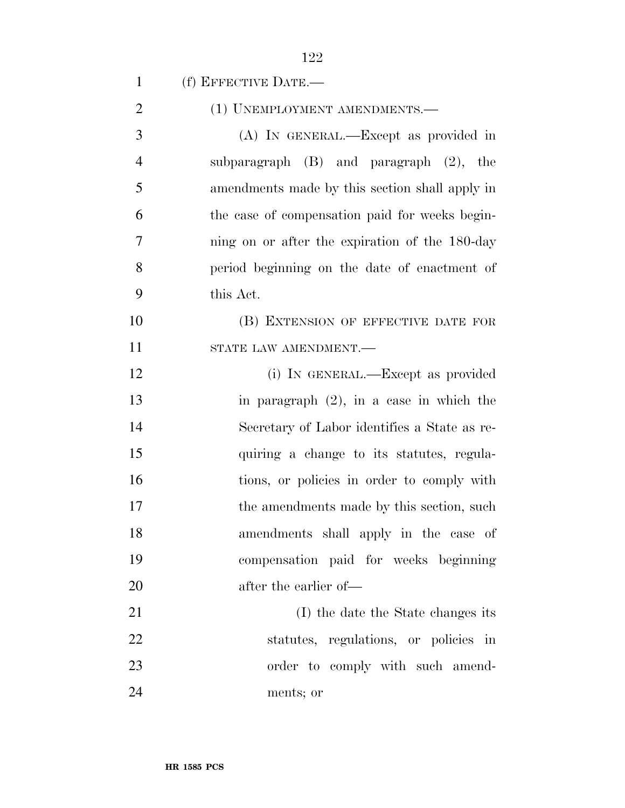(f) EFFECTIVE DATE.—

2 (1) UNEMPLOYMENT AMENDMENTS.—

 (A) IN GENERAL.—Except as provided in subparagraph (B) and paragraph (2), the amendments made by this section shall apply in the case of compensation paid for weeks begin- ning on or after the expiration of the 180-day period beginning on the date of enactment of this Act.

10 (B) EXTENSION OF EFFECTIVE DATE FOR 11 STATE LAW AMENDMENT.

12 (i) IN GENERAL.—Except as provided in paragraph (2), in a case in which the Secretary of Labor identifies a State as re- quiring a change to its statutes, regula-16 tions, or policies in order to comply with 17 the amendments made by this section, such amendments shall apply in the case of compensation paid for weeks beginning 20 after the earlier of —

21 (I) the date the State changes its statutes, regulations, or policies in 23 order to comply with such amend-ments; or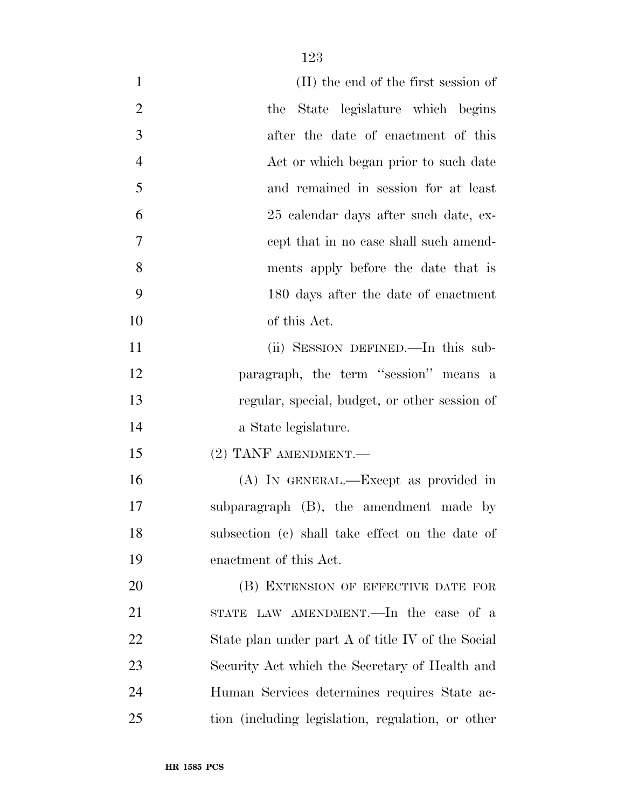| $\mathbf{1}$   | (II) the end of the first session of              |
|----------------|---------------------------------------------------|
| $\overline{2}$ | the State legislature which begins                |
| 3              | after the date of enactment of this               |
| $\overline{4}$ | Act or which began prior to such date             |
| 5              | and remained in session for at least              |
| 6              | 25 calendar days after such date, ex-             |
| $\overline{7}$ | cept that in no case shall such amend-            |
| 8              | ments apply before the date that is               |
| 9              | 180 days after the date of enactment              |
| 10             | of this Act.                                      |
| 11             | (ii) SESSION DEFINED.—In this sub-                |
| 12             | paragraph, the term "session" means a             |
| 13             | regular, special, budget, or other session of     |
| 14             | a State legislature.                              |
| 15             | $(2)$ TANF AMENDMENT.—                            |
| 16             | (A) IN GENERAL.—Except as provided in             |
| 17             | subparagraph (B), the amendment made by           |
| 18             | subsection (c) shall take effect on the date of   |
| 19             | enactment of this Act.                            |
| 20             | (B) EXTENSION OF EFFECTIVE DATE FOR               |
| 21             | STATE LAW AMENDMENT.—In the case of a             |
| 22             | State plan under part A of title IV of the Social |
| 23             | Security Act which the Secretary of Health and    |
| 24             | Human Services determines requires State ac-      |
| 25             | tion (including legislation, regulation, or other |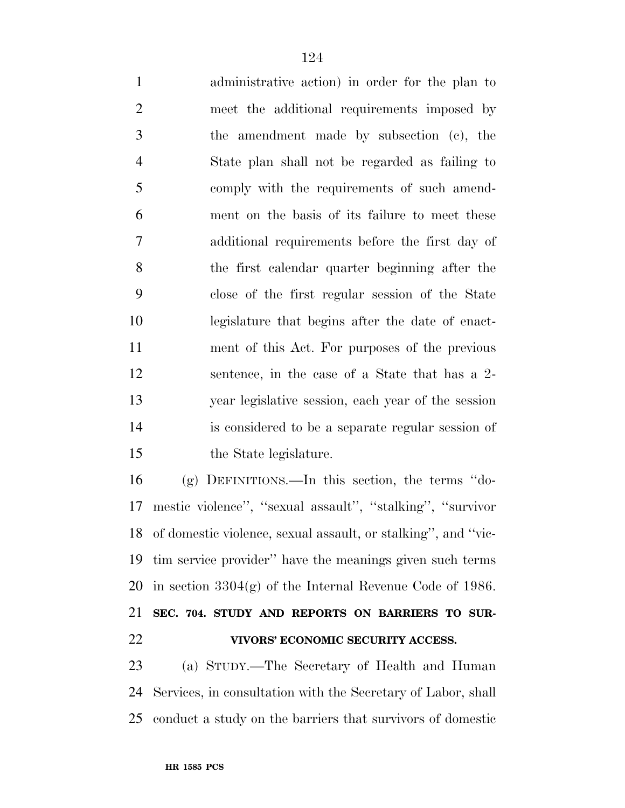administrative action) in order for the plan to meet the additional requirements imposed by the amendment made by subsection (c), the State plan shall not be regarded as failing to comply with the requirements of such amend- ment on the basis of its failure to meet these additional requirements before the first day of the first calendar quarter beginning after the close of the first regular session of the State legislature that begins after the date of enact- ment of this Act. For purposes of the previous sentence, in the case of a State that has a 2- year legislative session, each year of the session is considered to be a separate regular session of the State legislature.

 (g) DEFINITIONS.—In this section, the terms ''do- mestic violence'', ''sexual assault'', ''stalking'', ''survivor of domestic violence, sexual assault, or stalking'', and ''vic- tim service provider'' have the meanings given such terms 20 in section  $3304(g)$  of the Internal Revenue Code of 1986. **SEC. 704. STUDY AND REPORTS ON BARRIERS TO SUR-VIVORS' ECONOMIC SECURITY ACCESS.** 

 (a) STUDY.—The Secretary of Health and Human Services, in consultation with the Secretary of Labor, shall conduct a study on the barriers that survivors of domestic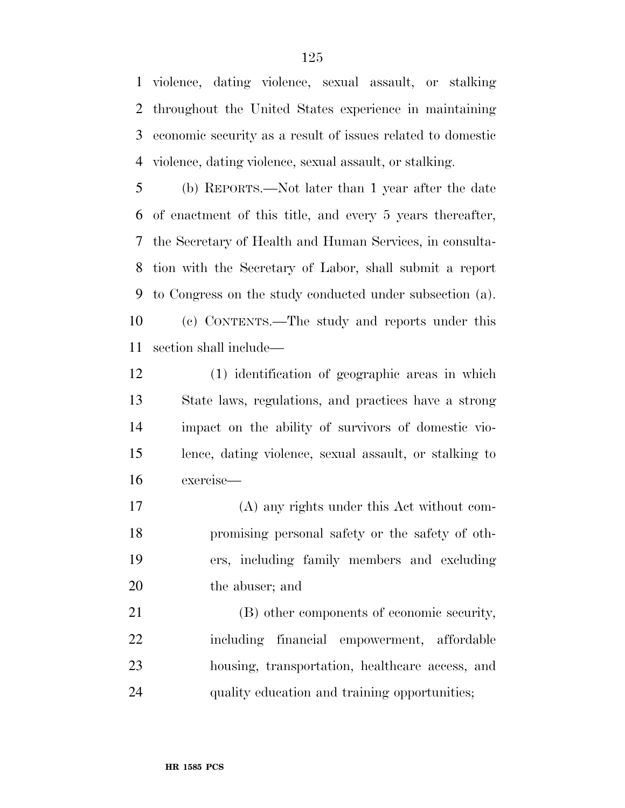violence, dating violence, sexual assault, or stalking throughout the United States experience in maintaining economic security as a result of issues related to domestic violence, dating violence, sexual assault, or stalking.

 (b) REPORTS.—Not later than 1 year after the date of enactment of this title, and every 5 years thereafter, the Secretary of Health and Human Services, in consulta- tion with the Secretary of Labor, shall submit a report to Congress on the study conducted under subsection (a). (c) CONTENTS.—The study and reports under this section shall include—

 (1) identification of geographic areas in which State laws, regulations, and practices have a strong impact on the ability of survivors of domestic vio- lence, dating violence, sexual assault, or stalking to exercise—

 (A) any rights under this Act without com- promising personal safety or the safety of oth- ers, including family members and excluding the abuser; and

 (B) other components of economic security, including financial empowerment, affordable housing, transportation, healthcare access, and quality education and training opportunities;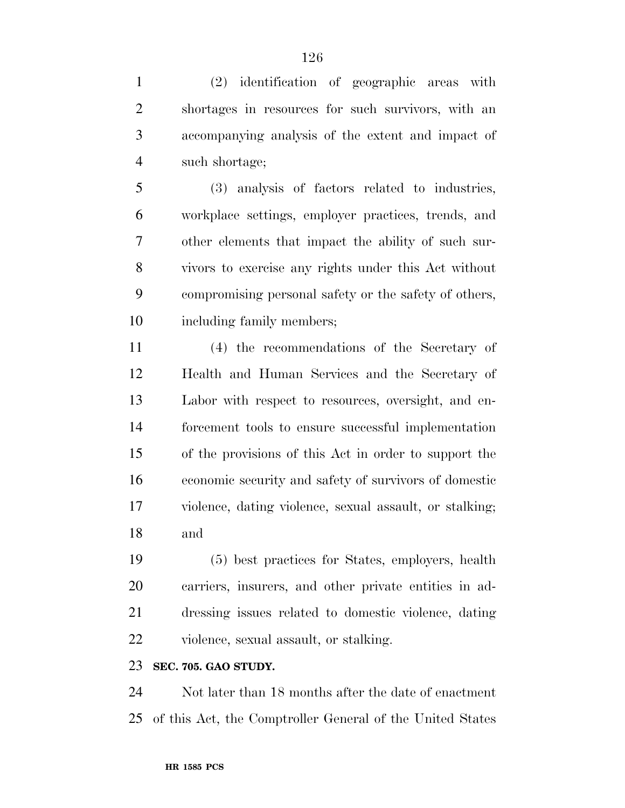(2) identification of geographic areas with shortages in resources for such survivors, with an accompanying analysis of the extent and impact of such shortage;

 (3) analysis of factors related to industries, workplace settings, employer practices, trends, and other elements that impact the ability of such sur- vivors to exercise any rights under this Act without compromising personal safety or the safety of others, including family members;

 (4) the recommendations of the Secretary of Health and Human Services and the Secretary of Labor with respect to resources, oversight, and en- forcement tools to ensure successful implementation of the provisions of this Act in order to support the economic security and safety of survivors of domestic violence, dating violence, sexual assault, or stalking; and

 (5) best practices for States, employers, health carriers, insurers, and other private entities in ad- dressing issues related to domestic violence, dating violence, sexual assault, or stalking.

## **SEC. 705. GAO STUDY.**

 Not later than 18 months after the date of enactment of this Act, the Comptroller General of the United States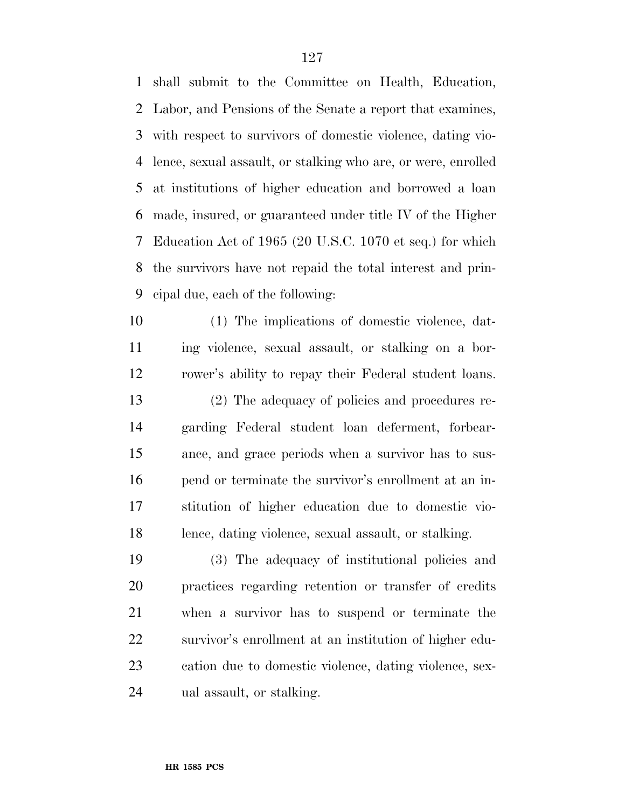shall submit to the Committee on Health, Education, Labor, and Pensions of the Senate a report that examines, with respect to survivors of domestic violence, dating vio- lence, sexual assault, or stalking who are, or were, enrolled at institutions of higher education and borrowed a loan made, insured, or guaranteed under title IV of the Higher Education Act of 1965 (20 U.S.C. 1070 et seq.) for which the survivors have not repaid the total interest and prin-cipal due, each of the following:

 (1) The implications of domestic violence, dat- ing violence, sexual assault, or stalking on a bor- rower's ability to repay their Federal student loans. (2) The adequacy of policies and procedures re- garding Federal student loan deferment, forbear- ance, and grace periods when a survivor has to sus- pend or terminate the survivor's enrollment at an in- stitution of higher education due to domestic vio-lence, dating violence, sexual assault, or stalking.

 (3) The adequacy of institutional policies and practices regarding retention or transfer of credits when a survivor has to suspend or terminate the survivor's enrollment at an institution of higher edu- cation due to domestic violence, dating violence, sex-ual assault, or stalking.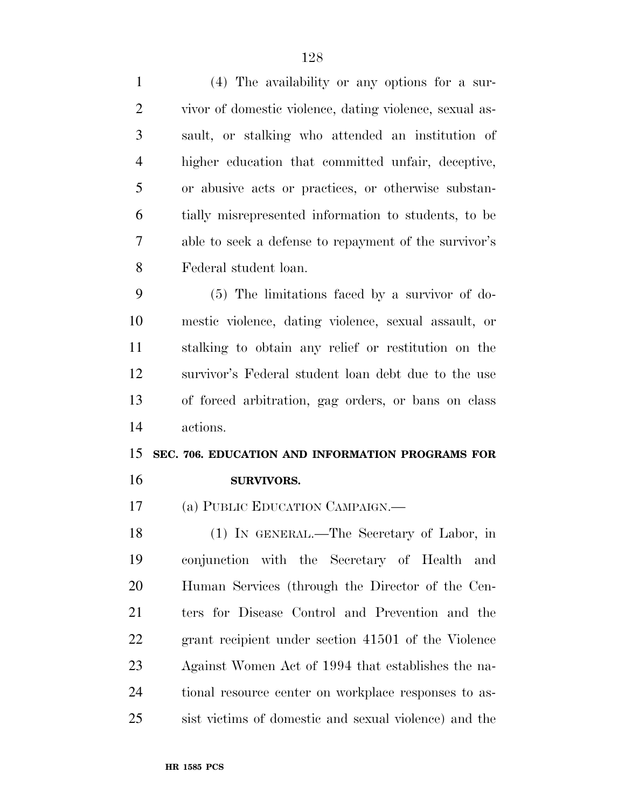(4) The availability or any options for a sur- vivor of domestic violence, dating violence, sexual as- sault, or stalking who attended an institution of higher education that committed unfair, deceptive, or abusive acts or practices, or otherwise substan- tially misrepresented information to students, to be able to seek a defense to repayment of the survivor's Federal student loan. (5) The limitations faced by a survivor of do- mestic violence, dating violence, sexual assault, or stalking to obtain any relief or restitution on the survivor's Federal student loan debt due to the use of forced arbitration, gag orders, or bans on class actions. **SEC. 706. EDUCATION AND INFORMATION PROGRAMS FOR SURVIVORS.**  (a) PUBLIC EDUCATION CAMPAIGN.— (1) IN GENERAL.—The Secretary of Labor, in conjunction with the Secretary of Health and Human Services (through the Director of the Cen- ters for Disease Control and Prevention and the grant recipient under section 41501 of the Violence Against Women Act of 1994 that establishes the na- tional resource center on workplace responses to as-sist victims of domestic and sexual violence) and the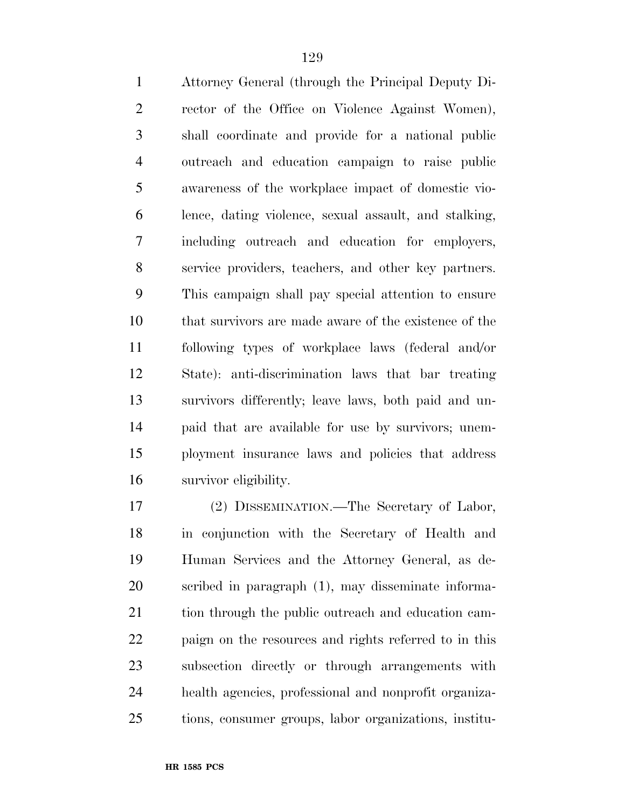Attorney General (through the Principal Deputy Di- rector of the Office on Violence Against Women), shall coordinate and provide for a national public outreach and education campaign to raise public awareness of the workplace impact of domestic vio- lence, dating violence, sexual assault, and stalking, including outreach and education for employers, service providers, teachers, and other key partners. This campaign shall pay special attention to ensure that survivors are made aware of the existence of the following types of workplace laws (federal and/or State): anti-discrimination laws that bar treating survivors differently; leave laws, both paid and un- paid that are available for use by survivors; unem- ployment insurance laws and policies that address survivor eligibility.

 (2) DISSEMINATION.—The Secretary of Labor, in conjunction with the Secretary of Health and Human Services and the Attorney General, as de- scribed in paragraph (1), may disseminate informa-21 tion through the public outreach and education cam-22 paign on the resources and rights referred to in this subsection directly or through arrangements with health agencies, professional and nonprofit organiza-tions, consumer groups, labor organizations, institu-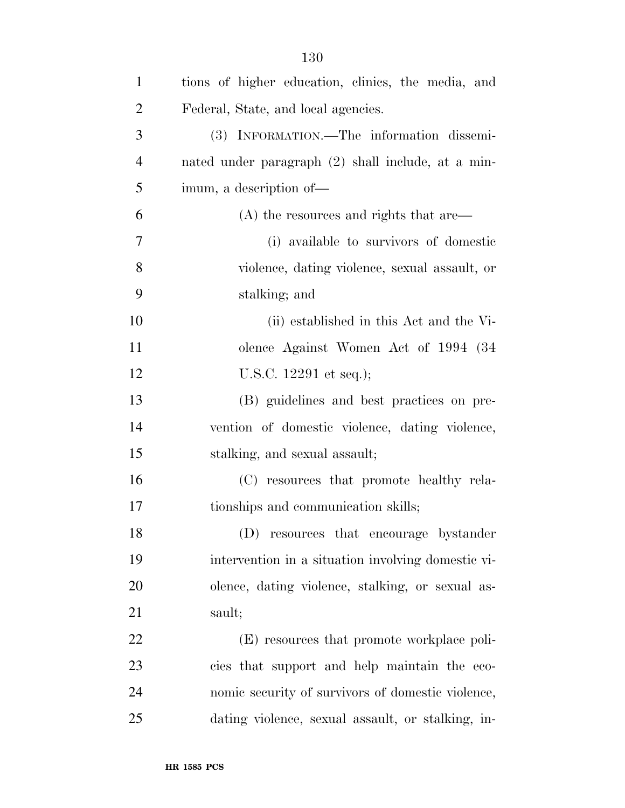| $\mathbf{1}$   | tions of higher education, clinics, the media, and |
|----------------|----------------------------------------------------|
| $\overline{2}$ | Federal, State, and local agencies.                |
| 3              | (3) INFORMATION.—The information dissemi-          |
| $\overline{4}$ | nated under paragraph (2) shall include, at a min- |
| 5              | imum, a description of—                            |
| 6              | $(A)$ the resources and rights that are—           |
| $\tau$         | (i) available to survivors of domestic             |
| 8              | violence, dating violence, sexual assault, or      |
| 9              | stalking; and                                      |
| 10             | (ii) established in this Act and the Vi-           |
| 11             | olence Against Women Act of 1994 (34)              |
| 12             | U.S.C. $12291$ et seq.);                           |
| 13             | (B) guidelines and best practices on pre-          |
| 14             | vention of domestic violence, dating violence,     |
| 15             | stalking, and sexual assault;                      |
| 16             | (C) resources that promote healthy rela-           |
| 17             | tionships and communication skills;                |
| 18             | (D) resources that encourage bystander             |
| 19             | intervention in a situation involving domestic vi- |
| 20             | olence, dating violence, stalking, or sexual as-   |
| 21             | sault;                                             |
| 22             | (E) resources that promote workplace poli-         |
| 23             | cies that support and help maintain the eco-       |
| 24             | nomic security of survivors of domestic violence,  |
| 25             | dating violence, sexual assault, or stalking, in-  |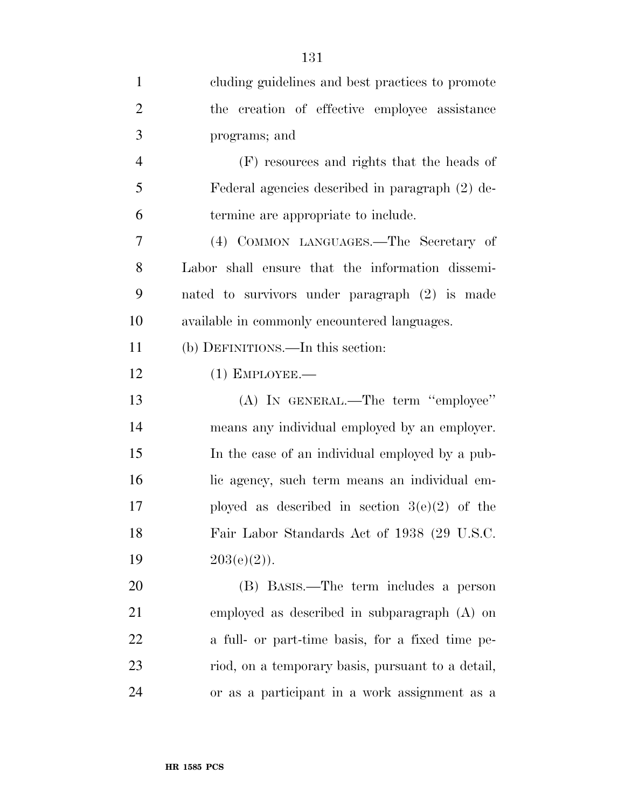| $\mathbf{1}$   | cluding guidelines and best practices to promote  |
|----------------|---------------------------------------------------|
| $\overline{2}$ | the creation of effective employee assistance     |
| 3              | programs; and                                     |
| $\overline{4}$ | (F) resources and rights that the heads of        |
| 5              | Federal agencies described in paragraph (2) de-   |
| 6              | termine are appropriate to include.               |
| $\tau$         | (4) COMMON LANGUAGES.—The Secretary of            |
| 8              | Labor shall ensure that the information dissemi-  |
| 9              | nated to survivors under paragraph (2) is made    |
| 10             | available in commonly encountered languages.      |
| 11             | (b) DEFINITIONS.—In this section:                 |
| 12             | $(1)$ EMPLOYEE.—                                  |
| 13             | (A) IN GENERAL.—The term "employee"               |
| 14             | means any individual employed by an employer.     |
| 15             | In the case of an individual employed by a pub-   |
| 16             | lic agency, such term means an individual em-     |
| 17             | ployed as described in section $3(e)(2)$ of the   |
| 18             | Fair Labor Standards Act of 1938 (29 U.S.C.       |
| 19             | $203(e)(2)$ .                                     |
| 20             | (B) BASIS.—The term includes a person             |
| 21             | employed as described in subparagraph (A) on      |
| 22             | a full- or part-time basis, for a fixed time pe-  |
| 23             | riod, on a temporary basis, pursuant to a detail, |
| 24             | or as a participant in a work assignment as a     |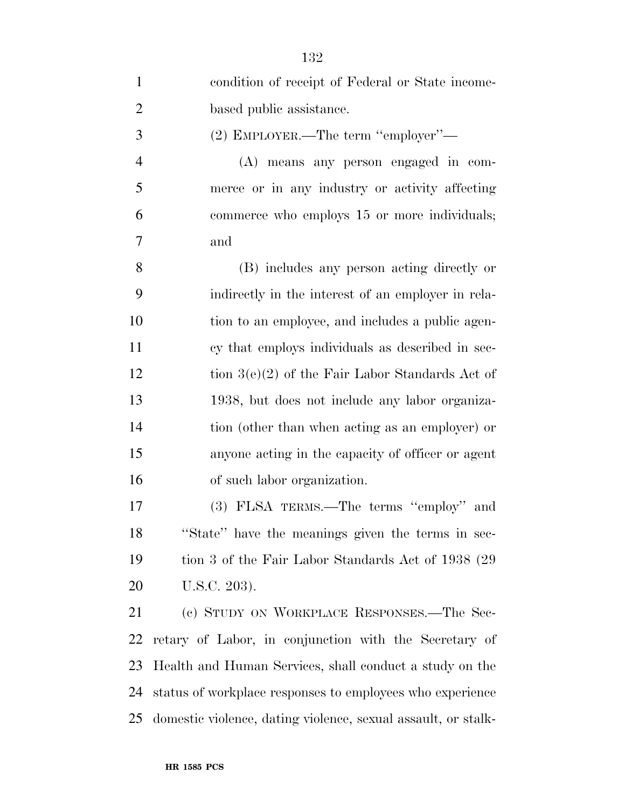| $\mathbf{1}$   | condition of receipt of Federal or State income-              |
|----------------|---------------------------------------------------------------|
| $\overline{2}$ | based public assistance.                                      |
| 3              | (2) EMPLOYER.—The term "employer"—                            |
| $\overline{4}$ | (A) means any person engaged in com-                          |
| 5              | merce or in any industry or activity affecting                |
| 6              | commerce who employs 15 or more individuals;                  |
| $\overline{7}$ | and                                                           |
| 8              | (B) includes any person acting directly or                    |
| 9              | indirectly in the interest of an employer in rela-            |
| 10             | tion to an employee, and includes a public agen-              |
| 11             | cy that employs individuals as described in sec-              |
| 12             | tion $3(e)(2)$ of the Fair Labor Standards Act of             |
| 13             | 1938, but does not include any labor organiza-                |
| 14             | tion (other than when acting as an employer) or               |
| 15             | anyone acting in the capacity of officer or agent             |
| 16             | of such labor organization.                                   |
| 17             | (3) FLSA TERMS.—The terms "employ" and                        |
| 18             | "State" have the meanings given the terms in sec-             |
| 19             | tion 3 of the Fair Labor Standards Act of 1938 (29)           |
| 20             | U.S.C. 203).                                                  |
| 21             | (c) STUDY ON WORKPLACE RESPONSES.—The Sec-                    |
| 22             | retary of Labor, in conjunction with the Secretary of         |
| 23             | Health and Human Services, shall conduct a study on the       |
| 24             | status of workplace responses to employees who experience     |
| 25             | domestic violence, dating violence, sexual assault, or stalk- |
|                |                                                               |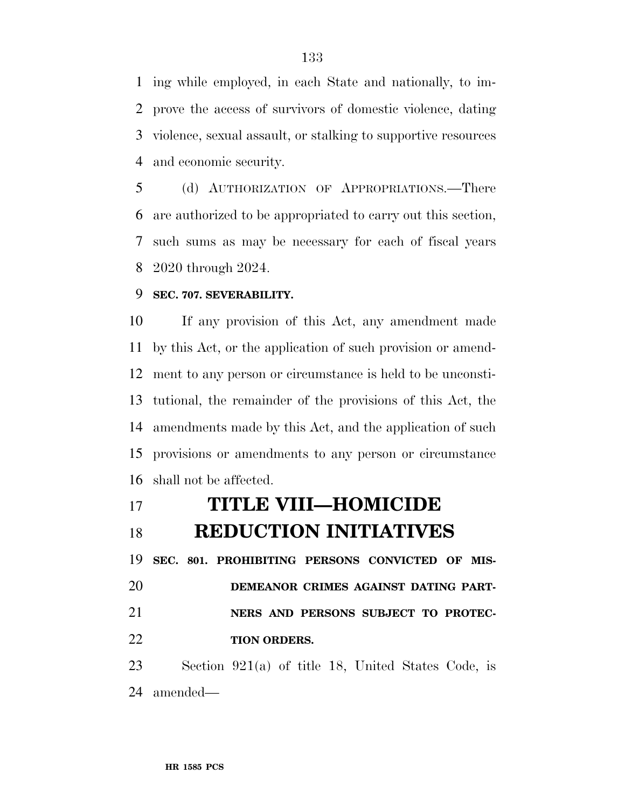ing while employed, in each State and nationally, to im- prove the access of survivors of domestic violence, dating violence, sexual assault, or stalking to supportive resources and economic security.

 (d) AUTHORIZATION OF APPROPRIATIONS.—There are authorized to be appropriated to carry out this section, such sums as may be necessary for each of fiscal years 2020 through 2024.

## **SEC. 707. SEVERABILITY.**

 If any provision of this Act, any amendment made by this Act, or the application of such provision or amend- ment to any person or circumstance is held to be unconsti- tutional, the remainder of the provisions of this Act, the amendments made by this Act, and the application of such provisions or amendments to any person or circumstance shall not be affected.

## **TITLE VIII—HOMICIDE REDUCTION INITIATIVES**

**SEC. 801. PROHIBITING PERSONS CONVICTED OF MIS-**

 **DEMEANOR CRIMES AGAINST DATING PART- NERS AND PERSONS SUBJECT TO PROTEC-TION ORDERS.** 

 Section 921(a) of title 18, United States Code, is amended—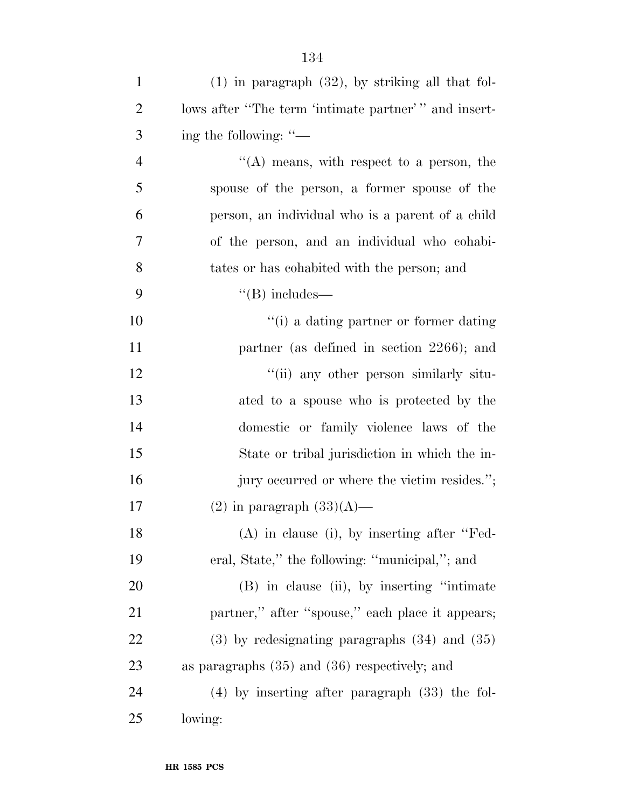| $\mathbf{1}$   | $(1)$ in paragraph $(32)$ , by striking all that fol- |
|----------------|-------------------------------------------------------|
| $\overline{2}$ | lows after "The term 'intimate partner'" and insert-  |
| 3              | ing the following: "-                                 |
| $\overline{4}$ | $\lq\lq$ means, with respect to a person, the         |
| 5              | spouse of the person, a former spouse of the          |
| 6              | person, an individual who is a parent of a child      |
| 7              | of the person, and an individual who cohabi-          |
| 8              | tates or has cohabited with the person; and           |
| 9              | $\lq\lq(B)$ includes—                                 |
| 10             | "(i) a dating partner or former dating                |
| 11             | partner (as defined in section $2266$ ); and          |
| 12             | "(ii) any other person similarly situ-                |
| 13             | ated to a spouse who is protected by the              |
| 14             | domestic or family violence laws of the               |
| 15             | State or tribal jurisdiction in which the in-         |
| 16             | jury occurred or where the victim resides.";          |
| 17             | $(2)$ in paragraph $(33)(A)$ —                        |
| 18             | $(A)$ in clause (i), by inserting after "Fed-         |
| 19             | eral, State," the following: "municipal,"; and        |
| 20             | (B) in clause (ii), by inserting "intimate            |
| 21             | partner," after "spouse," each place it appears;      |
| 22             | $(3)$ by redesignating paragraphs $(34)$ and $(35)$   |
| 23             | as paragraphs $(35)$ and $(36)$ respectively; and     |
| 24             | $(4)$ by inserting after paragraph $(33)$ the fol-    |
| 25             | lowing:                                               |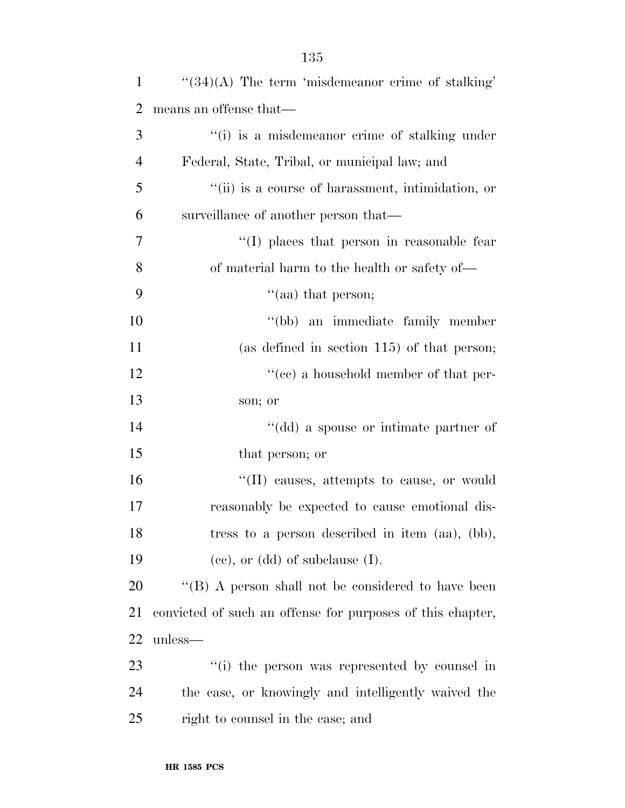| $\mathbf{1}$   | $\lq(34)(A)$ The term 'misdemeanor crime of stalking'      |
|----------------|------------------------------------------------------------|
| $\overline{2}$ | means an offense that—                                     |
| 3              | "(i) is a misdemeanor crime of stalking under              |
| $\overline{4}$ | Federal, State, Tribal, or municipal law; and              |
| 5              | "(ii) is a course of harassment, intimidation, or          |
| 6              | surveillance of another person that—                       |
| $\overline{7}$ | $\lq\lq$ (I) places that person in reasonable fear         |
| 8              | of material harm to the health or safety of—               |
| 9              | "(aa) that person;                                         |
| 10             | "(bb) an immediate family member                           |
| 11             | (as defined in section $115$ ) of that person;             |
| 12             | "(ce) a household member of that per-                      |
| 13             | son; or                                                    |
| 14             | "(dd) a spouse or intimate partner of                      |
| 15             | that person; or                                            |
| 16             | $\lq\lq$ (II) causes, attempts to cause, or would          |
| 17             | reasonably be expected to cause emotional dis-             |
| 18             | tress to a person described in item (aa), (bb),            |
| 19             | $(ce)$ , or $(dd)$ of subclause $(I)$ .                    |
| 20             | "(B) A person shall not be considered to have been         |
| 21             | convicted of such an offense for purposes of this chapter, |
| 22             | unless—                                                    |
| 23             | "(i) the person was represented by counsel in              |
| 24             | the case, or knowingly and intelligently waived the        |
| 25             | right to counsel in the case; and                          |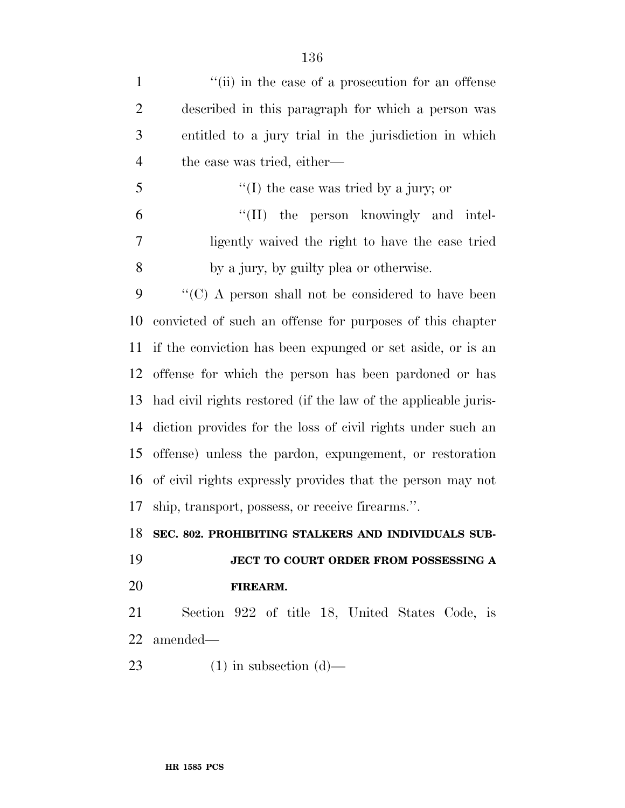1 ''(ii) in the case of a prosecution for an offense described in this paragraph for which a person was entitled to a jury trial in the jurisdiction in which 4 the case was tried, either— ''(I) the case was tried by a jury; or ''(II) the person knowingly and intel- ligently waived the right to have the case tried by a jury, by guilty plea or otherwise. ''(C) A person shall not be considered to have been convicted of such an offense for purposes of this chapter if the conviction has been expunged or set aside, or is an offense for which the person has been pardoned or has had civil rights restored (if the law of the applicable juris- diction provides for the loss of civil rights under such an offense) unless the pardon, expungement, or restoration of civil rights expressly provides that the person may not ship, transport, possess, or receive firearms.''. **SEC. 802. PROHIBITING STALKERS AND INDIVIDUALS SUB- JECT TO COURT ORDER FROM POSSESSING A FIREARM.**  Section 922 of title 18, United States Code, is amended— 23 (1) in subsection  $(d)$ —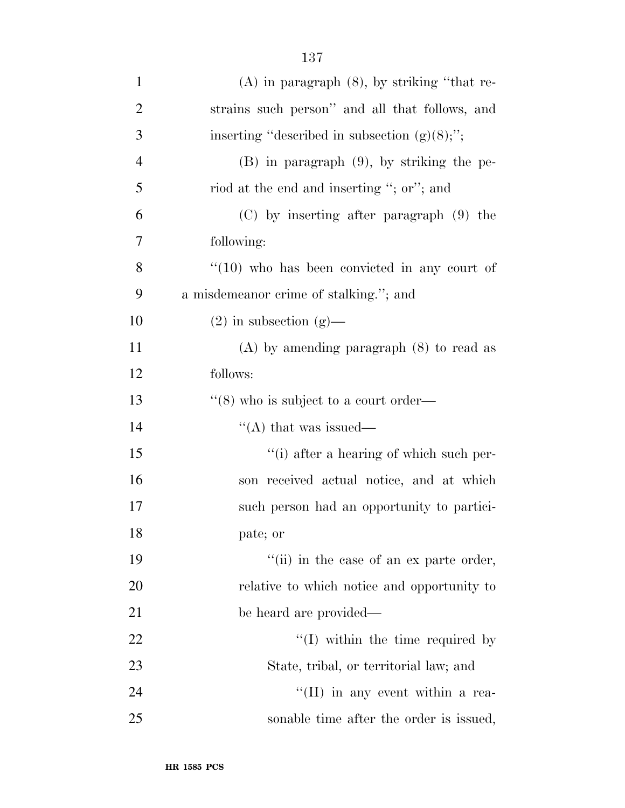| $\mathbf{1}$   | $(A)$ in paragraph $(8)$ , by striking "that re-      |
|----------------|-------------------------------------------------------|
| $\overline{2}$ | strains such person" and all that follows, and        |
| 3              | inserting "described in subsection $(g)(8)$ ";        |
| $\overline{4}$ | $(B)$ in paragraph $(9)$ , by striking the pe-        |
| 5              | riod at the end and inserting "; or"; and             |
| 6              | $(C)$ by inserting after paragraph $(9)$ the          |
| 7              | following:                                            |
| 8              | $\degree$ (10) who has been convicted in any court of |
| 9              | a misdemeanor crime of stalking."; and                |
| 10             | $(2)$ in subsection $(g)$ —                           |
| 11             | $(A)$ by amending paragraph $(8)$ to read as          |
| 12             | follows:                                              |
| 13             | $\cdot\cdot$ (8) who is subject to a court order—     |
| 14             | "(A) that was issued—                                 |
| 15             | "(i) after a hearing of which such per-               |
| 16             | son received actual notice, and at which              |
| 17             | such person had an opportunity to partici-            |
| 18             | pate; or                                              |
| 19             | "(ii) in the case of an ex parte order,               |
| 20             | relative to which notice and opportunity to           |
| 21             | be heard are provided—                                |
| 22             | $\lq (I)$ within the time required by                 |
| 23             | State, tribal, or territorial law; and                |
| 24             | $\lq\lq$ (II) in any event within a rea-              |
| 25             | sonable time after the order is issued,               |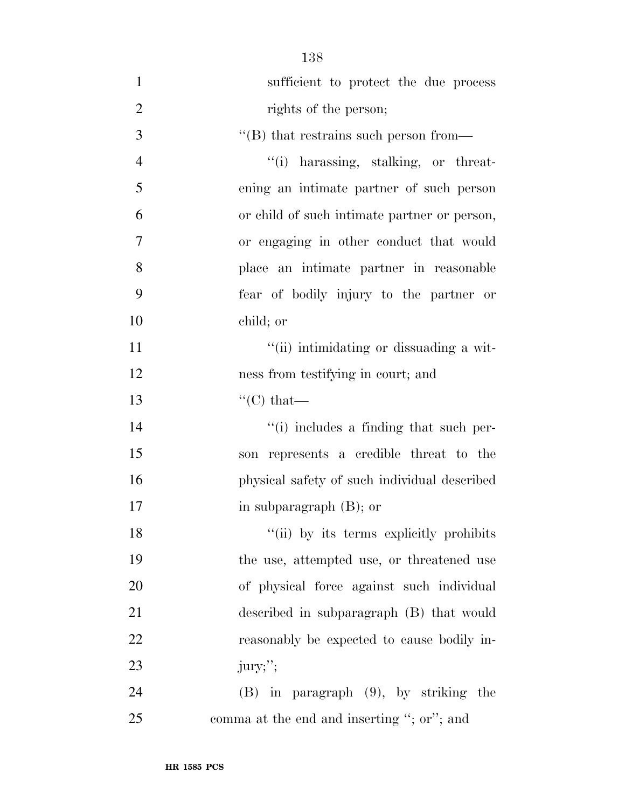| $\mathbf{1}$   | sufficient to protect the due process        |
|----------------|----------------------------------------------|
| $\overline{2}$ | rights of the person;                        |
| 3              | $\lq\lq$ that restrains such person from—    |
| $\overline{4}$ | "(i) harassing, stalking, or threat-         |
| 5              | ening an intimate partner of such person     |
| 6              | or child of such intimate partner or person, |
| 7              | or engaging in other conduct that would      |
| 8              | place an intimate partner in reasonable      |
| 9              | fear of bodily injury to the partner or      |
| 10             | child; or                                    |
| 11             | "(ii) intimidating or dissuading a wit-      |
| 12             | ness from testifying in court; and           |
| 13             | " $(C)$ that—                                |
| 14             | "(i) includes a finding that such per-       |
| 15             | son represents a credible threat to the      |
| 16             | physical safety of such individual described |
| 17             | in subparagraph $(B)$ ; or                   |
| 18             | "(ii) by its terms explicitly prohibits      |
| 19             | the use, attempted use, or threatened use    |
| 20             | of physical force against such individual    |
| 21             | described in subparagraph (B) that would     |
| 22             | reasonably be expected to cause bodily in-   |
| 23             | jury;                                        |
| 24             | $(B)$ in paragraph $(9)$ , by striking the   |
| 25             | comma at the end and inserting "; or"; and   |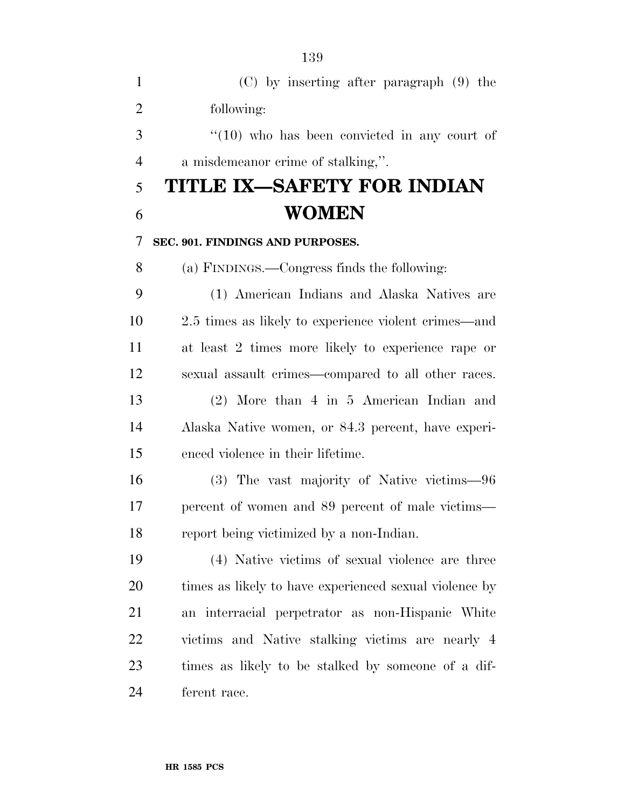| $\mathbf{1}$   | $(C)$ by inserting after paragraph $(9)$ the           |
|----------------|--------------------------------------------------------|
| $\overline{2}$ | following:                                             |
| 3              | $\degree$ (10) who has been convicted in any court of  |
| $\overline{4}$ | a misdemeanor crime of stalking,".                     |
| 5              | TITLE IX—SAFETY FOR INDIAN                             |
| 6              | <b>WOMEN</b>                                           |
| 7              | SEC. 901. FINDINGS AND PURPOSES.                       |
| 8              | (a) FINDINGS.—Congress finds the following:            |
| 9              | (1) American Indians and Alaska Natives are            |
| 10             | 2.5 times as likely to experience violent crimes—and   |
| 11             | at least 2 times more likely to experience rape or     |
| 12             | sexual assault crimes—compared to all other races.     |
| 13             | $(2)$ More than 4 in 5 American Indian and             |
| 14             | Alaska Native women, or 84.3 percent, have experi-     |
| 15             | enced violence in their lifetime.                      |
| 16             | $(3)$ The vast majority of Native victims—96           |
| 17             | percent of women and 89 percent of male victims—       |
| 18             | report being victimized by a non-Indian.               |
| 19             | (4) Native victims of sexual violence are three        |
| 20             | times as likely to have experienced sexual violence by |
| 21             | an interracial perpetrator as non-Hispanic White       |
| 22             | victims and Native stalking victims are nearly 4       |
| 23             | times as likely to be stalked by someone of a dif-     |
| 24             | ferent race.                                           |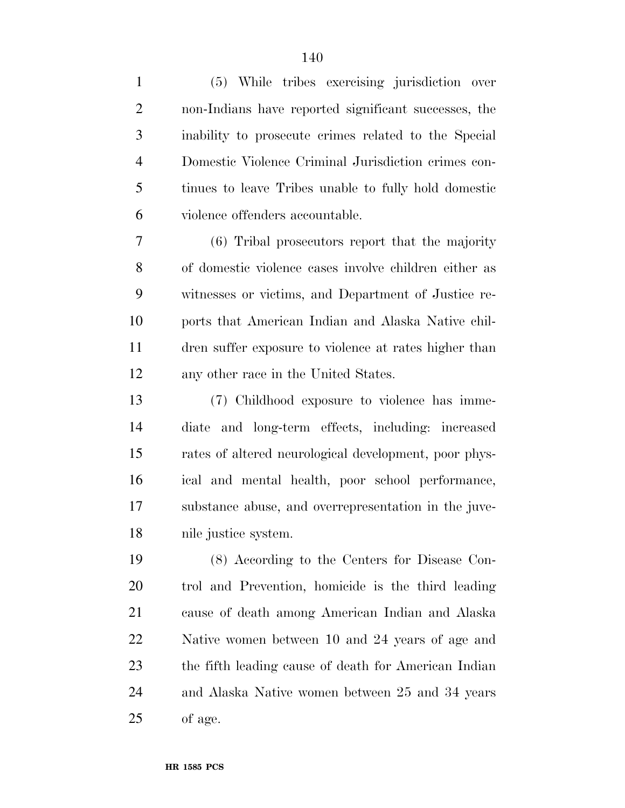(5) While tribes exercising jurisdiction over

 non-Indians have reported significant successes, the inability to prosecute crimes related to the Special Domestic Violence Criminal Jurisdiction crimes con- tinues to leave Tribes unable to fully hold domestic violence offenders accountable. (6) Tribal prosecutors report that the majority of domestic violence cases involve children either as witnesses or victims, and Department of Justice re- ports that American Indian and Alaska Native chil- dren suffer exposure to violence at rates higher than any other race in the United States. (7) Childhood exposure to violence has imme- diate and long-term effects, including: increased rates of altered neurological development, poor phys- ical and mental health, poor school performance, substance abuse, and overrepresentation in the juve- nile justice system. (8) According to the Centers for Disease Con- trol and Prevention, homicide is the third leading cause of death among American Indian and Alaska Native women between 10 and 24 years of age and the fifth leading cause of death for American Indian and Alaska Native women between 25 and 34 years of age.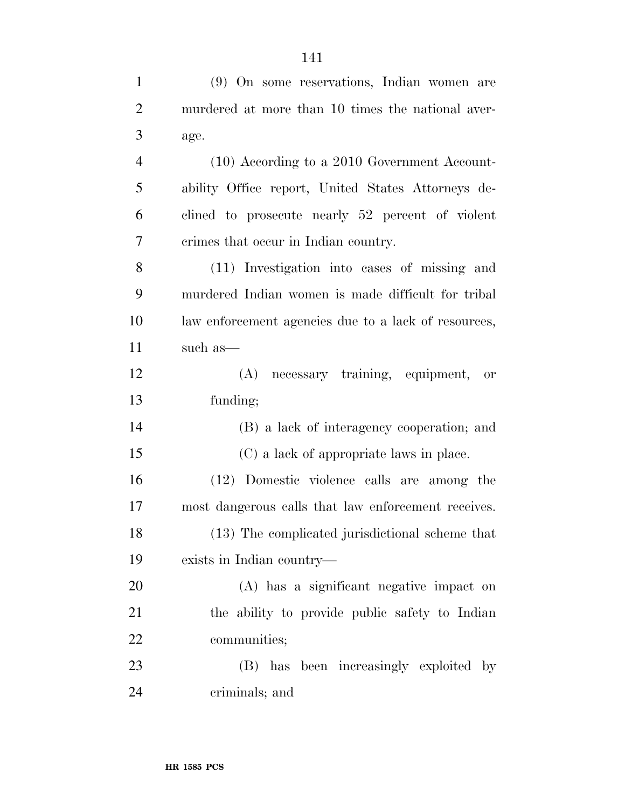| $\mathbf{1}$   | (9) On some reservations, Indian women are           |
|----------------|------------------------------------------------------|
| $\overline{2}$ | murdered at more than 10 times the national aver-    |
| $\mathfrak{Z}$ | age.                                                 |
| $\overline{4}$ | $(10)$ According to a 2010 Government Account-       |
| 5              | ability Office report, United States Attorneys de-   |
| 6              | clined to prosecute nearly 52 percent of violent     |
| 7              | crimes that occur in Indian country.                 |
| 8              | (11) Investigation into cases of missing and         |
| 9              | murdered Indian women is made difficult for tribal   |
| 10             | law enforcement agencies due to a lack of resources, |
| 11             | such as—                                             |
| 12             | necessary training, equipment, or<br>(A)             |
| 13             | funding;                                             |
| 14             | (B) a lack of interagency cooperation; and           |
| 15             | (C) a lack of appropriate laws in place.             |
| 16             | (12) Domestic violence calls are among the           |
| 17             | most dangerous calls that law enforcement receives.  |
| 18             | (13) The complicated jurisdictional scheme that      |
| 19             | exists in Indian country—                            |
| 20             | (A) has a significant negative impact on             |
| 21             | the ability to provide public safety to Indian       |
| 22             | communities;                                         |
| 23             | (B) has been increasingly exploited by               |
| 24             | criminals; and                                       |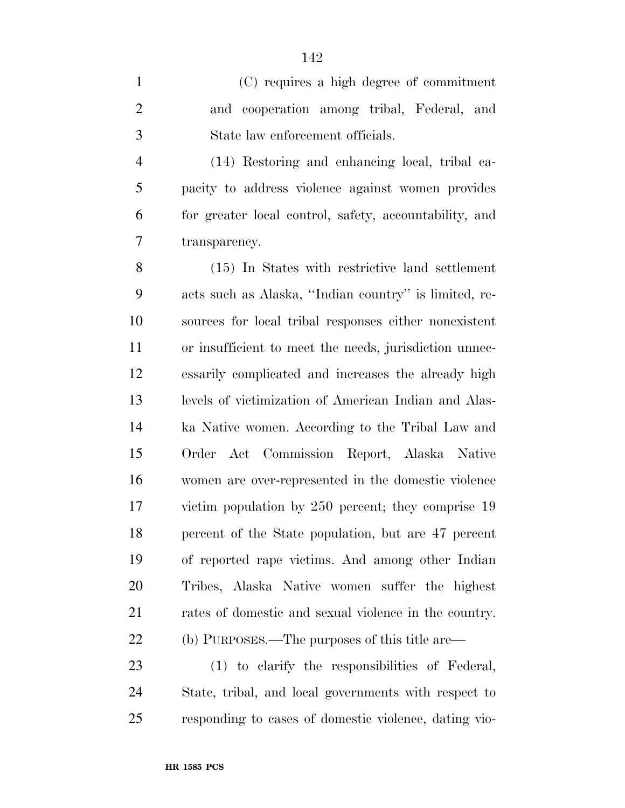(C) requires a high degree of commitment and cooperation among tribal, Federal, and State law enforcement officials.

 (14) Restoring and enhancing local, tribal ca- pacity to address violence against women provides for greater local control, safety, accountability, and transparency.

 (15) In States with restrictive land settlement acts such as Alaska, ''Indian country'' is limited, re- sources for local tribal responses either nonexistent or insufficient to meet the needs, jurisdiction unnec- essarily complicated and increases the already high levels of victimization of American Indian and Alas- ka Native women. According to the Tribal Law and Order Act Commission Report, Alaska Native women are over-represented in the domestic violence victim population by 250 percent; they comprise 19 percent of the State population, but are 47 percent of reported rape victims. And among other Indian Tribes, Alaska Native women suffer the highest rates of domestic and sexual violence in the country. (b) PURPOSES.—The purposes of this title are—

 (1) to clarify the responsibilities of Federal, State, tribal, and local governments with respect to responding to cases of domestic violence, dating vio-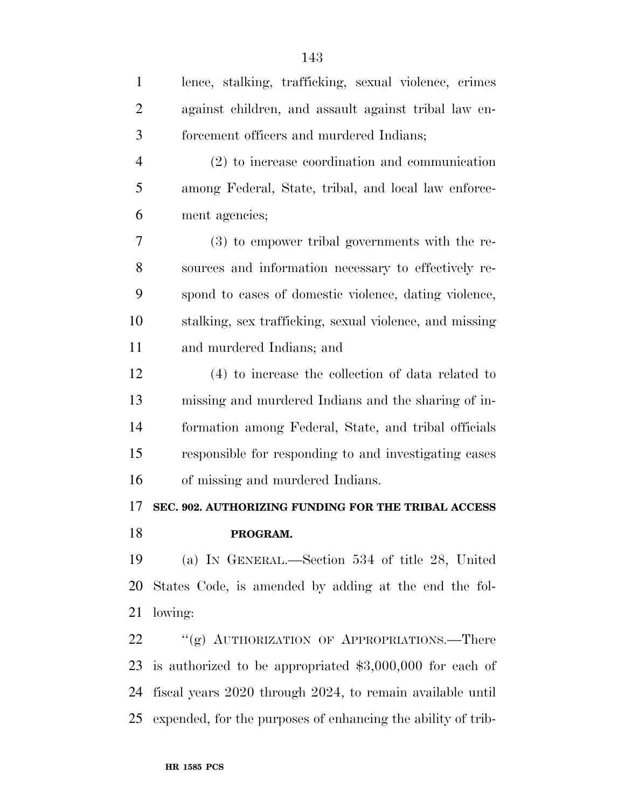| $\mathbf{1}$   | lence, stalking, trafficking, sexual violence, crimes     |
|----------------|-----------------------------------------------------------|
| $\overline{c}$ | against children, and assault against tribal law en-      |
| 3              | forcement officers and murdered Indians;                  |
| $\overline{4}$ | $(2)$ to increase coordination and communication          |
| 5              | among Federal, State, tribal, and local law enforce-      |
| 6              | ment agencies;                                            |
| 7              | $(3)$ to empower tribal governments with the re-          |
| 8              | sources and information necessary to effectively re-      |
| 9              | spond to cases of domestic violence, dating violence,     |
| 10             | stalking, sex trafficking, sexual violence, and missing   |
| 11             | and murdered Indians; and                                 |
| 12             | (4) to increase the collection of data related to         |
| 13             | missing and murdered Indians and the sharing of in-       |
| 14             | formation among Federal, State, and tribal officials      |
| 15             | responsible for responding to and investigating cases     |
| 16             | of missing and murdered Indians.                          |
| 17             | SEC. 902. AUTHORIZING FUNDING FOR THE TRIBAL ACCESS       |
| 18             | PROGRAM.                                                  |
| 19             | (a) IN GENERAL.—Section 534 of title 28, United           |
| 20             |                                                           |
|                | States Code, is amended by adding at the end the fol-     |
| 21             | lowing:                                                   |
| 22             | "(g) AUTHORIZATION OF APPROPRIATIONS.—There               |
| 23             | is authorized to be appropriated $$3,000,000$ for each of |
| 24             | fiscal years 2020 through 2024, to remain available until |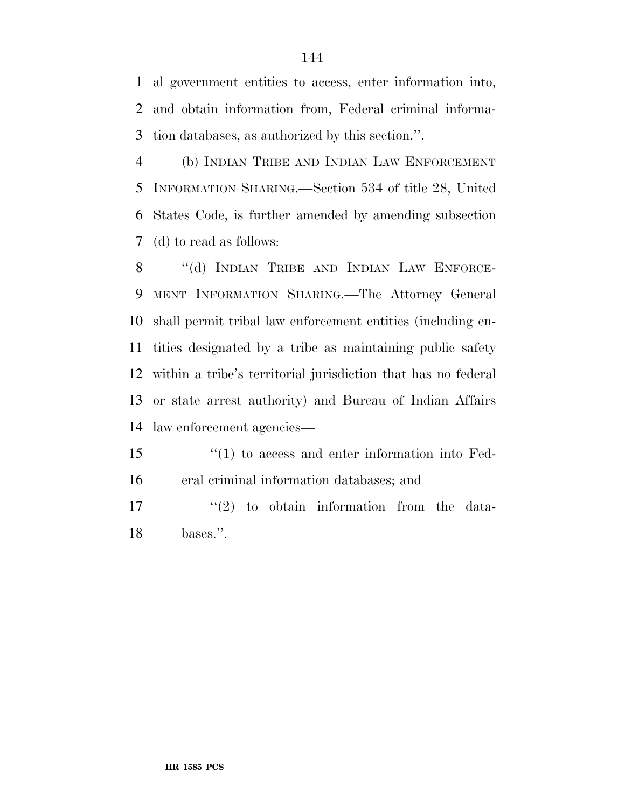al government entities to access, enter information into, and obtain information from, Federal criminal informa-tion databases, as authorized by this section.''.

 (b) INDIAN TRIBE AND INDIAN LAW ENFORCEMENT INFORMATION SHARING.—Section 534 of title 28, United States Code, is further amended by amending subsection (d) to read as follows:

8 "(d) INDIAN TRIBE AND INDIAN LAW ENFORCE- MENT INFORMATION SHARING.—The Attorney General shall permit tribal law enforcement entities (including en- tities designated by a tribe as maintaining public safety within a tribe's territorial jurisdiction that has no federal or state arrest authority) and Bureau of Indian Affairs law enforcement agencies—

 ''(1) to access and enter information into Fed-eral criminal information databases; and

 $\frac{17}{2}$  ''(2) to obtain information from the data-bases.''.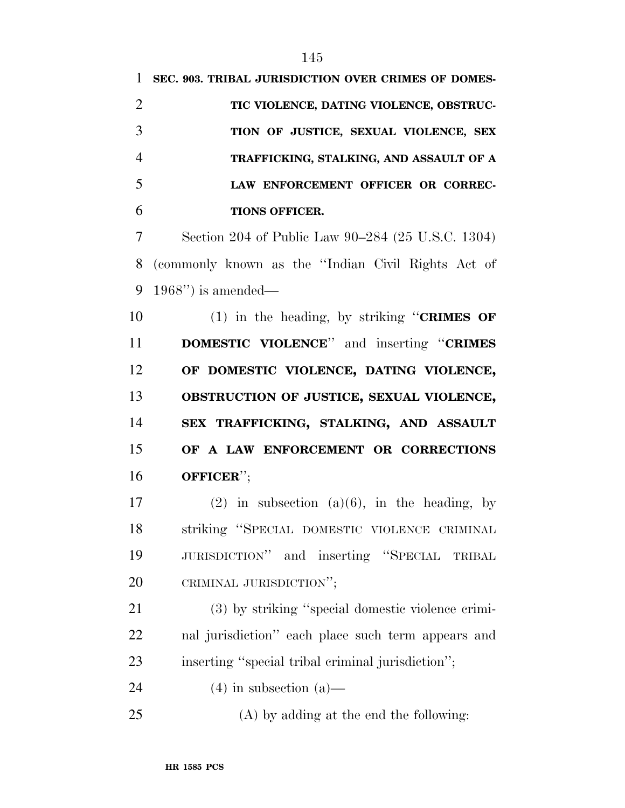**SEC. 903. TRIBAL JURISDICTION OVER CRIMES OF DOMES- TIC VIOLENCE, DATING VIOLENCE, OBSTRUC- TION OF JUSTICE, SEXUAL VIOLENCE, SEX TRAFFICKING, STALKING, AND ASSAULT OF A LAW ENFORCEMENT OFFICER OR CORREC- TIONS OFFICER.**  Section 204 of Public Law 90–284 (25 U.S.C. 1304) (commonly known as the ''Indian Civil Rights Act of

1968'') is amended—

 (1) in the heading, by striking ''**CRIMES OF DOMESTIC VIOLENCE**'' and inserting ''**CRIMES OF DOMESTIC VIOLENCE, DATING VIOLENCE, OBSTRUCTION OF JUSTICE, SEXUAL VIOLENCE, SEX TRAFFICKING, STALKING, AND ASSAULT OF A LAW ENFORCEMENT OR CORRECTIONS OFFICER**'';

17 (2) in subsection (a)(6), in the heading, by striking ''SPECIAL DOMESTIC VIOLENCE CRIMINAL JURISDICTION'' and inserting ''SPECIAL TRIBAL 20 CRIMINAL JURISDICTION";

 (3) by striking ''special domestic violence crimi- nal jurisdiction'' each place such term appears and inserting ''special tribal criminal jurisdiction'';

24 (4) in subsection (a)—

(A) by adding at the end the following: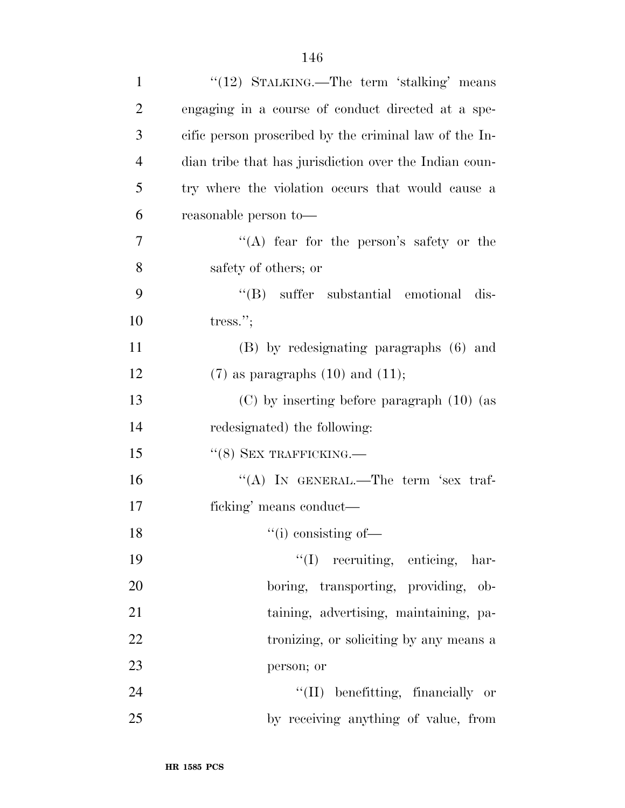| $\mathbf{1}$   | "(12) STALKING.—The term 'stalking' means              |
|----------------|--------------------------------------------------------|
| $\overline{2}$ | engaging in a course of conduct directed at a spe-     |
| 3              | cific person proscribed by the criminal law of the In- |
| 4              | dian tribe that has jurisdiction over the Indian coun- |
| 5              | try where the violation occurs that would cause a      |
| 6              | reasonable person to-                                  |
| 7              | "(A) fear for the person's safety or the               |
| 8              | safety of others; or                                   |
| 9              | "(B) suffer substantial emotional<br>dis-              |
| 10             | tress."                                                |
| 11             | (B) by redesignating paragraphs (6) and                |
| 12             | $(7)$ as paragraphs $(10)$ and $(11)$ ;                |
| 13             | $(C)$ by inserting before paragraph $(10)$ (as         |
| 14             | redesignated) the following:                           |
| 15             | $``(8)$ SEX TRAFFICKING.—                              |
| 16             | "(A) IN GENERAL.—The term 'sex traf-                   |
| 17             | ficking' means conduct—                                |
| 18             | $\lq\lq$ <sup>"</sup> (i) consisting of-               |
| 19             | $f'(I)$ recruiting, enticing, har-                     |
| 20             | boring, transporting, providing, ob-                   |
| 21             | taining, advertising, maintaining, pa-                 |
| 22             | tronizing, or soliciting by any means a                |
| 23             | person; or                                             |
| 24             | $\lq\lq$ (II) benefitting, financially or              |
| $25\,$         | by receiving anything of value, from                   |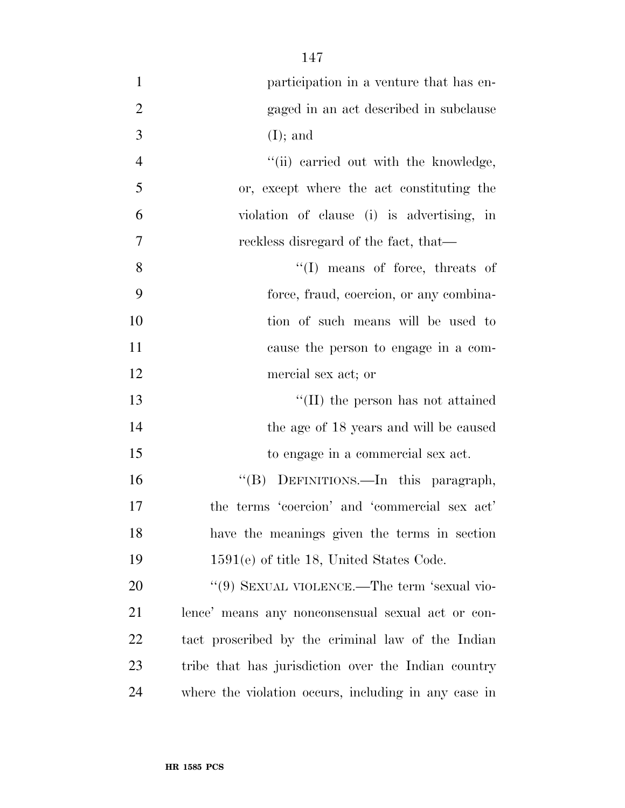| $\mathbf{1}$     | participation in a venture that has en-              |
|------------------|------------------------------------------------------|
| $\overline{2}$   | gaged in an act described in subclause               |
| $\mathfrak{Z}$   | $(I);$ and                                           |
| $\overline{4}$   | "(ii) carried out with the knowledge,                |
| 5                | or, except where the act constituting the            |
| 6                | violation of clause (i) is advertising, in           |
| $\boldsymbol{7}$ | reckless disregard of the fact, that—                |
| 8                | "(I) means of force, threats of                      |
| 9                | force, fraud, coercion, or any combina-              |
| 10               | tion of such means will be used to                   |
| 11               | cause the person to engage in a com-                 |
| 12               | mercial sex act; or                                  |
| 13               | $\lq\lq$ (II) the person has not attained            |
| 14               | the age of 18 years and will be caused               |
| 15               | to engage in a commercial sex act.                   |
| 16               | "(B) DEFINITIONS.—In this paragraph,                 |
| 17               | the terms 'coercion' and 'commercial sex act'        |
| 18               | have the meanings given the terms in section         |
| 19               | $1591(e)$ of title 18, United States Code.           |
| 20               | "(9) SEXUAL VIOLENCE.—The term 'sexual vio-          |
| 21               | lence' means any nonconsensual sexual act or con-    |
| 22               | tact proscribed by the criminal law of the Indian    |
| 23               | tribe that has jurisdiction over the Indian country  |
| 24               | where the violation occurs, including in any case in |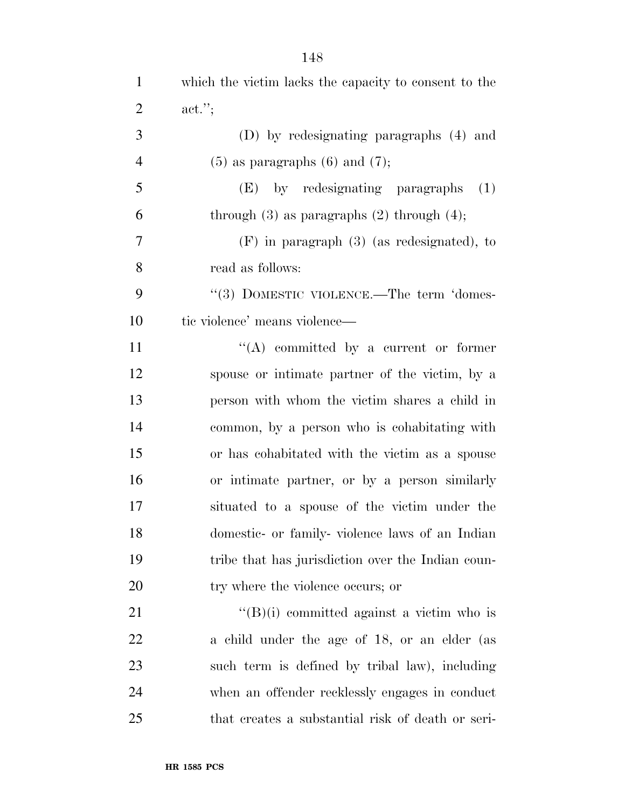| $\mathbf{1}$   | which the victim lacks the capacity to consent to the |
|----------------|-------------------------------------------------------|
| $\overline{2}$ | $\text{act.}$ ";                                      |
| 3              | (D) by redesignating paragraphs (4) and               |
| $\overline{4}$ | $(5)$ as paragraphs $(6)$ and $(7)$ ;                 |
| 5              | (E) by redesignating paragraphs<br>(1)                |
| 6              | through $(3)$ as paragraphs $(2)$ through $(4)$ ;     |
| 7              | $(F)$ in paragraph $(3)$ (as redesignated), to        |
| 8              | read as follows:                                      |
| 9              | "(3) DOMESTIC VIOLENCE.—The term 'domes-              |
| 10             | tic violence' means violence—                         |
| 11             | $\lq\lq$ committed by a current or former             |
| 12             | spouse or intimate partner of the victim, by a        |
| 13             | person with whom the victim shares a child in         |
| 14             | common, by a person who is cohabitating with          |
| 15             | or has cohabitated with the victim as a spouse        |
| 16             | or intimate partner, or by a person similarly         |
| 17             | situated to a spouse of the victim under the          |
| 18             | domestic- or family-violence laws of an Indian        |
| 19             | tribe that has jurisdiction over the Indian coun-     |
| 20             | try where the violence occurs; or                     |
| 21             | $\lq\lq(B)(i)$ committed against a victim who is      |
| <u>22</u>      | a child under the age of 18, or an elder (as          |
| 23             | such term is defined by tribal law), including        |
| 24             | when an offender recklessly engages in conduct        |
| 25             | that creates a substantial risk of death or seri-     |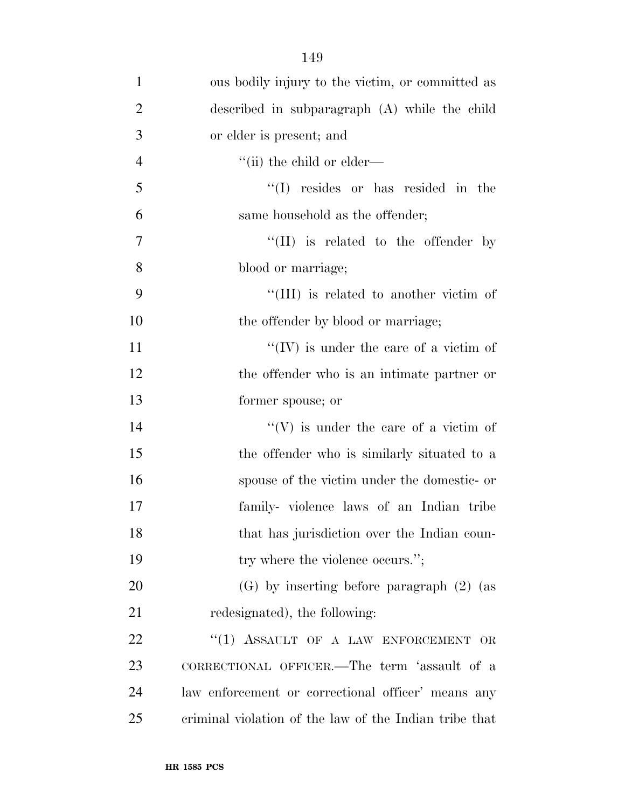| $\mathbf{1}$   | ous bodily injury to the victim, or committed as       |
|----------------|--------------------------------------------------------|
| $\overline{2}$ | described in subparagraph (A) while the child          |
| 3              | or elder is present; and                               |
| $\overline{4}$ | $\lq\lq$ (ii) the child or elder—                      |
| 5              | $\lq(1)$ resides or has resided in the                 |
| 6              | same household as the offender;                        |
| $\tau$         | "(II) is related to the offender by                    |
| 8              | blood or marriage;                                     |
| 9              | "(III) is related to another victim of                 |
| 10             | the offender by blood or marriage;                     |
| 11             | $\lq\lq$ (IV) is under the care of a victim of         |
| 12             | the offender who is an intimate partner or             |
| 13             | former spouse; or                                      |
| 14             | $\lq\lq(V)$ is under the care of a victim of           |
| 15             | the offender who is similarly situated to a            |
| 16             | spouse of the victim under the domestic- or            |
| 17             | family-violence laws of an Indian tribe                |
| 18             | that has jurisdiction over the Indian coun-            |
| 19             | try where the violence occurs.";                       |
| 20             | $(G)$ by inserting before paragraph $(2)$ (as          |
| 21             | redesignated), the following:                          |
| 22             | "(1) ASSAULT OF A LAW ENFORCEMENT OR                   |
| 23             | CORRECTIONAL OFFICER.—The term 'assault of a           |
| 24             | law enforcement or correctional officer' means any     |
| 25             | criminal violation of the law of the Indian tribe that |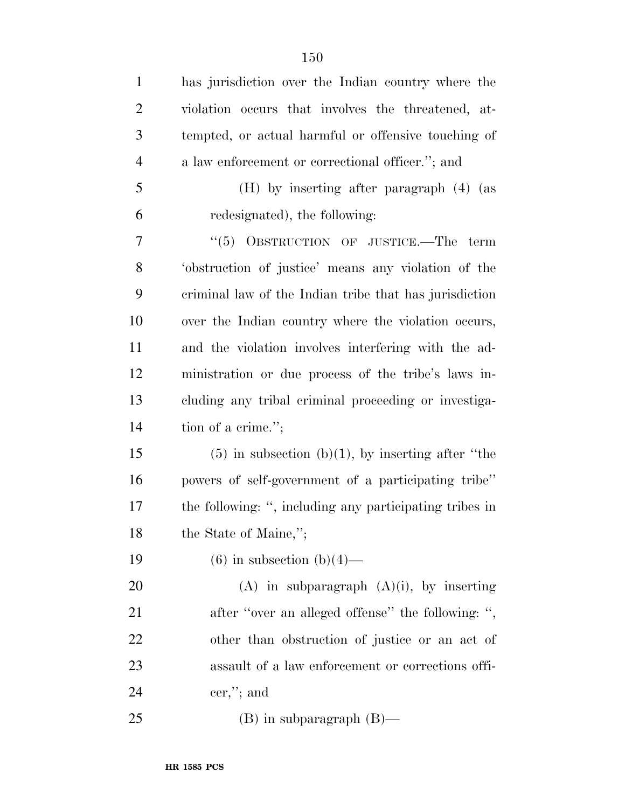| $\mathbf{1}$   | has jurisdiction over the Indian country where the      |
|----------------|---------------------------------------------------------|
| $\overline{2}$ | violation occurs that involves the threatened, at-      |
| 3              | tempted, or actual harmful or offensive touching of     |
| $\overline{4}$ | a law enforcement or correctional officer."; and        |
| 5              | $(H)$ by inserting after paragraph $(4)$ (as            |
| 6              | redesignated), the following:                           |
| 7              | "(5) OBSTRUCTION OF JUSTICE.—The term                   |
| 8              | 'obstruction of justice' means any violation of the     |
| 9              | criminal law of the Indian tribe that has jurisdiction  |
| 10             | over the Indian country where the violation occurs,     |
| 11             | and the violation involves interfering with the ad-     |
| 12             | ministration or due process of the tribe's laws in-     |
| 13             | cluding any tribal criminal proceeding or investiga-    |
| 14             | tion of a crime.";                                      |
| 15             | $(5)$ in subsection $(b)(1)$ , by inserting after "the  |
| 16             | powers of self-government of a participating tribe"     |
| 17             | the following: ", including any participating tribes in |
| 18             | the State of Maine,";                                   |
| 19             | $(6)$ in subsection $(b)(4)$ —                          |
| 20             | $(A)$ in subparagraph $(A)(i)$ , by inserting           |
| 21             | after "over an alleged offense" the following: ",       |
| 22             | other than obstruction of justice or an act of          |
| 23             | assault of a law enforcement or corrections offi-       |
| 24             | $\chi$ cer,"; and                                       |
| 25             | $(B)$ in subparagraph $(B)$ —                           |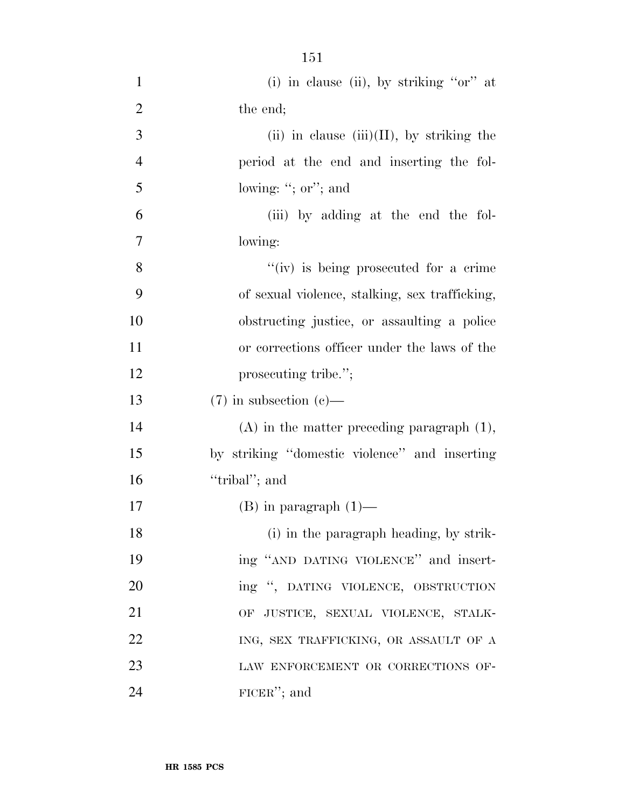1 (i) in clause (ii), by striking "or" at 2 the end;  $3$  (ii) in clause (iii)(II), by striking the 4 period at the end and inserting the fol- $5$  lowing: "; or"; and 6 (iii) by adding at the end the fol-7 lowing: 8 ''(iv) is being prosecuted for a crime 9 of sexual violence, stalking, sex trafficking, 10 obstructing justice, or assaulting a police 11 or corrections officer under the laws of the 12 prosecuting tribe."; 13 (7) in subsection  $(c)$ — 14 (A) in the matter preceding paragraph (1), 15 by striking ''domestic violence'' and inserting 16 "tribal"; and 17 (B) in paragraph  $(1)$ — 18 (i) in the paragraph heading, by strik-19 ing ''AND DATING VIOLENCE'' and insert-20 ing ", DATING VIOLENCE, OBSTRUCTION 21 OF JUSTICE, SEXUAL VIOLENCE, STALK-22 ING, SEX TRAFFICKING, OR ASSAULT OF A 23 LAW ENFORCEMENT OR CORRECTIONS OF-

24 FICER''; and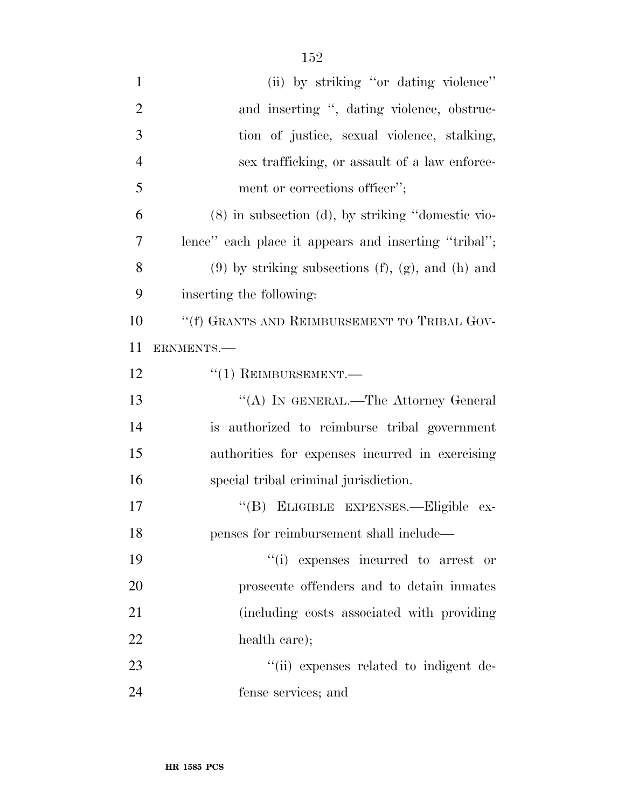| $\mathbf{1}$   | (ii) by striking "or dating violence"                       |
|----------------|-------------------------------------------------------------|
| $\overline{2}$ | and inserting ", dating violence, obstruc-                  |
| 3              | tion of justice, sexual violence, stalking,                 |
| $\overline{4}$ | sex trafficking, or assault of a law enforce-               |
| 5              | ment or corrections officer";                               |
| 6              | $(8)$ in subsection $(d)$ , by striking "domestic vio-      |
| 7              | lence" each place it appears and inserting "tribal";        |
| 8              | $(9)$ by striking subsections $(f)$ , $(g)$ , and $(h)$ and |
| 9              | inserting the following:                                    |
| 10             | "(f) GRANTS AND REIMBURSEMENT TO TRIBAL GOV-                |
| 11             | ERNMENTS.-                                                  |
| 12             | $``(1)$ REIMBURSEMENT.—                                     |
| 13             | "(A) IN GENERAL.—The Attorney General                       |
| 14             | is authorized to reimburse tribal government                |
| 15             | authorities for expenses incurred in exercising             |
| 16             | special tribal criminal jurisdiction.                       |
| 17             | "(B) ELIGIBLE EXPENSES.—Eligible ex-                        |
| 18             | penses for reimbursement shall include—                     |
| 19             | "(i) expenses incurred to arrest or                         |
| 20             | prosecute offenders and to detain inmates                   |
| 21             | (including costs associated with providing                  |
| 22             | health care);                                               |
| 23             | "(ii) expenses related to indigent de-                      |
| 24             | fense services; and                                         |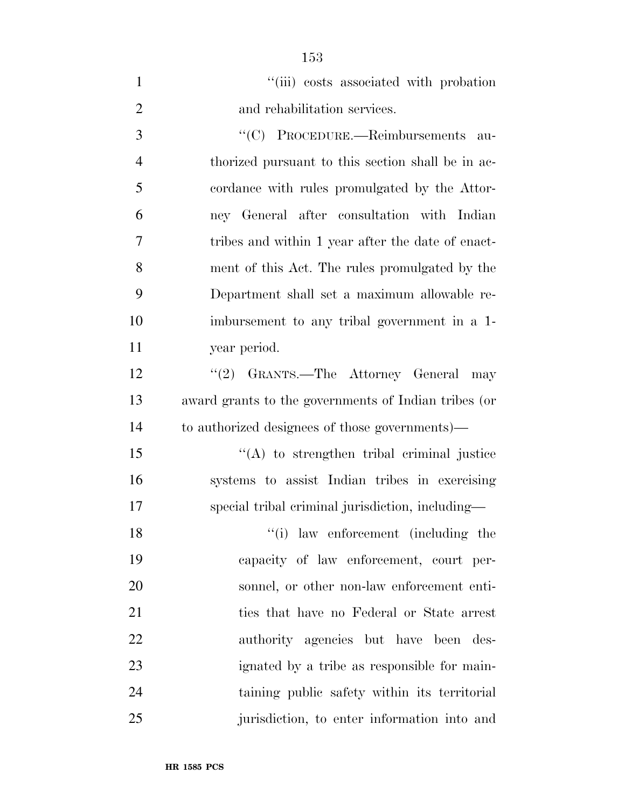| $\mathbf{1}$   | "(iii) costs associated with probation               |
|----------------|------------------------------------------------------|
| $\overline{2}$ | and rehabilitation services.                         |
| 3              | $\lq\lq$ PROCEDURE.—Reimbursements<br>au-            |
| $\overline{4}$ | thorized pursuant to this section shall be in ac-    |
| 5              | cordance with rules promulgated by the Attor-        |
| 6              | ney General after consultation with Indian           |
| 7              | tribes and within 1 year after the date of enact-    |
| 8              | ment of this Act. The rules promulgated by the       |
| 9              | Department shall set a maximum allowable re-         |
| 10             | imbursement to any tribal government in a 1-         |
| 11             | year period.                                         |
| 12             | "(2) GRANTS.—The Attorney General<br>may             |
| 13             | award grants to the governments of Indian tribes (or |
| 14             | to authorized designees of those governments)—       |
| 15             | $\lq\lq$ to strengthen tribal criminal justice       |
| 16             | systems to assist Indian tribes in exercising        |
| 17             | special tribal criminal jurisdiction, including-     |
| 18             | "(i) law enforcement (including the                  |
| 19             | capacity of law enforcement, court per-              |
| 20             | sonnel, or other non-law enforcement enti-           |
| 21             | ties that have no Federal or State arrest            |
| 22             | authority agencies but have been des-                |
| 23             | ignated by a tribe as responsible for main-          |
| 24             | taining public safety within its territorial         |
| 25             | jurisdiction, to enter information into and          |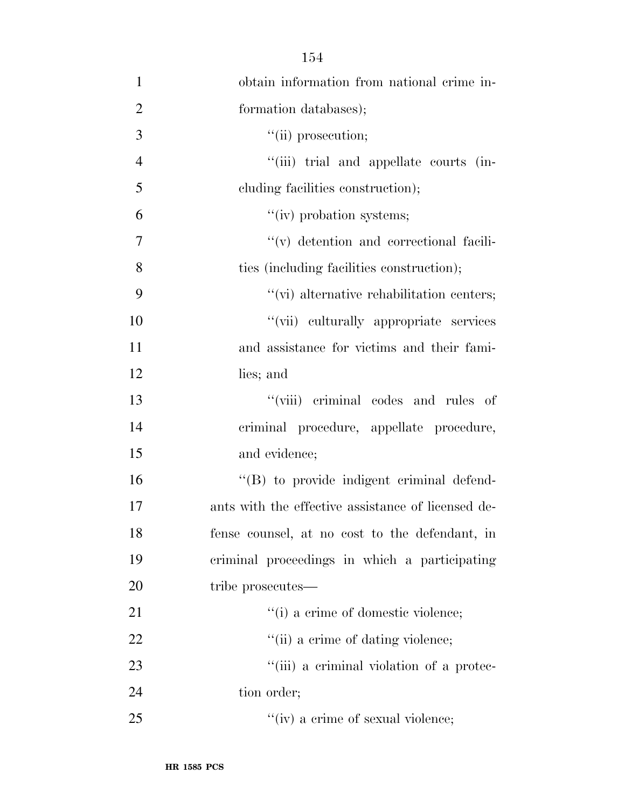| $\mathbf{1}$   | obtain information from national crime in-         |
|----------------|----------------------------------------------------|
| $\overline{2}$ | formation databases);                              |
| 3              | $"$ (ii) prosecution;                              |
| $\overline{4}$ | "(iii) trial and appellate courts (in-             |
| 5              | eluding facilities construction);                  |
| 6              | "(iv) probation systems;                           |
| 7              | "(v) detention and correctional facili-            |
| 8              | ties (including facilities construction);          |
| 9              | "(vi) alternative rehabilitation centers;          |
| 10             | "(vii) culturally appropriate services             |
| 11             | and assistance for victims and their fami-         |
| 12             | lies; and                                          |
| 13             | "(viii) criminal codes and rules of                |
| 14             | criminal procedure, appellate procedure,           |
| 15             | and evidence;                                      |
| 16             | $\lq\lq (B)$ to provide indigent criminal defend-  |
| 17             | ants with the effective assistance of licensed de- |
| 18             | fense counsel, at no cost to the defendant, in     |
| 19             | criminal proceedings in which a participating      |
| 20             | tribe prosecutes—                                  |
| 21             | "(i) a crime of domestic violence;                 |
| 22             | "(ii) a crime of dating violence;                  |
| 23             | "(iii) a criminal violation of a protec-           |
| 24             | tion order;                                        |
| 25             | "(iv) a crime of sexual violence;                  |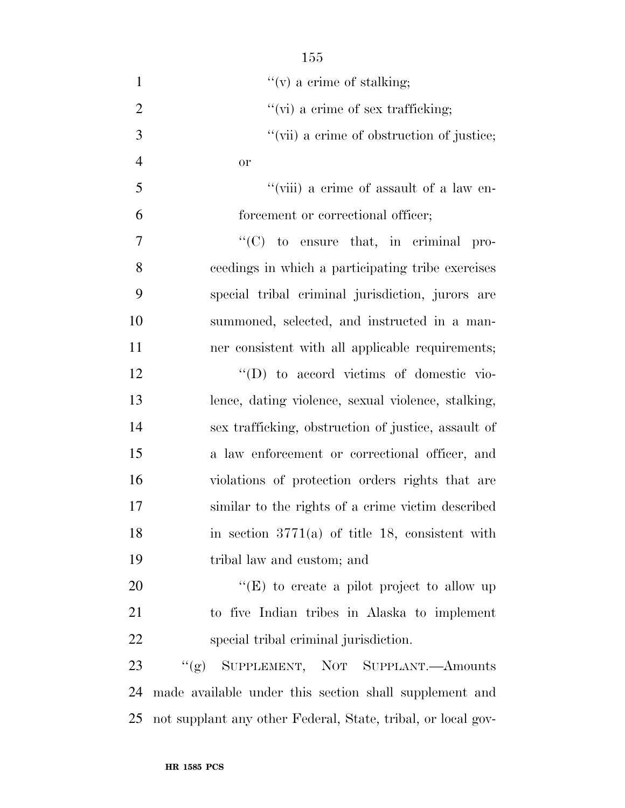| $\mathbf{1}$   | $f'(v)$ a crime of stalking;                                 |
|----------------|--------------------------------------------------------------|
| $\overline{2}$ | $\lq\lq$ (vi) a crime of sex trafficking;                    |
| 3              | "(vii) a crime of obstruction of justice;                    |
| $\overline{4}$ | <b>or</b>                                                    |
| 5              | "(viii) a crime of assault of a law en-                      |
| 6              | forcement or correctional officer;                           |
| 7              | "(C) to ensure that, in criminal pro-                        |
| 8              | ceedings in which a participating tribe exercises            |
| 9              | special tribal criminal jurisdiction, jurors are             |
| 10             | summoned, selected, and instructed in a man-                 |
| 11             | ner consistent with all applicable requirements;             |
| 12             | $\lq\lq$ to accord victims of domestic vio-                  |
| 13             | lence, dating violence, sexual violence, stalking,           |
| 14             | sex trafficking, obstruction of justice, assault of          |
| 15             | a law enforcement or correctional officer, and               |
| 16             | violations of protection orders rights that are              |
| 17             | similar to the rights of a crime victim described            |
| 18             | in section $3771(a)$ of title 18, consistent with            |
| 19             | tribal law and custom; and                                   |
| 20             | "(E) to create a pilot project to allow up                   |
| 21             | to five Indian tribes in Alaska to implement                 |
| 22             | special tribal criminal jurisdiction.                        |
| 23             | "(g) SUPPLEMENT, NOT SUPPLANT.—Amounts                       |
| 24             | made available under this section shall supplement and       |
| 25             | not supplant any other Federal, State, tribal, or local gov- |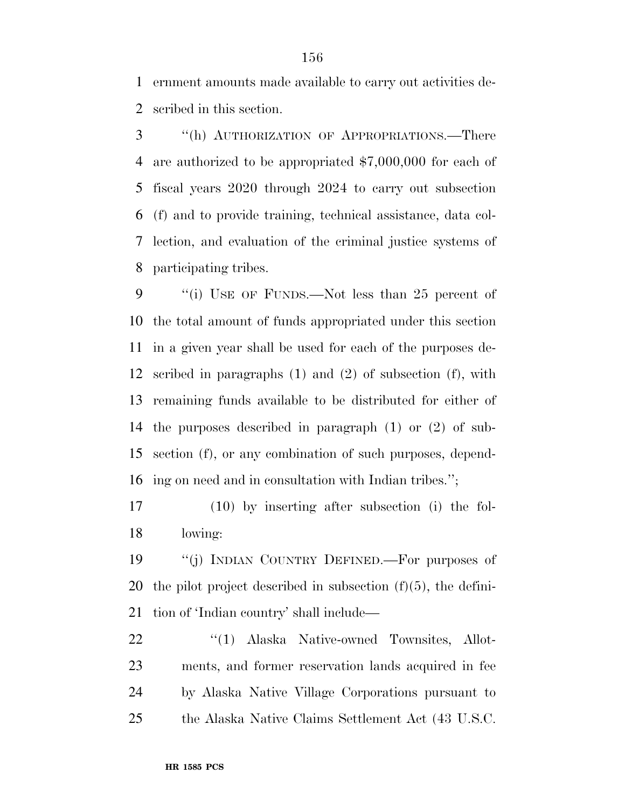ernment amounts made available to carry out activities de-scribed in this section.

 ''(h) AUTHORIZATION OF APPROPRIATIONS.—There are authorized to be appropriated \$7,000,000 for each of fiscal years 2020 through 2024 to carry out subsection (f) and to provide training, technical assistance, data col- lection, and evaluation of the criminal justice systems of participating tribes.

9 "(i) USE OF FUNDS.—Not less than 25 percent of the total amount of funds appropriated under this section in a given year shall be used for each of the purposes de- scribed in paragraphs (1) and (2) of subsection (f), with remaining funds available to be distributed for either of the purposes described in paragraph (1) or (2) of sub- section (f), or any combination of such purposes, depend-ing on need and in consultation with Indian tribes.'';

 (10) by inserting after subsection (i) the fol-lowing:

 ''(j) INDIAN COUNTRY DEFINED.—For purposes of 20 the pilot project described in subsection  $(f)(5)$ , the defini-tion of 'Indian country' shall include—

 ''(1) Alaska Native-owned Townsites, Allot- ments, and former reservation lands acquired in fee by Alaska Native Village Corporations pursuant to the Alaska Native Claims Settlement Act (43 U.S.C.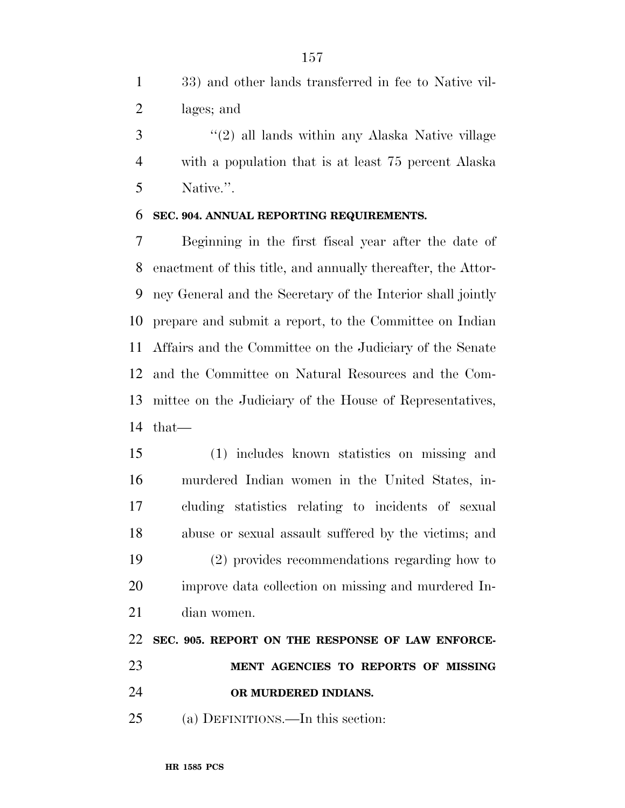33) and other lands transferred in fee to Native vil-lages; and

3 ''(2) all lands within any Alaska Native village with a population that is at least 75 percent Alaska Native.''.

## **SEC. 904. ANNUAL REPORTING REQUIREMENTS.**

 Beginning in the first fiscal year after the date of enactment of this title, and annually thereafter, the Attor- ney General and the Secretary of the Interior shall jointly prepare and submit a report, to the Committee on Indian Affairs and the Committee on the Judiciary of the Senate and the Committee on Natural Resources and the Com- mittee on the Judiciary of the House of Representatives, that—

 (1) includes known statistics on missing and murdered Indian women in the United States, in- cluding statistics relating to incidents of sexual abuse or sexual assault suffered by the victims; and (2) provides recommendations regarding how to improve data collection on missing and murdered In- dian women. **SEC. 905. REPORT ON THE RESPONSE OF LAW ENFORCE-MENT AGENCIES TO REPORTS OF MISSING** 

**OR MURDERED INDIANS.** 

(a) DEFINITIONS.—In this section: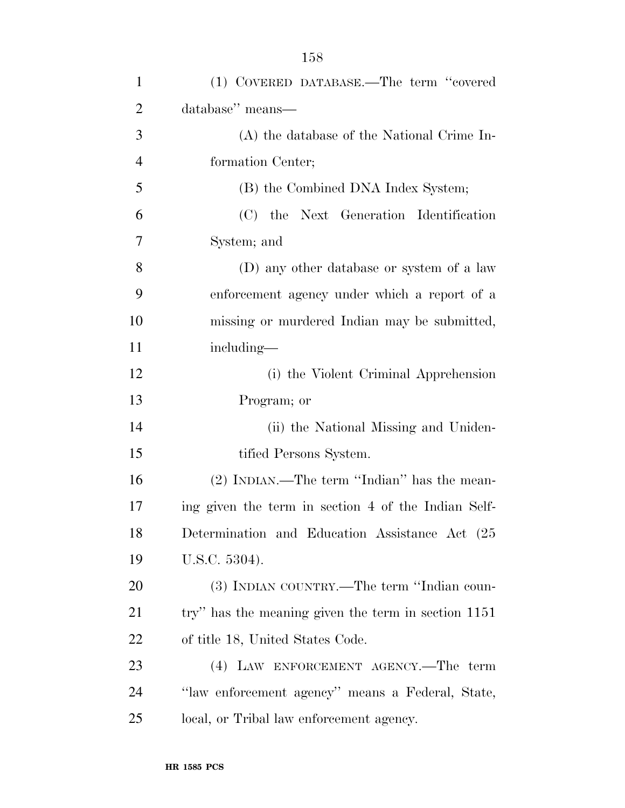| $\mathbf{1}$   | (1) COVERED DATABASE.—The term "covered             |
|----------------|-----------------------------------------------------|
| $\overline{2}$ | database" means—                                    |
| 3              | (A) the database of the National Crime In-          |
| $\overline{4}$ | formation Center;                                   |
| 5              | (B) the Combined DNA Index System;                  |
| 6              | (C) the Next Generation Identification              |
| 7              | System; and                                         |
| 8              | (D) any other database or system of a law           |
| 9              | enforcement agency under which a report of a        |
| 10             | missing or murdered Indian may be submitted,        |
| 11             | including—                                          |
| 12             | (i) the Violent Criminal Apprehension               |
| 13             | Program; or                                         |
| 14             | (ii) the National Missing and Uniden-               |
| 15             | tified Persons System.                              |
| 16             | (2) INDIAN.—The term "Indian" has the mean-         |
| 17             | ing given the term in section 4 of the Indian Self- |
| 18             | Determination and Education Assistance Act (25      |
| 19             | U.S.C. 5304).                                       |
| 20             | (3) INDIAN COUNTRY.—The term "Indian coun-          |
| 21             | try" has the meaning given the term in section 1151 |
| 22             | of title 18, United States Code.                    |
| 23             | (4) LAW ENFORCEMENT AGENCY.—The term                |
| 24             | "law enforcement agency" means a Federal, State,    |
| 25             | local, or Tribal law enforcement agency.            |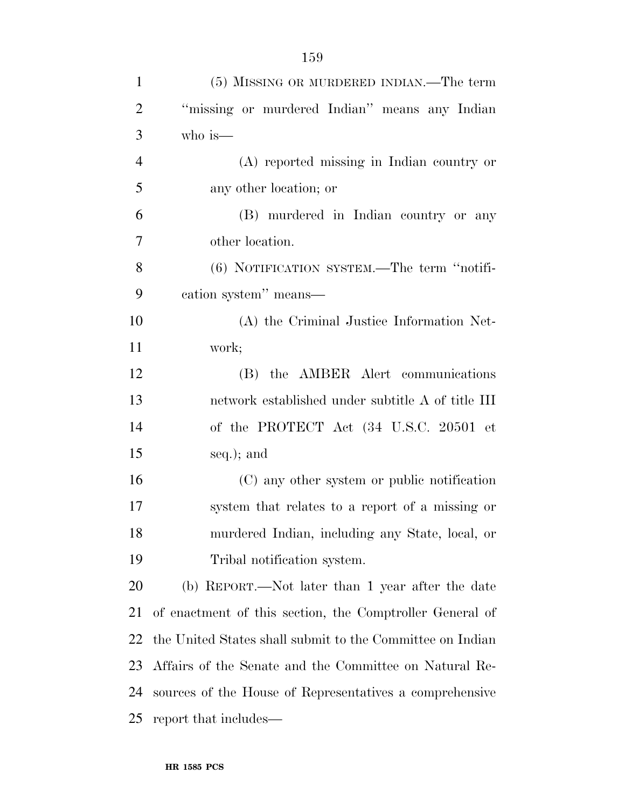| $\mathbf{1}$   | (5) MISSING OR MURDERED INDIAN.—The term      |
|----------------|-----------------------------------------------|
| $\overline{2}$ | "missing or murdered Indian" means any Indian |
| 3              | who is—                                       |
| 4              | (A) reported missing in Indian country or     |
| 5              | any other location; or                        |
| 6              | (B) murdered in Indian country or any         |

 other location. (6) NOTIFICATION SYSTEM.—The term ''notifi-

cation system'' means—

 (A) the Criminal Justice Information Net-work;

 (B) the AMBER Alert communications network established under subtitle A of title III of the PROTECT Act (34 U.S.C. 20501 et seq.); and

 (C) any other system or public notification system that relates to a report of a missing or murdered Indian, including any State, local, or Tribal notification system.

 (b) REPORT.—Not later than 1 year after the date of enactment of this section, the Comptroller General of the United States shall submit to the Committee on Indian Affairs of the Senate and the Committee on Natural Re- sources of the House of Representatives a comprehensive report that includes—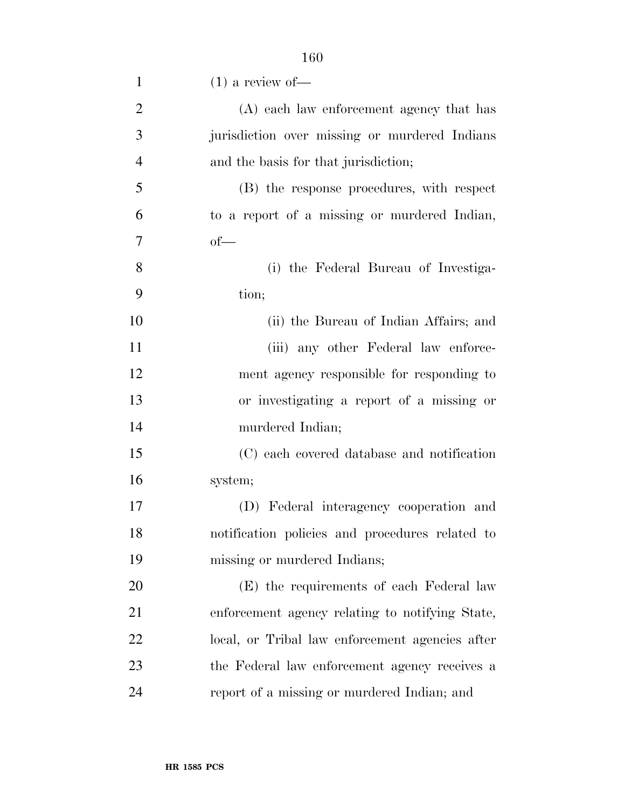| $\mathbf{1}$   | $(1)$ a review of —                             |
|----------------|-------------------------------------------------|
| $\overline{2}$ | (A) each law enforcement agency that has        |
| 3              | jurisdiction over missing or murdered Indians   |
| $\overline{4}$ | and the basis for that jurisdiction;            |
| 5              | (B) the response procedures, with respect       |
| 6              | to a report of a missing or murdered Indian,    |
| 7              | $of$ —                                          |
| 8              | (i) the Federal Bureau of Investiga-            |
| 9              | tion;                                           |
| 10             | (ii) the Bureau of Indian Affairs; and          |
| 11             | (iii) any other Federal law enforce-            |
| 12             | ment agency responsible for responding to       |
| 13             | or investigating a report of a missing or       |
| 14             | murdered Indian;                                |
| 15             | (C) each covered database and notification      |
| 16             | system;                                         |
| 17             | (D) Federal interagency cooperation and         |
| 18             | notification policies and procedures related to |
| 19             | missing or murdered Indians;                    |
| 20             | (E) the requirements of each Federal law        |
| 21             | enforcement agency relating to notifying State, |
| 22             | local, or Tribal law enforcement agencies after |
| 23             | the Federal law enforcement agency receives a   |
| 24             | report of a missing or murdered Indian; and     |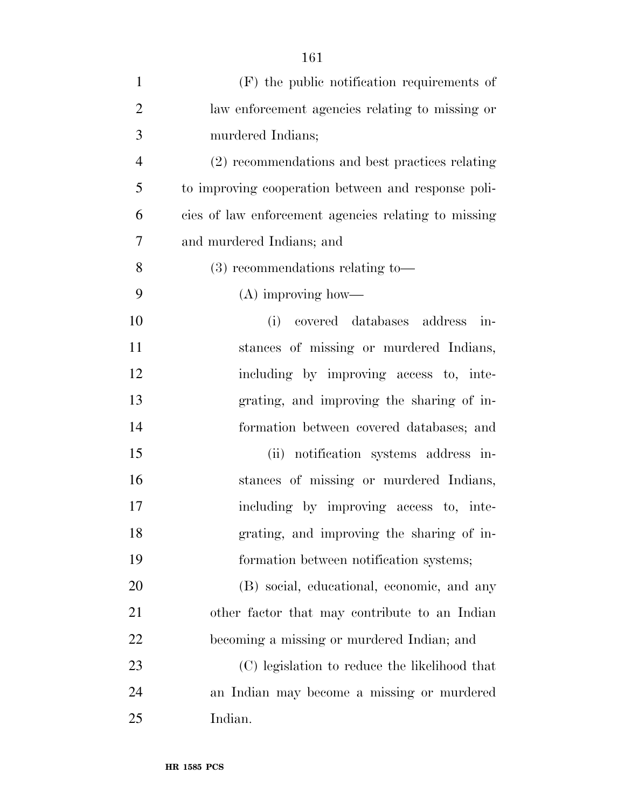| $\mathbf{1}$   | $(F)$ the public notification requirements of        |
|----------------|------------------------------------------------------|
| $\overline{2}$ | law enforcement agencies relating to missing or      |
| 3              | murdered Indians;                                    |
| $\overline{4}$ | (2) recommendations and best practices relating      |
| 5              | to improving cooperation between and response poli-  |
| 6              | cies of law enforcement agencies relating to missing |
| 7              | and murdered Indians; and                            |
| 8              | $(3)$ recommendations relating to-                   |
| 9              | $(A)$ improving how—                                 |
| 10             | covered databases address<br>(i)<br>in-              |
| 11             | stances of missing or murdered Indians,              |
| 12             | including by improving access to, inte-              |
| 13             | grating, and improving the sharing of in-            |
| 14             | formation between covered databases; and             |
| 15             | (ii) notification systems address in-                |
| 16             | stances of missing or murdered Indians,              |
| 17             | including by improving access to, inte-              |
| 18             | grating, and improving the sharing of in-            |
| 19             | formation between notification systems;              |
| 20             | (B) social, educational, economic, and any           |
| 21             | other factor that may contribute to an Indian        |
| 22             | becoming a missing or murdered Indian; and           |
| 23             | (C) legislation to reduce the likelihood that        |
| 24             | an Indian may become a missing or murdered           |
| 25             | Indian.                                              |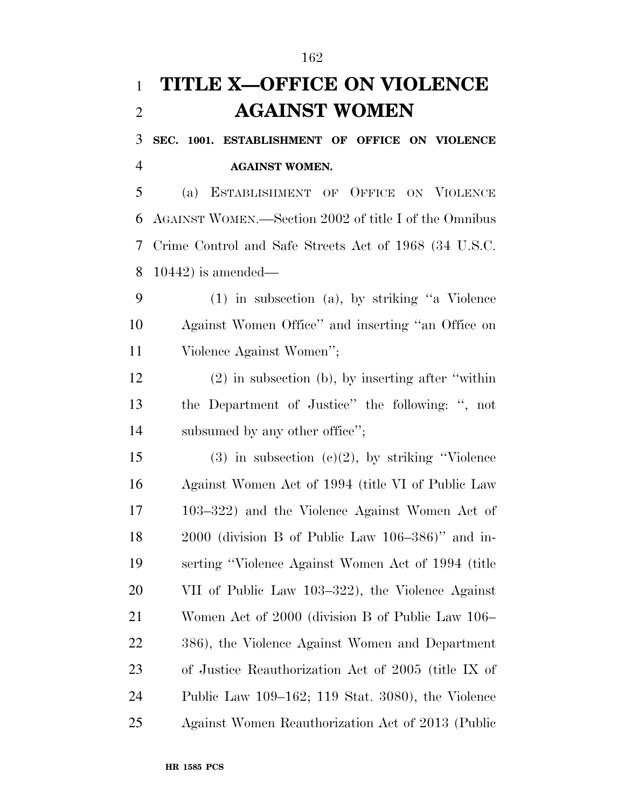## **TITLE X—OFFICE ON VIOLENCE AGAINST WOMEN**

 **SEC. 1001. ESTABLISHMENT OF OFFICE ON VIOLENCE AGAINST WOMEN.** 

 (a) ESTABLISHMENT OF OFFICE ON VIOLENCE AGAINST WOMEN.—Section 2002 of title I of the Omnibus Crime Control and Safe Streets Act of 1968 (34 U.S.C. 10442) is amended—

 (1) in subsection (a), by striking ''a Violence Against Women Office'' and inserting ''an Office on Violence Against Women'';

 (2) in subsection (b), by inserting after ''within the Department of Justice'' the following: '', not 14 subsumed by any other office";

15 (3) in subsection  $(c)(2)$ , by striking "Violence Against Women Act of 1994 (title VI of Public Law 103–322) and the Violence Against Women Act of 2000 (division B of Public Law 106–386)'' and in- serting ''Violence Against Women Act of 1994 (title VII of Public Law 103–322), the Violence Against Women Act of 2000 (division B of Public Law 106– 386), the Violence Against Women and Department of Justice Reauthorization Act of 2005 (title IX of Public Law 109–162; 119 Stat. 3080), the Violence Against Women Reauthorization Act of 2013 (Public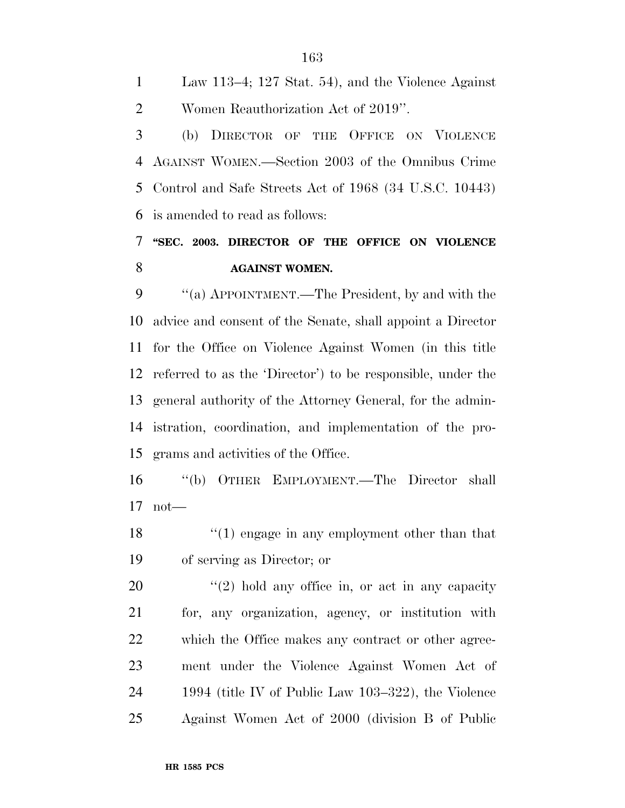Law 113–4; 127 Stat. 54), and the Violence Against Women Reauthorization Act of 2019''.

 (b) DIRECTOR OF THE OFFICE ON VIOLENCE AGAINST WOMEN.—Section 2003 of the Omnibus Crime Control and Safe Streets Act of 1968 (34 U.S.C. 10443) is amended to read as follows:

## **''SEC. 2003. DIRECTOR OF THE OFFICE ON VIOLENCE AGAINST WOMEN.**

 ''(a) APPOINTMENT.—The President, by and with the advice and consent of the Senate, shall appoint a Director for the Office on Violence Against Women (in this title referred to as the 'Director') to be responsible, under the general authority of the Attorney General, for the admin- istration, coordination, and implementation of the pro-grams and activities of the Office.

 ''(b) OTHER EMPLOYMENT.—The Director shall not—

18 ''(1) engage in any employment other than that of serving as Director; or

 ''(2) hold any office in, or act in any capacity for, any organization, agency, or institution with which the Office makes any contract or other agree- ment under the Violence Against Women Act of 1994 (title IV of Public Law 103–322), the Violence Against Women Act of 2000 (division B of Public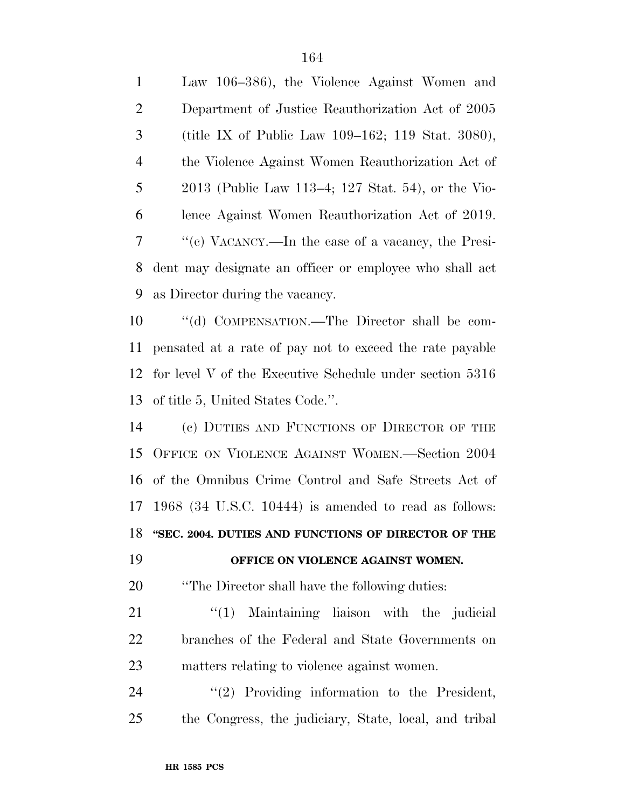| $\mathbf{1}$   | Law 106–386), the Violence Against Women and                 |
|----------------|--------------------------------------------------------------|
| $\overline{2}$ | Department of Justice Reauthorization Act of 2005            |
| 3              | (title IX of Public Law 109–162; 119 Stat. 3080),            |
| $\overline{4}$ | the Violence Against Women Reauthorization Act of            |
| 5              | 2013 (Public Law 113–4; 127 Stat. 54), or the Vio-           |
| 6              | lence Against Women Reauthorization Act of 2019.             |
| $\tau$         | "(c) VACANCY.—In the case of a vacancy, the Presi-           |
| 8              | dent may designate an officer or employee who shall act      |
| 9              | as Director during the vacancy.                              |
| 10             | "(d) COMPENSATION.—The Director shall be com-                |
| 11             | pensated at a rate of pay not to exceed the rate payable     |
| 12             | for level $V$ of the Executive Schedule under section $5316$ |
| 13             | of title 5, United States Code.".                            |
| 14             | (c) DUTIES AND FUNCTIONS OF DIRECTOR OF THE                  |
| 15             | OFFICE ON VIOLENCE AGAINST WOMEN.—Section 2004               |
| 16             | of the Omnibus Crime Control and Safe Streets Act of         |
| 17             | $1968$ (34 U.S.C. 10444) is amended to read as follows:      |
|                | 18 "SEC. 2004. DUTIES AND FUNCTIONS OF DIRECTOR OF THE       |
| 19             | OFFICE ON VIOLENCE AGAINST WOMEN.                            |
| 20             | "The Director shall have the following duties:               |
| 21             | Maintaining liaison with the judicial<br>``(1)               |
| 22             | branches of the Federal and State Governments on             |
| 23             | matters relating to violence against women.                  |
| 24             | $\lq(2)$ Providing information to the President,             |
| 25             | the Congress, the judiciary, State, local, and tribal        |
|                |                                                              |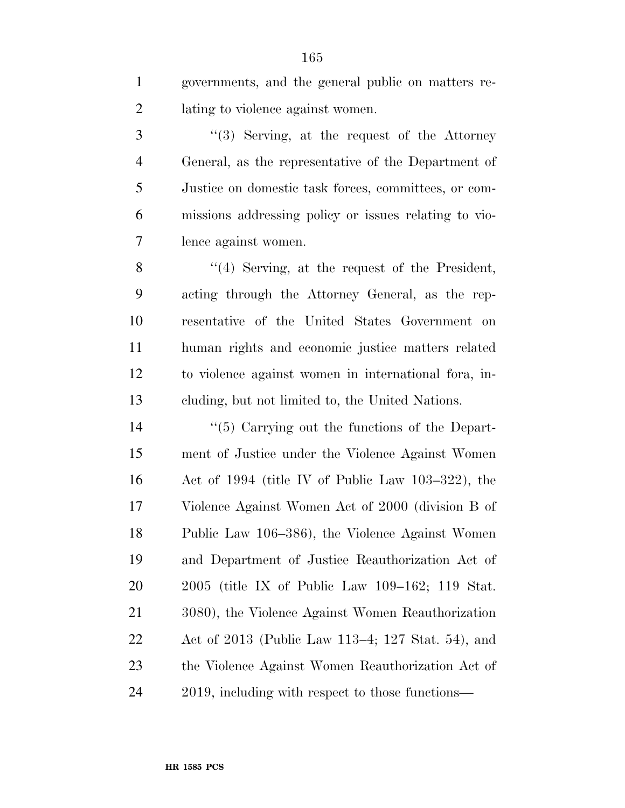governments, and the general public on matters re-lating to violence against women.

 ''(3) Serving, at the request of the Attorney General, as the representative of the Department of Justice on domestic task forces, committees, or com- missions addressing policy or issues relating to vio-lence against women.

8 "(4) Serving, at the request of the President, acting through the Attorney General, as the rep- resentative of the United States Government on human rights and economic justice matters related to violence against women in international fora, in-cluding, but not limited to, the United Nations.

 ''(5) Carrying out the functions of the Depart- ment of Justice under the Violence Against Women Act of 1994 (title IV of Public Law 103–322), the Violence Against Women Act of 2000 (division B of Public Law 106–386), the Violence Against Women and Department of Justice Reauthorization Act of 2005 (title IX of Public Law 109–162; 119 Stat. 3080), the Violence Against Women Reauthorization Act of 2013 (Public Law 113–4; 127 Stat. 54), and the Violence Against Women Reauthorization Act of 2019, including with respect to those functions—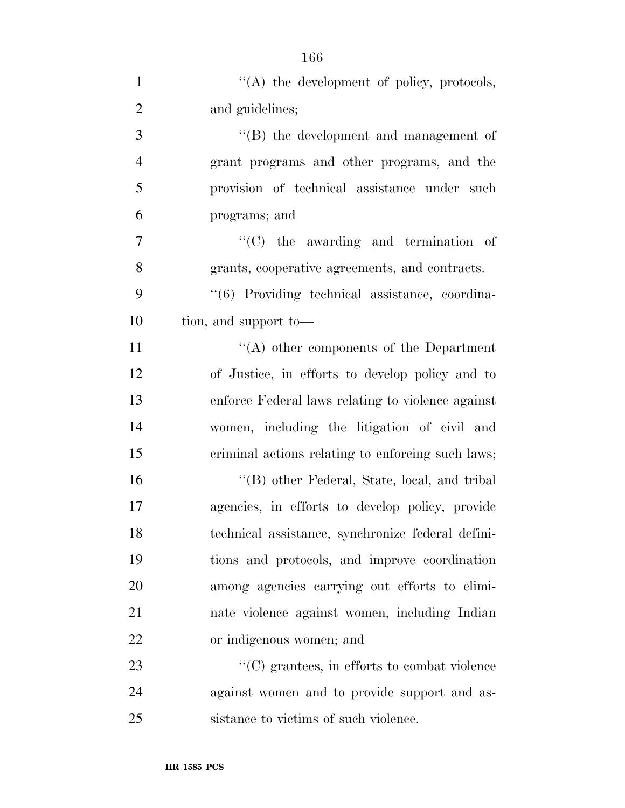| $\mathbf{1}$   | $\lq\lq$ the development of policy, protocols,    |
|----------------|---------------------------------------------------|
| $\overline{2}$ | and guidelines;                                   |
| 3              | $\lq\lq$ the development and management of        |
| $\overline{4}$ | grant programs and other programs, and the        |
| 5              | provision of technical assistance under such      |
| 6              | programs; and                                     |
| $\overline{7}$ | $\lq\lq$ (C) the awarding and termination of      |
| 8              | grants, cooperative agreements, and contracts.    |
| 9              | "(6) Providing technical assistance, coordina-    |
| 10             | tion, and support to-                             |
| 11             | "(A) other components of the Department           |
| 12             | of Justice, in efforts to develop policy and to   |
| 13             | enforce Federal laws relating to violence against |
| 14             | women, including the litigation of civil and      |
| 15             | criminal actions relating to enforcing such laws; |
| 16             | "(B) other Federal, State, local, and tribal      |
| 17             | agencies, in efforts to develop policy, provide   |
| 18             | technical assistance, synchronize federal defini- |
| 19             | tions and protocols, and improve coordination     |
| 20             | among agencies carrying out efforts to elimi-     |
| 21             | nate violence against women, including Indian     |
| 22             | or indigenous women; and                          |
| 23             | "(C) grantees, in efforts to combat violence      |
| 24             | against women and to provide support and as-      |
| 25             | sistance to victims of such violence.             |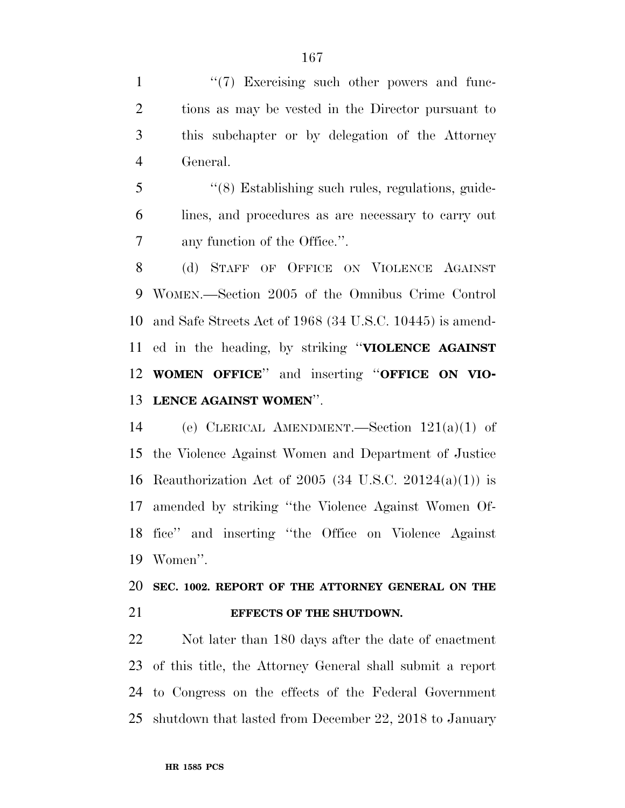1 ''(7) Exercising such other powers and func- tions as may be vested in the Director pursuant to this subchapter or by delegation of the Attorney General.

 ''(8) Establishing such rules, regulations, guide- lines, and procedures as are necessary to carry out any function of the Office.''.

 (d) STAFF OF OFFICE ON VIOLENCE AGAINST WOMEN.—Section 2005 of the Omnibus Crime Control and Safe Streets Act of 1968 (34 U.S.C. 10445) is amend- ed in the heading, by striking ''**VIOLENCE AGAINST WOMEN OFFICE**'' and inserting ''**OFFICE ON VIO-LENCE AGAINST WOMEN**''.

 (e) CLERICAL AMENDMENT.—Section 121(a)(1) of the Violence Against Women and Department of Justice 16 Reauthorization Act of 2005 (34 U.S.C. 20124(a)(1)) is amended by striking ''the Violence Against Women Of- fice'' and inserting ''the Office on Violence Against Women''.

 **SEC. 1002. REPORT OF THE ATTORNEY GENERAL ON THE EFFECTS OF THE SHUTDOWN.** 

 Not later than 180 days after the date of enactment of this title, the Attorney General shall submit a report to Congress on the effects of the Federal Government shutdown that lasted from December 22, 2018 to January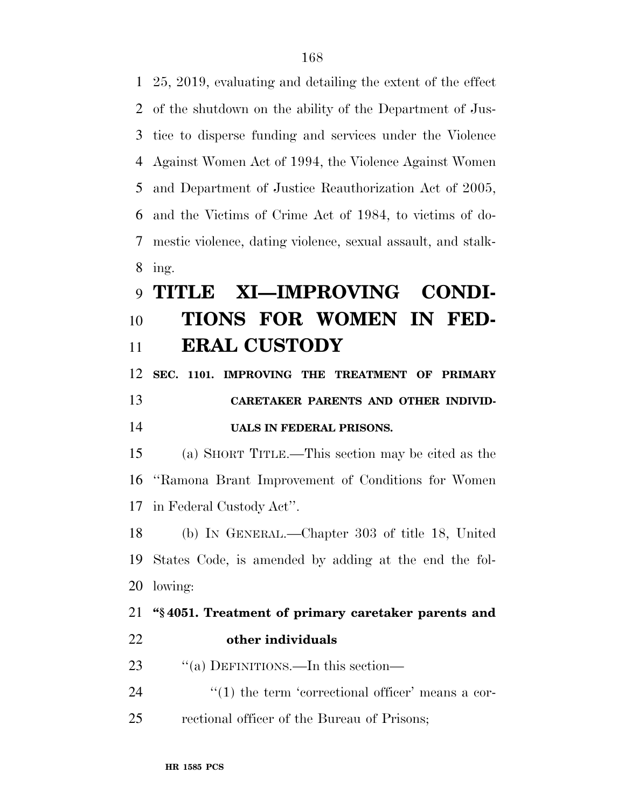25, 2019, evaluating and detailing the extent of the effect of the shutdown on the ability of the Department of Jus- tice to disperse funding and services under the Violence Against Women Act of 1994, the Violence Against Women and Department of Justice Reauthorization Act of 2005, and the Victims of Crime Act of 1984, to victims of do- mestic violence, dating violence, sexual assault, and stalk- ing. **TITLE XI—IMPROVING CONDI- TIONS FOR WOMEN IN FED- ERAL CUSTODY SEC. 1101. IMPROVING THE TREATMENT OF PRIMARY CARETAKER PARENTS AND OTHER INDIVID- UALS IN FEDERAL PRISONS.**  (a) SHORT TITLE.—This section may be cited as the ''Ramona Brant Improvement of Conditions for Women in Federal Custody Act''. (b) IN GENERAL.—Chapter 303 of title 18, United States Code, is amended by adding at the end the fol- lowing: **''§ 4051. Treatment of primary caretaker parents and other individuals**  23 "(a) DEFINITIONS.—In this section—  $\qquad$   $\qquad$   $\qquad$   $\qquad$   $\qquad$   $\qquad$   $\qquad$   $\qquad$   $\qquad$   $\qquad$   $\qquad$   $\qquad$   $\qquad$   $\qquad$   $\qquad$   $\qquad$   $\qquad$   $\qquad$   $\qquad$   $\qquad$   $\qquad$   $\qquad$   $\qquad$   $\qquad$   $\qquad$   $\qquad$   $\qquad$   $\qquad$   $\qquad$   $\qquad$   $\qquad$   $\qquad$   $\qquad$   $\qquad$   $\qquad$   $\qquad$  rectional officer of the Bureau of Prisons;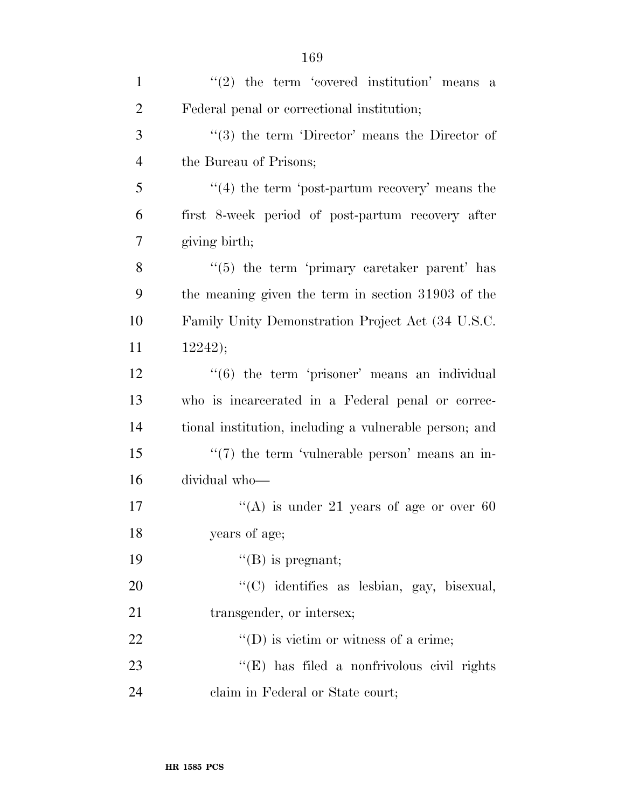| $\mathbf{1}$   | $(2)$ the term 'covered institution' means a                 |
|----------------|--------------------------------------------------------------|
| $\overline{2}$ | Federal penal or correctional institution;                   |
| 3              | $\cdot$ (3) the term 'Director' means the Director of        |
| $\overline{4}$ | the Bureau of Prisons;                                       |
| 5              | $\cdot$ (4) the term 'post-partum recovery' means the        |
| 6              | first 8-week period of post-partum recovery after            |
| 7              | giving birth;                                                |
| 8              | $\cdot\cdot$ (5) the term 'primary caretaker parent' has     |
| 9              | the meaning given the term in section 31903 of the           |
| 10             | Family Unity Demonstration Project Act (34 U.S.C.            |
| 11             | 12242);                                                      |
| 12             | $\cdot\cdot\cdot(6)$ the term 'prisoner' means an individual |
| 13             | who is incarcerated in a Federal penal or correc-            |
| 14             | tional institution, including a vulnerable person; and       |
| 15             | $\lq(7)$ the term 'vulnerable person' means an in-           |
| 16             | dividual who-                                                |
| 17             | "(A) is under 21 years of age or over 60                     |
| 18             | years of age;                                                |
| 19             | $\lq\lq(B)$ is pregnant;                                     |
| 20             | "(C) identifies as lesbian, gay, bisexual,                   |
| 21             | transgender, or intersex;                                    |
| 22             | $\lq\lq$ (D) is victim or witness of a crime;                |
| 23             | "(E) has filed a nonfrivolous civil rights                   |
| 24             | claim in Federal or State court;                             |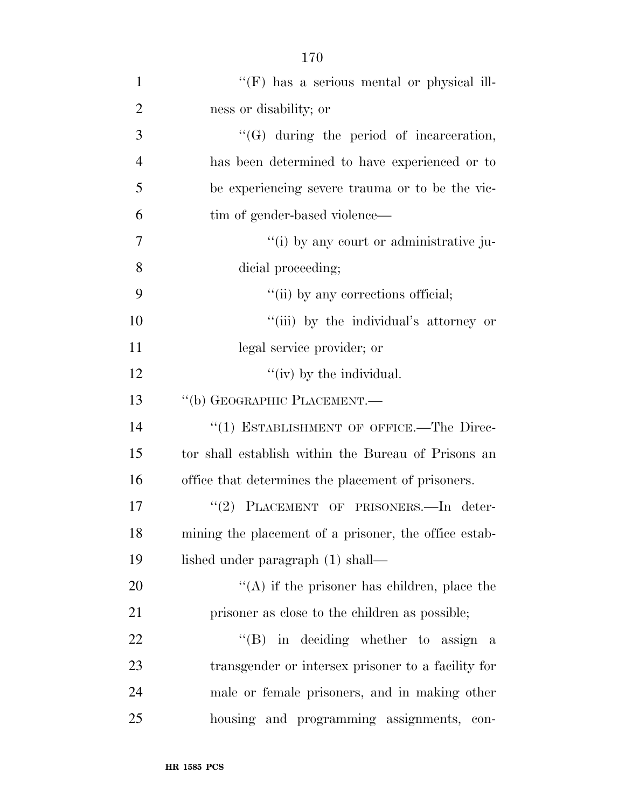| $\mathbf{1}$   | $\lq\lq(F)$ has a serious mental or physical ill-     |
|----------------|-------------------------------------------------------|
| $\overline{2}$ | ness or disability; or                                |
| 3              | $\lq\lq(G)$ during the period of incarceration,       |
| $\overline{4}$ | has been determined to have experienced or to         |
| 5              | be experiencing severe trauma or to be the vic-       |
| 6              | tim of gender-based violence—                         |
| 7              | "(i) by any court or administrative ju-               |
| 8              | dicial proceeding;                                    |
| 9              | "(ii) by any corrections official;                    |
| 10             | "(iii) by the individual's attorney or                |
| 11             | legal service provider; or                            |
| 12             | "(iv) by the individual.                              |
| 13             | "(b) GEOGRAPHIC PLACEMENT.—                           |
| 14             | "(1) ESTABLISHMENT OF OFFICE.—The Direc-              |
| 15             | tor shall establish within the Bureau of Prisons an   |
| 16             | office that determines the placement of prisoners.    |
| 17             | "(2) PLACEMENT OF PRISONERS.—In deter-                |
| 18             | mining the placement of a prisoner, the office estab- |
| 19             | lished under paragraph (1) shall—                     |
| 20             | $\lq\lq$ if the prisoner has children, place the      |
| 21             | prisoner as close to the children as possible;        |
| 22             | "(B) in deciding whether to assign a                  |
| 23             | transgender or intersex prisoner to a facility for    |
| 24             | male or female prisoners, and in making other         |
| 25             | housing and programming assignments, con-             |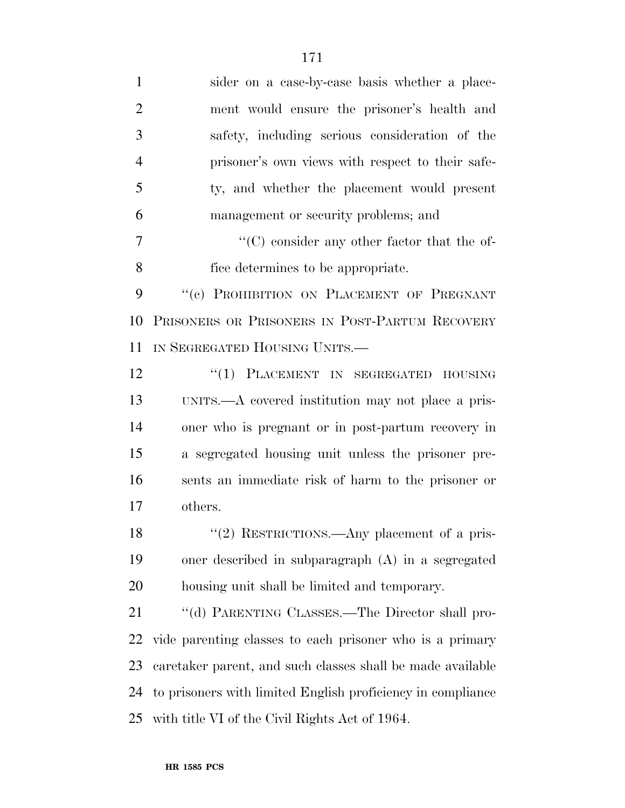| $\mathbf{1}$   | sider on a case-by-case basis whether a place-              |
|----------------|-------------------------------------------------------------|
| $\overline{2}$ | ment would ensure the prisoner's health and                 |
| 3              | safety, including serious consideration of the              |
| $\overline{4}$ | prisoner's own views with respect to their safe-            |
| 5              | ty, and whether the placement would present                 |
| 6              | management or security problems; and                        |
| 7              | $\lq\lq$ consider any other factor that the of-             |
| 8              | fice determines to be appropriate.                          |
| 9              | "(c) PROHIBITION ON PLACEMENT OF PREGNANT                   |
| 10             | PRISONERS OR PRISONERS IN POST-PARTUM RECOVERY              |
| 11             | IN SEGREGATED HOUSING UNITS.                                |
| 12             | "(1) PLACEMENT IN SEGREGATED HOUSING                        |
| 13             | UNITS.—A covered institution may not place a pris-          |
| 14             | oner who is pregnant or in post-partum recovery in          |
| 15             | a segregated housing unit unless the prisoner pre-          |
| 16             | sents an immediate risk of harm to the prisoner or          |
| 17             | others.                                                     |
| 18             | "(2) RESTRICTIONS.—Any placement of a pris-                 |
| 19             | oner described in subparagraph (A) in a segregated          |
| 20             | housing unit shall be limited and temporary.                |
| 21             | "(d) PARENTING CLASSES.—The Director shall pro-             |
| 22             | vide parenting classes to each prisoner who is a primary    |
| 23             | caretaker parent, and such classes shall be made available  |
| 24             | to prisoners with limited English proficiency in compliance |
| 25             | with title VI of the Civil Rights Act of 1964.              |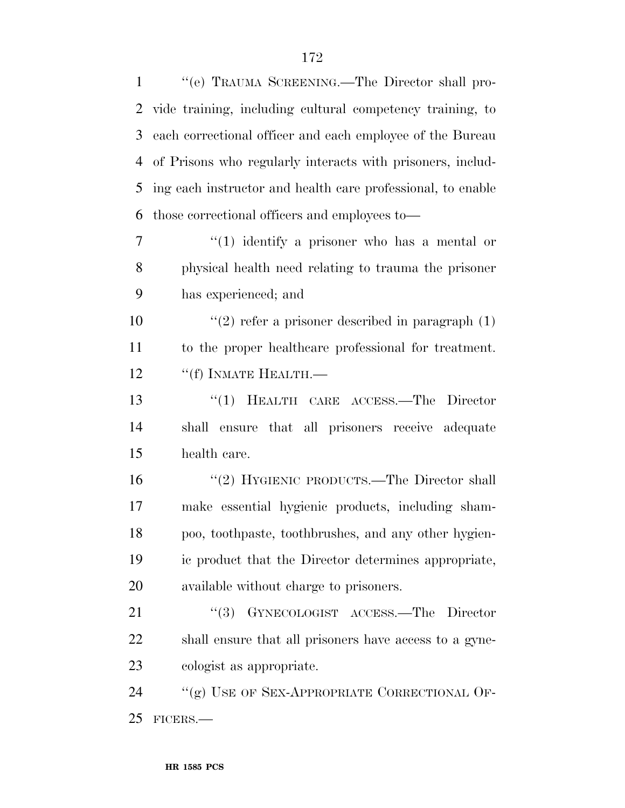| $\mathbf{1}$ | "(e) TRAUMA SCREENING.—The Director shall pro-              |
|--------------|-------------------------------------------------------------|
| 2            | vide training, including cultural competency training, to   |
| 3            | each correctional officer and each employee of the Bureau   |
| 4            | of Prisons who regularly interacts with prisoners, includ-  |
| 5            | ing each instructor and health care professional, to enable |
| 6            | those correctional officers and employees to—               |
| $\tau$       | $\lq(1)$ identify a prisoner who has a mental or            |
| 8            | physical health need relating to trauma the prisoner        |
| 9            | has experienced; and                                        |
| 10           | $"(2)$ refer a prisoner described in paragraph $(1)$        |
| 11           | to the proper healthcare professional for treatment.        |
| 12           | $``(f)$ INMATE HEALTH.—                                     |
| 13           | "(1) HEALTH CARE ACCESS.—The Director                       |
| 14           | shall ensure that all prisoners receive adequate            |
| 15           | health care.                                                |
| 16           | "(2) HYGIENIC PRODUCTS.—The Director shall                  |
| 17           | make essential hygienic products, including sham-           |
| 18           | poo, toothpaste, toothbrushes, and any other hygien-        |
| 19           | ic product that the Director determines appropriate,        |
| 20           | available without charge to prisoners.                      |
| 21           | GYNECOLOGIST ACCESS.-The Director<br>(3)                    |
| 22           | shall ensure that all prisoners have access to a gyne-      |
| 23           | cologist as appropriate.                                    |
| 24           | "(g) USE OF SEX-APPROPRIATE CORRECTIONAL OF-                |
| 25           | FICERS.                                                     |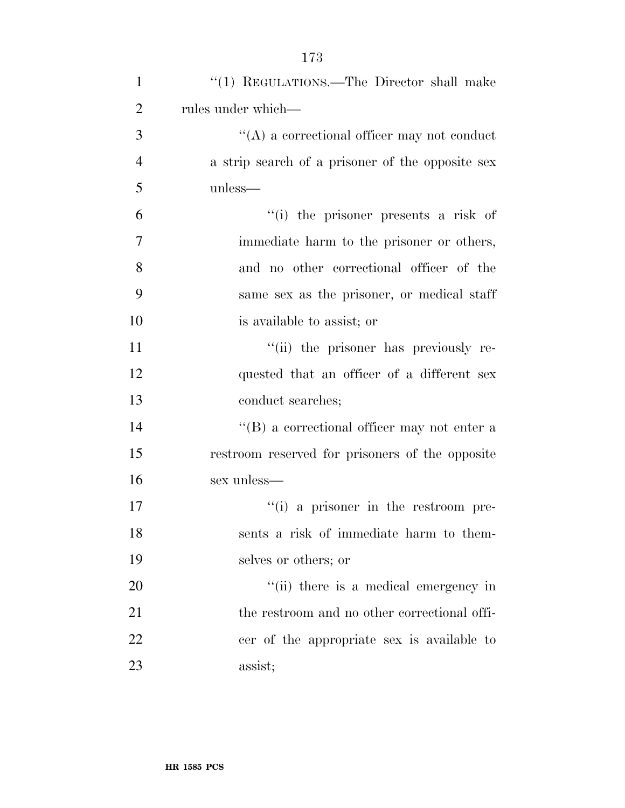| $\mathbf{1}$   | "(1) REGULATIONS.—The Director shall make           |
|----------------|-----------------------------------------------------|
| $\overline{2}$ | rules under which—                                  |
| 3              | $\lq\lq$ a correctional officer may not conduct     |
| $\overline{4}$ | a strip search of a prisoner of the opposite sex    |
| 5              | unless—                                             |
| 6              | "(i) the prisoner presents a risk of                |
| $\tau$         | immediate harm to the prisoner or others,           |
| 8              | and no other correctional officer of the            |
| 9              | same sex as the prisoner, or medical staff          |
| 10             | is available to assist; or                          |
| 11             | "(ii) the prisoner has previously re-               |
| 12             | quested that an officer of a different sex          |
| 13             | conduct searches;                                   |
| 14             | $\lq\lq (B)$ a correctional officer may not enter a |
| 15             | restroom reserved for prisoners of the opposite     |
| 16             | sex unless—                                         |
| 17             | $f'(i)$ a prisoner in the restroom pre-             |
| 18             | sents a risk of immediate harm to them-             |
| 19             | selves or others; or                                |
| 20             | "(ii) there is a medical emergency in               |
| 21             | the restroom and no other correctional offi-        |
| 22             | cer of the appropriate sex is available to          |
| 23             | assist;                                             |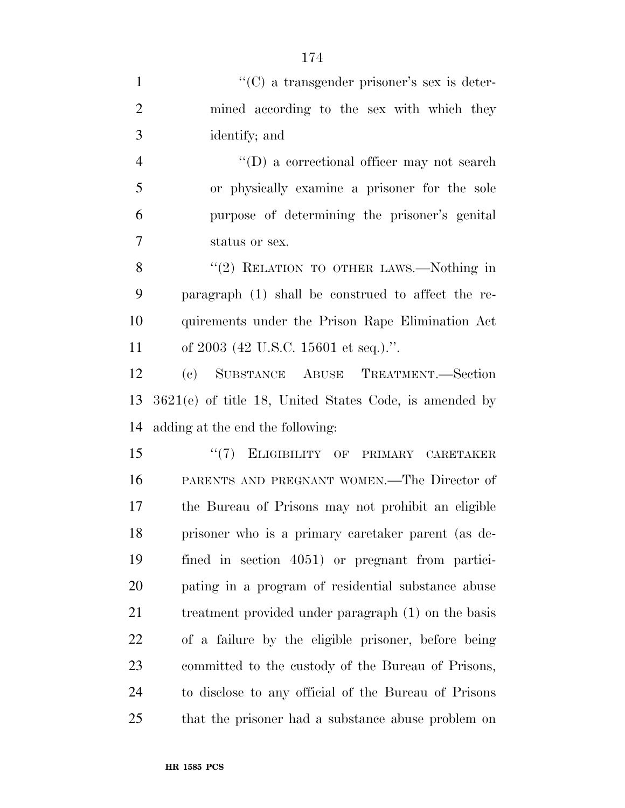| $\mathbf{1}$   | $\lq\lq$ a transgender prisoner's sex is deter-                  |
|----------------|------------------------------------------------------------------|
| $\overline{2}$ | mined according to the sex with which they                       |
| 3              | identify; and                                                    |
| 4              | $\lq\lq$ a correctional officer may not search                   |
| 5              | or physically examine a prisoner for the sole                    |
| 6              | purpose of determining the prisoner's genital                    |
| 7              | status or sex.                                                   |
| 8              | "(2) RELATION TO OTHER LAWS.—Nothing in                          |
| 9              | paragraph (1) shall be construed to affect the re-               |
| 10             | quirements under the Prison Rape Elimination Act                 |
| 11             | of $2003$ (42 U.S.C. 15601 et seq.).".                           |
| 12             | SUBSTANCE ABUSE TREATMENT.-Section<br>$\left( \mathrm{e}\right)$ |
| 13             | $3621(e)$ of title 18, United States Code, is amended by         |
| 14             | adding at the end the following:                                 |
| 15             | "(7) ELIGIBILITY OF PRIMARY CARETAKER                            |
| 16             | PARENTS AND PREGNANT WOMEN.—The Director of                      |
| 17             | the Bureau of Prisons may not prohibit an eligible               |
| 18             | prisoner who is a primary caretaker parent (as de-               |
| 19             | fined in section 4051) or pregnant from partici-                 |
| 20             | pating in a program of residential substance abuse               |
| 21             | treatment provided under paragraph (1) on the basis              |
| 22             | of a failure by the eligible prisoner, before being              |
| 23             | committed to the custody of the Bureau of Prisons,               |
| 24             | to disclose to any official of the Bureau of Prisons             |
| 25             | that the prisoner had a substance abuse problem on               |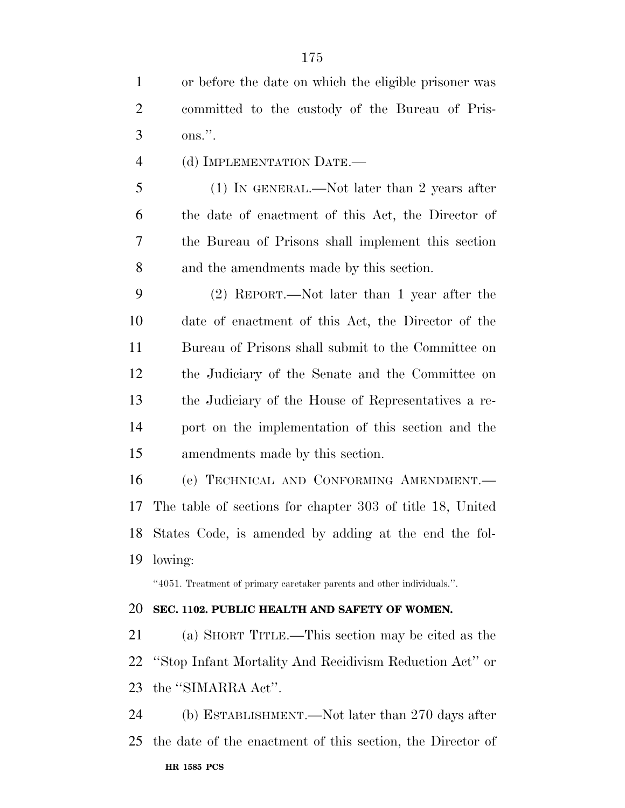| $\mathbf{1}$   | or before the date on which the eligible prisoner was                  |
|----------------|------------------------------------------------------------------------|
| $\overline{2}$ | committed to the custody of the Bureau of Pris-                        |
| 3              | ons.".                                                                 |
| $\overline{4}$ | (d) IMPLEMENTATION DATE.-                                              |
| 5              | $(1)$ IN GENERAL.—Not later than 2 years after                         |
| 6              | the date of enactment of this Act, the Director of                     |
| 7              | the Bureau of Prisons shall implement this section                     |
| 8              | and the amendments made by this section.                               |
| 9              | (2) REPORT.—Not later than 1 year after the                            |
| 10             | date of enactment of this Act, the Director of the                     |
| 11             | Bureau of Prisons shall submit to the Committee on                     |
| 12             | the Judiciary of the Senate and the Committee on                       |
| 13             | the Judiciary of the House of Representatives a re-                    |
| 14             | port on the implementation of this section and the                     |
| 15             | amendments made by this section.                                       |
| 16             | (e) TECHNICAL AND CONFORMING AMENDMENT.—                               |
| 17             | The table of sections for chapter 303 of title 18, United              |
| 18             | States Code, is amended by adding at the end the fol-                  |
| 19             | lowing:                                                                |
|                | "4051. Treatment of primary caretaker parents and other individuals.". |
| 20             | SEC. 1102. PUBLIC HEALTH AND SAFETY OF WOMEN.                          |
| 21             | (a) SHORT TITLE.—This section may be cited as the                      |
| 22             | "Stop Infant Mortality And Recidivism Reduction Act" or                |
| 23             | the "SIMARRA Act".                                                     |
| 24             | (b) ESTABLISHMENT.—Not later than 270 days after                       |

**HR 1585 PCS** the date of the enactment of this section, the Director of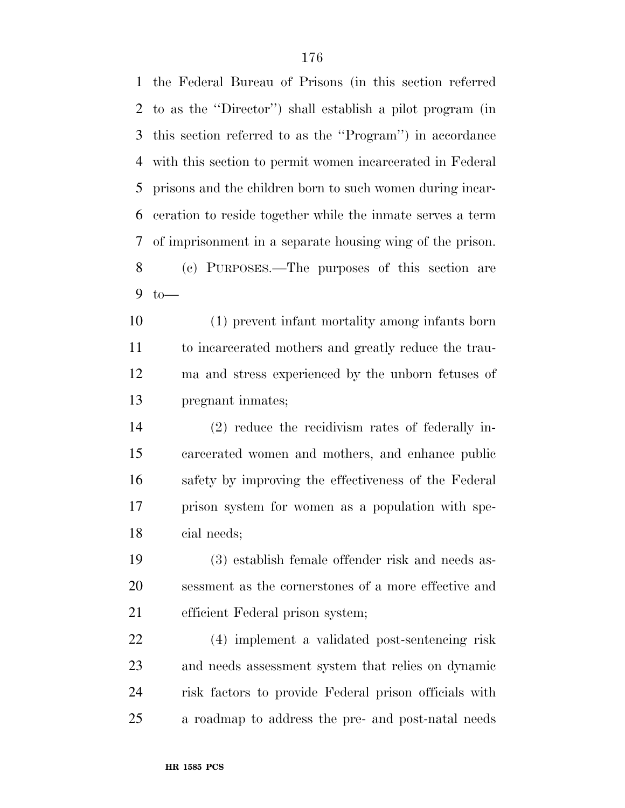the Federal Bureau of Prisons (in this section referred to as the ''Director'') shall establish a pilot program (in this section referred to as the ''Program'') in accordance with this section to permit women incarcerated in Federal prisons and the children born to such women during incar- ceration to reside together while the inmate serves a term of imprisonment in a separate housing wing of the prison. (c) PURPOSES.—The purposes of this section are to—

 (1) prevent infant mortality among infants born to incarcerated mothers and greatly reduce the trau- ma and stress experienced by the unborn fetuses of pregnant inmates;

 (2) reduce the recidivism rates of federally in- carcerated women and mothers, and enhance public safety by improving the effectiveness of the Federal prison system for women as a population with spe-cial needs;

 (3) establish female offender risk and needs as- sessment as the cornerstones of a more effective and efficient Federal prison system;

 (4) implement a validated post-sentencing risk and needs assessment system that relies on dynamic risk factors to provide Federal prison officials with a roadmap to address the pre- and post-natal needs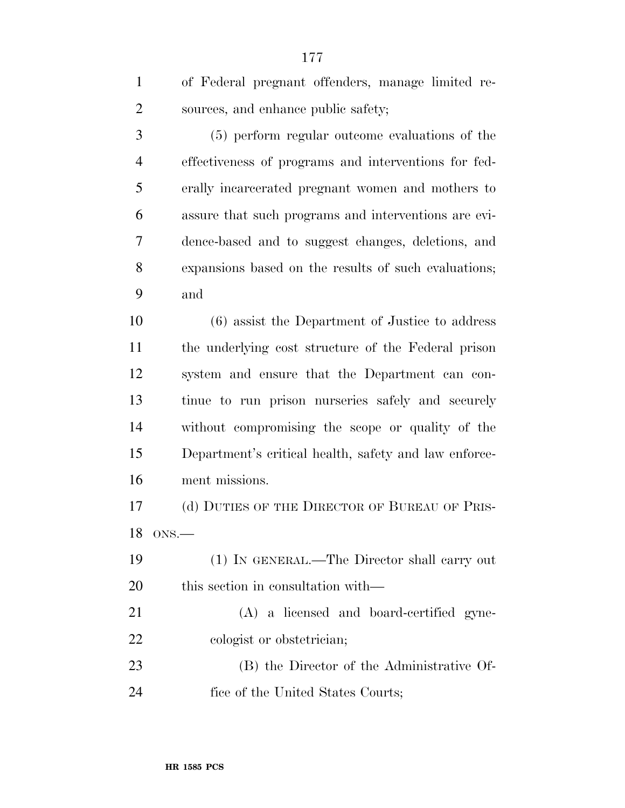| $\mathbf{1}$   | of Federal pregnant offenders, manage limited re-     |
|----------------|-------------------------------------------------------|
| $\overline{c}$ | sources, and enhance public safety;                   |
| 3              | (5) perform regular outcome evaluations of the        |
| $\overline{4}$ | effectiveness of programs and interventions for fed-  |
| 5              | erally incarcerated pregnant women and mothers to     |
| 6              | assure that such programs and interventions are evi-  |
| 7              | dence-based and to suggest changes, deletions, and    |
| 8              | expansions based on the results of such evaluations;  |
| 9              | and                                                   |
| 10             | (6) assist the Department of Justice to address       |
| 11             | the underlying cost structure of the Federal prison   |
| 12             | system and ensure that the Department can con-        |
| 13             | tinue to run prison nurseries safely and securely     |
| 14             | without compromising the scope or quality of the      |
| 15             | Department's critical health, safety and law enforce- |
| 16             | ment missions.                                        |
| 17             | (d) DUTIES OF THE DIRECTOR OF BUREAU OF PRIS-         |
| 18             | ONS.                                                  |
| 19             | (1) IN GENERAL.—The Director shall carry out          |
| <b>20</b>      | this section in consultation with—                    |
| 21             | (A) a licensed and board-certified gyne-              |
| 22             | cologist or obstetrician;                             |
| 23             | (B) the Director of the Administrative Of-            |
| 24             | fice of the United States Courts;                     |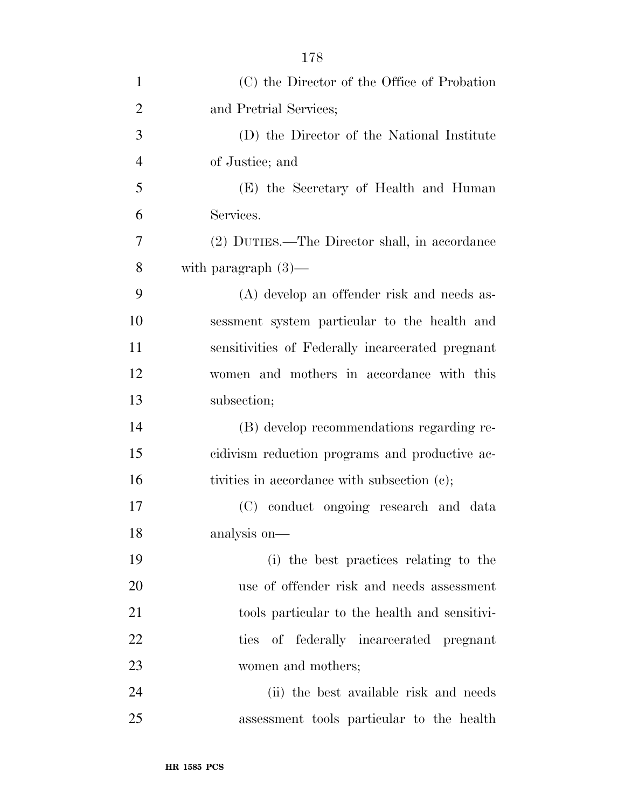| $\mathbf{1}$   | (C) the Director of the Office of Probation      |
|----------------|--------------------------------------------------|
| $\overline{2}$ | and Pretrial Services;                           |
| 3              | (D) the Director of the National Institute       |
|                |                                                  |
| $\overline{4}$ | of Justice; and                                  |
| 5              | (E) the Secretary of Health and Human            |
| 6              | Services.                                        |
| 7              | (2) DUTIES.—The Director shall, in accordance    |
| 8              | with paragraph $(3)$ —                           |
| 9              | (A) develop an offender risk and needs as-       |
| 10             | sessment system particular to the health and     |
| 11             | sensitivities of Federally incarcerated pregnant |
| 12             | women and mothers in accordance with this        |
| 13             | subsection;                                      |
| 14             | (B) develop recommendations regarding re-        |
| 15             | cidivism reduction programs and productive ac-   |
| 16             | tivities in accordance with subsection (c);      |
| 17             | (C) conduct ongoing research and data            |
| 18             | analysis on-                                     |
| 19             | (i) the best practices relating to the           |
| 20             | use of offender risk and needs assessment        |
| 21             | tools particular to the health and sensitivi-    |
| 22             | ties of federally incarcerated pregnant          |
| 23             | women and mothers;                               |
| 24             | (ii) the best available risk and needs           |
| 25             | assessment tools particular to the health        |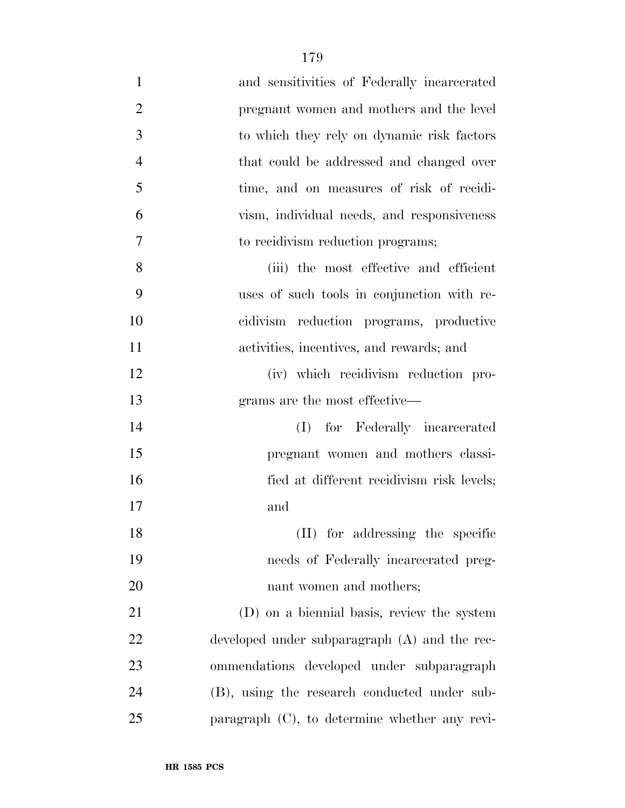| $\mathbf{1}$   | and sensitivities of Federally incarcerated     |
|----------------|-------------------------------------------------|
| $\overline{2}$ | pregnant women and mothers and the level        |
| 3              | to which they rely on dynamic risk factors      |
| $\overline{4}$ | that could be addressed and changed over        |
| 5              | time, and on measures of risk of recidi-        |
| 6              | vism, individual needs, and responsiveness      |
| 7              | to recidivism reduction programs;               |
| 8              | (iii) the most effective and efficient          |
| 9              | uses of such tools in conjunction with re-      |
| 10             | cidivism reduction programs, productive         |
| 11             | activities, incentives, and rewards; and        |
| 12             | (iv) which recidivism reduction pro-            |
| 13             | grams are the most effective—                   |
| 14             | (I) for Federally incarcerated                  |
| 15             | pregnant women and mothers classi-              |
| 16             | fied at different recidivism risk levels;       |
| 17             | and                                             |
| 18             | (II) for addressing the specific                |
| 19             | needs of Federally incarcerated preg-           |
| 20             | nant women and mothers;                         |
| 21             | (D) on a biennial basis, review the system      |
| 22             | developed under subparagraph $(A)$ and the rec- |
| 23             | ommendations developed under subparagraph       |
| 24             | (B), using the research conducted under sub-    |
| 25             | paragraph (C), to determine whether any revi-   |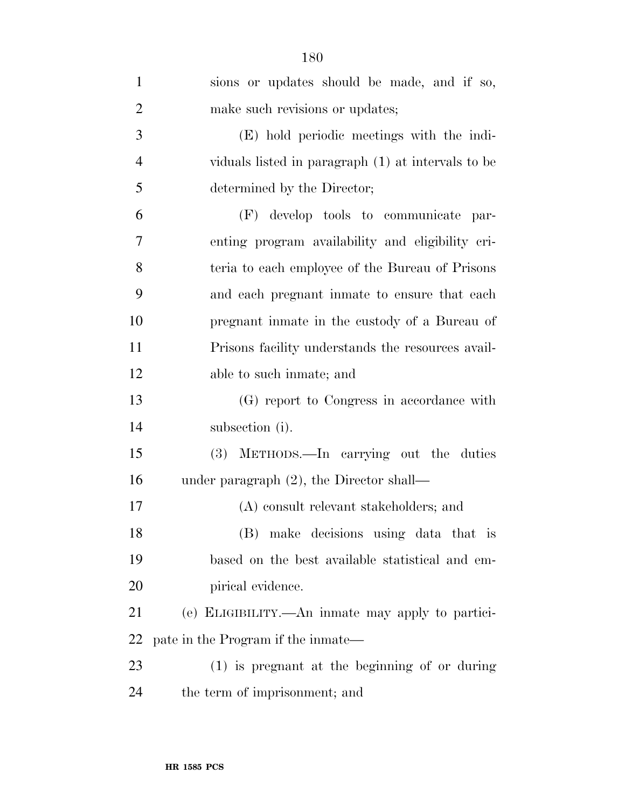| $\mathbf{1}$   | sions or updates should be made, and if so,        |
|----------------|----------------------------------------------------|
| $\overline{2}$ | make such revisions or updates;                    |
| 3              | (E) hold periodic meetings with the indi-          |
| $\overline{4}$ | viduals listed in paragraph (1) at intervals to be |
| 5              | determined by the Director;                        |
| 6              | (F) develop tools to communicate par-              |
| 7              | enting program availability and eligibility cri-   |
| 8              | teria to each employee of the Bureau of Prisons    |
| 9              | and each pregnant in that each ensure that each    |
| 10             | pregnant in the custody of a Bureau of             |
| 11             | Prisons facility understands the resources avail-  |
| 12             | able to such inmate; and                           |
| 13             | (G) report to Congress in accordance with          |
| 14             | subsection (i).                                    |
| 15             | (3) METHODS.—In carrying out the duties            |
| 16             | under paragraph $(2)$ , the Director shall—        |
| 17             | (A) consult relevant stakeholders; and             |
| 18             | (B) make decisions using data that is              |
| 19             | based on the best available statistical and em-    |
| 20             | pirical evidence.                                  |
| 21             | (e) ELIGIBILITY.—An inmate may apply to partici-   |
| 22             | pate in the Program if the inmate—                 |
| 23             | $(1)$ is pregnant at the beginning of or during    |
| 24             | the term of imprisonment; and                      |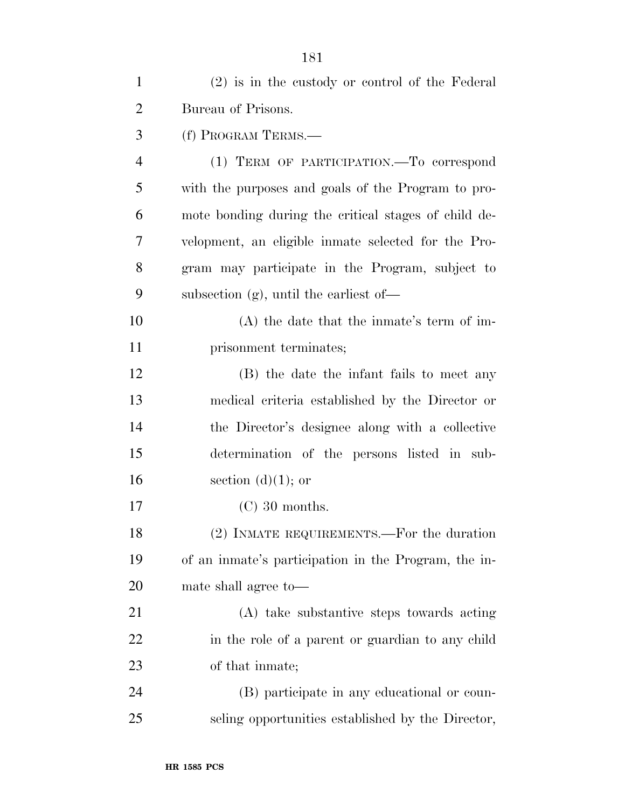| $\mathbf{1}$   | (2) is in the custody or control of the Federal      |
|----------------|------------------------------------------------------|
| $\overline{2}$ | Bureau of Prisons.                                   |
| 3              | (f) PROGRAM TERMS.—                                  |
| $\overline{4}$ | (1) TERM OF PARTICIPATION. To correspond             |
| 5              | with the purposes and goals of the Program to pro-   |
| 6              | mote bonding during the critical stages of child de- |
| 7              | velopment, an eligible inmate selected for the Pro-  |
| 8              | gram may participate in the Program, subject to      |
| 9              | subsection $(g)$ , until the earliest of —           |
| 10             | (A) the date that the inmate's term of im-           |
| 11             | prisonment terminates;                               |
| 12             | (B) the date the infant fails to meet any            |
| 13             | medical criteria established by the Director or      |
| 14             | the Director's designee along with a collective      |
| 15             | determination of the persons listed in sub-          |
| 16             | section $(d)(1)$ ; or                                |
| 17             | $(C)$ 30 months.                                     |
| 18             | (2) INMATE REQUIREMENTS.—For the duration            |
| 19             | of an inmate's participation in the Program, the in- |
| 20             | mate shall agree to—                                 |
| 21             | (A) take substantive steps towards acting            |
| 22             | in the role of a parent or guardian to any child     |
| 23             | of that inmate;                                      |
| 24             | (B) participate in any educational or coun-          |
| 25             | seling opportunities established by the Director,    |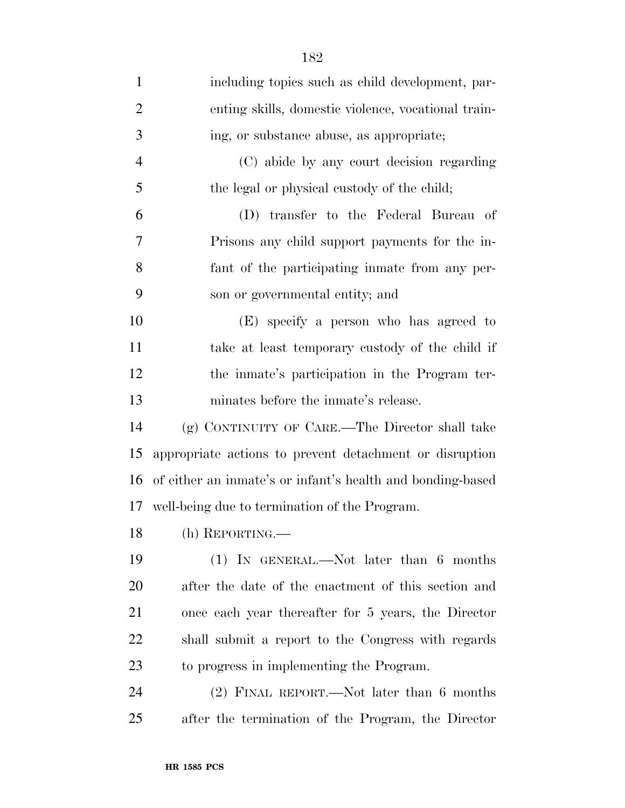| $\mathbf{1}$   | including topics such as child development, par-           |
|----------------|------------------------------------------------------------|
| $\overline{2}$ | enting skills, domestic violence, vocational train-        |
| 3              | ing, or substance abuse, as appropriate;                   |
| $\overline{4}$ | (C) abide by any court decision regarding                  |
| 5              | the legal or physical custody of the child;                |
| 6              | (D) transfer to the Federal Bureau of                      |
| 7              | Prisons any child support payments for the in-             |
| 8              | fant of the participating in the from any per-             |
| 9              | son or governmental entity; and                            |
| 10             | (E) specify a person who has agreed to                     |
| 11             | take at least temporary custody of the child if            |
| 12             | the inmate's participation in the Program ter-             |
| 13             | minates before the inmate's release.                       |
| 14             | (g) CONTINUITY OF CARE.—The Director shall take            |
| 15             | appropriate actions to prevent detachment or disruption    |
| 16             | of either an inmate's or infant's health and bonding-based |
| 17             | well-being due to termination of the Program.              |
| 18             | (h) REPORTING.—                                            |
| 19             | (1) IN GENERAL.—Not later than 6 months                    |
| 20             | after the date of the enactment of this section and        |
| 21             | once each year thereafter for 5 years, the Director        |
| 22             | shall submit a report to the Congress with regards         |
| 23             | to progress in implementing the Program.                   |
| 24             | $(2)$ FINAL REPORT.—Not later than 6 months                |
| 25             | after the termination of the Program, the Director         |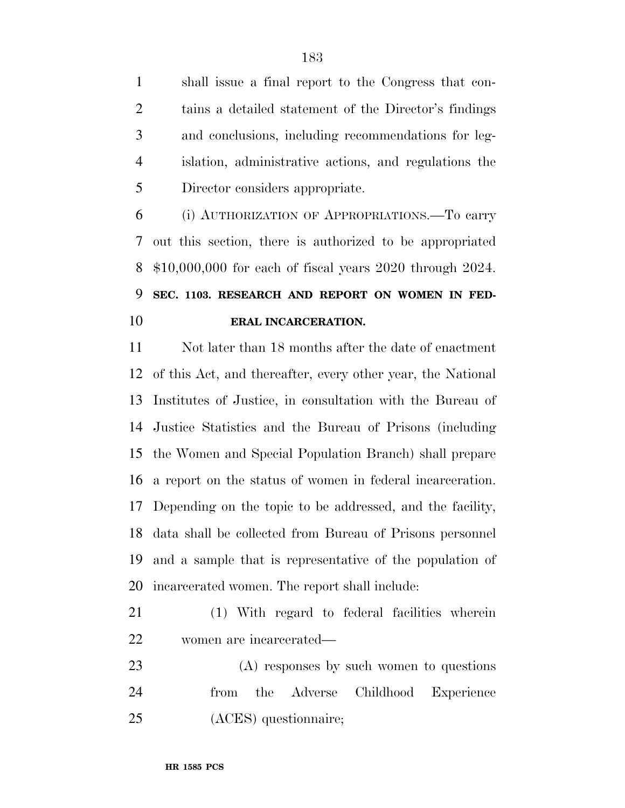shall issue a final report to the Congress that con- tains a detailed statement of the Director's findings and conclusions, including recommendations for leg- islation, administrative actions, and regulations the Director considers appropriate.

 (i) AUTHORIZATION OF APPROPRIATIONS.—To carry out this section, there is authorized to be appropriated \$10,000,000 for each of fiscal years 2020 through 2024. **SEC. 1103. RESEARCH AND REPORT ON WOMEN IN FED-ERAL INCARCERATION.** 

 Not later than 18 months after the date of enactment of this Act, and thereafter, every other year, the National Institutes of Justice, in consultation with the Bureau of Justice Statistics and the Bureau of Prisons (including the Women and Special Population Branch) shall prepare a report on the status of women in federal incarceration. Depending on the topic to be addressed, and the facility, data shall be collected from Bureau of Prisons personnel and a sample that is representative of the population of incarcerated women. The report shall include:

- (1) With regard to federal facilities wherein women are incarcerated—
- (A) responses by such women to questions from the Adverse Childhood Experience (ACES) questionnaire;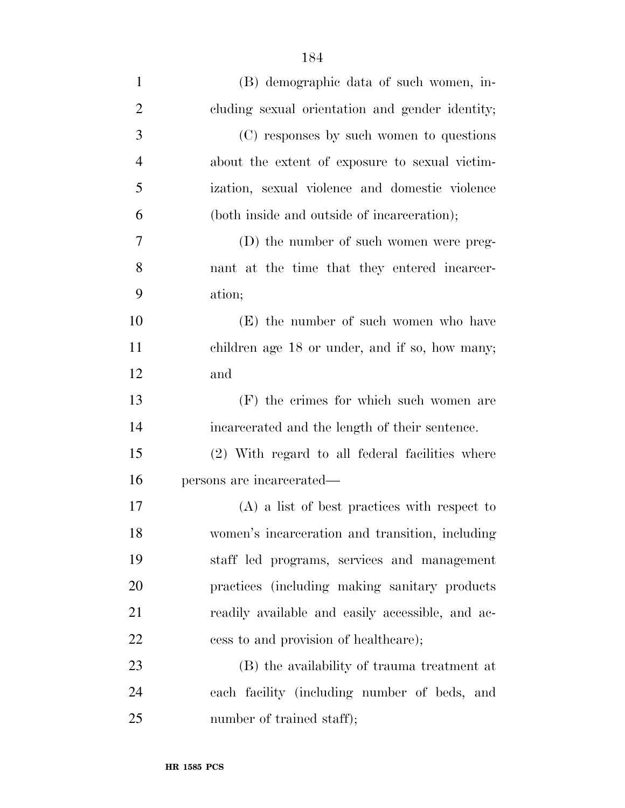| $\mathbf{1}$   | (B) demographic data of such women, in-          |
|----------------|--------------------------------------------------|
| $\overline{2}$ | cluding sexual orientation and gender identity;  |
| 3              | (C) responses by such women to questions         |
| $\overline{4}$ | about the extent of exposure to sexual victim-   |
| 5              | ization, sexual violence and domestic violence   |
| 6              | (both inside and outside of incarceration);      |
| 7              | (D) the number of such women were preg-          |
| 8              | nant at the time that they entered incarcer-     |
| 9              | ation;                                           |
| 10             | (E) the number of such women who have            |
| 11             | children age 18 or under, and if so, how many;   |
| 12             | and                                              |
| 13             | (F) the crimes for which such women are          |
| 14             | incarcerated and the length of their sentence.   |
| 15             | (2) With regard to all federal facilities where  |
| 16             | persons are incarcerated—                        |
| 17             | $(A)$ a list of best practices with respect to   |
| 18             | women's incarceration and transition, including  |
| 19             | staff led programs, services and management      |
| 20             | practices (including making sanitary products)   |
| 21             | readily available and easily accessible, and ac- |
| 22             | cess to and provision of healthcare);            |
| 23             | (B) the availability of trauma treatment at      |
| 24             | each facility (including number of beds, and     |
| 25             | number of trained staff);                        |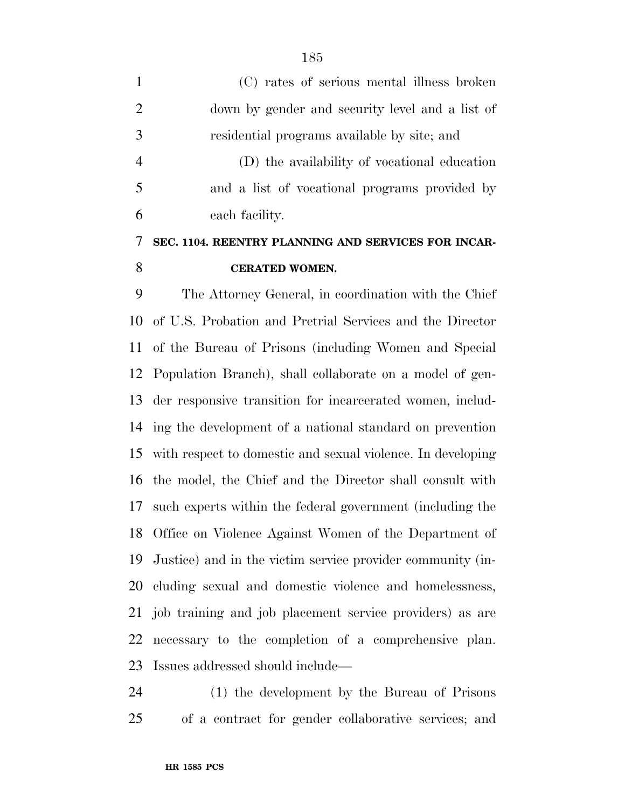(C) rates of serious mental illness broken down by gender and security level and a list of residential programs available by site; and (D) the availability of vocational education and a list of vocational programs provided by each facility.

## **SEC. 1104. REENTRY PLANNING AND SERVICES FOR INCAR-CERATED WOMEN.**

 The Attorney General, in coordination with the Chief of U.S. Probation and Pretrial Services and the Director of the Bureau of Prisons (including Women and Special Population Branch), shall collaborate on a model of gen- der responsive transition for incarcerated women, includ- ing the development of a national standard on prevention with respect to domestic and sexual violence. In developing the model, the Chief and the Director shall consult with such experts within the federal government (including the Office on Violence Against Women of the Department of Justice) and in the victim service provider community (in- cluding sexual and domestic violence and homelessness, job training and job placement service providers) as are necessary to the completion of a comprehensive plan. Issues addressed should include—

 (1) the development by the Bureau of Prisons of a contract for gender collaborative services; and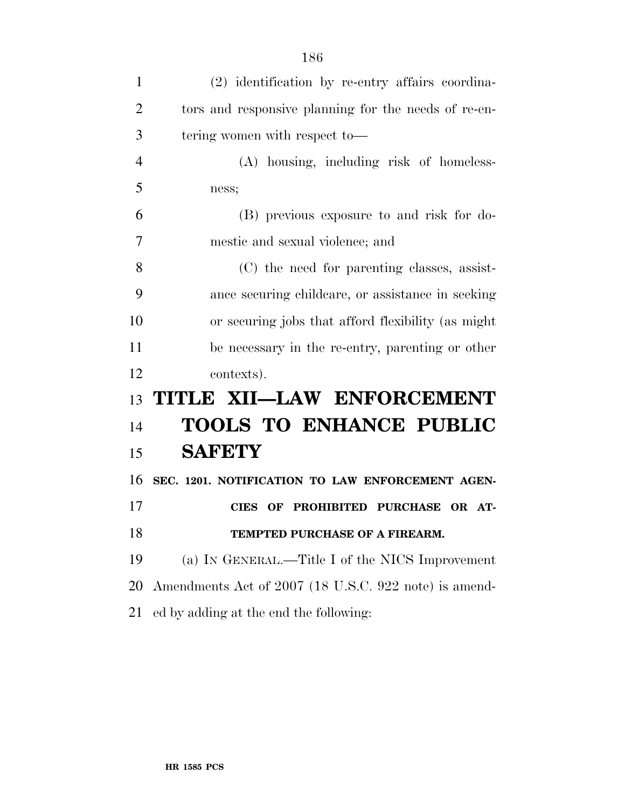| $\mathbf{1}$   | (2) identification by re-entry affairs coordina-      |
|----------------|-------------------------------------------------------|
|                |                                                       |
| $\overline{2}$ | tors and responsive planning for the needs of re-en-  |
| 3              | tering women with respect to-                         |
| $\overline{4}$ | (A) housing, including risk of homeless-              |
| 5              | ness;                                                 |
| 6              | (B) previous exposure to and risk for do-             |
| 7              | mestic and sexual violence; and                       |
| 8              | (C) the need for parenting classes, assist-           |
| 9              | ance securing childcare, or assistance in seeking     |
| 10             | or securing jobs that afford flexibility (as might    |
| 11             | be necessary in the re-entry, parenting or other      |
| 12             | contexts).                                            |
| 13             | TITLE XII—LAW ENFORCEMENT                             |
| 14             | <b>TOOLS TO ENHANCE PUBLIC</b>                        |
| 15             | <b>SAFETY</b>                                         |
| 16             | SEC. 1201. NOTIFICATION TO LAW ENFORCEMENT AGEN-      |
| 17             | OF PROHIBITED PURCHASE OR AT-<br>CIES                 |
| 18             | TEMPTED PURCHASE OF A FIREARM.                        |
| 19             | (a) IN GENERAL.—Title I of the NICS Improvement       |
| 20             | Amendments Act of 2007 (18 U.S.C. 922 note) is amend- |
| 21             | ed by adding at the end the following:                |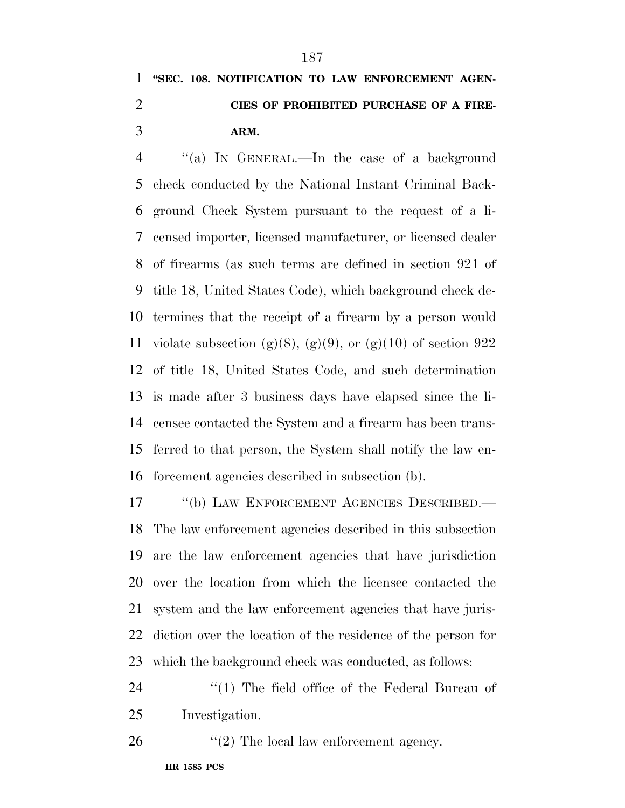## **''SEC. 108. NOTIFICATION TO LAW ENFORCEMENT AGEN- CIES OF PROHIBITED PURCHASE OF A FIRE-ARM.**

 ''(a) IN GENERAL.—In the case of a background check conducted by the National Instant Criminal Back- ground Check System pursuant to the request of a li- censed importer, licensed manufacturer, or licensed dealer of firearms (as such terms are defined in section 921 of title 18, United States Code), which background check de- termines that the receipt of a firearm by a person would 11 violate subsection  $(g)(8)$ ,  $(g)(9)$ , or  $(g)(10)$  of section 922 of title 18, United States Code, and such determination is made after 3 business days have elapsed since the li- censee contacted the System and a firearm has been trans- ferred to that person, the System shall notify the law en-forcement agencies described in subsection (b).

 ''(b) LAW ENFORCEMENT AGENCIES DESCRIBED.— The law enforcement agencies described in this subsection are the law enforcement agencies that have jurisdiction over the location from which the licensee contacted the system and the law enforcement agencies that have juris- diction over the location of the residence of the person for which the background check was conducted, as follows:

24 ''(1) The field office of the Federal Bureau of Investigation.

26  $\frac{1}{2}$  The local law enforcement agency.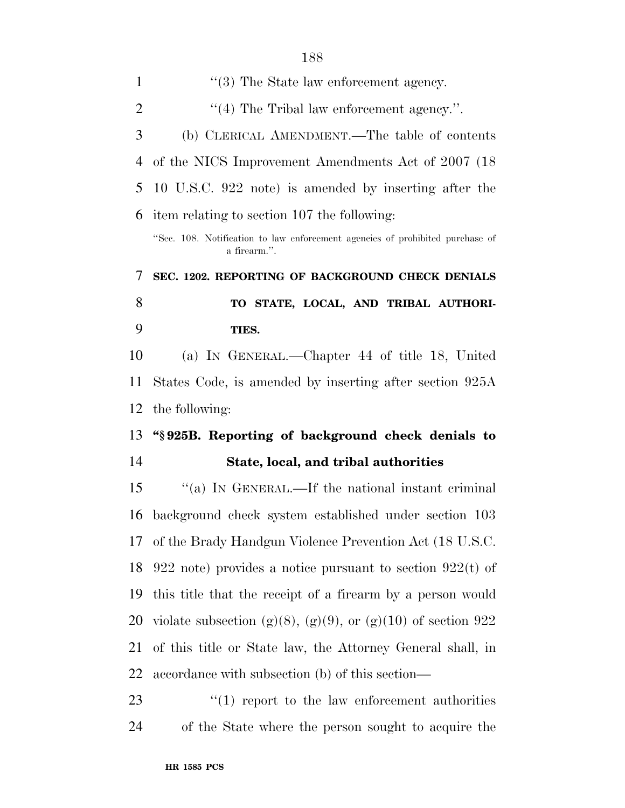| $\mathbf{1}$   | $\cdot\cdot$ (3) The State law enforcement agency.                                            |
|----------------|-----------------------------------------------------------------------------------------------|
| $\overline{2}$ | $"$ (4) The Tribal law enforcement agency.".                                                  |
| 3              | (b) CLERICAL AMENDMENT.—The table of contents                                                 |
| 4              | of the NICS Improvement Amendments Act of 2007 (18)                                           |
| 5              | 10 U.S.C. 922 note) is amended by inserting after the                                         |
| 6              | item relating to section 107 the following:                                                   |
|                | "Sec. 108. Notification to law enforcement agencies of prohibited purchase of<br>a firearm.". |
| 7              | SEC. 1202. REPORTING OF BACKGROUND CHECK DENIALS                                              |
| 8              | TO STATE, LOCAL, AND TRIBAL AUTHORI-                                                          |
| 9              | TIES.                                                                                         |
| 10             | (a) IN GENERAL.—Chapter 44 of title 18, United                                                |
| 11             | States Code, is amended by inserting after section 925A                                       |
| 12             | the following:                                                                                |
|                |                                                                                               |
| 13             | "\\$925B. Reporting of background check denials to                                            |
| 14             | State, local, and tribal authorities                                                          |
| 15             | "(a) IN GENERAL.—If the national instant criminal                                             |
| 16             | background check system established under section 103                                         |
|                | 17 of the Brady Handgun Violence Prevention Act (18 U.S.C.                                    |
| 18             | 922 note) provides a notice pursuant to section $922(t)$ of                                   |
| 19             | this title that the receipt of a firearm by a person would                                    |
| 20             | violate subsection (g)(8), (g)(9), or (g)(10) of section $922$                                |
| 21             | of this title or State law, the Attorney General shall, in                                    |
| 22             | accordance with subsection (b) of this section—                                               |
| 23             | $\cdot$ (1) report to the law enforcement authorities                                         |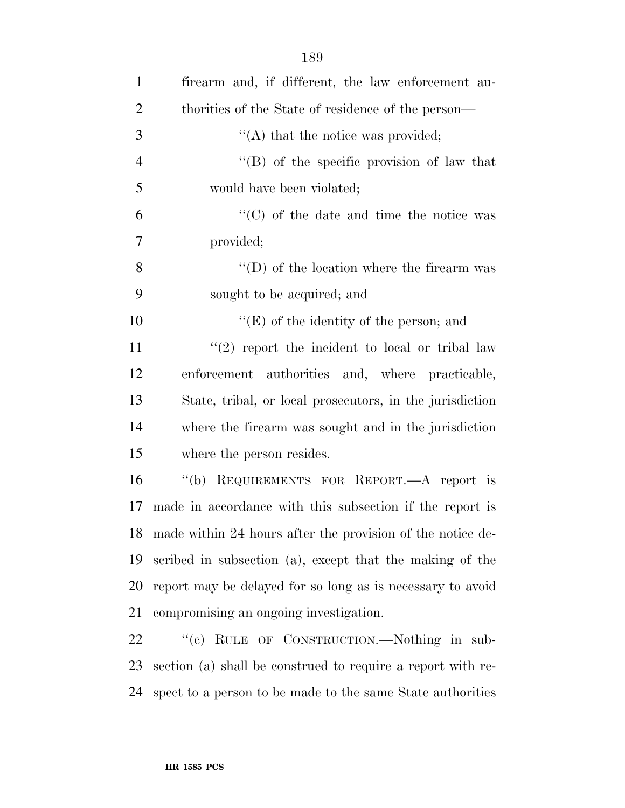| $\mathbf{1}$   | firearm and, if different, the law enforcement au-            |
|----------------|---------------------------------------------------------------|
| $\overline{2}$ | thorities of the State of residence of the person—            |
| 3              | $\lq\lq$ that the notice was provided;                        |
| $\overline{4}$ | $\lq\lq (B)$ of the specific provision of law that            |
| 5              | would have been violated;                                     |
| 6              | $\cdot$ (C) of the date and time the notice was               |
| 7              | provided;                                                     |
| 8              | $\lq\lq$ of the location where the firearm was                |
| 9              | sought to be acquired; and                                    |
| 10             | "(E) of the identity of the person; and                       |
| 11             | $(2)$ report the incident to local or tribal law              |
| 12             | enforcement authorities and, where practicable,               |
| 13             | State, tribal, or local prosecutors, in the jurisdiction      |
| 14             | where the firearm was sought and in the jurisdiction          |
| 15             | where the person resides.                                     |
| 16             | "(b) REQUIREMENTS FOR REPORT.—A report is                     |
| 17             | made in accordance with this subsection if the report is      |
|                | 18 made within 24 hours after the provision of the notice de- |
| 19             | scribed in subsection (a), except that the making of the      |
| 20             | report may be delayed for so long as is necessary to avoid    |
| 21             | compromising an ongoing investigation.                        |
| 22             | "(c) RULE OF CONSTRUCTION.—Nothing in sub-                    |
| 23             | section (a) shall be construed to require a report with re-   |
| 24             | spect to a person to be made to the same State authorities    |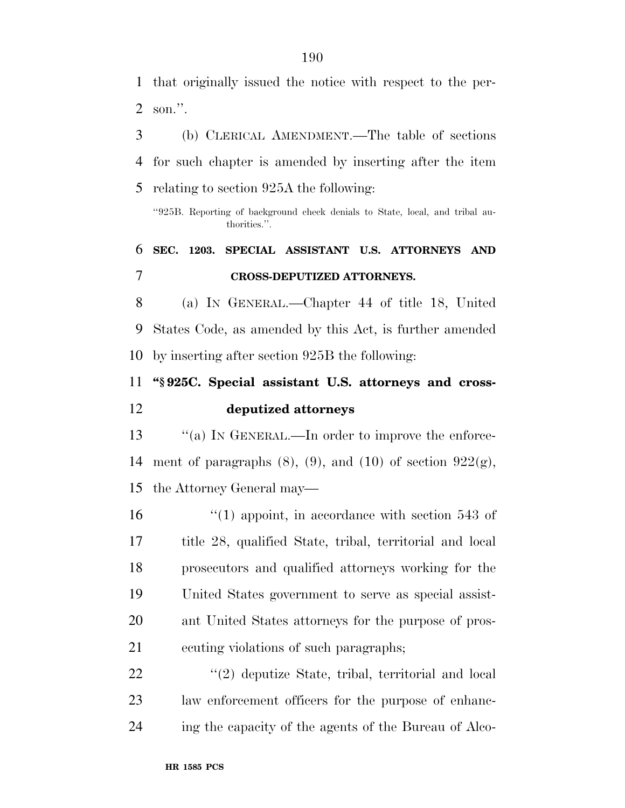that originally issued the notice with respect to the per-son.''.

 (b) CLERICAL AMENDMENT.—The table of sections for such chapter is amended by inserting after the item relating to section 925A the following:

''925B. Reporting of background check denials to State, local, and tribal authorities.''.

### **SEC. 1203. SPECIAL ASSISTANT U.S. ATTORNEYS AND CROSS-DEPUTIZED ATTORNEYS.**

 (a) IN GENERAL.—Chapter 44 of title 18, United States Code, as amended by this Act, is further amended by inserting after section 925B the following:

## **''§ 925C. Special assistant U.S. attorneys and cross-deputized attorneys**

13 "(a) In GENERAL.—In order to improve the enforce-14 ment of paragraphs  $(8)$ ,  $(9)$ , and  $(10)$  of section  $922(g)$ , the Attorney General may—

16 ''(1) appoint, in accordance with section 543 of title 28, qualified State, tribal, territorial and local prosecutors and qualified attorneys working for the United States government to serve as special assist- ant United States attorneys for the purpose of pros-ecuting violations of such paragraphs;

  $(2)$  deputize State, tribal, territorial and local law enforcement officers for the purpose of enhanc-ing the capacity of the agents of the Bureau of Alco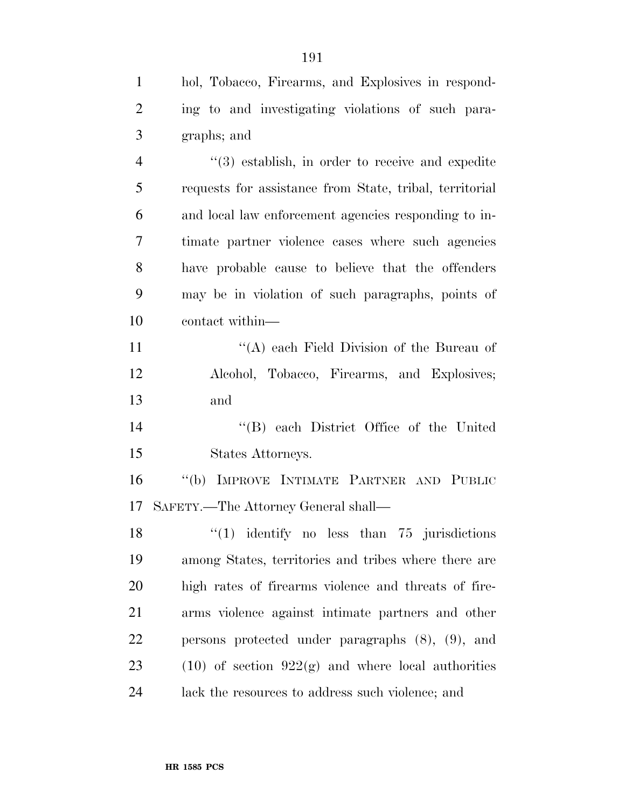hol, Tobacco, Firearms, and Explosives in respond-

| $\overline{2}$ | ing to and investigating violations of such para-       |
|----------------|---------------------------------------------------------|
| 3              | graphs; and                                             |
| $\overline{4}$ | $(3)$ establish, in order to receive and expedite       |
| 5              | requests for assistance from State, tribal, territorial |
| 6              | and local law enforcement agencies responding to in-    |
| 7              | timate partner violence cases where such agencies       |
| 8              | have probable cause to believe that the offenders       |
| 9              | may be in violation of such paragraphs, points of       |
| 10             | contact within—                                         |
| 11             | "(A) each Field Division of the Bureau of               |
| 12             | Alcohol, Tobacco, Firearms, and Explosives;             |
| 13             | and                                                     |
| 14             | "(B) each District Office of the United                 |
| 15             | States Attorneys.                                       |
| 16             | "(b) IMPROVE INTIMATE PARTNER AND PUBLIC                |
| 17             | SAFETY.—The Attorney General shall—                     |
| 18             | $\lq(1)$ identify no less than 75 jurisdictions         |
| 19             | among States, territories and tribes where there are    |
| 20             | high rates of firearms violence and threats of fire-    |
| 21             | arms violence against intimate partners and other       |
| <u>22</u>      | persons protected under paragraphs $(8)$ , $(9)$ , and  |
| 23             | $(10)$ of section $922(g)$ and where local authorities  |
| 24             | lack the resources to address such violence; and        |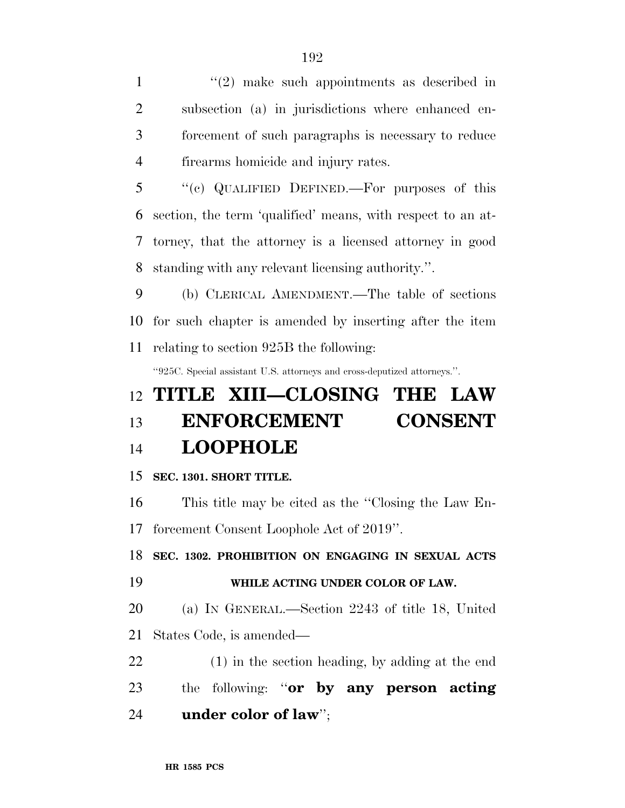| $\mathbf{1}$   | $(2)$ make such appointments as described in                             |
|----------------|--------------------------------------------------------------------------|
| $\overline{2}$ | subsection (a) in jurisdictions where enhanced en-                       |
| 3              | forcement of such paragraphs is necessary to reduce                      |
| $\overline{4}$ | firearms homicide and injury rates.                                      |
| 5              | "(c) QUALIFIED DEFINED.—For purposes of this                             |
| 6              | section, the term 'qualified' means, with respect to an at-              |
| 7              | torney, that the attorney is a licensed attorney in good                 |
| 8              | standing with any relevant licensing authority.".                        |
| 9              | (b) CLERICAL AMENDMENT.—The table of sections                            |
| 10             | for such chapter is amended by inserting after the item                  |
| 11             | relating to section 925B the following:                                  |
|                | "925C. Special assistant U.S. attorneys and cross-deputized attorneys.". |
| 12             | TITLE XIII-CLOSING THE LAW                                               |
|                |                                                                          |
| 13             | <b>ENFORCEMENT</b><br><b>CONSENT</b>                                     |
| 14             | <b>LOOPHOLE</b>                                                          |
| 15             | SEC. 1301. SHORT TITLE.                                                  |
| 16             | This title may be cited as the "Closing the Law En-                      |
| 17             | forcement Consent Loophole Act of 2019".                                 |
| 18             | SEC. 1302. PROHIBITION ON ENGAGING IN SEXUAL ACTS                        |
| 19             | WHILE ACTING UNDER COLOR OF LAW.                                         |
| 20             | (a) IN GENERAL.—Section 2243 of title 18, United                         |
| 21             | States Code, is amended—                                                 |
| 22             | (1) in the section heading, by adding at the end                         |
| 23             | the following: "or by any person acting                                  |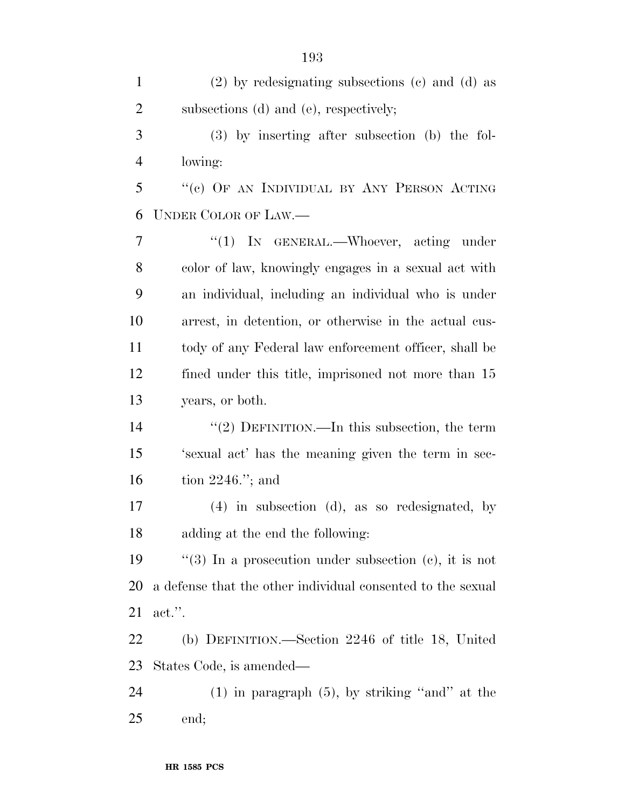| $(2)$ by redesignating subsections $(e)$ and $(d)$ as       |
|-------------------------------------------------------------|
| subsections (d) and (e), respectively;                      |
| $(3)$ by inserting after subsection (b) the fol-            |
| lowing:                                                     |
| "(c) OF AN INDIVIDUAL BY ANY PERSON ACTING                  |
| UNDER COLOR OF LAW.—                                        |
| " $(1)$ IN GENERAL.—Whoever, acting under                   |
| color of law, knowingly engages in a sexual act with        |
| an individual, including an individual who is under         |
| arrest, in detention, or otherwise in the actual cus-       |
| tody of any Federal law enforcement officer, shall be       |
| fined under this title, imprisoned not more than 15         |
| years, or both.                                             |
| "(2) DEFINITION.—In this subsection, the term               |
| 's exual act' has the meaning given the term in sec-        |
| tion $2246$ ."; and                                         |
| $(4)$ in subsection $(d)$ , as so redesignated, by          |
| adding at the end the following:                            |
| "(3) In a prosecution under subsection (c), it is not       |
| a defense that the other individual consented to the sexual |
| $\text{act.}$ ".                                            |
| (b) DEFINITION.—Section 2246 of title 18, United            |
| States Code, is amended—                                    |
| $(1)$ in paragraph $(5)$ , by striking "and" at the         |
| end;                                                        |
|                                                             |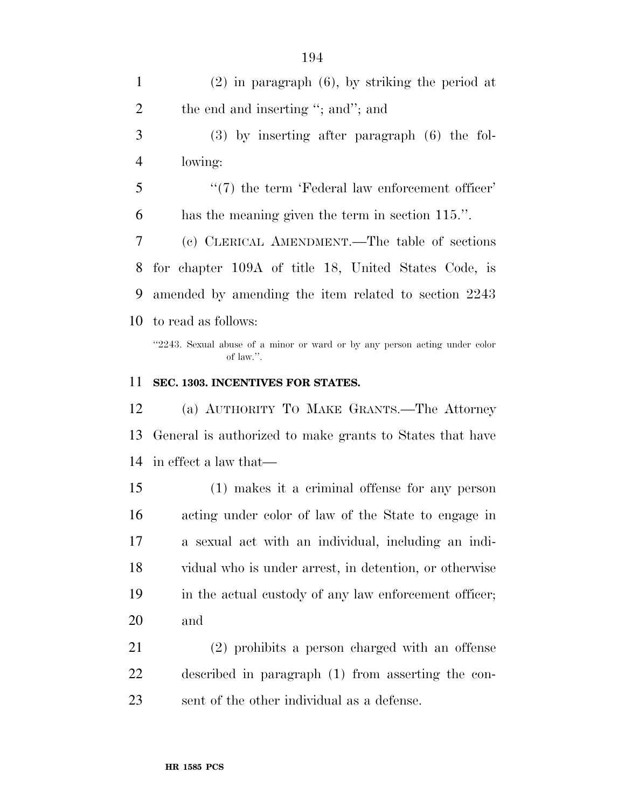(2) in paragraph (6), by striking the period at 2 the end and inserting "; and"; and (3) by inserting after paragraph (6) the fol- lowing:  $\frac{1}{2}$  (7) the term 'Federal law enforcement officer' has the meaning given the term in section 115.''. (c) CLERICAL AMENDMENT.—The table of sections for chapter 109A of title 18, United States Code, is amended by amending the item related to section 2243 to read as follows: ''2243. Sexual abuse of a minor or ward or by any person acting under color

**SEC. 1303. INCENTIVES FOR STATES.** 

of law.''.

 (a) AUTHORITY TO MAKE GRANTS.—The Attorney General is authorized to make grants to States that have in effect a law that—

 (1) makes it a criminal offense for any person acting under color of law of the State to engage in a sexual act with an individual, including an indi- vidual who is under arrest, in detention, or otherwise in the actual custody of any law enforcement officer; and

 (2) prohibits a person charged with an offense described in paragraph (1) from asserting the con-sent of the other individual as a defense.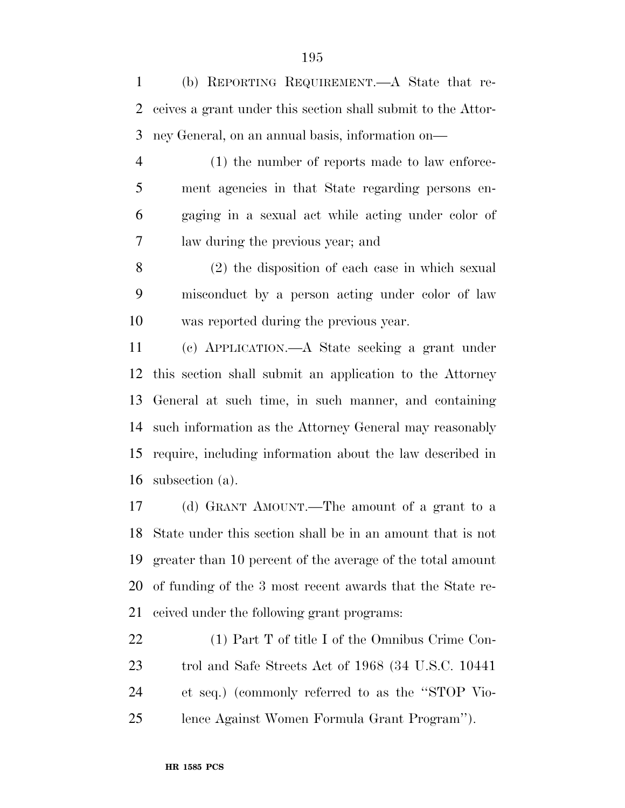(b) REPORTING REQUIREMENT.—A State that re- ceives a grant under this section shall submit to the Attor-ney General, on an annual basis, information on—

 (1) the number of reports made to law enforce- ment agencies in that State regarding persons en- gaging in a sexual act while acting under color of law during the previous year; and

 (2) the disposition of each case in which sexual misconduct by a person acting under color of law was reported during the previous year.

 (c) APPLICATION.—A State seeking a grant under this section shall submit an application to the Attorney General at such time, in such manner, and containing such information as the Attorney General may reasonably require, including information about the law described in subsection (a).

 (d) GRANT AMOUNT.—The amount of a grant to a State under this section shall be in an amount that is not greater than 10 percent of the average of the total amount of funding of the 3 most recent awards that the State re-ceived under the following grant programs:

 (1) Part T of title I of the Omnibus Crime Con- trol and Safe Streets Act of 1968 (34 U.S.C. 10441 et seq.) (commonly referred to as the ''STOP Vio-lence Against Women Formula Grant Program'').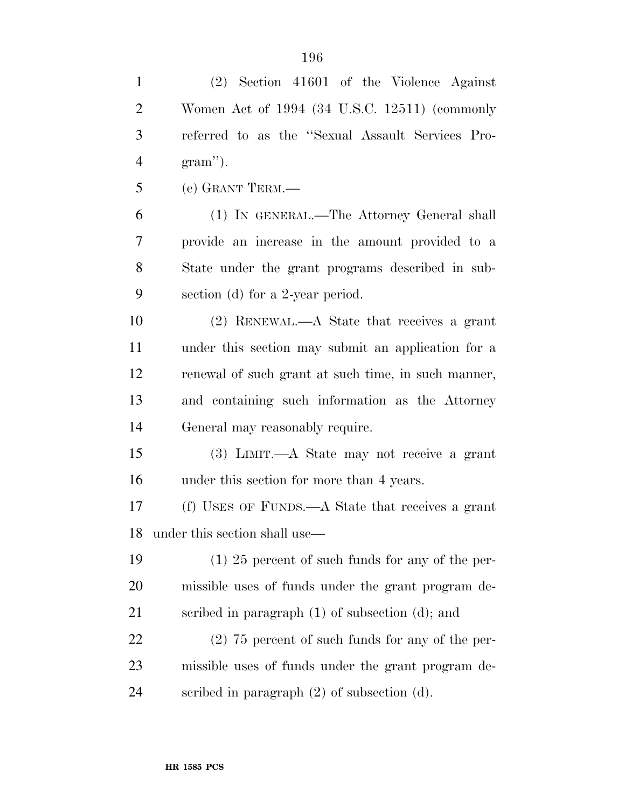| $\mathbf{1}$   | $(2)$ Section 41601 of the Violence Against          |
|----------------|------------------------------------------------------|
| $\overline{c}$ | Women Act of 1994 (34 U.S.C. 12511) (commonly        |
| $\mathfrak{Z}$ | referred to as the "Sexual Assault Services Pro-     |
| $\overline{4}$ | $gram$ ").                                           |
| 5              | (e) GRANT TERM.—                                     |
| 6              | (1) IN GENERAL.—The Attorney General shall           |
| 7              | provide an increase in the amount provided to a      |
| 8              | State under the grant programs described in sub-     |
| 9              | section (d) for a 2-year period.                     |
| 10             | $(2)$ RENEWAL.—A State that receives a grant         |
| 11             | under this section may submit an application for a   |
| 12             | renewal of such grant at such time, in such manner,  |
| 13             | and containing such information as the Attorney      |
| 14             | General may reasonably require.                      |
| 15             | (3) LIMIT.—A State may not receive a grant           |
| 16             | under this section for more than 4 years.            |
| 17             | (f) USES OF FUNDS.—A State that receives a grant     |
| 18             | under this section shall use—                        |
| 19             | $(1)$ 25 percent of such funds for any of the per-   |
| 20             | missible uses of funds under the grant program de-   |
| 21             | scribed in paragraph $(1)$ of subsection $(d)$ ; and |
| 22             | $(2)$ 75 percent of such funds for any of the per-   |
| 23             | missible uses of funds under the grant program de-   |
| 24             | scribed in paragraph $(2)$ of subsection $(d)$ .     |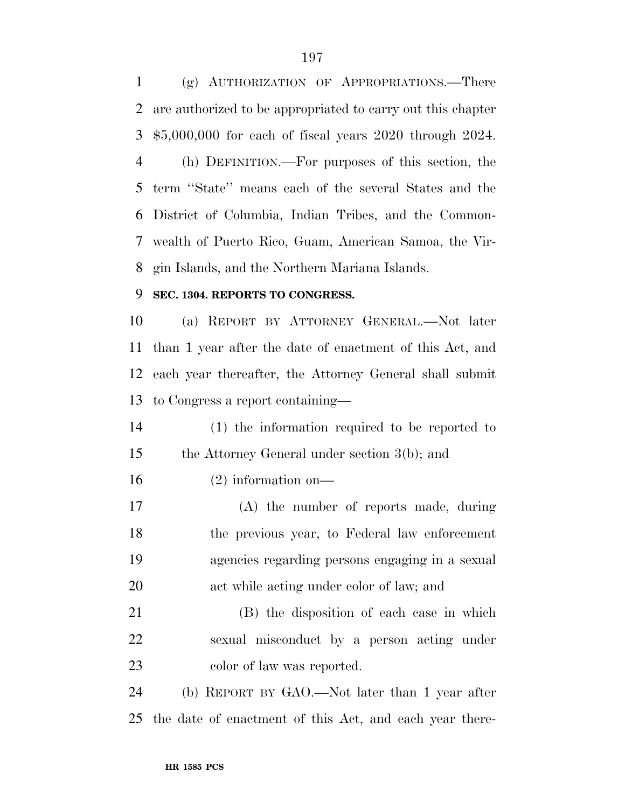(g) AUTHORIZATION OF APPROPRIATIONS.—There are authorized to be appropriated to carry out this chapter \$5,000,000 for each of fiscal years 2020 through 2024. (h) DEFINITION.—For purposes of this section, the term ''State'' means each of the several States and the District of Columbia, Indian Tribes, and the Common- wealth of Puerto Rico, Guam, American Samoa, the Vir-gin Islands, and the Northern Mariana Islands.

#### **SEC. 1304. REPORTS TO CONGRESS.**

 (a) REPORT BY ATTORNEY GENERAL.—Not later than 1 year after the date of enactment of this Act, and each year thereafter, the Attorney General shall submit to Congress a report containing—

 (1) the information required to be reported to the Attorney General under section 3(b); and

(2) information on—

 (A) the number of reports made, during the previous year, to Federal law enforcement agencies regarding persons engaging in a sexual act while acting under color of law; and

 (B) the disposition of each case in which sexual misconduct by a person acting under 23 color of law was reported.

 (b) REPORT BY GAO.—Not later than 1 year after the date of enactment of this Act, and each year there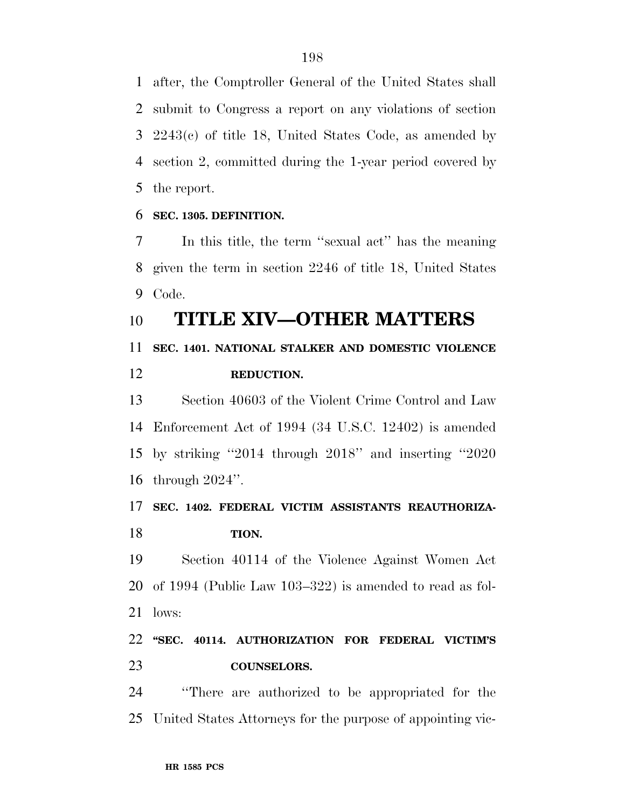after, the Comptroller General of the United States shall submit to Congress a report on any violations of section 2243(c) of title 18, United States Code, as amended by section 2, committed during the 1-year period covered by the report.

#### **SEC. 1305. DEFINITION.**

 In this title, the term ''sexual act'' has the meaning given the term in section 2246 of title 18, United States Code.

### **TITLE XIV—OTHER MATTERS**

## **SEC. 1401. NATIONAL STALKER AND DOMESTIC VIOLENCE REDUCTION.**

 Section 40603 of the Violent Crime Control and Law Enforcement Act of 1994 (34 U.S.C. 12402) is amended by striking ''2014 through 2018'' and inserting ''2020 through 2024''.

### **SEC. 1402. FEDERAL VICTIM ASSISTANTS REAUTHORIZA-TION.**

 Section 40114 of the Violence Against Women Act of 1994 (Public Law 103–322) is amended to read as fol-lows:

### **''SEC. 40114. AUTHORIZATION FOR FEDERAL VICTIM'S COUNSELORS.**

 ''There are authorized to be appropriated for the United States Attorneys for the purpose of appointing vic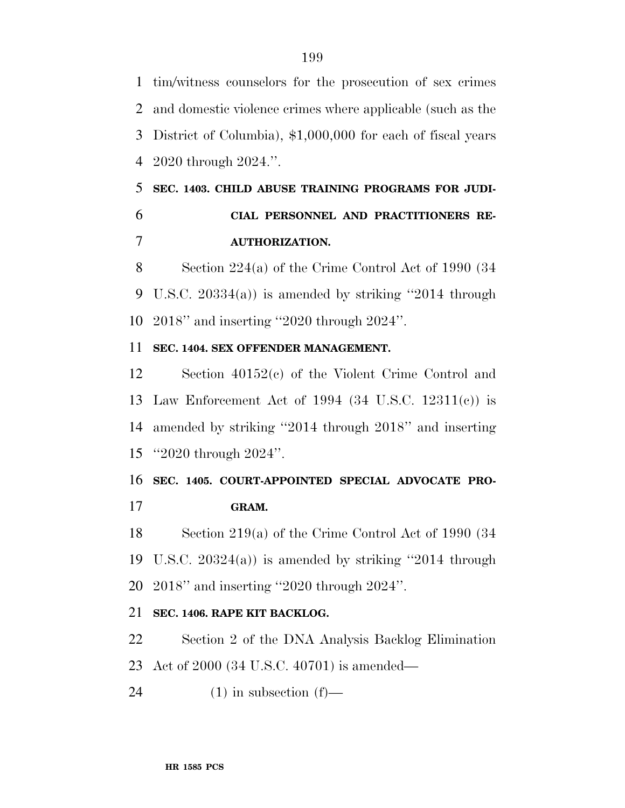tim/witness counselors for the prosecution of sex crimes and domestic violence crimes where applicable (such as the District of Columbia), \$1,000,000 for each of fiscal years 2020 through 2024.''.

## **SEC. 1403. CHILD ABUSE TRAINING PROGRAMS FOR JUDI- CIAL PERSONNEL AND PRACTITIONERS RE-AUTHORIZATION.**

 Section 224(a) of the Crime Control Act of 1990 (34 U.S.C. 20334(a)) is amended by striking ''2014 through 2018'' and inserting ''2020 through 2024''.

#### **SEC. 1404. SEX OFFENDER MANAGEMENT.**

 Section 40152(c) of the Violent Crime Control and Law Enforcement Act of 1994 (34 U.S.C. 12311(c)) is amended by striking ''2014 through 2018'' and inserting ''2020 through 2024''.

**SEC. 1405. COURT-APPOINTED SPECIAL ADVOCATE PRO-**

### **GRAM.**

 Section 219(a) of the Crime Control Act of 1990 (34 U.S.C. 20324(a)) is amended by striking ''2014 through 2018'' and inserting ''2020 through 2024''.

### **SEC. 1406. RAPE KIT BACKLOG.**

 Section 2 of the DNA Analysis Backlog Elimination Act of 2000 (34 U.S.C. 40701) is amended—

24  $(1)$  in subsection  $(f)$ —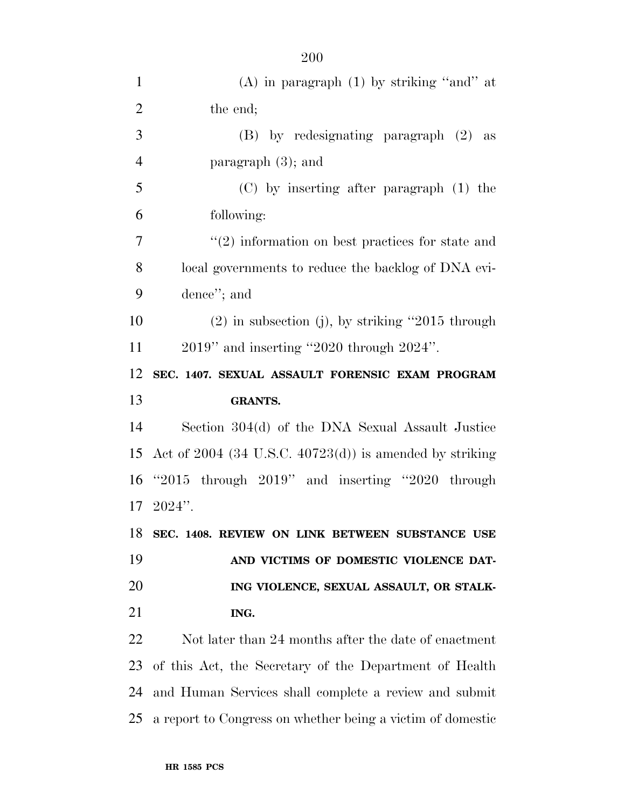| $\mathbf{1}$   | $(A)$ in paragraph $(1)$ by striking "and" at              |
|----------------|------------------------------------------------------------|
| $\overline{2}$ | the end;                                                   |
| 3              | (B) by redesignating paragraph (2) as                      |
| $\overline{4}$ | paragraph $(3)$ ; and                                      |
| 5              | $(C)$ by inserting after paragraph $(1)$ the               |
| 6              | following:                                                 |
| $\overline{7}$ | $(2)$ information on best practices for state and          |
| 8              | local governments to reduce the backlog of DNA evi-        |
| 9              | dence"; and                                                |
| 10             | $(2)$ in subsection (j), by striking "2015 through         |
| 11             | $2019$ " and inserting "2020 through $2024$ ".             |
| 12             | SEC. 1407. SEXUAL ASSAULT FORENSIC EXAM PROGRAM            |
| 13             | <b>GRANTS.</b>                                             |
| 14             | Section 304(d) of the DNA Sexual Assault Justice           |
|                |                                                            |
|                | 15 Act of 2004 (34 U.S.C. 40723(d)) is amended by striking |
|                | 16 "2015 through 2019" and inserting "2020 through         |
|                | $17 \t2024$ ".                                             |
| 18             | SEC. 1408. REVIEW ON LINK BETWEEN SUBSTANCE USE            |
| 19             | AND VICTIMS OF DOMESTIC VIOLENCE DAT-                      |
| 20             | ING VIOLENCE, SEXUAL ASSAULT, OR STALK-                    |
| 21             | ING.                                                       |
| 22             | Not later than 24 months after the date of enactment       |
| 23             | of this Act, the Secretary of the Department of Health     |
| 24             | and Human Services shall complete a review and submit      |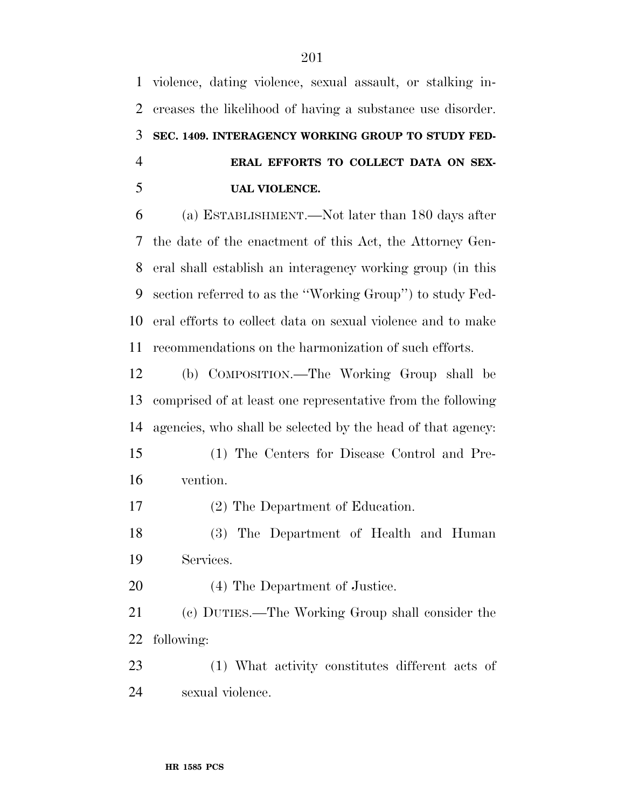violence, dating violence, sexual assault, or stalking in- creases the likelihood of having a substance use disorder. **SEC. 1409. INTERAGENCY WORKING GROUP TO STUDY FED- ERAL EFFORTS TO COLLECT DATA ON SEX-UAL VIOLENCE.** 

 (a) ESTABLISHMENT.—Not later than 180 days after the date of the enactment of this Act, the Attorney Gen- eral shall establish an interagency working group (in this section referred to as the ''Working Group'') to study Fed- eral efforts to collect data on sexual violence and to make recommendations on the harmonization of such efforts.

 (b) COMPOSITION.—The Working Group shall be comprised of at least one representative from the following agencies, who shall be selected by the head of that agency:

 (1) The Centers for Disease Control and Pre-vention.

(2) The Department of Education.

 (3) The Department of Health and Human Services.

(4) The Department of Justice.

 (c) DUTIES.—The Working Group shall consider the following:

 (1) What activity constitutes different acts of sexual violence.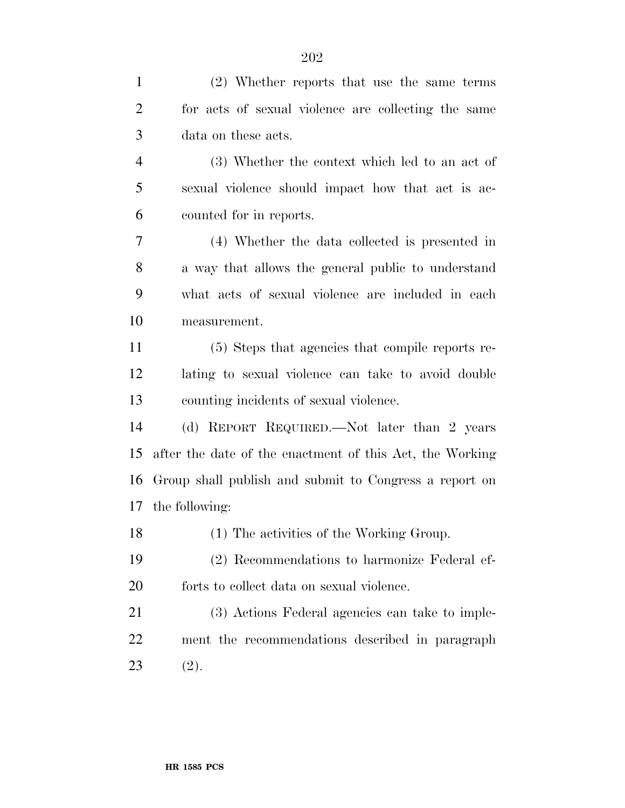| $\mathbf{1}$   | (2) Whether reports that use the same terms              |
|----------------|----------------------------------------------------------|
| $\overline{2}$ | for acts of sexual violence are collecting the same      |
| 3              | data on these acts.                                      |
| $\overline{4}$ | (3) Whether the context which led to an act of           |
| 5              | sexual violence should impact how that act is ac-        |
| 6              | counted for in reports.                                  |
| 7              | (4) Whether the data collected is presented in           |
| 8              | a way that allows the general public to understand       |
| 9              | what acts of sexual violence are included in each        |
| 10             | measurement.                                             |
| 11             | (5) Steps that agencies that compile reports re-         |
| 12             | lating to sexual violence can take to avoid double       |
| 13             | counting incidents of sexual violence.                   |
| 14             | (d) REPORT REQUIRED.—Not later than 2 years              |
| 15             | after the date of the enactment of this Act, the Working |
| 16             | Group shall publish and submit to Congress a report on   |
| 17             | the following:                                           |
| 18             | (1) The activities of the Working Group.                 |
| 19             | (2) Recommendations to harmonize Federal ef-             |
| 20             | forts to collect data on sexual violence.                |
| 21             | (3) Actions Federal agencies can take to imple-          |
| 22             | ment the recommendations described in paragraph          |
| 23             | (2).                                                     |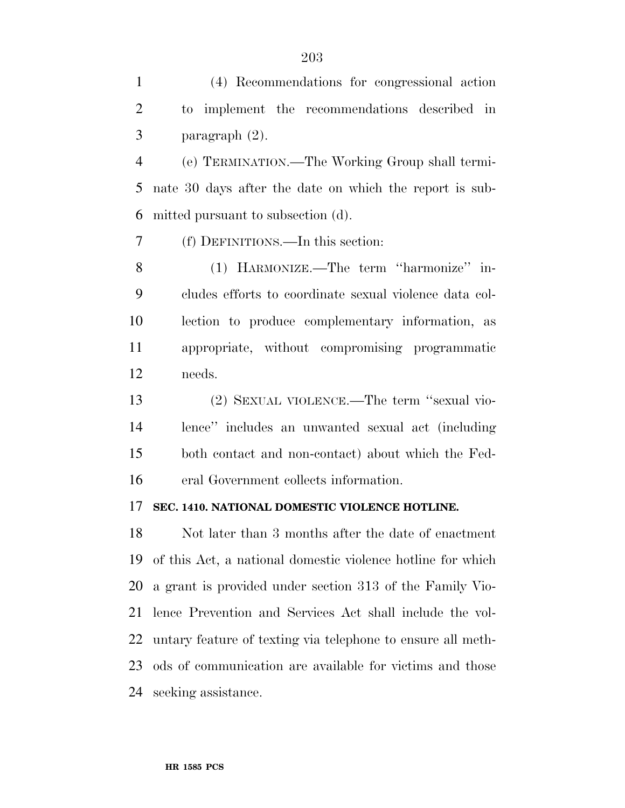(4) Recommendations for congressional action to implement the recommendations described in paragraph (2).

 (e) TERMINATION.—The Working Group shall termi- nate 30 days after the date on which the report is sub-mitted pursuant to subsection (d).

(f) DEFINITIONS.—In this section:

 (1) HARMONIZE.—The term ''harmonize'' in- cludes efforts to coordinate sexual violence data col- lection to produce complementary information, as appropriate, without compromising programmatic needs.

 (2) SEXUAL VIOLENCE.—The term ''sexual vio- lence'' includes an unwanted sexual act (including both contact and non-contact) about which the Fed-eral Government collects information.

#### **SEC. 1410. NATIONAL DOMESTIC VIOLENCE HOTLINE.**

 Not later than 3 months after the date of enactment of this Act, a national domestic violence hotline for which a grant is provided under section 313 of the Family Vio- lence Prevention and Services Act shall include the vol- untary feature of texting via telephone to ensure all meth- ods of communication are available for victims and those seeking assistance.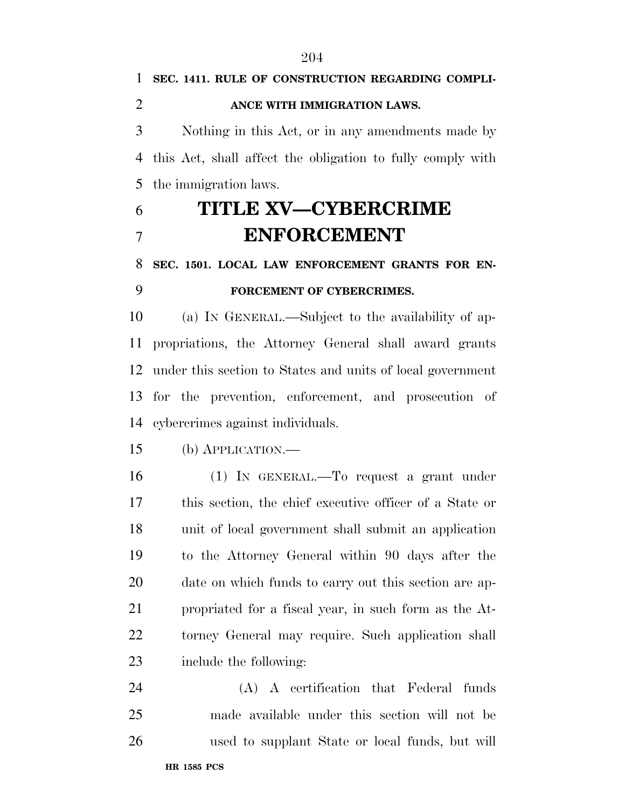**SEC. 1411. RULE OF CONSTRUCTION REGARDING COMPLI- ANCE WITH IMMIGRATION LAWS.**  Nothing in this Act, or in any amendments made by this Act, shall affect the obligation to fully comply with the immigration laws.

# **TITLE XV—CYBERCRIME ENFORCEMENT**

 **SEC. 1501. LOCAL LAW ENFORCEMENT GRANTS FOR EN-FORCEMENT OF CYBERCRIMES.** 

 (a) IN GENERAL.—Subject to the availability of ap- propriations, the Attorney General shall award grants under this section to States and units of local government for the prevention, enforcement, and prosecution of cybercrimes against individuals.

- (b) APPLICATION.—
- 

 (1) IN GENERAL.—To request a grant under this section, the chief executive officer of a State or unit of local government shall submit an application to the Attorney General within 90 days after the date on which funds to carry out this section are ap- propriated for a fiscal year, in such form as the At- torney General may require. Such application shall include the following:

 (A) A certification that Federal funds made available under this section will not be used to supplant State or local funds, but will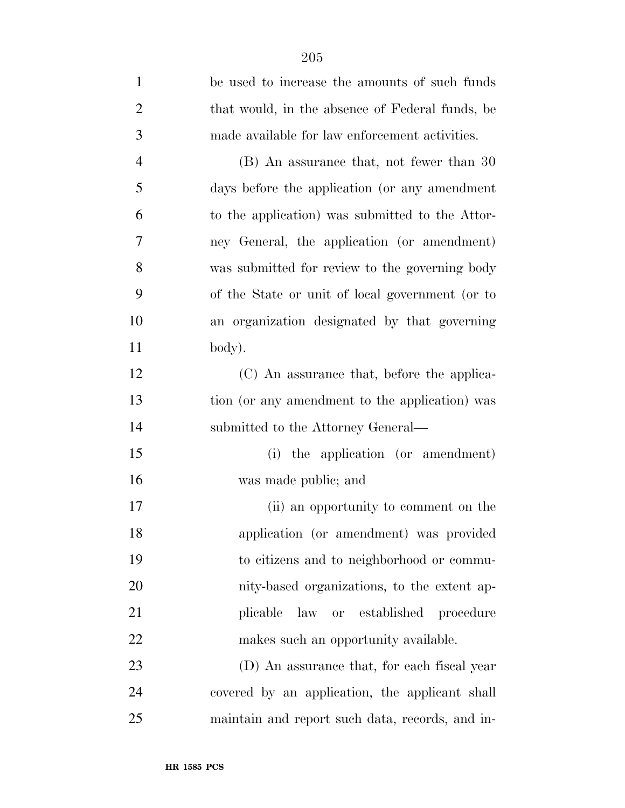| $\mathbf{1}$   | be used to increase the amounts of such funds   |
|----------------|-------------------------------------------------|
| $\overline{2}$ | that would, in the absence of Federal funds, be |
| 3              | made available for law enforcement activities.  |
| $\overline{4}$ | (B) An assurance that, not fewer than 30        |
| 5              | days before the application (or any amendment   |
| 6              | to the application) was submitted to the Attor- |
| 7              | ney General, the application (or amendment)     |
| 8              | was submitted for review to the governing body  |
| 9              | of the State or unit of local government (or to |
| 10             | an organization designated by that governing    |
| 11             | body).                                          |
| 12             | (C) An assurance that, before the applica-      |
| 13             | tion (or any amendment to the application) was  |
| 14             | submitted to the Attorney General—              |
| 15             | (i) the application (or amendment)              |
| 16             | was made public; and                            |
| 17             | (ii) an opportunity to comment on the           |
| 18             | application (or amendment) was provided         |
| 19             | to citizens and to neighborhood or commu-       |
| 20             | nity-based organizations, to the extent ap-     |
| 21             | law or established<br>plicable<br>procedure     |
| 22             | makes such an opportunity available.            |
| 23             | (D) An assurance that, for each fiscal year     |
| 24             | covered by an application, the applicant shall  |
| 25             | maintain and report such data, records, and in- |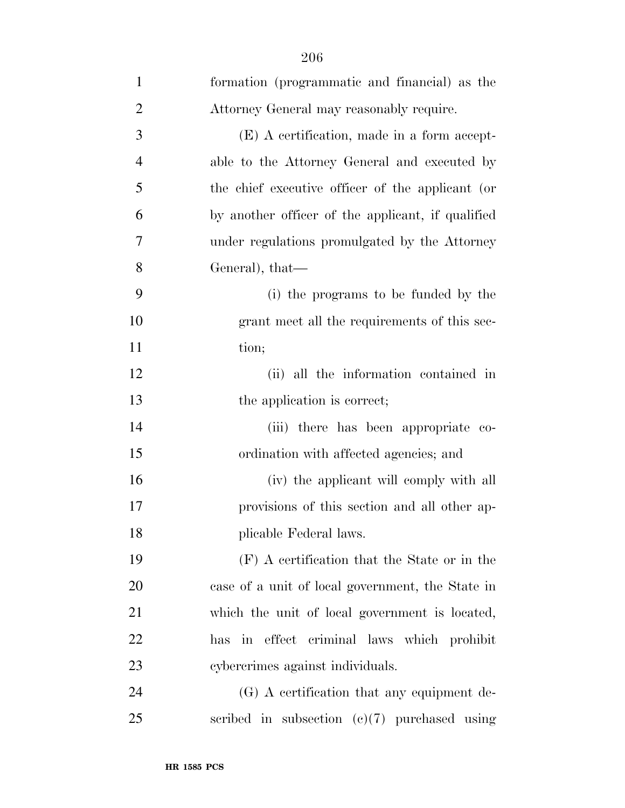| $\mathbf{1}$   | formation (programmatic and financial) as the     |
|----------------|---------------------------------------------------|
| $\overline{2}$ | Attorney General may reasonably require.          |
| 3              | (E) A certification, made in a form accept-       |
| $\overline{4}$ | able to the Attorney General and executed by      |
| 5              | the chief executive officer of the applicant (or  |
| 6              | by another officer of the applicant, if qualified |
| 7              | under regulations promulgated by the Attorney     |
| 8              | General), that-                                   |
| 9              | (i) the programs to be funded by the              |
| 10             | grant meet all the requirements of this sec-      |
| 11             | tion;                                             |
| 12             | (ii) all the information contained in             |
| 13             | the application is correct;                       |
| 14             | (iii) there has been appropriate co-              |
| 15             | ordination with affected agencies; and            |
| 16             | (iv) the applicant will comply with all           |
| 17             | provisions of this section and all other ap-      |
| 18             | plicable Federal laws.                            |
| 19             | (F) A certification that the State or in the      |
| 20             | case of a unit of local government, the State in  |
| 21             | which the unit of local government is located,    |
| 22             | has in effect criminal laws which prohibit        |
| 23             | cybercrimes against individuals.                  |
| 24             | (G) A certification that any equipment de-        |
| 25             | scribed in subsection $(c)(7)$ purchased using    |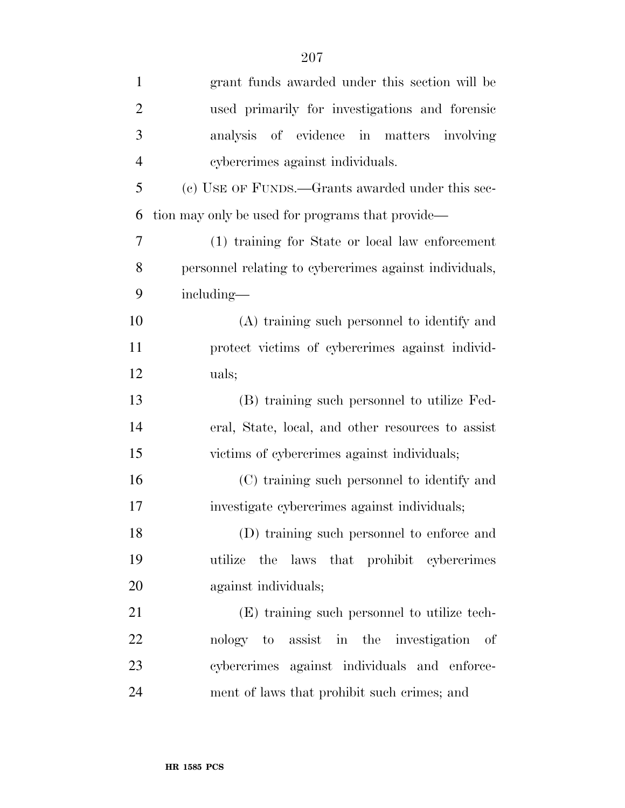| $\mathbf{1}$   | grant funds awarded under this section will be         |
|----------------|--------------------------------------------------------|
| $\overline{2}$ | used primarily for investigations and forensic         |
| 3              | analysis of evidence in matters involving              |
| $\overline{4}$ | cybercrimes against individuals.                       |
| 5              | (c) USE OF FUNDS.—Grants awarded under this sec-       |
| 6              | tion may only be used for programs that provide—       |
| 7              | (1) training for State or local law enforcement        |
| 8              | personnel relating to cybercrimes against individuals, |
| 9              | including—                                             |
| 10             | (A) training such personnel to identify and            |
| 11             | protect victims of cybercrimes against individ-        |
| 12             | uals;                                                  |
| 13             | (B) training such personnel to utilize Fed-            |
| $1\Lambda$     | and State local and other recourses to aggiot          |

 eral, State, local, and other resources to assist victims of cybercrimes against individuals;

 (C) training such personnel to identify and investigate cybercrimes against individuals;

 (D) training such personnel to enforce and utilize the laws that prohibit cybercrimes against individuals;

 (E) training such personnel to utilize tech- nology to assist in the investigation of cybercrimes against individuals and enforce-ment of laws that prohibit such crimes; and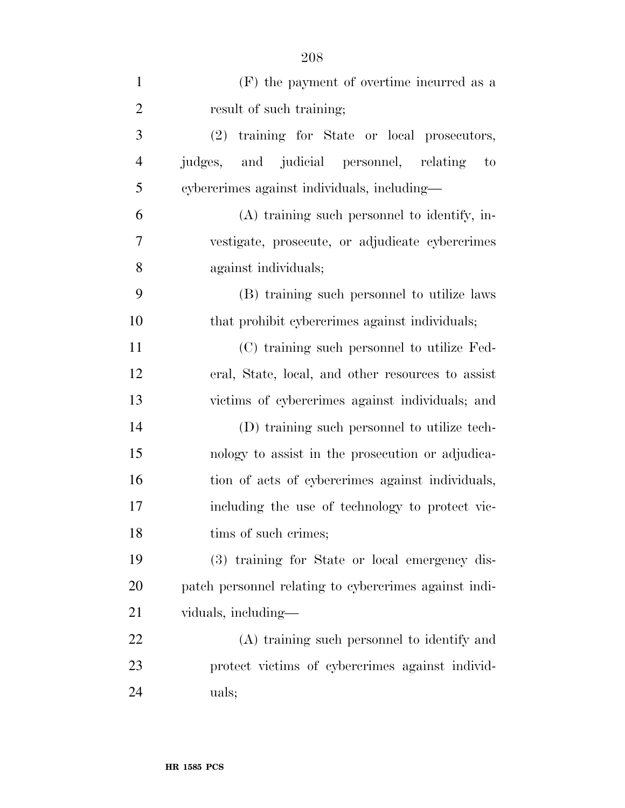|                | 208                                                   |
|----------------|-------------------------------------------------------|
| $\mathbf{1}$   | (F) the payment of overtime incurred as a             |
| $\overline{2}$ | result of such training;                              |
| 3              | (2) training for State or local prosecutors,          |
| $\overline{4}$ | judges, and judicial personnel, relating<br>to        |
| 5              | cybercrimes against individuals, including-           |
| 6              | (A) training such personnel to identify, in-          |
| 7              | vestigate, prosecute, or adjudicate cybercrimes       |
| 8              | against individuals;                                  |
| 9              | (B) training such personnel to utilize laws           |
| 10             | that prohibit cybercrimes against individuals;        |
| 11             | (C) training such personnel to utilize Fed-           |
| 12             | eral, State, local, and other resources to assist     |
| 13             | victims of cybercrimes against individuals; and       |
| 14             | (D) training such personnel to utilize tech-          |
| 15             | nology to assist in the prosecution or adjudica-      |
| 16             | tion of acts of cybercrimes against individuals,      |
| 17             | including the use of technology to protect vic-       |
| 18             | tims of such crimes;                                  |
| 19             | (3) training for State or local emergency dis-        |
| 20             | patch personnel relating to cybercrimes against indi- |
| 21             | viduals, including—                                   |
| 22             | (A) training such personnel to identify and           |
| 23             | protect victims of cybercrimes against individ-       |
| 24             | uals;                                                 |

**HR 1585 PCS**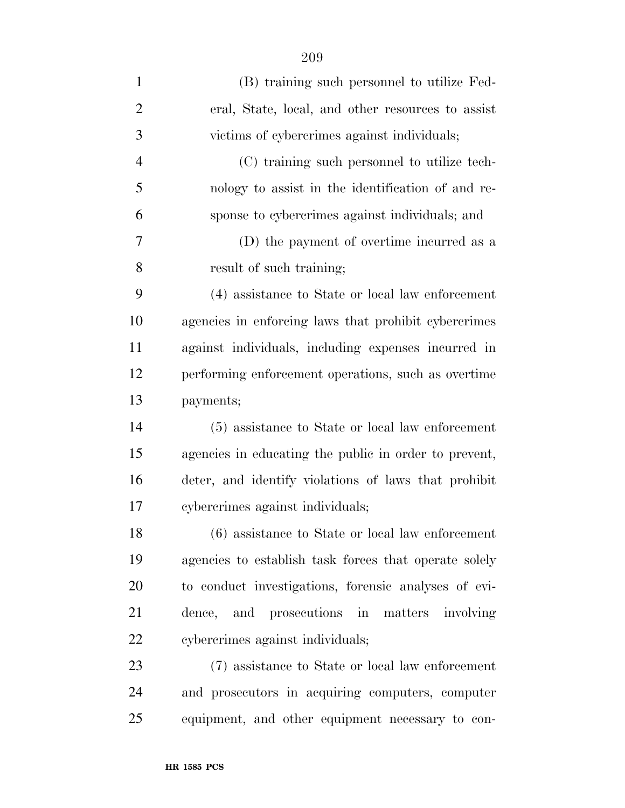| $\mathbf{1}$   | (B) training such personnel to utilize Fed-           |
|----------------|-------------------------------------------------------|
| $\overline{2}$ | eral, State, local, and other resources to assist     |
| 3              | victims of cybercrimes against individuals;           |
| $\overline{4}$ | (C) training such personnel to utilize tech-          |
| 5              | nology to assist in the identification of and re-     |
| 6              | sponse to cybercrimes against individuals; and        |
| 7              | (D) the payment of overtime incurred as a             |
| 8              | result of such training;                              |
| 9              | (4) assistance to State or local law enforcement      |
| 10             | agencies in enforcing laws that prohibit cybercrimes  |
| 11             | against individuals, including expenses incurred in   |
| 12             | performing enforcement operations, such as overtime   |
| 13             | payments;                                             |
| 14             | (5) assistance to State or local law enforcement      |
| 15             | agencies in educating the public in order to prevent, |
| 16             | deter, and identify violations of laws that prohibit  |
| 17             | cybercrimes against individuals;                      |
| 18             | (6) assistance to State or local law enforcement      |
| 19             | agencies to establish task forces that operate solely |
| 20             | to conduct investigations, forensic analyses of evi-  |
| 21             | dence, and prosecutions in matters involving          |
| 22             | cybercrimes against individuals;                      |
| 23             | (7) assistance to State or local law enforcement      |
| 24             | and prosecutors in acquiring computers, computer      |
| 25             | equipment, and other equipment necessary to con-      |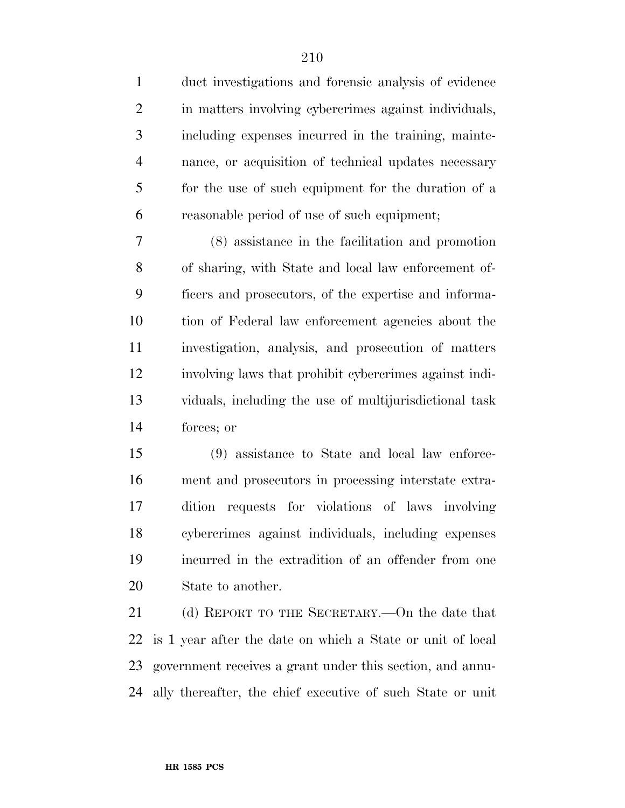duct investigations and forensic analysis of evidence in matters involving cybercrimes against individuals, including expenses incurred in the training, mainte- nance, or acquisition of technical updates necessary for the use of such equipment for the duration of a reasonable period of use of such equipment;

 (8) assistance in the facilitation and promotion of sharing, with State and local law enforcement of- ficers and prosecutors, of the expertise and informa- tion of Federal law enforcement agencies about the investigation, analysis, and prosecution of matters involving laws that prohibit cybercrimes against indi- viduals, including the use of multijurisdictional task forces; or

 (9) assistance to State and local law enforce- ment and prosecutors in processing interstate extra- dition requests for violations of laws involving cybercrimes against individuals, including expenses incurred in the extradition of an offender from one State to another.

 (d) REPORT TO THE SECRETARY.—On the date that is 1 year after the date on which a State or unit of local government receives a grant under this section, and annu-ally thereafter, the chief executive of such State or unit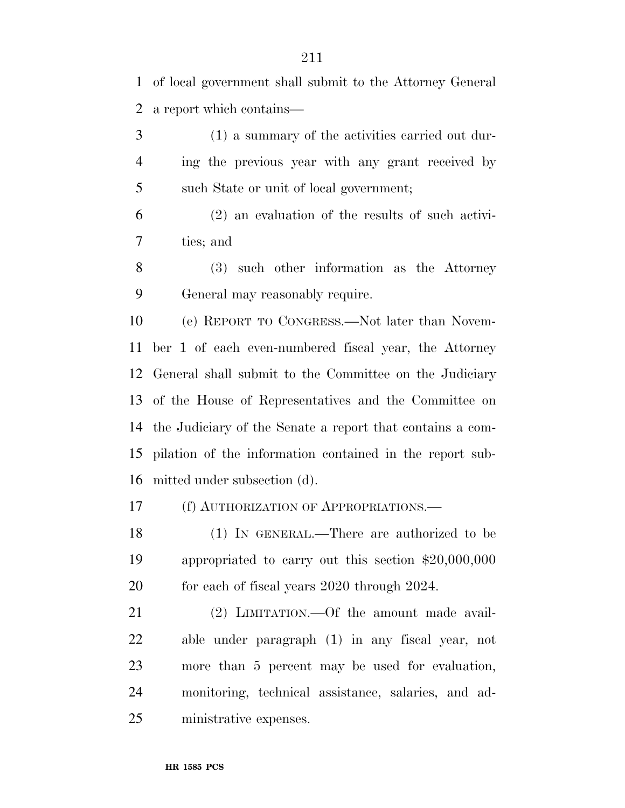of local government shall submit to the Attorney General a report which contains—

 (1) a summary of the activities carried out dur- ing the previous year with any grant received by such State or unit of local government;

 (2) an evaluation of the results of such activi-ties; and

 (3) such other information as the Attorney General may reasonably require.

 (e) REPORT TO CONGRESS.—Not later than Novem- ber 1 of each even-numbered fiscal year, the Attorney General shall submit to the Committee on the Judiciary of the House of Representatives and the Committee on the Judiciary of the Senate a report that contains a com- pilation of the information contained in the report sub-mitted under subsection (d).

(f) AUTHORIZATION OF APPROPRIATIONS.—

 (1) IN GENERAL.—There are authorized to be appropriated to carry out this section \$20,000,000 20 for each of fiscal years 2020 through 2024.

 (2) LIMITATION.—Of the amount made avail- able under paragraph (1) in any fiscal year, not more than 5 percent may be used for evaluation, monitoring, technical assistance, salaries, and ad-ministrative expenses.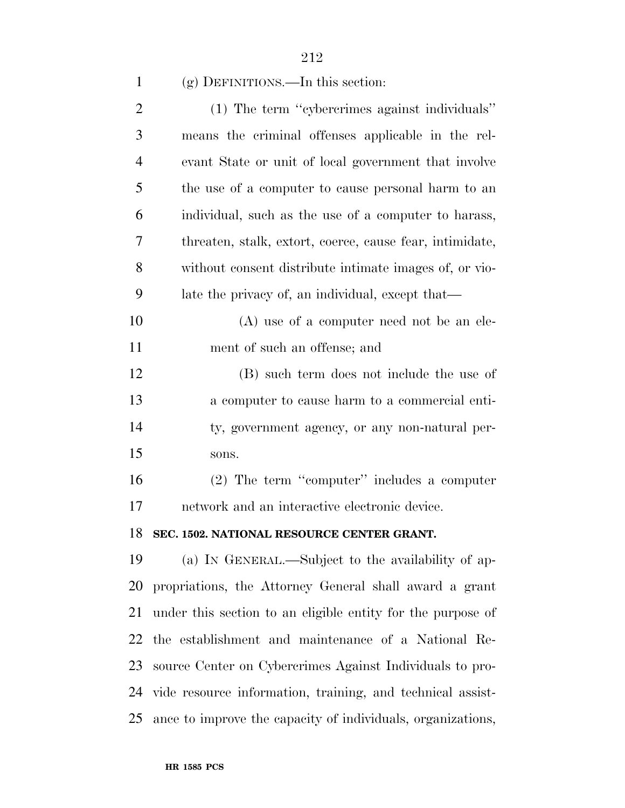|                | 212                                                         |
|----------------|-------------------------------------------------------------|
| $\mathbf{1}$   | $(g)$ DEFINITIONS.—In this section:                         |
| $\overline{c}$ | (1) The term "cybercrimes against individuals"              |
| 3              | means the criminal offenses applicable in the rel-          |
| 4              | evant State or unit of local government that involve        |
| 5              | the use of a computer to cause personal harm to an          |
| 6              | individual, such as the use of a computer to harass,        |
| 7              | threaten, stalk, extort, coerce, cause fear, intimidate,    |
| 8              | without consent distribute intimate images of, or vio-      |
| 9              | late the privacy of, an individual, except that—            |
| 10             | $(A)$ use of a computer need not be an ele-                 |
| 11             | ment of such an offense; and                                |
| 12             | (B) such term does not include the use of                   |
| 13             | a computer to cause harm to a commercial enti-              |
| 14             | ty, government agency, or any non-natural per-              |
| 15             | sons.                                                       |
| 16             | (2) The term "computer" includes a computer                 |
| 17             | network and an interactive electronic device.               |
| 18             | SEC. 1502. NATIONAL RESOURCE CENTER GRANT.                  |
| 19             | (a) IN GENERAL.—Subject to the availability of ap-          |
| 20             | propriations, the Attorney General shall award a grant      |
| 21             | under this section to an eligible entity for the purpose of |
| 22             | the establishment and maintenance of a National Re-         |
| 23             | source Center on Cybercrimes Against Individuals to pro-    |
| 24             | vide resource information, training, and technical assist-  |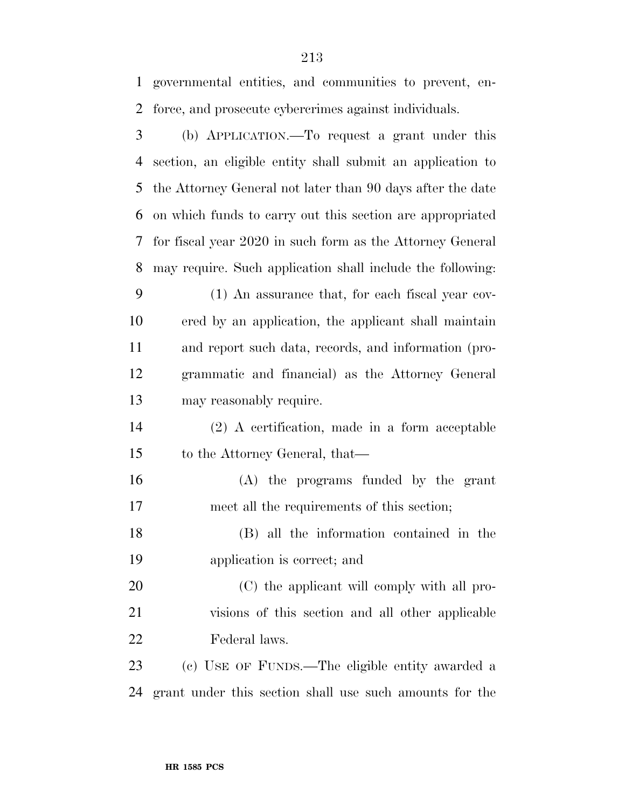governmental entities, and communities to prevent, en-force, and prosecute cybercrimes against individuals.

 (b) APPLICATION.—To request a grant under this section, an eligible entity shall submit an application to the Attorney General not later than 90 days after the date on which funds to carry out this section are appropriated for fiscal year 2020 in such form as the Attorney General may require. Such application shall include the following: (1) An assurance that, for each fiscal year cov- ered by an application, the applicant shall maintain and report such data, records, and information (pro- grammatic and financial) as the Attorney General may reasonably require. (2) A certification, made in a form acceptable to the Attorney General, that— (A) the programs funded by the grant meet all the requirements of this section; (B) all the information contained in the application is correct; and (C) the applicant will comply with all pro- visions of this section and all other applicable Federal laws. (c) USE OF FUNDS.—The eligible entity awarded a grant under this section shall use such amounts for the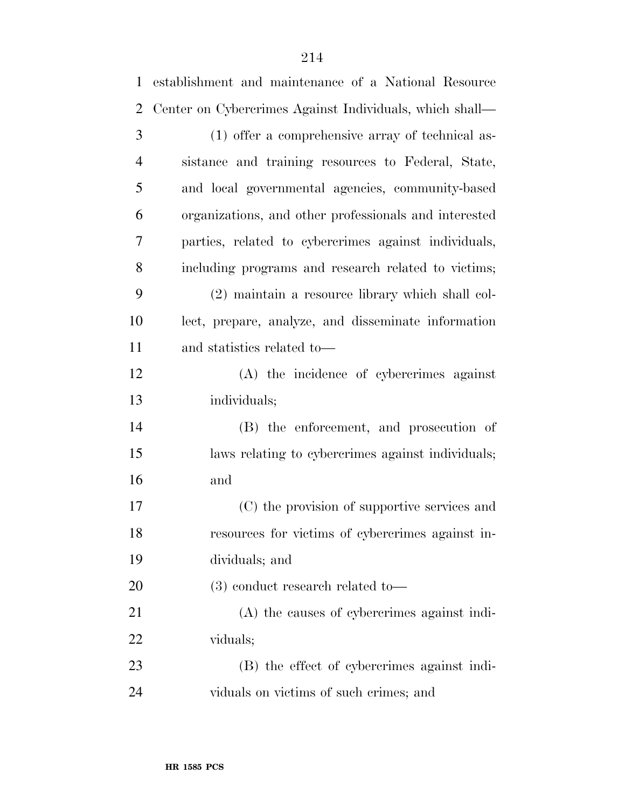| $\mathbf{1}$   | establishment and maintenance of a National Resource    |
|----------------|---------------------------------------------------------|
| 2              | Center on Cybercrimes Against Individuals, which shall— |
| 3              | (1) offer a comprehensive array of technical as-        |
| $\overline{4}$ | sistance and training resources to Federal, State,      |
| 5              | and local governmental agencies, community-based        |
| 6              | organizations, and other professionals and interested   |
| $\overline{7}$ | parties, related to cybercrimes against individuals,    |
| 8              | including programs and research related to victims;     |
| 9              | (2) maintain a resource library which shall col-        |
| 10             | lect, prepare, analyze, and disseminate information     |
| 11             | and statistics related to—                              |
| 12             | (A) the incidence of cybercrimes against                |
| 13             | individuals;                                            |
| 14             | (B) the enforcement, and prosecution of                 |
| 15             | laws relating to cybercrimes against individuals;       |
| 16             | and                                                     |
| 17             | (C) the provision of supportive services and            |
| 18             | resources for victims of cybercrimes against in-        |
| 19             | dividuals; and                                          |
| 20             | $(3)$ conduct research related to-                      |
| 21             | (A) the causes of cybercrimes against indi-             |
| 22             | viduals;                                                |
| 23             | (B) the effect of cybercrimes against indi-             |
| 24             | viduals on victims of such crimes; and                  |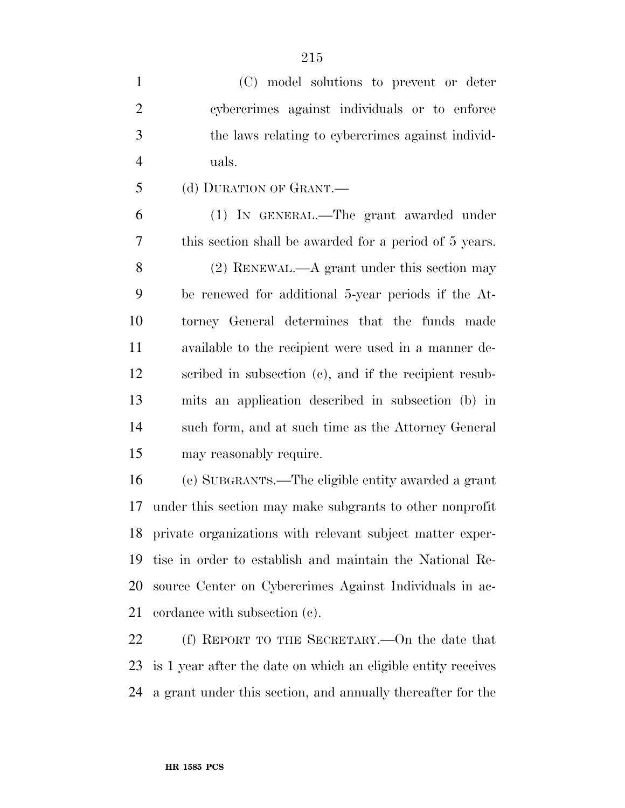(C) model solutions to prevent or deter cybercrimes against individuals or to enforce the laws relating to cybercrimes against individ- uals. (d) DURATION OF GRANT.— (1) IN GENERAL.—The grant awarded under this section shall be awarded for a period of 5 years. (2) RENEWAL.—A grant under this section may be renewed for additional 5-year periods if the At- torney General determines that the funds made available to the recipient were used in a manner de- scribed in subsection (c), and if the recipient resub- mits an application described in subsection (b) in such form, and at such time as the Attorney General may reasonably require.

 (e) SUBGRANTS.—The eligible entity awarded a grant under this section may make subgrants to other nonprofit private organizations with relevant subject matter exper- tise in order to establish and maintain the National Re- source Center on Cybercrimes Against Individuals in ac-cordance with subsection (c).

 (f) REPORT TO THE SECRETARY.—On the date that is 1 year after the date on which an eligible entity receives a grant under this section, and annually thereafter for the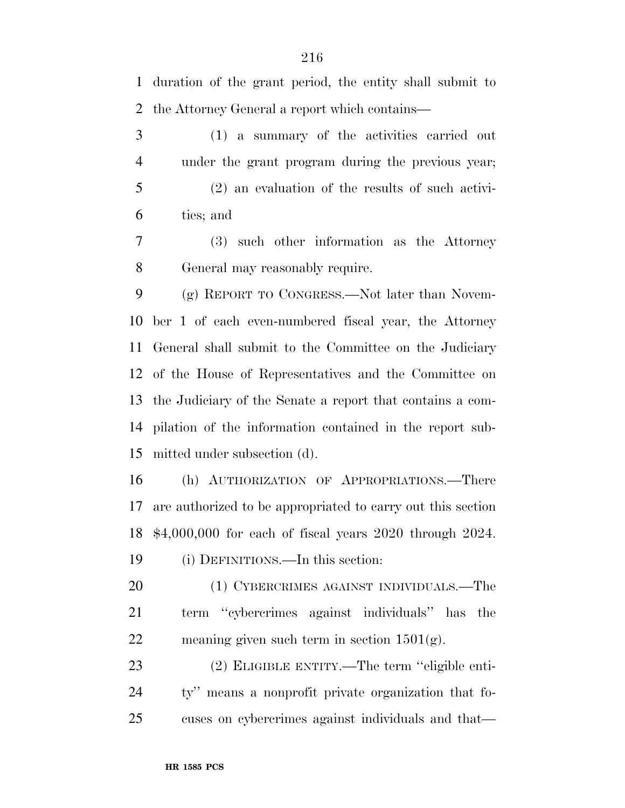(1) a summary of the activities carried out under the grant program during the previous year; (2) an evaluation of the results of such activi-ties; and

 (3) such other information as the Attorney General may reasonably require.

 (g) REPORT TO CONGRESS.—Not later than Novem- ber 1 of each even-numbered fiscal year, the Attorney General shall submit to the Committee on the Judiciary of the House of Representatives and the Committee on the Judiciary of the Senate a report that contains a com- pilation of the information contained in the report sub-mitted under subsection (d).

 (h) AUTHORIZATION OF APPROPRIATIONS.—There are authorized to be appropriated to carry out this section \$4,000,000 for each of fiscal years 2020 through 2024. (i) DEFINITIONS.—In this section:

20 (1) CYBERCRIMES AGAINST INDIVIDUALS.—The term ''cybercrimes against individuals'' has the 22 meaning given such term in section  $1501(g)$ .

 (2) ELIGIBLE ENTITY.—The term ''eligible enti- ty'' means a nonprofit private organization that fo-cuses on cybercrimes against individuals and that—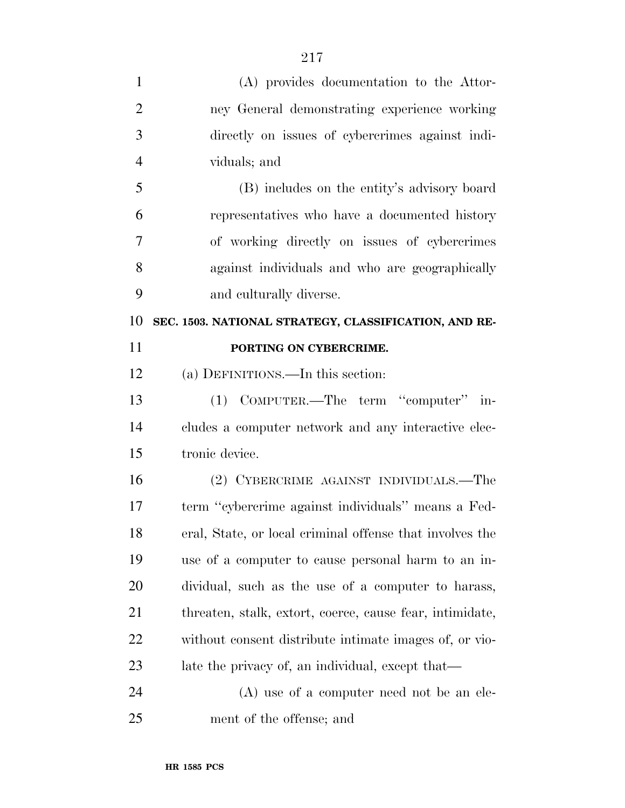| $\mathbf{1}$   | (A) provides documentation to the Attor-                 |
|----------------|----------------------------------------------------------|
| $\overline{2}$ | ney General demonstrating experience working             |
| 3              | directly on issues of cybercrimes against indi-          |
| $\overline{4}$ | viduals; and                                             |
| 5              | (B) includes on the entity's advisory board              |
| 6              | representatives who have a documented history            |
| 7              | of working directly on issues of cybercrimes             |
| 8              | against individuals and who are geographically           |
| 9              | and culturally diverse.                                  |
| 10             | SEC. 1503. NATIONAL STRATEGY, CLASSIFICATION, AND RE-    |
| 11             | PORTING ON CYBERCRIME.                                   |
| 12             | (a) DEFINITIONS.—In this section:                        |
| 13             | (1) COMPUTER.—The term "computer" in-                    |
| 14             | cludes a computer network and any interactive elec-      |
| 15             | tronic device.                                           |
| 16             | (2) CYBERCRIME AGAINST INDIVIDUALS.—The                  |
| 17             | term "cybercrime against individuals" means a Fed-       |
| 18             | eral, State, or local criminal offense that involves the |
| 19             | use of a computer to cause personal harm to an in-       |
| 20             | dividual, such as the use of a computer to harass,       |
| 21             | threaten, stalk, extort, coerce, cause fear, intimidate, |
| 22             | without consent distribute intimate images of, or vio-   |
| 23             | late the privacy of, an individual, except that—         |
| 24             | $(A)$ use of a computer need not be an ele-              |
| 25             | ment of the offense; and                                 |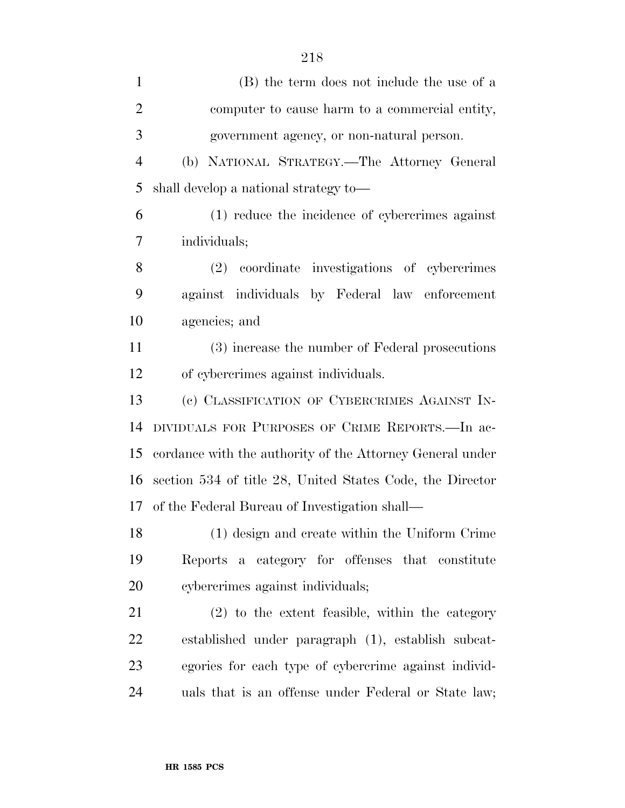| $\mathbf{1}$   | (B) the term does not include the use of a                |
|----------------|-----------------------------------------------------------|
| $\overline{2}$ | computer to cause harm to a commercial entity,            |
| 3              | government agency, or non-natural person.                 |
| $\overline{4}$ | (b) NATIONAL STRATEGY.—The Attorney General               |
| 5              | shall develop a national strategy to-                     |
| 6              | (1) reduce the incidence of cybercrimes against           |
| 7              | individuals;                                              |
| 8              | (2) coordinate investigations of cybercrimes              |
| 9              | against individuals by Federal law enforcement            |
| 10             | agencies; and                                             |
| 11             | (3) increase the number of Federal prosecutions           |
| 12             | of cybercrimes against individuals.                       |
| 13             | (c) CLASSIFICATION OF CYBERCRIMES AGAINST IN-             |
| 14             | DIVIDUALS FOR PURPOSES OF CRIME REPORTS.—In ac-           |
| 15             | cordance with the authority of the Attorney General under |
| 16             | section 534 of title 28, United States Code, the Director |
| 17             | of the Federal Bureau of Investigation shall—             |
| 18             | (1) design and create within the Uniform Crime            |
| 19             | Reports a category for offenses that constitute           |
| 20             | cybercrimes against individuals;                          |
| 21             | $(2)$ to the extent feasible, within the category         |
| 22             | established under paragraph (1), establish subcat-        |
| 23             | egories for each type of cybercrime against individ-      |
| 24             | uals that is an offense under Federal or State law;       |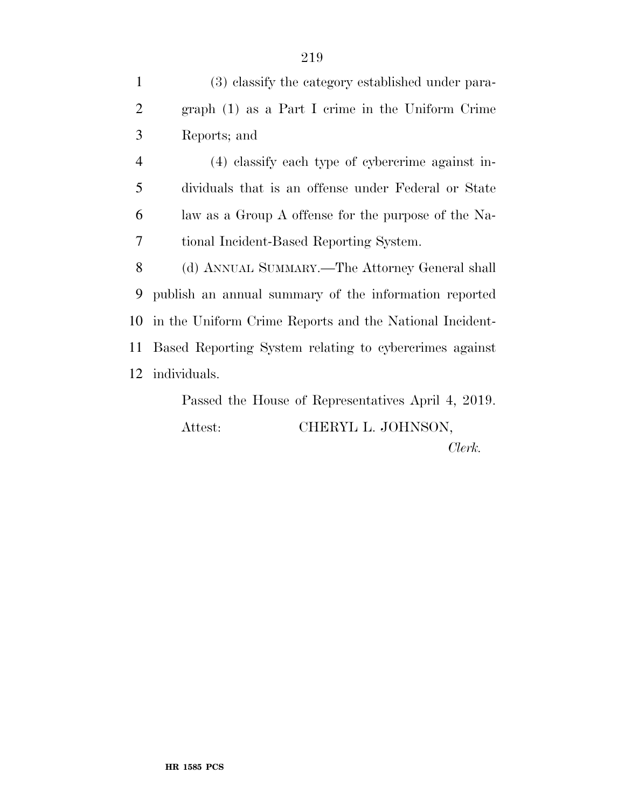(3) classify the category established under para- graph (1) as a Part I crime in the Uniform Crime Reports; and

 (4) classify each type of cybercrime against in- dividuals that is an offense under Federal or State law as a Group A offense for the purpose of the Na-tional Incident-Based Reporting System.

 (d) ANNUAL SUMMARY.—The Attorney General shall publish an annual summary of the information reported in the Uniform Crime Reports and the National Incident- Based Reporting System relating to cybercrimes against individuals.

> Passed the House of Representatives April 4, 2019. Attest: CHERYL L. JOHNSON, *Clerk.*